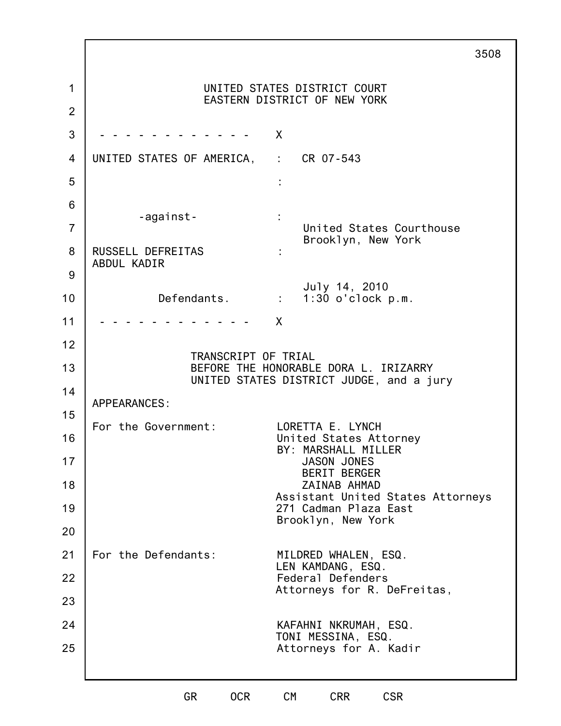1 2 3 4 5 6 7 8 9 10 11 12 13 14 15 16 17 18 19 20 21 22 23 24 25 3508 UNITED STATES DISTRICT COURT EASTERN DISTRICT OF NEW YORK - - - - - - - - - - - - X UNITED STATES OF AMERICA, : CR 07-543 : -against- : United States Courthouse Brooklyn, New York RUSSELL DEFREITAS : ABDUL KADIR July 14, 2010 Defendants. : 1:30 o'clock p.m. - - - - - - - - - - - - X TRANSCRIPT OF TRIAL BEFORE THE HONORABLE DORA L. IRIZARRY UNITED STATES DISTRICT JUDGE, and a jury APPEARANCES: For the Government: LORETTA E. LYNCH United States Attorney BY: MARSHALL MILLER JASON JONES BERIT BERGER ZAINAB AHMAD Assistant United States Attorneys 271 Cadman Plaza East Brooklyn, New York For the Defendants: **MILDRED WHALEN, ESQ.** LEN KAMDANG, ESQ. Federal Defenders Attorneys for R. DeFreitas, KAFAHNI NKRUMAH, ESQ. TONI MESSINA, ESQ. Attorneys for A. Kadir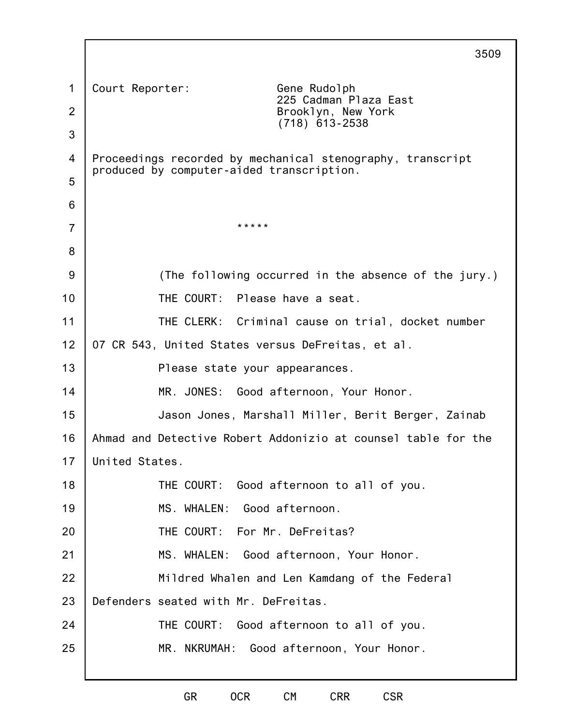1 2 3 4 5 6 7 8 9 10 11 12 13 14 15 16 17 18 19 20 21 22 23 24 25 3509 Court Reporter: Gene Rudolph 225 Cadman Plaza East Brooklyn, New York (718) 613-2538 Proceedings recorded by mechanical stenography, transcript produced by computer-aided transcription. \*\*\*\*\* (The following occurred in the absence of the jury.) THE COURT: Please have a seat. THE CLERK: Criminal cause on trial, docket number 07 CR 543, United States versus DeFreitas, et al. Please state your appearances. MR. JONES: Good afternoon, Your Honor. Jason Jones, Marshall Miller, Berit Berger, Zainab Ahmad and Detective Robert Addonizio at counsel table for the United States. THE COURT: Good afternoon to all of you. MS. WHALEN: Good afternoon. THE COURT: For Mr. DeFreitas? MS. WHALEN: Good afternoon, Your Honor. Mildred Whalen and Len Kamdang of the Federal Defenders seated with Mr. DeFreitas. THE COURT: Good afternoon to all of you. MR. NKRUMAH: Good afternoon, Your Honor.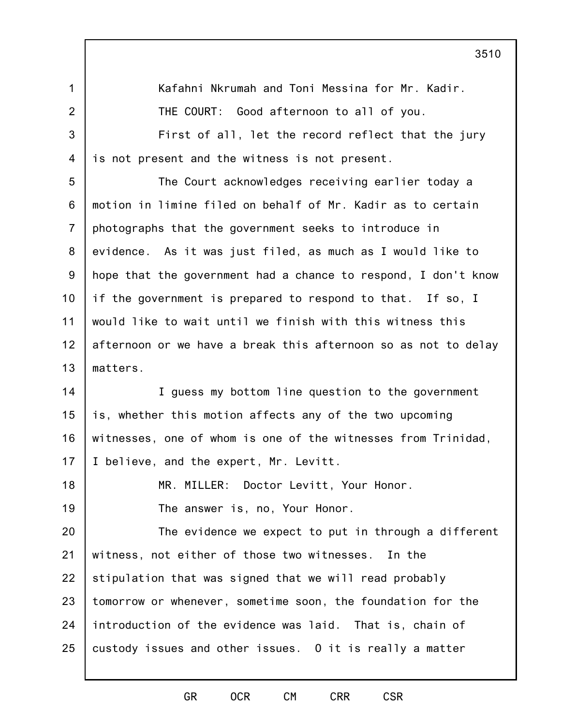|                | 3510                                                           |
|----------------|----------------------------------------------------------------|
| $\mathbf{1}$   | Kafahni Nkrumah and Toni Messina for Mr. Kadir.                |
| $\overline{2}$ | THE COURT: Good afternoon to all of you.                       |
| 3              | First of all, let the record reflect that the jury             |
| $\overline{4}$ | is not present and the witness is not present.                 |
| 5              | The Court acknowledges receiving earlier today a               |
| 6              | motion in limine filed on behalf of Mr. Kadir as to certain    |
| $\overline{7}$ | photographs that the government seeks to introduce in          |
| 8              | evidence. As it was just filed, as much as I would like to     |
| $9\,$          | hope that the government had a chance to respond, I don't know |
| 10             | if the government is prepared to respond to that. If so, I     |
| 11             | would like to wait until we finish with this witness this      |
| 12             | afternoon or we have a break this afternoon so as not to delay |
| 13             | matters.                                                       |
| 14             | I guess my bottom line question to the government              |
| 15             | is, whether this motion affects any of the two upcoming        |
| 16             | witnesses, one of whom is one of the witnesses from Trinidad,  |
| 17             | I believe, and the expert, Mr. Levitt.                         |
| 18             | MR. MILLER:<br>Doctor Levitt, Your Honor.                      |
| 19             | The answer is, no, Your Honor.                                 |
| 20             | The evidence we expect to put in through a different           |
| 21             | witness, not either of those two witnesses. In the             |
| 22             | stipulation that was signed that we will read probably         |
| 23             | tomorrow or whenever, sometime soon, the foundation for the    |
| 24             | introduction of the evidence was laid. That is, chain of       |
| 25             | custody issues and other issues. O it is really a matter       |
|                |                                                                |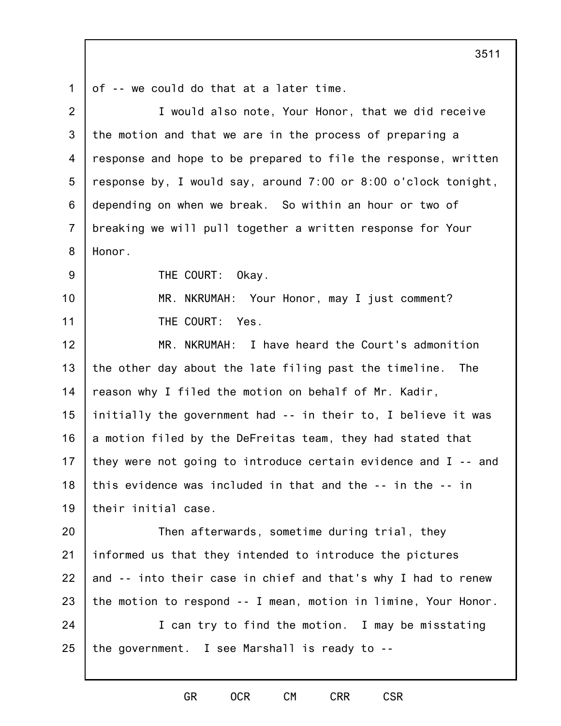1 of -- we could do that at a later time.

| $\overline{2}$ | I would also note, Your Honor, that we did receive                |
|----------------|-------------------------------------------------------------------|
| 3              | the motion and that we are in the process of preparing a          |
| 4              | response and hope to be prepared to file the response, written    |
| 5              | response by, I would say, around 7:00 or 8:00 o'clock tonight,    |
| 6              | depending on when we break. So within an hour or two of           |
| $\overline{7}$ | breaking we will pull together a written response for Your        |
| 8              | Honor.                                                            |
| 9              | THE COURT: Okay.                                                  |
| 10             | MR. NKRUMAH: Your Honor, may I just comment?                      |
| 11             | THE COURT: Yes.                                                   |
| 12             | MR. NKRUMAH: I have heard the Court's admonition                  |
| 13             | the other day about the late filing past the timeline. The        |
| 14             | reason why I filed the motion on behalf of Mr. Kadir,             |
| 15             | initially the government had -- in their to, I believe it was     |
| 16             | a motion filed by the DeFreitas team, they had stated that        |
| 17             | they were not going to introduce certain evidence and $I - -$ and |
| 18             | this evidence was included in that and the -- in the -- in        |
| 19             | their initial case.                                               |
| 20             | Then afterwards, sometime during trial, they                      |
| 21             | informed us that they intended to introduce the pictures          |
| 22             | and -- into their case in chief and that's why I had to renew     |
| 23             | the motion to respond -- I mean, motion in limine, Your Honor.    |
| 24             | I can try to find the motion. I may be misstating                 |
| 25             | the government. I see Marshall is ready to --                     |
|                |                                                                   |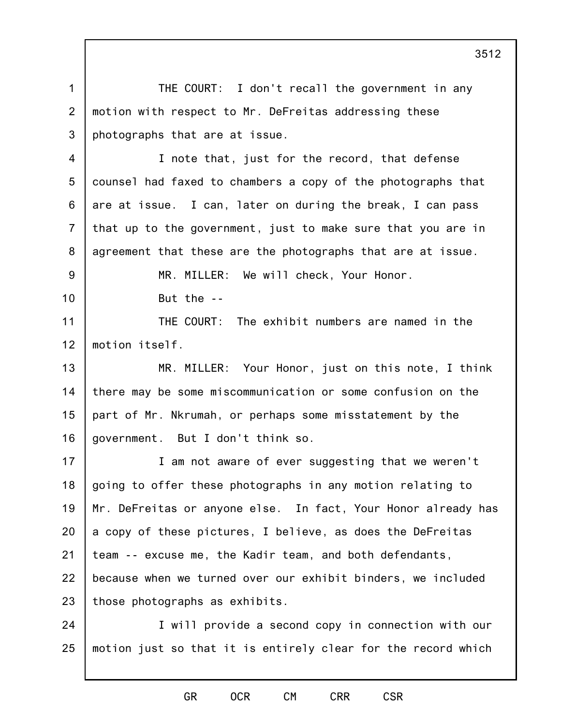1 2 3 4 5 6 7 8 9 10 11 12 13 14 15 16 17 18 19 20 21 22 23 24 25 THE COURT: I don't recall the government in any motion with respect to Mr. DeFreitas addressing these photographs that are at issue. I note that, just for the record, that defense counsel had faxed to chambers a copy of the photographs that are at issue. I can, later on during the break, I can pass that up to the government, just to make sure that you are in agreement that these are the photographs that are at issue. MR. MILLER: We will check, Your Honor. But the -- THE COURT: The exhibit numbers are named in the motion itself. MR. MILLER: Your Honor, just on this note, I think there may be some miscommunication or some confusion on the part of Mr. Nkrumah, or perhaps some misstatement by the government. But I don't think so. I am not aware of ever suggesting that we weren't going to offer these photographs in any motion relating to Mr. DeFreitas or anyone else. In fact, Your Honor already has a copy of these pictures, I believe, as does the DeFreitas team -- excuse me, the Kadir team, and both defendants, because when we turned over our exhibit binders, we included those photographs as exhibits. I will provide a second copy in connection with our motion just so that it is entirely clear for the record which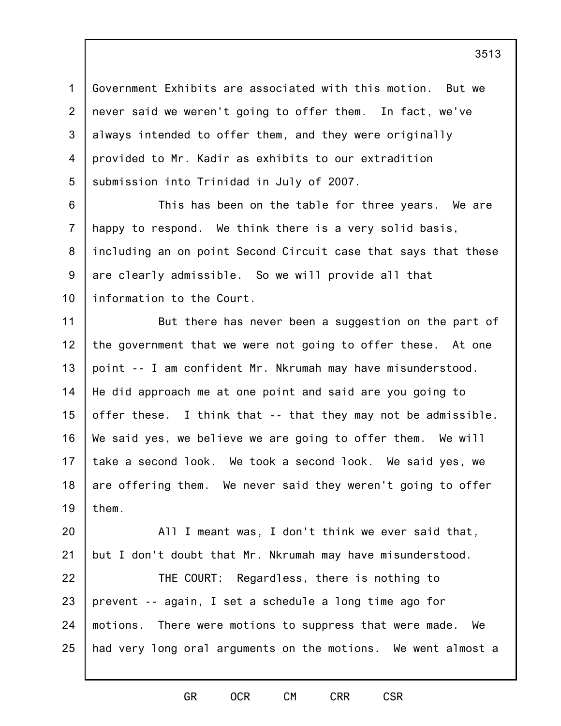1 2 3 4 5 Government Exhibits are associated with this motion. But we never said we weren't going to offer them. In fact, we've always intended to offer them, and they were originally provided to Mr. Kadir as exhibits to our extradition submission into Trinidad in July of 2007.

6 7 8 9 10 This has been on the table for three years. We are happy to respond. We think there is a very solid basis, including an on point Second Circuit case that says that these are clearly admissible. So we will provide all that information to the Court.

11 12 13 14 15 16 17 18 19 But there has never been a suggestion on the part of the government that we were not going to offer these. At one point -- I am confident Mr. Nkrumah may have misunderstood. He did approach me at one point and said are you going to offer these. I think that -- that they may not be admissible. We said yes, we believe we are going to offer them. We will take a second look. We took a second look. We said yes, we are offering them. We never said they weren't going to offer them.

20 21 All I meant was, I don't think we ever said that, but I don't doubt that Mr. Nkrumah may have misunderstood.

22 23 24 25 THE COURT: Regardless, there is nothing to prevent -- again, I set a schedule a long time ago for motions. There were motions to suppress that were made. We had very long oral arguments on the motions. We went almost a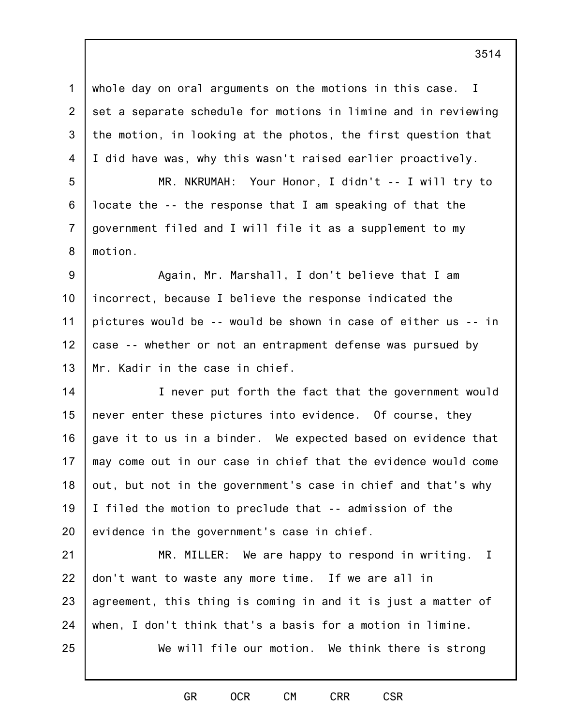1 2 3 4 whole day on oral arguments on the motions in this case. I set a separate schedule for motions in limine and in reviewing the motion, in looking at the photos, the first question that I did have was, why this wasn't raised earlier proactively.

5 6 7 8 MR. NKRUMAH: Your Honor, I didn't -- I will try to locate the -- the response that I am speaking of that the government filed and I will file it as a supplement to my motion.

9 10 11 12 13 Again, Mr. Marshall, I don't believe that I am incorrect, because I believe the response indicated the pictures would be -- would be shown in case of either us -- in case -- whether or not an entrapment defense was pursued by Mr. Kadir in the case in chief.

14 15 16 17 18 19 20 I never put forth the fact that the government would never enter these pictures into evidence. Of course, they gave it to us in a binder. We expected based on evidence that may come out in our case in chief that the evidence would come out, but not in the government's case in chief and that's why I filed the motion to preclude that -- admission of the evidence in the government's case in chief.

21 22 23 24 25 MR. MILLER: We are happy to respond in writing. I don't want to waste any more time. If we are all in agreement, this thing is coming in and it is just a matter of when, I don't think that's a basis for a motion in limine. We will file our motion. We think there is strong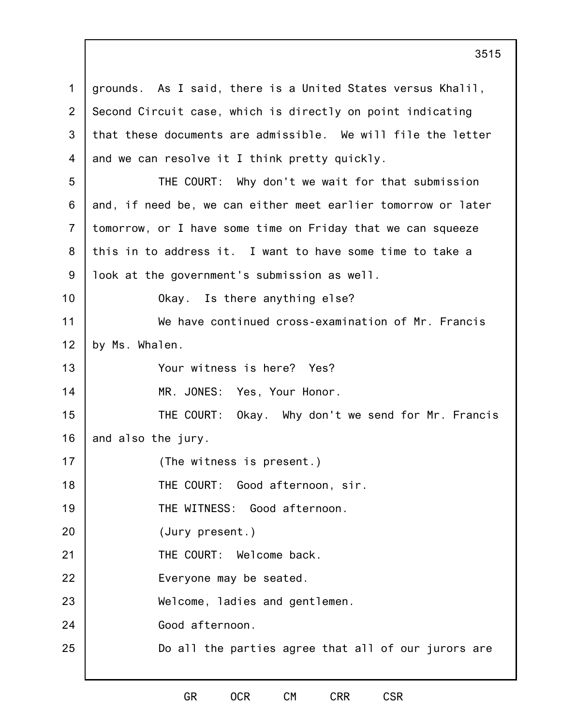1 2 3 4 5 6 7 8 9 10 11 12 13 14 15 16 17 18 19 20 21 22 23 24 25 grounds. As I said, there is a United States versus Khalil, Second Circuit case, which is directly on point indicating that these documents are admissible. We will file the letter and we can resolve it I think pretty quickly. THE COURT: Why don't we wait for that submission and, if need be, we can either meet earlier tomorrow or later tomorrow, or I have some time on Friday that we can squeeze this in to address it. I want to have some time to take a look at the government's submission as well. Okay. Is there anything else? We have continued cross-examination of Mr. Francis by Ms. Whalen. Your witness is here? Yes? MR. JONES: Yes, Your Honor. THE COURT: Okay. Why don't we send for Mr. Francis and also the jury. (The witness is present.) THE COURT: Good afternoon, sir. THE WITNESS: Good afternoon. (Jury present.) THE COURT: Welcome back. Everyone may be seated. Welcome, ladies and gentlemen. Good afternoon. Do all the parties agree that all of our jurors are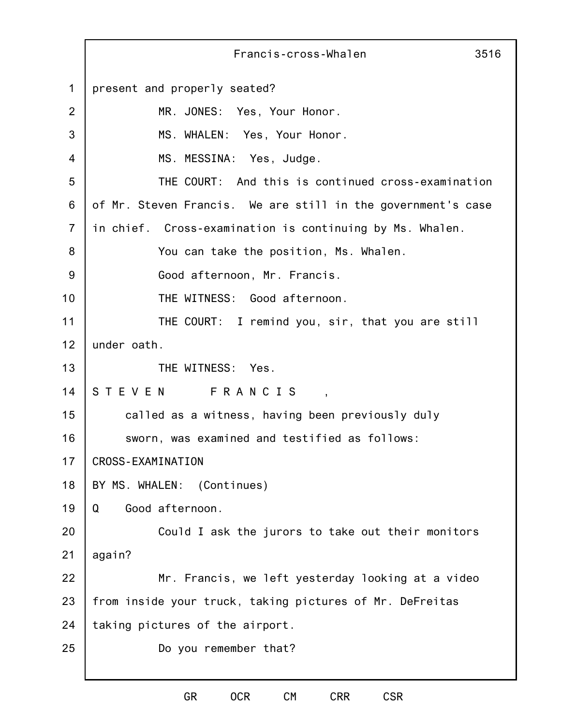|                | Francis-cross-Whalen<br>3516                                 |
|----------------|--------------------------------------------------------------|
| $\mathbf 1$    | present and properly seated?                                 |
| $\overline{2}$ | MR. JONES: Yes, Your Honor.                                  |
| 3              | MS. WHALEN: Yes, Your Honor.                                 |
| 4              | MS. MESSINA: Yes, Judge.                                     |
| 5              | THE COURT: And this is continued cross-examination           |
| 6              | of Mr. Steven Francis. We are still in the government's case |
| $\overline{7}$ | in chief. Cross-examination is continuing by Ms. Whalen.     |
| 8              | You can take the position, Ms. Whalen.                       |
| 9              | Good afternoon, Mr. Francis.                                 |
| 10             | THE WITNESS: Good afternoon.                                 |
| 11             | THE COURT: I remind you, sir, that you are still             |
| 12             | under oath.                                                  |
| 13             | THE WITNESS: Yes.                                            |
| 14             | STEVEN FRANCIS                                               |
| 15             | called as a witness, having been previously duly             |
| 16             | sworn, was examined and testified as follows:                |
| 17             | <b>CROSS-EXAMINATION</b>                                     |
| 18             | BY MS. WHALEN:<br>(Continues)                                |
| 19             | Good afternoon.<br>Q                                         |
| 20             | Could I ask the jurors to take out their monitors            |
| 21             | again?                                                       |
| 22             | Mr. Francis, we left yesterday looking at a video            |
| 23             | from inside your truck, taking pictures of Mr. DeFreitas     |
| 24             | taking pictures of the airport.                              |
| 25             | Do you remember that?                                        |
|                |                                                              |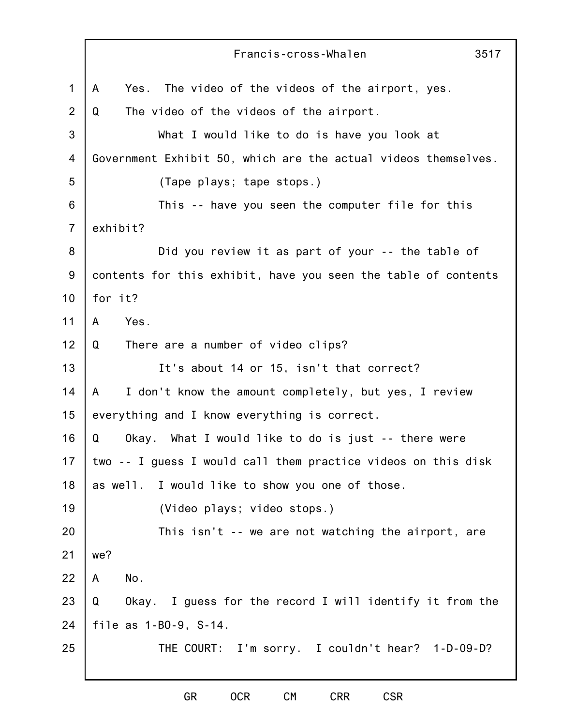|                | Francis-cross-Whalen<br>3517                                   |
|----------------|----------------------------------------------------------------|
| $\mathbf 1$    | The video of the videos of the airport, yes.<br>A<br>Yes.      |
| $\overline{2}$ | Q<br>The video of the videos of the airport.                   |
| 3              | What I would like to do is have you look at                    |
| 4              | Government Exhibit 50, which are the actual videos themselves. |
| 5              | (Tape plays; tape stops.)                                      |
| 6              | This -- have you seen the computer file for this               |
| $\overline{7}$ | exhibit?                                                       |
| 8              | Did you review it as part of your -- the table of              |
| 9              | contents for this exhibit, have you seen the table of contents |
| 10             | for it?                                                        |
| 11             | Yes.<br>A                                                      |
| 12             | There are a number of video clips?<br>Q                        |
| 13             | It's about 14 or 15, isn't that correct?                       |
| 14             | I don't know the amount completely, but yes, I review<br>A     |
| 15             | everything and I know everything is correct.                   |
| 16             | Q<br>Okay. What I would like to do is just -- there were       |
| 17             | two -- I guess I would call them practice videos on this disk  |
| 18             | as well. I would like to show you one of those.                |
| 19             | (Video plays; video stops.)                                    |
| 20             | This isn't -- we are not watching the airport, are             |
| 21             | we?                                                            |
| 22             | No.<br>A                                                       |
| 23             | Q<br>Okay. I guess for the record I will identify it from the  |
| 24             | file as 1-B0-9, S-14.                                          |
| 25             | THE COURT: I'm sorry. I couldn't hear? 1-D-09-D?               |
|                |                                                                |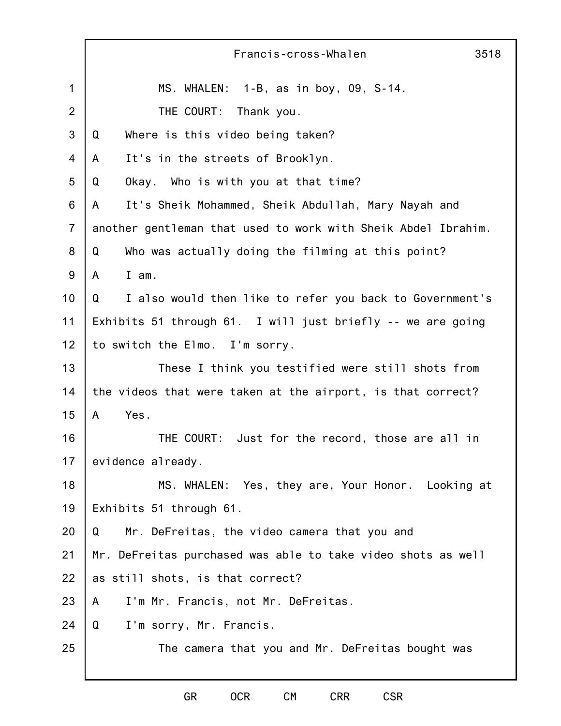|                | Francis-cross-Whalen<br>3518                                  |
|----------------|---------------------------------------------------------------|
| $\mathbf 1$    | MS. WHALEN: 1-B, as in boy, 09, S-14.                         |
| $\overline{2}$ | THE COURT: Thank you.                                         |
| 3              | Where is this video being taken?<br>Q                         |
| 4              | It's in the streets of Brooklyn.<br>A                         |
| 5              | Q<br>Okay. Who is with you at that time?                      |
| 6              | It's Sheik Mohammed, Sheik Abdullah, Mary Nayah and<br>A      |
| $\overline{7}$ | another gentleman that used to work with Sheik Abdel Ibrahim. |
| 8              | Who was actually doing the filming at this point?<br>Q        |
| 9              | $I$ am.<br>A                                                  |
| 10             | I also would then like to refer you back to Government's<br>Q |
| 11             | Exhibits 51 through 61. I will just briefly -- we are going   |
| 12             | to switch the Elmo. I'm sorry.                                |
| 13             | These I think you testified were still shots from             |
| 14             | the videos that were taken at the airport, is that correct?   |
| 15             | Yes.<br>A                                                     |
| 16             | THE COURT: Just for the record, those are all in              |
| 17             | evidence already.                                             |
| 18             | MS. WHALEN: Yes, they are, Your Honor. Looking at             |
| 19             | Exhibits 51 through 61.                                       |
| 20             | Mr. DeFreitas, the video camera that you and<br>Q             |
| 21             | Mr. DeFreitas purchased was able to take video shots as well  |
| 22             | as still shots, is that correct?                              |
| 23             | I'm Mr. Francis, not Mr. DeFreitas.<br>A                      |
| 24             | I'm sorry, Mr. Francis.<br>Q                                  |
| 25             | The camera that you and Mr. DeFreitas bought was              |
|                |                                                               |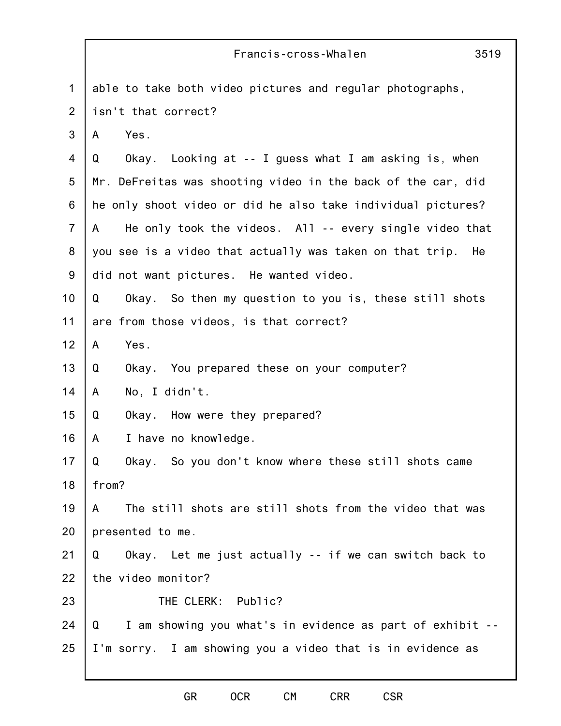|                | Francis-cross-Whalen<br>3519                                   |
|----------------|----------------------------------------------------------------|
| $\mathbf 1$    | able to take both video pictures and regular photographs,      |
| $\overline{2}$ | isn't that correct?                                            |
| 3              | Yes.<br>A                                                      |
| 4              | Okay. Looking at -- I guess what I am asking is, when<br>Q     |
| 5              | Mr. DeFreitas was shooting video in the back of the car, did   |
| 6              | he only shoot video or did he also take individual pictures?   |
| $\overline{7}$ | He only took the videos. All -- every single video that<br>A   |
| 8              | you see is a video that actually was taken on that trip. He    |
| 9              | did not want pictures. He wanted video.                        |
| 10             | Okay. So then my question to you is, these still shots<br>Q    |
| 11             | are from those videos, is that correct?                        |
| 12             | Yes.<br>A                                                      |
| 13             | Okay. You prepared these on your computer?<br>Q                |
| 14             | No, I didn't.<br>A                                             |
| 15             | Q<br>Okay. How were they prepared?                             |
| 16             | I have no knowledge.<br>A                                      |
| 17             | Okay. So you don't know where these still shots came<br>Q      |
| 18             | from?                                                          |
| 19             | The still shots are still shots from the video that was<br>A   |
| 20             | presented to me.                                               |
| 21             | Okay. Let me just actually -- if we can switch back to<br>Q    |
| 22             | the video monitor?                                             |
| 23             | THE CLERK: Public?                                             |
| 24             | I am showing you what's in evidence as part of exhibit --<br>Q |
| 25             | I'm sorry. I am showing you a video that is in evidence as     |
|                |                                                                |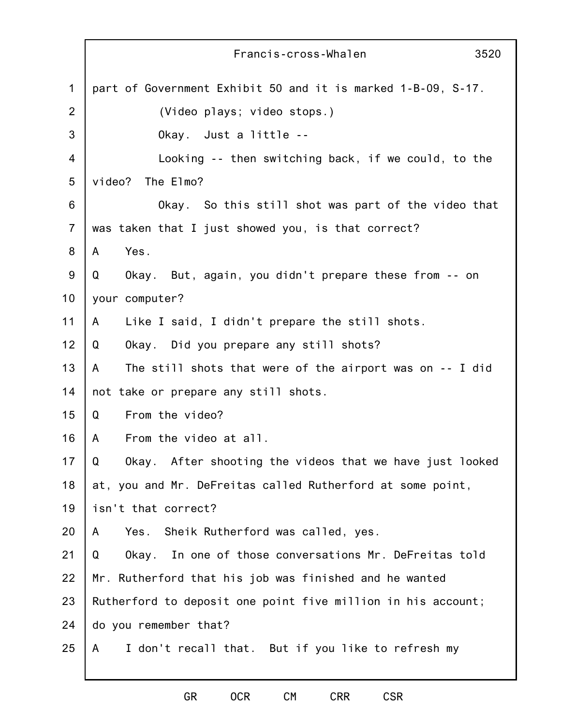|                | 3520<br>Francis-cross-Whalen                                  |
|----------------|---------------------------------------------------------------|
| $\mathbf 1$    | part of Government Exhibit 50 and it is marked 1-B-09, S-17.  |
| 2              | (Video plays; video stops.)                                   |
| 3              | Okay. Just a little --                                        |
| 4              | Looking -- then switching back, if we could, to the           |
| 5              | video? The Elmo?                                              |
| 6              | Okay. So this still shot was part of the video that           |
| $\overline{7}$ | was taken that I just showed you, is that correct?            |
| 8              | Yes.<br>A                                                     |
| 9              | Q<br>Okay. But, again, you didn't prepare these from -- on    |
| 10             | your computer?                                                |
| 11             | Like I said, I didn't prepare the still shots.<br>A           |
| 12             | Okay. Did you prepare any still shots?<br>Q                   |
| 13             | The still shots that were of the airport was on $-1$ did<br>A |
| 14             | not take or prepare any still shots.                          |
| 15             | From the video?<br>Q                                          |
| 16             | From the video at all.<br>A                                   |
| 17             | Q<br>Okay. After shooting the videos that we have just looked |
| 18             | at, you and Mr. DeFreitas called Rutherford at some point,    |
| 19             | isn't that correct?                                           |
| 20             | Yes. Sheik Rutherford was called, yes.<br>A                   |
| 21             | Okay. In one of those conversations Mr. DeFreitas told<br>Q   |
| 22             | Mr. Rutherford that his job was finished and he wanted        |
| 23             | Rutherford to deposit one point five million in his account;  |
| 24             | do you remember that?                                         |
| 25             | I don't recall that. But if you like to refresh my<br>A       |
|                |                                                               |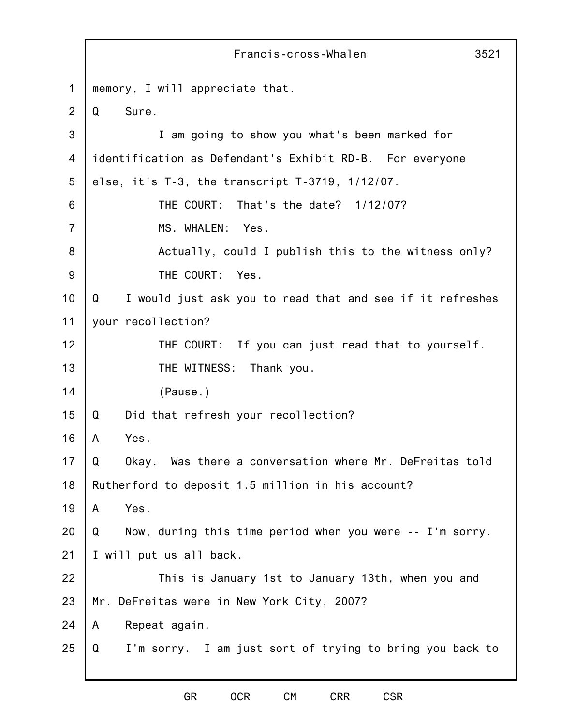|                | Francis-cross-Whalen<br>3521                                   |
|----------------|----------------------------------------------------------------|
| $\mathbf 1$    | memory, I will appreciate that.                                |
| $\overline{2}$ | Sure.<br>Q                                                     |
| 3              | I am going to show you what's been marked for                  |
| 4              | identification as Defendant's Exhibit RD-B. For everyone       |
| 5              | else, it's T-3, the transcript T-3719, 1/12/07.                |
| 6              | THE COURT:<br>That's the date? 1/12/07?                        |
| $\overline{7}$ | MS. WHALEN: Yes.                                               |
| 8              | Actually, could I publish this to the witness only?            |
| 9              | THE COURT: Yes.                                                |
| 10             | I would just ask you to read that and see if it refreshes<br>Q |
| 11             | your recollection?                                             |
| 12             | THE COURT: If you can just read that to yourself.              |
| 13             | THE WITNESS: Thank you.                                        |
| 14             | (Pause.)                                                       |
| 15             | Did that refresh your recollection?<br>Q                       |
| 16             | Yes.<br>A                                                      |
| 17             | Q<br>Okay. Was there a conversation where Mr. DeFreitas told   |
| 18             | Rutherford to deposit 1.5 million in his account?              |
| 19             | Yes.<br>A                                                      |
| 20             | Now, during this time period when you were -- I'm sorry.<br>Q  |
| 21             | I will put us all back.                                        |
| 22             | This is January 1st to January 13th, when you and              |
| 23             | Mr. DeFreitas were in New York City, 2007?                     |
| 24             | Repeat again.<br>A                                             |
| 25             | I'm sorry. I am just sort of trying to bring you back to<br>Q  |
|                |                                                                |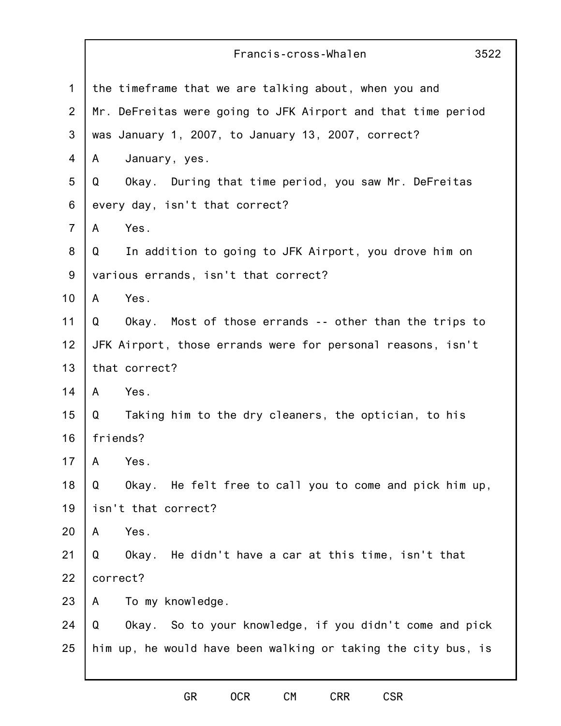|                | Francis-cross-Whalen<br>3522                                    |
|----------------|-----------------------------------------------------------------|
| $\mathbf 1$    | the timeframe that we are talking about, when you and           |
| $\overline{2}$ | Mr. DeFreitas were going to JFK Airport and that time period    |
| 3              | was January 1, 2007, to January 13, 2007, correct?              |
| 4              | January, yes.<br>A                                              |
| 5              | Okay. During that time period, you saw Mr. DeFreitas<br>Q       |
| 6              | every day, isn't that correct?                                  |
| $\overline{7}$ | Yes.<br>A                                                       |
| 8              | In addition to going to JFK Airport, you drove him on<br>Q      |
| 9              | various errands, isn't that correct?                            |
| 10             | Yes.<br>A                                                       |
| 11             | Okay. Most of those errands -- other than the trips to<br>Q     |
| 12             | JFK Airport, those errands were for personal reasons, isn't     |
| 13             | that correct?                                                   |
| 14             | Yes.<br>A                                                       |
| 15             | Taking him to the dry cleaners, the optician, to his<br>Q       |
| 16             | friends?                                                        |
| 17             | Yes.<br>A                                                       |
| 18             | He felt free to call you to come and pick him up,<br>Q<br>Okay. |
| 19             | isn't that correct?                                             |
| 20             | Yes.<br>A                                                       |
| 21             | Q<br>Okay.<br>He didn't have a car at this time, isn't that     |
| 22             | correct?                                                        |
| 23             | To my knowledge.<br>A                                           |
| 24             | Okay. So to your knowledge, if you didn't come and pick<br>Q    |
| 25             | him up, he would have been walking or taking the city bus, is   |
|                |                                                                 |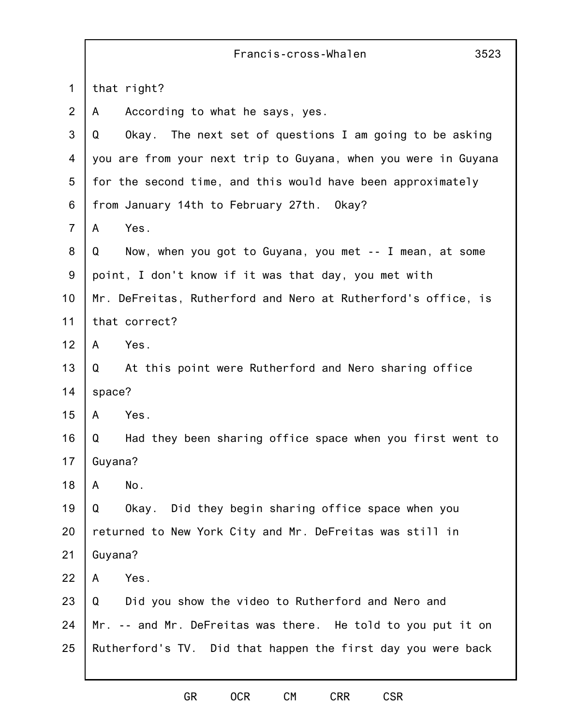|                | Francis-cross-Whalen<br>3523                                   |
|----------------|----------------------------------------------------------------|
| $\mathbf 1$    | that right?                                                    |
| $\overline{2}$ | According to what he says, yes.<br>A                           |
| 3              | Okay. The next set of questions I am going to be asking<br>Q   |
| 4              | you are from your next trip to Guyana, when you were in Guyana |
| 5              | for the second time, and this would have been approximately    |
| 6              | from January 14th to February 27th. Okay?                      |
| $\overline{7}$ | Yes.<br>A                                                      |
| 8              | Now, when you got to Guyana, you met -- I mean, at some<br>Q   |
| 9              | point, I don't know if it was that day, you met with           |
| 10             | Mr. DeFreitas, Rutherford and Nero at Rutherford's office, is  |
| 11             | that correct?                                                  |
| 12             | Yes.<br>A                                                      |
| 13             | At this point were Rutherford and Nero sharing office<br>Q     |
| 14             | space?                                                         |
| 15             | Yes.<br>A                                                      |
| 16             | Had they been sharing office space when you first went to<br>Q |
| 17             | Guyana?                                                        |
| 18             | No.<br>A                                                       |
| 19             | Q<br>Okay. Did they begin sharing office space when you        |
| 20             | returned to New York City and Mr. DeFreitas was still in       |
| 21             | Guyana?                                                        |
| 22             | Yes.<br>A                                                      |
| 23             | Did you show the video to Rutherford and Nero and<br>Q         |
| 24             | Mr. -- and Mr. DeFreitas was there. He told to you put it on   |
| 25             | Rutherford's TV. Did that happen the first day you were back   |
|                |                                                                |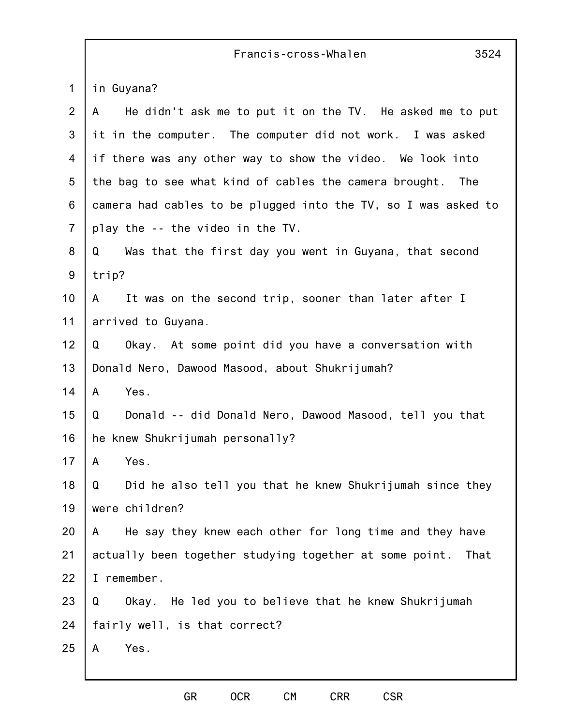|                | Francis-cross-Whalen<br>3524                                    |
|----------------|-----------------------------------------------------------------|
| $\mathbf 1$    | in Guyana?                                                      |
| 2              | He didn't ask me to put it on the TV. He asked me to put<br>A   |
| 3              | it in the computer. The computer did not work. I was asked      |
| 4              | if there was any other way to show the video. We look into      |
| 5              | the bag to see what kind of cables the camera brought. The      |
| 6              | camera had cables to be plugged into the TV, so I was asked to  |
| $\overline{7}$ | play the -- the video in the TV.                                |
| 8              | Q<br>Was that the first day you went in Guyana, that second     |
| $9\,$          | trip?                                                           |
| 10             | It was on the second trip, sooner than later after I<br>A       |
| 11             | arrived to Guyana.                                              |
| 12             | Okay. At some point did you have a conversation with<br>Q       |
| 13             | Donald Nero, Dawood Masood, about Shukrijumah?                  |
| 14             | Yes.<br>A                                                       |
| 15             | Donald -- did Donald Nero, Dawood Masood, tell you that<br>Q    |
| 16             | he knew Shukrijumah personally?                                 |
| 17             | A<br>Yes.                                                       |
| 18             | Did he also tell you that he knew Shukrijumah since they<br>Q   |
| 19             | were children?                                                  |
| 20             | He say they knew each other for long time and they have<br>A    |
| 21             | actually been together studying together at some point.<br>That |
| 22             | I remember.                                                     |
| 23             | Q<br>Okay. He led you to believe that he knew Shukrijumah       |
| 24             | fairly well, is that correct?                                   |
| 25             | Yes.<br>A                                                       |
|                |                                                                 |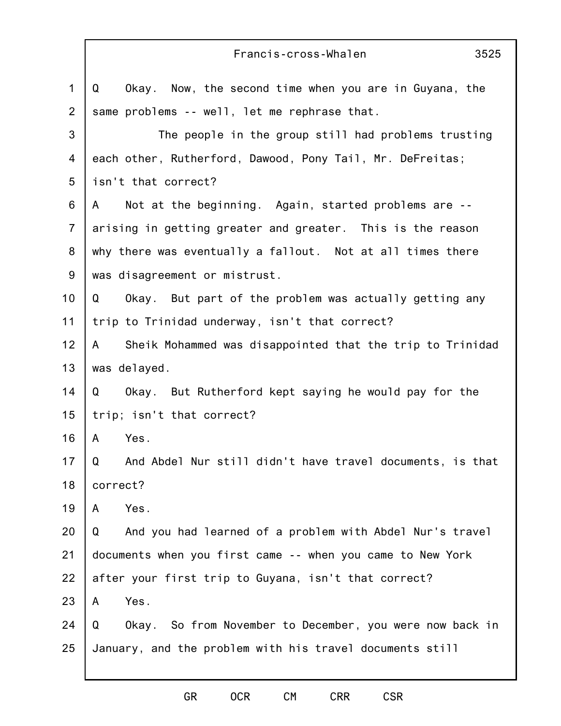|                  | $\Gamma$ $\Gamma$ ally $\Gamma$ $\delta$ - $\Gamma$ $\Gamma$ $\Gamma$ $\sigma$ $\Gamma$ $\sigma$ $\Gamma$ $\sigma$ $\Gamma$ $\Gamma$ $\Gamma$ $\Gamma$<br>ວວ∠ວ |
|------------------|----------------------------------------------------------------------------------------------------------------------------------------------------------------|
| $\mathbf{1}$     | Okay. Now, the second time when you are in Guyana, the<br>Q                                                                                                    |
| $\overline{2}$   | same problems -- well, let me rephrase that.                                                                                                                   |
| 3                | The people in the group still had problems trusting                                                                                                            |
| 4                | each other, Rutherford, Dawood, Pony Tail, Mr. DeFreitas;                                                                                                      |
| 5                | isn't that correct?                                                                                                                                            |
| 6                | Not at the beginning. Again, started problems are --<br>A                                                                                                      |
| $\overline{7}$   | arising in getting greater and greater. This is the reason                                                                                                     |
| 8                | why there was eventually a fallout. Not at all times there                                                                                                     |
| $\boldsymbol{9}$ | was disagreement or mistrust.                                                                                                                                  |
| 10               | Okay. But part of the problem was actually getting any<br>Q                                                                                                    |
| 11               | trip to Trinidad underway, isn't that correct?                                                                                                                 |
| 12               | Sheik Mohammed was disappointed that the trip to Trinidad<br>A                                                                                                 |
| 13               | was delayed.                                                                                                                                                   |
| 14               | Okay. But Rutherford kept saying he would pay for the<br>Q                                                                                                     |
| 15               | trip; isn't that correct?                                                                                                                                      |
| 16               | Yes.<br>A                                                                                                                                                      |
| 17               | And Abdel Nur still didn't have travel documents, is that<br>Q                                                                                                 |
| 18               | correct?                                                                                                                                                       |
| 19               | Yes.<br>A                                                                                                                                                      |
| 20               | And you had learned of a problem with Abdel Nur's travel<br>Q                                                                                                  |
| 21               | documents when you first came -- when you came to New York                                                                                                     |
| 22               | after your first trip to Guyana, isn't that correct?                                                                                                           |
| 23               | Yes.<br>A                                                                                                                                                      |
| 24               | Okay. So from November to December, you were now back in<br>Q                                                                                                  |
| 25               | January, and the problem with his travel documents still                                                                                                       |
|                  |                                                                                                                                                                |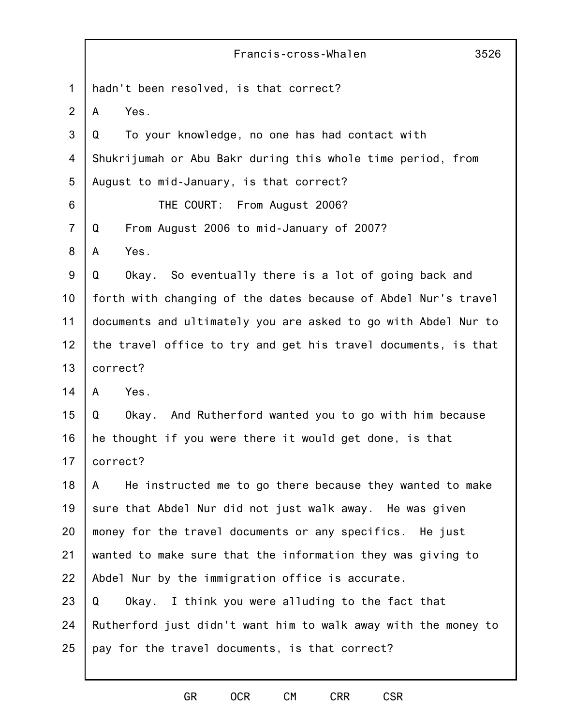|                | Francis-cross-Whalen<br>3526                                   |
|----------------|----------------------------------------------------------------|
| $\mathbf 1$    | hadn't been resolved, is that correct?                         |
| $\overline{2}$ | Yes.<br>A                                                      |
| 3              | To your knowledge, no one has had contact with<br>Q            |
| $\overline{4}$ | Shukrijumah or Abu Bakr during this whole time period, from    |
| 5              | August to mid-January, is that correct?                        |
| 6              | THE COURT: From August 2006?                                   |
| $\overline{7}$ | From August 2006 to mid-January of 2007?<br>Q                  |
| 8              | Yes.<br>A                                                      |
| 9              | Okay. So eventually there is a lot of going back and<br>Q      |
| 10             | forth with changing of the dates because of Abdel Nur's travel |
| 11             | documents and ultimately you are asked to go with Abdel Nur to |
| 12             | the travel office to try and get his travel documents, is that |
| 13             | correct?                                                       |
| 14             | Yes.<br>A                                                      |
| 15             | Okay. And Rutherford wanted you to go with him because<br>Q    |
| 16             | he thought if you were there it would get done, is that        |
| 17             | correct?                                                       |
| 18             | He instructed me to go there because they wanted to make<br>A  |
| 19             | sure that Abdel Nur did not just walk away. He was given       |
| 20             | money for the travel documents or any specifics. He just       |
| 21             | wanted to make sure that the information they was giving to    |
| 22             | Abdel Nur by the immigration office is accurate.               |
| 23             | Okay. I think you were alluding to the fact that<br>Q          |
| 24             | Rutherford just didn't want him to walk away with the money to |
| 25             | pay for the travel documents, is that correct?                 |
|                |                                                                |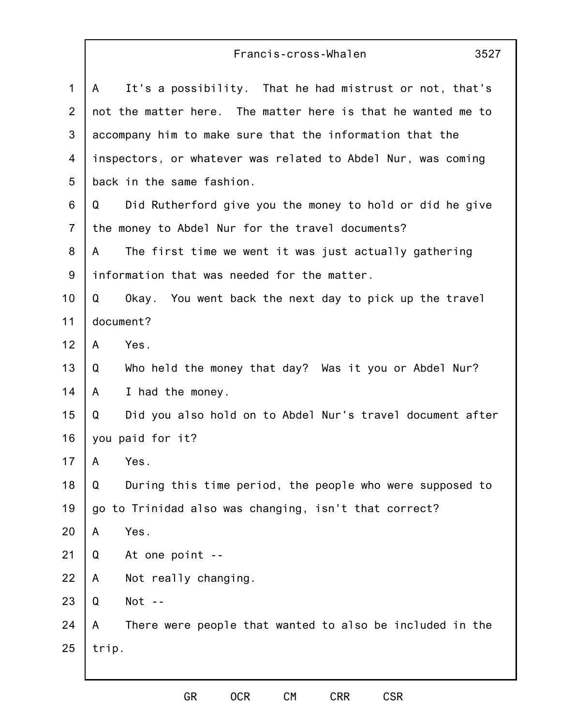| $\mathbf 1$    | It's a possibility. That he had mistrust or not, that's<br>A   |
|----------------|----------------------------------------------------------------|
| $\overline{2}$ | not the matter here. The matter here is that he wanted me to   |
| 3              | accompany him to make sure that the information that the       |
| 4              | inspectors, or whatever was related to Abdel Nur, was coming   |
| 5              | back in the same fashion.                                      |
| 6              | Did Rutherford give you the money to hold or did he give<br>Q  |
| $\overline{7}$ | the money to Abdel Nur for the travel documents?               |
| 8              | The first time we went it was just actually gathering<br>A     |
| $9\,$          | information that was needed for the matter.                    |
| 10             | Okay. You went back the next day to pick up the travel<br>Q    |
| 11             | document?                                                      |
| 12             | Yes.<br>A                                                      |
| 13             | Who held the money that day? Was it you or Abdel Nur?<br>Q     |
| 14             | I had the money.<br>A                                          |
| 15             | Did you also hold on to Abdel Nur's travel document after<br>Q |
| 16             | you paid for it?                                               |
| 17             | Yes.<br>A                                                      |
| 18             | During this time period, the people who were supposed to<br>Q  |
| 19             | go to Trinidad also was changing, isn't that correct?          |
| 20             | Yes.<br>A                                                      |
| 21             | At one point --<br>Q                                           |
| 22             | Not really changing.<br>A                                      |
| 23             | $Not - -$<br>Q                                                 |
| 24             | There were people that wanted to also be included in the<br>A  |
| 25             | trip.                                                          |
|                |                                                                |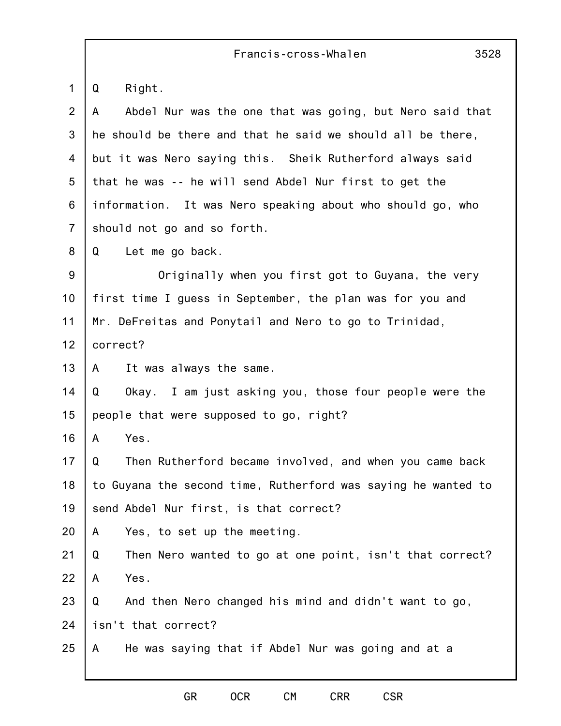|                  | Francis-cross-Whalen<br>3528                                  |
|------------------|---------------------------------------------------------------|
| $\mathbf 1$      | Q<br>Right.                                                   |
| $\overline{2}$   | Abdel Nur was the one that was going, but Nero said that<br>A |
| $\mathbf{3}$     | he should be there and that he said we should all be there,   |
| 4                | but it was Nero saying this. Sheik Rutherford always said     |
| 5                | that he was -- he will send Abdel Nur first to get the        |
| 6                | information. It was Nero speaking about who should go, who    |
| $\overline{7}$   | should not go and so forth.                                   |
| 8                | Q<br>Let me go back.                                          |
| $\boldsymbol{9}$ | Originally when you first got to Guyana, the very             |
| 10               | first time I guess in September, the plan was for you and     |
| 11               | Mr. DeFreitas and Ponytail and Nero to go to Trinidad,        |
| 12               | correct?                                                      |
| 13               | It was always the same.<br>A                                  |
| 14               | Q<br>Okay. I am just asking you, those four people were the   |
| 15               | people that were supposed to go, right?                       |
| 16               | A<br>Yes.                                                     |
| 17               | Q<br>Then Rutherford became involved, and when you came back  |
| 18               | to Guyana the second time, Rutherford was saying he wanted to |
| 19               | send Abdel Nur first, is that correct?                        |
| 20               | A<br>Yes, to set up the meeting.                              |
| 21               | Q<br>Then Nero wanted to go at one point, isn't that correct? |
| 22               | Yes.<br>A                                                     |
| 23               | Q<br>And then Nero changed his mind and didn't want to go,    |
| 24               | isn't that correct?                                           |
| 25               | He was saying that if Abdel Nur was going and at a<br>A       |
|                  |                                                               |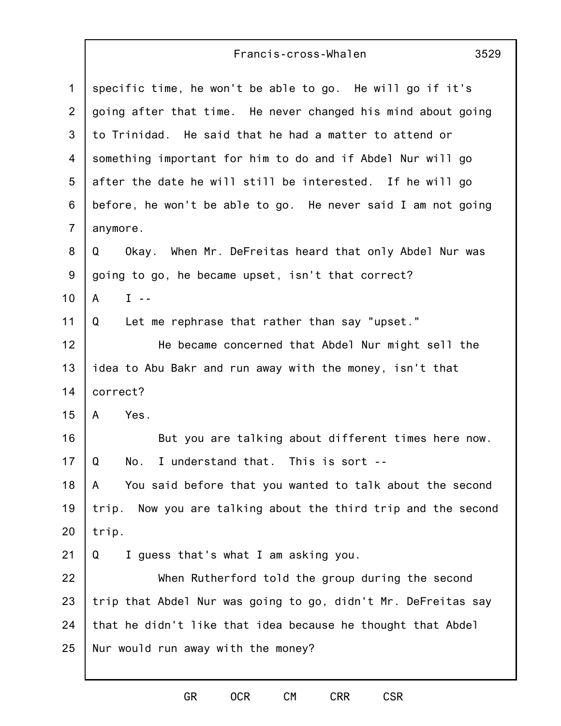| $\mathbf 1$    | specific time, he won't be able to go. He will go if it's        |
|----------------|------------------------------------------------------------------|
| 2              | going after that time. He never changed his mind about going     |
| 3              | to Trinidad. He said that he had a matter to attend or           |
| 4              | something important for him to do and if Abdel Nur will go       |
| 5              | after the date he will still be interested. If he will go        |
| 6              | before, he won't be able to go. He never said I am not going     |
| $\overline{7}$ | anymore.                                                         |
| 8              | Okay. When Mr. DeFreitas heard that only Abdel Nur was<br>Q      |
| 9              | going to go, he became upset, isn't that correct?                |
| 10             | $I - -$<br>A                                                     |
| 11             | Let me rephrase that rather than say "upset."<br>Q               |
| 12             | He became concerned that Abdel Nur might sell the                |
| 13             | idea to Abu Bakr and run away with the money, isn't that         |
| 14             | correct?                                                         |
| 15             | Yes.<br>A                                                        |
| 16             | But you are talking about different times here now.              |
| 17             | I understand that. This is sort --<br>Q<br>No.                   |
| 18             | You said before that you wanted to talk about the second<br>A    |
| 19             | Now you are talking about the third trip and the second<br>trip. |
| 20             | trip.                                                            |
| 21             | Q<br>I guess that's what I am asking you.                        |
| 22             | When Rutherford told the group during the second                 |
| 23             | trip that Abdel Nur was going to go, didn't Mr. DeFreitas say    |
| 24             | that he didn't like that idea because he thought that Abdel      |
| 25             | Nur would run away with the money?                               |
|                |                                                                  |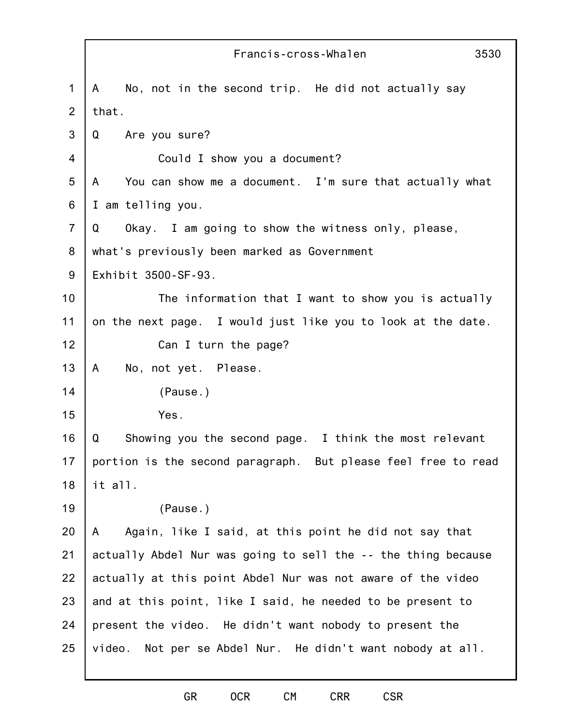|                 | Francis-cross-Whalen<br>3530                                  |
|-----------------|---------------------------------------------------------------|
| 1               | No, not in the second trip. He did not actually say<br>A      |
| 2               | that.                                                         |
| 3               | Are you sure?<br>Q                                            |
| 4               | Could I show you a document?                                  |
| 5               | You can show me a document. I'm sure that actually what<br>A  |
| 6               | I am telling you.                                             |
| $\overline{7}$  | Okay. I am going to show the witness only, please,<br>Q       |
| 8               | what's previously been marked as Government                   |
| $9\,$           | Exhibit 3500-SF-93.                                           |
| 10 <sub>1</sub> | The information that I want to show you is actually           |
| 11              | on the next page. I would just like you to look at the date.  |
| 12              | Can I turn the page?                                          |
| 13              | No, not yet. Please.<br>A                                     |
| 14              | (Pause.)                                                      |
| 15              | Yes.                                                          |
| 16              | Showing you the second page. I think the most relevant<br>Q   |
| 17              | portion is the second paragraph. But please feel free to read |
| 18              | it all.                                                       |
| 19              | (Pause.)                                                      |
| 20              | Again, like I said, at this point he did not say that<br>A    |
| 21              | actually Abdel Nur was going to sell the -- the thing because |
| 22              | actually at this point Abdel Nur was not aware of the video   |
| 23              | and at this point, like I said, he needed to be present to    |
| 24              | present the video. He didn't want nobody to present the       |
| 25              | Not per se Abdel Nur. He didn't want nobody at all.<br>video. |
|                 |                                                               |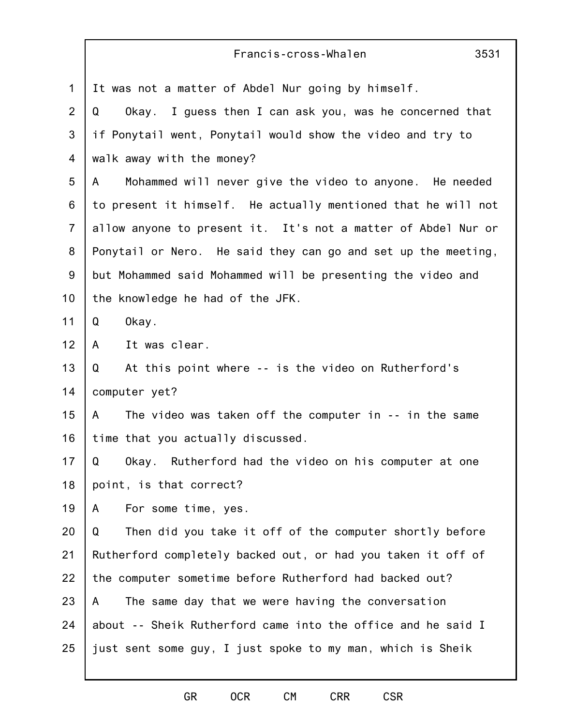|                | 3531<br>Francis-cross-Whalen                                  |
|----------------|---------------------------------------------------------------|
| $\mathbf 1$    | It was not a matter of Abdel Nur going by himself.            |
| $\overline{2}$ | Okay. I guess then I can ask you, was he concerned that<br>Q  |
| 3              | if Ponytail went, Ponytail would show the video and try to    |
| $\overline{4}$ | walk away with the money?                                     |
| 5              | Mohammed will never give the video to anyone. He needed<br>A  |
| 6              | to present it himself. He actually mentioned that he will not |
| $\overline{7}$ | allow anyone to present it. It's not a matter of Abdel Nur or |
| 8              | Ponytail or Nero. He said they can go and set up the meeting, |
| 9              | but Mohammed said Mohammed will be presenting the video and   |
| 10             | the knowledge he had of the JFK.                              |
| 11             | Q<br>Okay.                                                    |
| 12             | It was clear.<br>A                                            |
| 13             | At this point where -- is the video on Rutherford's<br>Q      |
| 14             | computer yet?                                                 |
| 15             | The video was taken off the computer in -- in the same<br>A   |
| 16             | time that you actually discussed.                             |
| 17             | Okay. Rutherford had the video on his computer at one<br>Q    |
| 18             | point, is that correct?                                       |
| 19             | For some time, yes.<br>A                                      |
| 20             | Then did you take it off of the computer shortly before<br>Q  |
| 21             | Rutherford completely backed out, or had you taken it off of  |
| 22             | the computer sometime before Rutherford had backed out?       |
| 23             | The same day that we were having the conversation<br>A        |
| 24             | about -- Sheik Rutherford came into the office and he said I  |
| 25             | just sent some guy, I just spoke to my man, which is Sheik    |
|                |                                                               |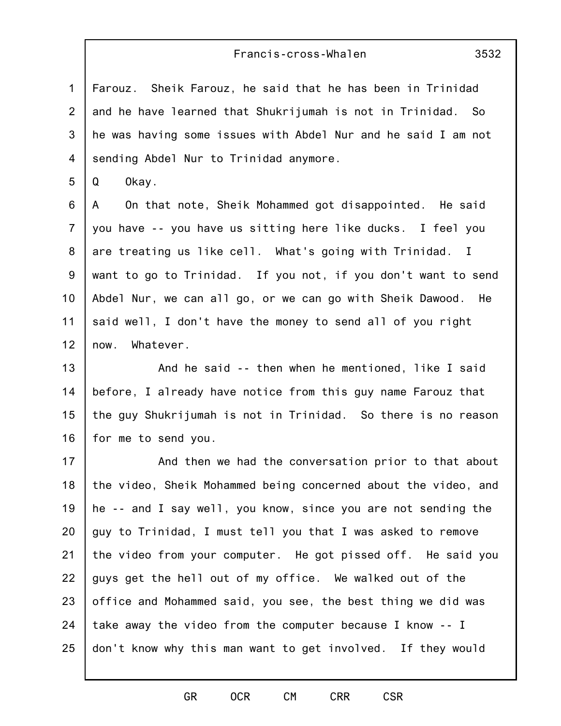1 2 3 4 Farouz. Sheik Farouz, he said that he has been in Trinidad and he have learned that Shukrijumah is not in Trinidad. So he was having some issues with Abdel Nur and he said I am not sending Abdel Nur to Trinidad anymore.

5 Q Okay.

6 7 8 9 10 11 12 A On that note, Sheik Mohammed got disappointed. He said you have -- you have us sitting here like ducks. I feel you are treating us like cell. What's going with Trinidad. I want to go to Trinidad. If you not, if you don't want to send Abdel Nur, we can all go, or we can go with Sheik Dawood. He said well, I don't have the money to send all of you right now. Whatever.

13 14 15 16 And he said -- then when he mentioned, like I said before, I already have notice from this guy name Farouz that the guy Shukrijumah is not in Trinidad. So there is no reason for me to send you.

17 18 19 20 21 22 23 24 25 And then we had the conversation prior to that about the video, Sheik Mohammed being concerned about the video, and he -- and I say well, you know, since you are not sending the guy to Trinidad, I must tell you that I was asked to remove the video from your computer. He got pissed off. He said you guys get the hell out of my office. We walked out of the office and Mohammed said, you see, the best thing we did was take away the video from the computer because I know -- I don't know why this man want to get involved. If they would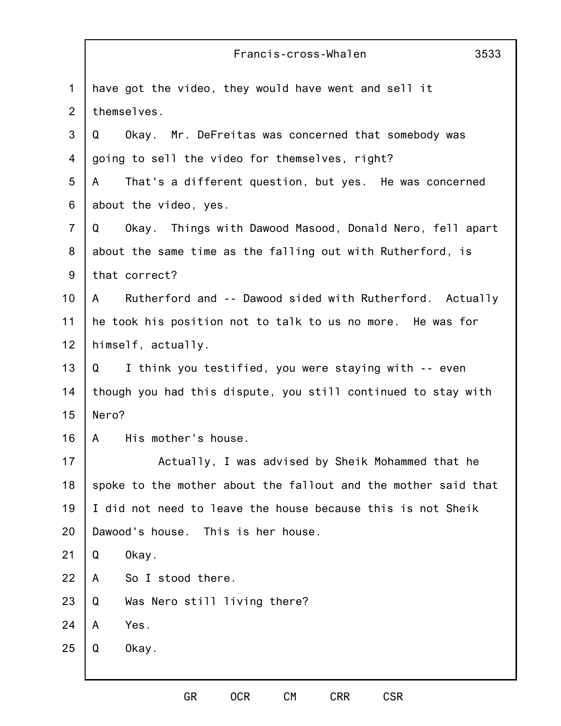|                | 3533<br>Francis-cross-Whalen                                   |
|----------------|----------------------------------------------------------------|
| $\mathbf{1}$   | have got the video, they would have went and sell it           |
| $\overline{2}$ | themselves.                                                    |
| 3              | Okay. Mr. DeFreitas was concerned that somebody was<br>Q       |
| $\overline{4}$ | going to sell the video for themselves, right?                 |
| 5              | That's a different question, but yes. He was concerned<br>A    |
| 6              | about the video, yes.                                          |
| $\overline{7}$ | Okay. Things with Dawood Masood, Donald Nero, fell apart<br>Q  |
| 8              | about the same time as the falling out with Rutherford, is     |
| 9              | that correct?                                                  |
| 10             | Rutherford and -- Dawood sided with Rutherford. Actually<br>A  |
| 11             | he took his position not to talk to us no more. He was for     |
| 12             | himself, actually.                                             |
| 13             | I think you testified, you were staying with -- even<br>Q      |
| 14             | though you had this dispute, you still continued to stay with  |
| 15             | Nero?                                                          |
| 16             | His mother's house.<br>A                                       |
| 17             | Actually, I was advised by Sheik Mohammed that he              |
| 18             | spoke to the mother about the fallout and the mother said that |
| 19             | I did not need to leave the house because this is not Sheik    |
| 20             | Dawood's house. This is her house.                             |
| 21             | Q<br>Okay.                                                     |
| 22             | So I stood there.<br>A                                         |
| 23             | Q<br>Was Nero still living there?                              |
| 24             | Yes.<br>A                                                      |
| 25             | Q<br>Okay.                                                     |
|                |                                                                |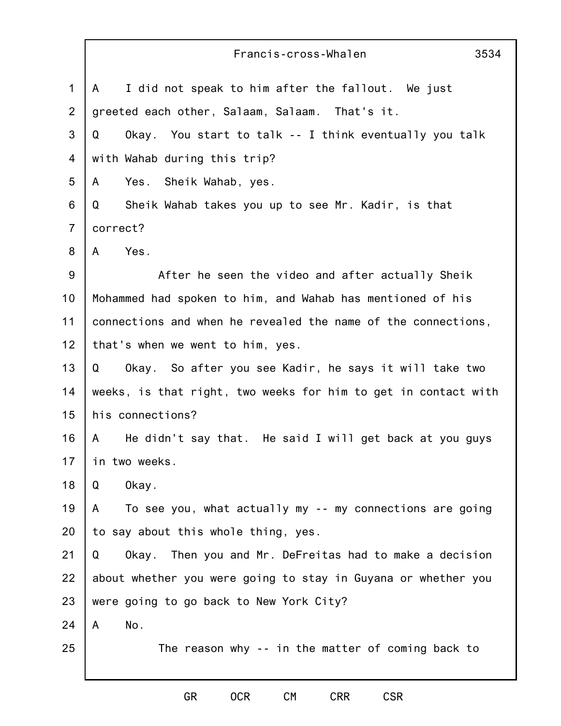|                | 3534<br>Francis-cross-Whalen                                   |
|----------------|----------------------------------------------------------------|
| $\mathbf 1$    | I did not speak to him after the fallout. We just<br>A         |
| $\overline{2}$ | greeted each other, Salaam, Salaam. That's it.                 |
| 3              | Okay. You start to talk -- I think eventually you talk<br>Q    |
| 4              | with Wahab during this trip?                                   |
| 5              | Yes. Sheik Wahab, yes.<br>A                                    |
| 6              | Sheik Wahab takes you up to see Mr. Kadir, is that<br>Q        |
| $\overline{7}$ | correct?                                                       |
| 8              | Yes.<br>A                                                      |
| 9              | After he seen the video and after actually Sheik               |
| 10             | Mohammed had spoken to him, and Wahab has mentioned of his     |
| 11             | connections and when he revealed the name of the connections,  |
| 12             | that's when we went to him, yes.                               |
| 13             | Okay. So after you see Kadir, he says it will take two<br>Q    |
| 14             | weeks, is that right, two weeks for him to get in contact with |
| 15             | his connections?                                               |
| 16             | He didn't say that. He said I will get back at you guys<br>A   |
| 17             | in two weeks.                                                  |
| 18             | Okay.<br>Q                                                     |
| 19             | To see you, what actually my -- my connections are going<br>A  |
| 20             | to say about this whole thing, yes.                            |
| 21             | Okay. Then you and Mr. DeFreitas had to make a decision<br>Q   |
| 22             | about whether you were going to stay in Guyana or whether you  |
| 23             | were going to go back to New York City?                        |
| 24             | No.<br>A                                                       |
| 25             | The reason why -- in the matter of coming back to              |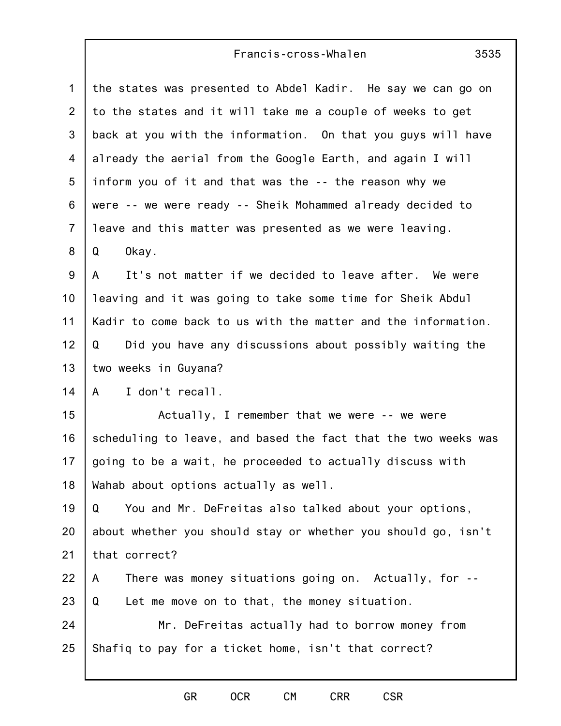| $\mathbf{1}$    | the states was presented to Abdel Kadir. He say we can go on           |
|-----------------|------------------------------------------------------------------------|
| $\overline{2}$  | to the states and it will take me a couple of weeks to get             |
| 3               | back at you with the information. On that you guys will have           |
| 4               | already the aerial from the Google Earth, and again I will             |
| 5               | inform you of it and that was the -- the reason why we                 |
| 6               | were -- we were ready -- Sheik Mohammed already decided to             |
| $\overline{7}$  | leave and this matter was presented as we were leaving.                |
| 8               | Q<br>Okay.                                                             |
| 9               | It's not matter if we decided to leave after. We were<br>A             |
| 10 <sub>1</sub> | leaving and it was going to take some time for Sheik Abdul             |
| 11              | Kadir to come back to us with the matter and the information.          |
| 12              | Did you have any discussions about possibly waiting the<br>$\mathsf Q$ |
| 13              | two weeks in Guyana?                                                   |
| 14              | I don't recall.<br>A                                                   |
| 15              | Actually, I remember that we were -- we were                           |
| 16              | scheduling to leave, and based the fact that the two weeks was         |
| 17              | going to be a wait, he proceeded to actually discuss with              |
| 18              | Wahab about options actually as well.                                  |
| 19              | You and Mr. DeFreitas also talked about your options,<br>Q             |
| 20              | about whether you should stay or whether you should go, isn't          |
| 21              | that correct?                                                          |
| 22              | There was money situations going on. Actually, for --<br>A             |
| 23              | Let me move on to that, the money situation.<br>Q                      |
| 24              | Mr. DeFreitas actually had to borrow money from                        |
| 25              | Shafiq to pay for a ticket home, isn't that correct?                   |
|                 |                                                                        |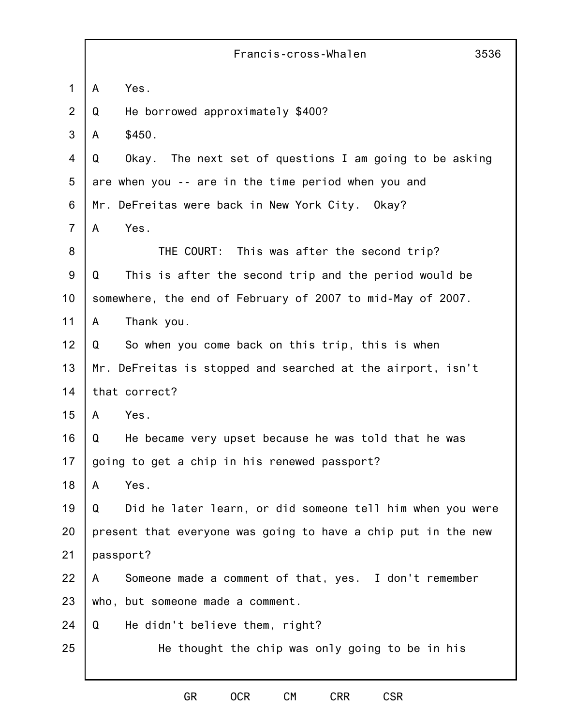|                | 3536<br>Francis-cross-Whalen                                    |
|----------------|-----------------------------------------------------------------|
| $\mathbf{1}$   | Yes.<br>A                                                       |
| $\overline{2}$ | Q<br>He borrowed approximately \$400?                           |
| 3              | \$450.<br>A                                                     |
| 4              | Q<br>The next set of questions I am going to be asking<br>Okay. |
| 5              | are when you -- are in the time period when you and             |
| 6              | Mr. DeFreitas were back in New York City.<br>Okay?              |
| $\overline{7}$ | Yes.<br>A                                                       |
| 8              | THE COURT: This was after the second trip?                      |
| 9              | This is after the second trip and the period would be<br>Q      |
| 10             | somewhere, the end of February of 2007 to mid-May of 2007.      |
| 11             | Thank you.<br>A                                                 |
| 12             | Q<br>So when you come back on this trip, this is when           |
| 13             | Mr. DeFreitas is stopped and searched at the airport, isn't     |
| 14             | that correct?                                                   |
| 15             | Yes.<br>A                                                       |
| 16             | He became very upset because he was told that he was<br>Q       |
| 17             | going to get a chip in his renewed passport?                    |
| 18             | Yes.<br>A                                                       |
| 19             | Q<br>Did he later learn, or did someone tell him when you were  |
| 20             | present that everyone was going to have a chip put in the new   |
| 21             | passport?                                                       |
| 22             | Someone made a comment of that, yes. I don't remember<br>A      |
| 23             | who, but someone made a comment.                                |
| 24             | He didn't believe them, right?<br>Q                             |
| 25             | He thought the chip was only going to be in his                 |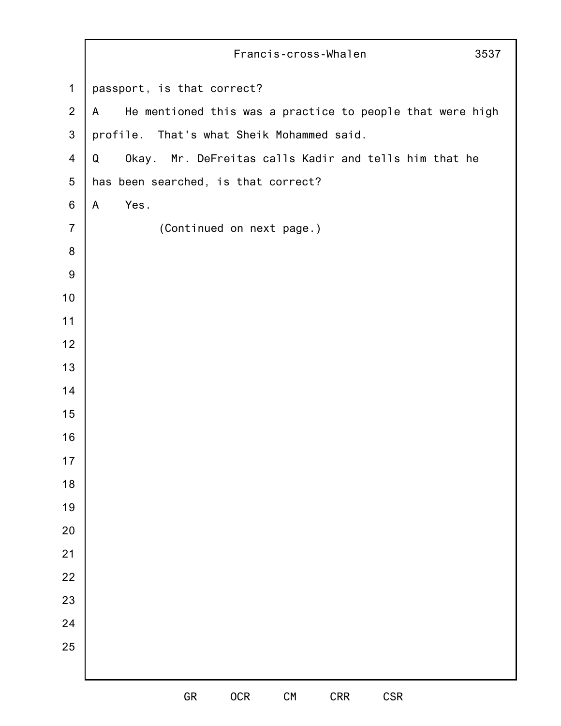|                | Francis-cross-Whalen<br>3537                                   |
|----------------|----------------------------------------------------------------|
| $\mathbf 1$    | passport, is that correct?                                     |
| 2              | He mentioned this was a practice to people that were high<br>A |
| $\mathbf{3}$   | profile. That's what Sheik Mohammed said.                      |
| $\overline{4}$ | Okay. Mr. DeFreitas calls Kadir and tells him that he<br>Q     |
| $\overline{5}$ | has been searched, is that correct?                            |
| $\,6\,$        | Yes.<br>$\mathsf{A}$                                           |
| $\overline{7}$ | (Continued on next page.)                                      |
| $\bf 8$        |                                                                |
| $9\,$          |                                                                |
| 10             |                                                                |
| 11             |                                                                |
| 12             |                                                                |
| 13             |                                                                |
| 14             |                                                                |
| 15             |                                                                |
| 16             |                                                                |
| $17$           |                                                                |
| $18$           |                                                                |
| 19             |                                                                |
| 20             |                                                                |
| 21             |                                                                |
| 22             |                                                                |
| 23             |                                                                |
| 24             |                                                                |
| 25             |                                                                |
|                |                                                                |
|                | ${\sf GR}$<br><b>OCR</b><br><b>CRR</b><br>CSR<br>${\sf CM}$    |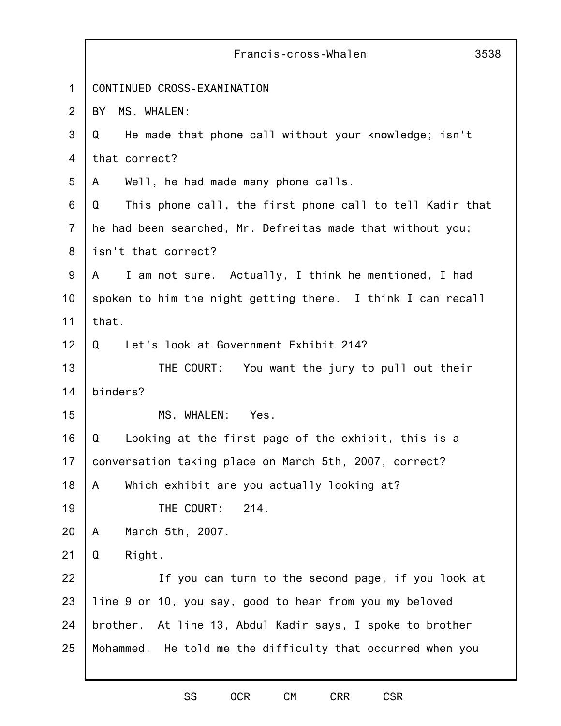|                | Francis-cross-Whalen<br>3538                                  |
|----------------|---------------------------------------------------------------|
| 1              | CONTINUED CROSS-EXAMINATION                                   |
| 2              | MS. WHALEN:<br>BY                                             |
| 3              | He made that phone call without your knowledge; isn't<br>Q    |
| 4              | that correct?                                                 |
| 5              | Well, he had made many phone calls.<br>A                      |
| 6              | This phone call, the first phone call to tell Kadir that<br>Q |
| $\overline{7}$ | he had been searched, Mr. Defreitas made that without you;    |
| 8              | isn't that correct?                                           |
| $9\,$          | I am not sure. Actually, I think he mentioned, I had<br>A     |
| 10             | spoken to him the night getting there. I think I can recall   |
| 11             | that.                                                         |
| 12             | Let's look at Government Exhibit 214?<br>Q                    |
| 13             | THE COURT: You want the jury to pull out their                |
| 14             | binders?                                                      |
| 15             | MS. WHALEN:<br>Yes.                                           |
| 16             | Looking at the first page of the exhibit, this is a<br>Q      |
| 17             | conversation taking place on March 5th, 2007, correct?        |
| 18             | Which exhibit are you actually looking at?<br>A               |
| 19             | THE COURT:<br>214.                                            |
| 20             | March 5th, 2007.<br>A                                         |
| 21             | Q<br>Right.                                                   |
| 22             | If you can turn to the second page, if you look at            |
| 23             | line 9 or 10, you say, good to hear from you my beloved       |
| 24             | brother. At line 13, Abdul Kadir says, I spoke to brother     |
| 25             | Mohammed. He told me the difficulty that occurred when you    |
|                |                                                               |
|                |                                                               |

SS OCR CM CRR CSR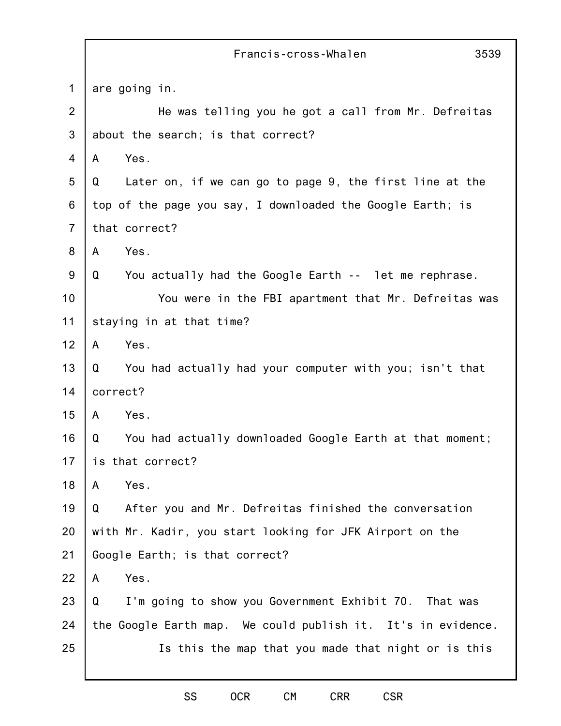|                | 3539<br>Francis-cross-Whalen                                  |
|----------------|---------------------------------------------------------------|
| $\mathbf 1$    | are going in.                                                 |
| $\overline{2}$ | He was telling you he got a call from Mr. Defreitas           |
| 3              | about the search; is that correct?                            |
| 4              | Yes.<br>A                                                     |
| 5              | Later on, if we can go to page 9, the first line at the<br>Q  |
| 6              | top of the page you say, I downloaded the Google Earth; is    |
| $\overline{7}$ | that correct?                                                 |
| 8              | Yes.<br>A                                                     |
| 9              | You actually had the Google Earth -- let me rephrase.<br>Q    |
| 10             | You were in the FBI apartment that Mr. Defreitas was          |
| 11             | staying in at that time?                                      |
| 12             | Yes.<br>A                                                     |
| 13             | You had actually had your computer with you; isn't that<br>Q  |
| 14             | correct?                                                      |
| 15             | Yes.<br>A                                                     |
| 16             | You had actually downloaded Google Earth at that moment;<br>Q |
| 17             | is that correct?                                              |
| 18             | Yes.<br>A                                                     |
| 19             | After you and Mr. Defreitas finished the conversation<br>Q    |
| 20             | with Mr. Kadir, you start looking for JFK Airport on the      |
| 21             | Google Earth; is that correct?                                |
| 22             | Yes.<br>A                                                     |
| 23             | I'm going to show you Government Exhibit 70. That was<br>Q    |
| 24             | the Google Earth map. We could publish it. It's in evidence.  |
| 25             | Is this the map that you made that night or is this           |
|                |                                                               |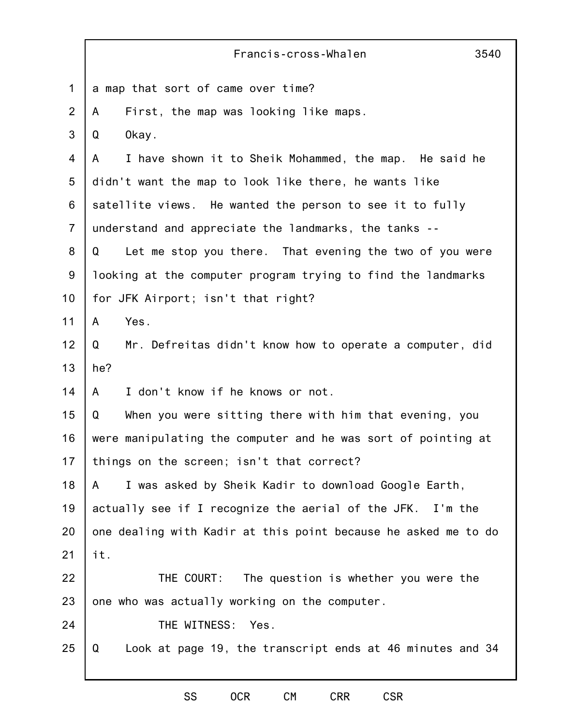| $\mathbf 1$<br>a map that sort of came over time?<br>2<br>First, the map was looking like maps.<br>A<br>3<br>Okay.<br>Q<br>4<br>I have shown it to Sheik Mohammed, the map. He said he<br>A<br>5<br>didn't want the map to look like there, he wants like<br>6<br>satellite views. He wanted the person to see it to fully<br>$\overline{7}$<br>understand and appreciate the landmarks, the tanks --<br>8<br>Let me stop you there. That evening the two of you were<br>Q<br>$9\,$<br>looking at the computer program trying to find the landmarks<br>10<br>for JFK Airport; isn't that right?<br>11<br>Yes.<br>A | 3540 |
|--------------------------------------------------------------------------------------------------------------------------------------------------------------------------------------------------------------------------------------------------------------------------------------------------------------------------------------------------------------------------------------------------------------------------------------------------------------------------------------------------------------------------------------------------------------------------------------------------------------------|------|
|                                                                                                                                                                                                                                                                                                                                                                                                                                                                                                                                                                                                                    |      |
|                                                                                                                                                                                                                                                                                                                                                                                                                                                                                                                                                                                                                    |      |
|                                                                                                                                                                                                                                                                                                                                                                                                                                                                                                                                                                                                                    |      |
|                                                                                                                                                                                                                                                                                                                                                                                                                                                                                                                                                                                                                    |      |
|                                                                                                                                                                                                                                                                                                                                                                                                                                                                                                                                                                                                                    |      |
|                                                                                                                                                                                                                                                                                                                                                                                                                                                                                                                                                                                                                    |      |
|                                                                                                                                                                                                                                                                                                                                                                                                                                                                                                                                                                                                                    |      |
|                                                                                                                                                                                                                                                                                                                                                                                                                                                                                                                                                                                                                    |      |
|                                                                                                                                                                                                                                                                                                                                                                                                                                                                                                                                                                                                                    |      |
|                                                                                                                                                                                                                                                                                                                                                                                                                                                                                                                                                                                                                    |      |
|                                                                                                                                                                                                                                                                                                                                                                                                                                                                                                                                                                                                                    |      |
| 12<br>Mr. Defreitas didn't know how to operate a computer, did<br>Q                                                                                                                                                                                                                                                                                                                                                                                                                                                                                                                                                |      |
| 13<br>he?                                                                                                                                                                                                                                                                                                                                                                                                                                                                                                                                                                                                          |      |
| 14<br>I don't know if he knows or not.<br>A                                                                                                                                                                                                                                                                                                                                                                                                                                                                                                                                                                        |      |
| 15<br>Q<br>When you were sitting there with him that evening, you                                                                                                                                                                                                                                                                                                                                                                                                                                                                                                                                                  |      |
| were manipulating the computer and he was sort of pointing at<br>16                                                                                                                                                                                                                                                                                                                                                                                                                                                                                                                                                |      |
| 17<br>things on the screen; isn't that correct?                                                                                                                                                                                                                                                                                                                                                                                                                                                                                                                                                                    |      |
| 18<br>I was asked by Sheik Kadir to download Google Earth,<br>A                                                                                                                                                                                                                                                                                                                                                                                                                                                                                                                                                    |      |
| 19<br>actually see if I recognize the aerial of the JFK. I'm the                                                                                                                                                                                                                                                                                                                                                                                                                                                                                                                                                   |      |
| 20<br>one dealing with Kadir at this point because he asked me to do                                                                                                                                                                                                                                                                                                                                                                                                                                                                                                                                               |      |
| 21<br>it.                                                                                                                                                                                                                                                                                                                                                                                                                                                                                                                                                                                                          |      |
| 22<br>THE COURT:<br>The question is whether you were the                                                                                                                                                                                                                                                                                                                                                                                                                                                                                                                                                           |      |
| 23<br>one who was actually working on the computer.                                                                                                                                                                                                                                                                                                                                                                                                                                                                                                                                                                |      |
| THE WITNESS: Yes.<br>24                                                                                                                                                                                                                                                                                                                                                                                                                                                                                                                                                                                            |      |
| 25<br>Look at page 19, the transcript ends at 46 minutes and 34<br>Q                                                                                                                                                                                                                                                                                                                                                                                                                                                                                                                                               |      |

SS OCR CM CRR CSR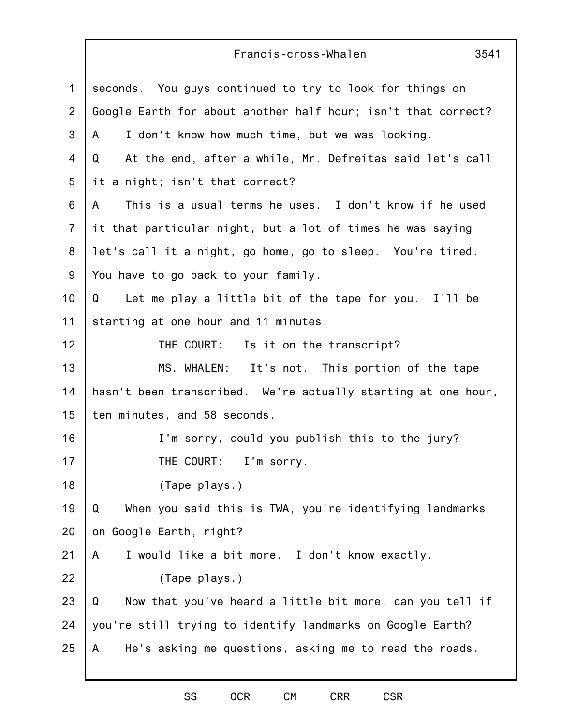| $\mathbf{1}$   | seconds. You guys continued to try to look for things on      |
|----------------|---------------------------------------------------------------|
| $\overline{2}$ | Google Earth for about another half hour; isn't that correct? |
| 3              | I don't know how much time, but we was looking.<br>A          |
| 4              | At the end, after a while, Mr. Defreitas said let's call<br>Q |
| 5              | it a night; isn't that correct?                               |
| 6              | This is a usual terms he uses. I don't know if he used<br>A   |
| $\overline{7}$ | it that particular night, but a lot of times he was saying    |
| 8              | let's call it a night, go home, go to sleep. You're tired.    |
| $9\,$          | You have to go back to your family.                           |
| 10             | Q Let me play a little bit of the tape for you. I'll be       |
| 11             | starting at one hour and 11 minutes.                          |
| 12             | THE COURT: Is it on the transcript?                           |
| 13             | MS. WHALEN: It's not. This portion of the tape                |
| 14             | hasn't been transcribed. We're actually starting at one hour, |
| 15             | ten minutes, and 58 seconds.                                  |
| 16             | I'm sorry, could you publish this to the jury?                |
| 17             | THE COURT: I'm sorry.                                         |
| 18             | (Tape plays.)                                                 |
| 19             | When you said this is TWA, you're identifying landmarks<br>Q  |
| 20             | on Google Earth, right?                                       |
| 21             | I would like a bit more. I don't know exactly.<br>A           |
| 22             | (Tape plays.)                                                 |
| 23             | Now that you've heard a little bit more, can you tell if<br>Q |
| 24             | you're still trying to identify landmarks on Google Earth?    |
| 25             | He's asking me questions, asking me to read the roads.<br>A   |
|                |                                                               |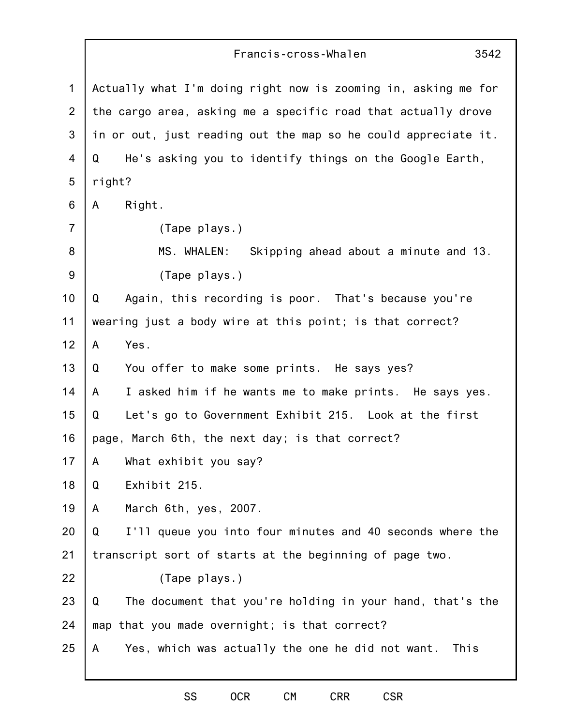3542

1 2 3 4 5 6 7 8 9 10 11 12 13 14 15 16 17 18 19 20 21 22 23 24 25 Actually what I'm doing right now is zooming in, asking me for the cargo area, asking me a specific road that actually drove in or out, just reading out the map so he could appreciate it. Q He's asking you to identify things on the Google Earth, right? A Right. (Tape plays.) MS. WHALEN: Skipping ahead about a minute and 13. (Tape plays.) Q Again, this recording is poor. That's because you're wearing just a body wire at this point; is that correct? A Yes. Q You offer to make some prints. He says yes? A I asked him if he wants me to make prints. He says yes. Q Let's go to Government Exhibit 215. Look at the first page, March 6th, the next day; is that correct? A What exhibit you say? Q Exhibit 215. A March 6th, yes, 2007. Q I'll queue you into four minutes and 40 seconds where the transcript sort of starts at the beginning of page two. (Tape plays.) Q The document that you're holding in your hand, that's the map that you made overnight; is that correct? A Yes, which was actually the one he did not want. This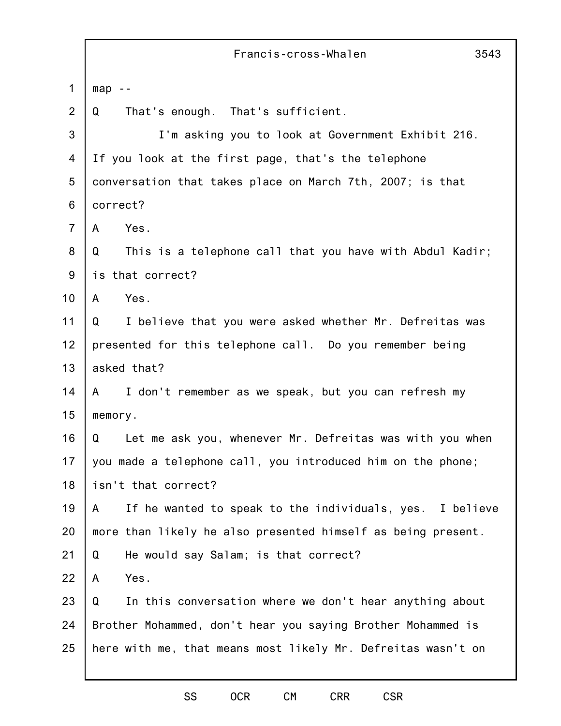|                | Francis-cross-Whalen<br>3543                                  |
|----------------|---------------------------------------------------------------|
| 1              | $map -$                                                       |
| 2              | That's enough. That's sufficient.<br>Q                        |
| 3              | I'm asking you to look at Government Exhibit 216.             |
| 4              | If you look at the first page, that's the telephone           |
| 5              | conversation that takes place on March 7th, 2007; is that     |
| 6              | correct?                                                      |
| $\overline{7}$ | Yes.<br>A                                                     |
| 8              | This is a telephone call that you have with Abdul Kadir;<br>Q |
| $9\,$          | is that correct?                                              |
| 10             | Yes.<br>A                                                     |
| 11             | I believe that you were asked whether Mr. Defreitas was<br>Q  |
| 12             | presented for this telephone call. Do you remember being      |
| 13             | asked that?                                                   |
| 14             | I don't remember as we speak, but you can refresh my<br>A     |
| 15             | memory.                                                       |
| 16             | Let me ask you, whenever Mr. Defreitas was with you when<br>Q |
| 17             | you made a telephone call, you introduced him on the phone;   |
| 18             | isn't that correct?                                           |
| 19             | If he wanted to speak to the individuals, yes. I believe<br>A |
| 20             | more than likely he also presented himself as being present.  |
| 21             | Q<br>He would say Salam; is that correct?                     |
| 22             | Yes.<br>A                                                     |
| 23             | In this conversation where we don't hear anything about<br>Q  |
| 24             | Brother Mohammed, don't hear you saying Brother Mohammed is   |
| 25             | here with me, that means most likely Mr. Defreitas wasn't on  |
|                |                                                               |

SS OCR CM CRR CSR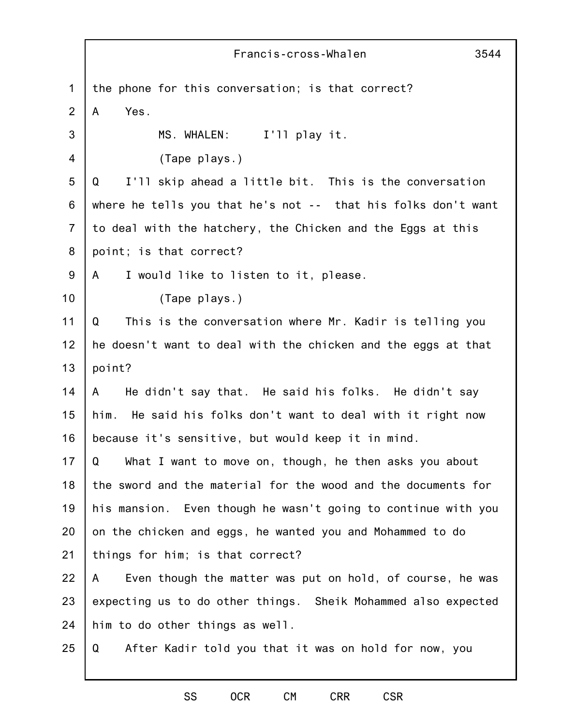|                | Francis-cross-Whalen<br>3544                                   |
|----------------|----------------------------------------------------------------|
| 1              | the phone for this conversation; is that correct?              |
| 2              | Yes.<br>A                                                      |
| 3              | MS. WHALEN: I'll play it.                                      |
| 4              | (Tape plays.)                                                  |
| 5              | I'll skip ahead a little bit. This is the conversation<br>Q    |
| 6              | where he tells you that he's not -- that his folks don't want  |
| $\overline{7}$ | to deal with the hatchery, the Chicken and the Eggs at this    |
| 8              | point; is that correct?                                        |
| 9              | I would like to listen to it, please.<br>A                     |
| 10             | (Tape plays.)                                                  |
| 11             | This is the conversation where Mr. Kadir is telling you<br>Q   |
| 12             | he doesn't want to deal with the chicken and the eggs at that  |
| 13             | point?                                                         |
| 14             | He didn't say that. He said his folks. He didn't say<br>A      |
| 15             | him. He said his folks don't want to deal with it right now    |
| 16             | because it's sensitive, but would keep it in mind.             |
| 17             | Q<br>What I want to move on, though, he then asks you about    |
| 18             | the sword and the material for the wood and the documents for  |
| 19             | his mansion. Even though he wasn't going to continue with you  |
| 20             | on the chicken and eggs, he wanted you and Mohammed to do      |
| 21             | things for him; is that correct?                               |
| 22             | Even though the matter was put on hold, of course, he was<br>A |
| 23             | expecting us to do other things. Sheik Mohammed also expected  |
| 24             | him to do other things as well.                                |
| 25             | After Kadir told you that it was on hold for now, you<br>Q     |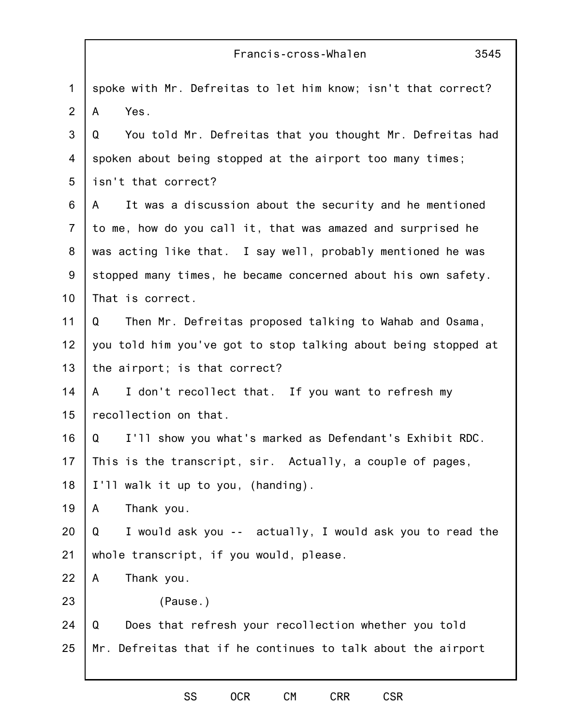|                | 3545<br>Francis-cross-Whalen                                   |  |
|----------------|----------------------------------------------------------------|--|
| $\mathbf 1$    | spoke with Mr. Defreitas to let him know; isn't that correct?  |  |
| $\overline{2}$ | Yes.<br>A                                                      |  |
| 3              | You told Mr. Defreitas that you thought Mr. Defreitas had<br>Q |  |
| 4              | spoken about being stopped at the airport too many times;      |  |
| 5              | isn't that correct?                                            |  |
| 6              | It was a discussion about the security and he mentioned<br>A   |  |
| $\overline{7}$ | to me, how do you call it, that was amazed and surprised he    |  |
| 8              | was acting like that. I say well, probably mentioned he was    |  |
| 9              | stopped many times, he became concerned about his own safety.  |  |
| 10             | That is correct.                                               |  |
| 11             | Then Mr. Defreitas proposed talking to Wahab and Osama,<br>Q   |  |
| 12             | you told him you've got to stop talking about being stopped at |  |
| 13             | the airport; is that correct?                                  |  |
| 14             | I don't recollect that. If you want to refresh my<br>A         |  |
| 15             | recollection on that.                                          |  |
| 16             | Q<br>I'll show you what's marked as Defendant's Exhibit RDC.   |  |
| 17             | This is the transcript, sir. Actually, a couple of pages,      |  |
| 18             | I'll walk it up to you, (handing).                             |  |
| 19             | Thank you.<br>A                                                |  |
| 20             | Q<br>I would ask you -- actually, I would ask you to read the  |  |
| 21             | whole transcript, if you would, please.                        |  |
| 22             | Thank you.<br>A                                                |  |
| 23             | (Pause.)                                                       |  |
| 24             | Q<br>Does that refresh your recollection whether you told      |  |
| 25             | Mr. Defreitas that if he continues to talk about the airport   |  |
|                |                                                                |  |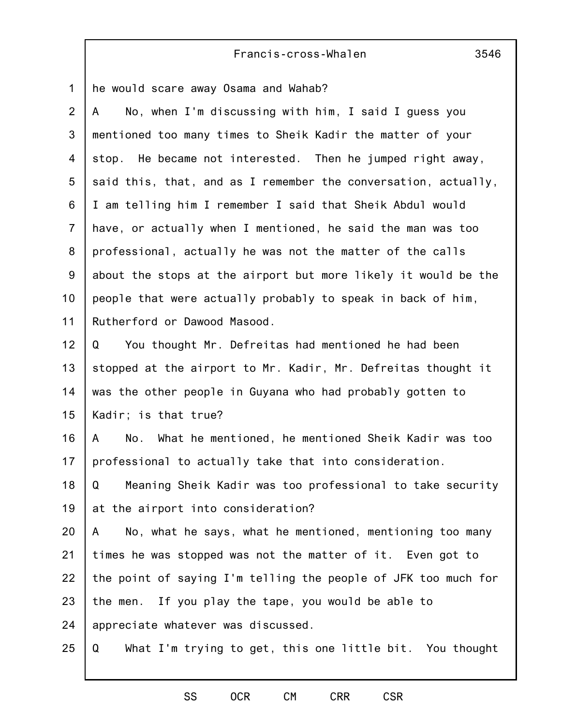# Francis-cross-Whalen

1 he would scare away Osama and Wahab?

| $\overline{2}$ | No, when I'm discussing with him, I said I guess you<br>A      |  |  |
|----------------|----------------------------------------------------------------|--|--|
| 3              | mentioned too many times to Sheik Kadir the matter of your     |  |  |
| 4              | He became not interested. Then he jumped right away,<br>stop.  |  |  |
| 5              | said this, that, and as I remember the conversation, actually, |  |  |
| 6              | I am telling him I remember I said that Sheik Abdul would      |  |  |
| $\overline{7}$ | have, or actually when I mentioned, he said the man was too    |  |  |
| 8              | professional, actually he was not the matter of the calls      |  |  |
| 9              | about the stops at the airport but more likely it would be the |  |  |
| 10             | people that were actually probably to speak in back of him,    |  |  |
| 11             | Rutherford or Dawood Masood.                                   |  |  |
| 12             | You thought Mr. Defreitas had mentioned he had been<br>Q       |  |  |
| 13             | stopped at the airport to Mr. Kadir, Mr. Defreitas thought it  |  |  |
| 14             | was the other people in Guyana who had probably gotten to      |  |  |
| 15             | Kadir; is that true?                                           |  |  |
| 16             | No. What he mentioned, he mentioned Sheik Kadir was too<br>A   |  |  |
| 17             | professional to actually take that into consideration.         |  |  |
| 18             | Meaning Sheik Kadir was too professional to take security<br>Q |  |  |
| 19             | at the airport into consideration?                             |  |  |
| 20             | No, what he says, what he mentioned, mentioning too many<br>A  |  |  |
| 21             | times he was stopped was not the matter of it. Even got to     |  |  |
| 22             | the point of saying I'm telling the people of JFK too much for |  |  |
| 23             | the men. If you play the tape, you would be able to            |  |  |
| 24             | appreciate whatever was discussed.                             |  |  |
| 25             | What I'm trying to get, this one little bit. You thought<br>Q  |  |  |

SS OCR CM CRR CSR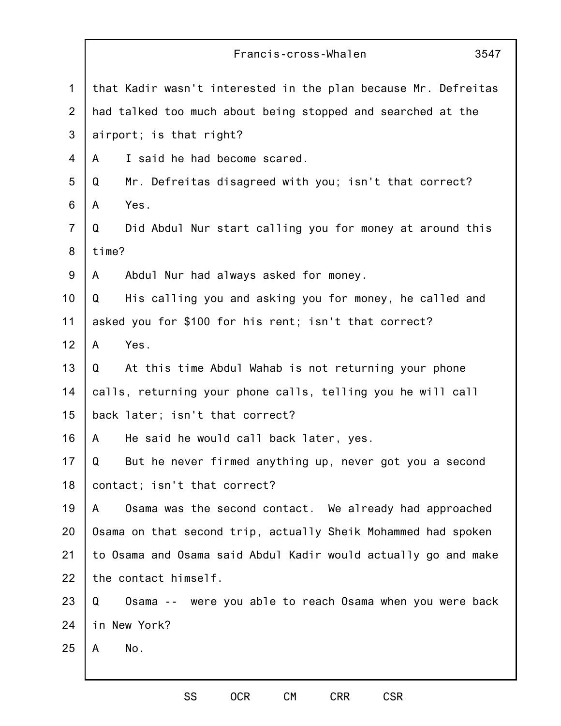|                | Francis-cross-Whalen<br>3547                                   |  |  |
|----------------|----------------------------------------------------------------|--|--|
| $\mathbf 1$    | that Kadir wasn't interested in the plan because Mr. Defreitas |  |  |
| 2              | had talked too much about being stopped and searched at the    |  |  |
| 3              | airport; is that right?                                        |  |  |
| 4              | I said he had become scared.<br>A                              |  |  |
| 5              | Q<br>Mr. Defreitas disagreed with you; isn't that correct?     |  |  |
| 6              | Yes.<br>A                                                      |  |  |
| $\overline{7}$ | Q<br>Did Abdul Nur start calling you for money at around this  |  |  |
| 8              | time?                                                          |  |  |
| 9              | Abdul Nur had always asked for money.<br>A                     |  |  |
| 10             | His calling you and asking you for money, he called and<br>Q   |  |  |
| 11             | asked you for \$100 for his rent; isn't that correct?          |  |  |
| 12             | Yes.<br>A                                                      |  |  |
| 13             | At this time Abdul Wahab is not returning your phone<br>Q      |  |  |
| 14             | calls, returning your phone calls, telling you he will call    |  |  |
| 15             | back later; isn't that correct?                                |  |  |
| 16             | A<br>He said he would call back later, yes.                    |  |  |
| 17             | But he never firmed anything up, never got you a second<br>Q   |  |  |
| 18             | contact; isn't that correct?                                   |  |  |
| 19             | Osama was the second contact. We already had approached<br>A   |  |  |
| 20             | Osama on that second trip, actually Sheik Mohammed had spoken  |  |  |
| 21             | to Osama and Osama said Abdul Kadir would actually go and make |  |  |
| 22             | the contact himself.                                           |  |  |
| 23             | Osama -- were you able to reach Osama when you were back<br>Q  |  |  |
| 24             | in New York?                                                   |  |  |
| 25             | No.<br>A                                                       |  |  |
|                |                                                                |  |  |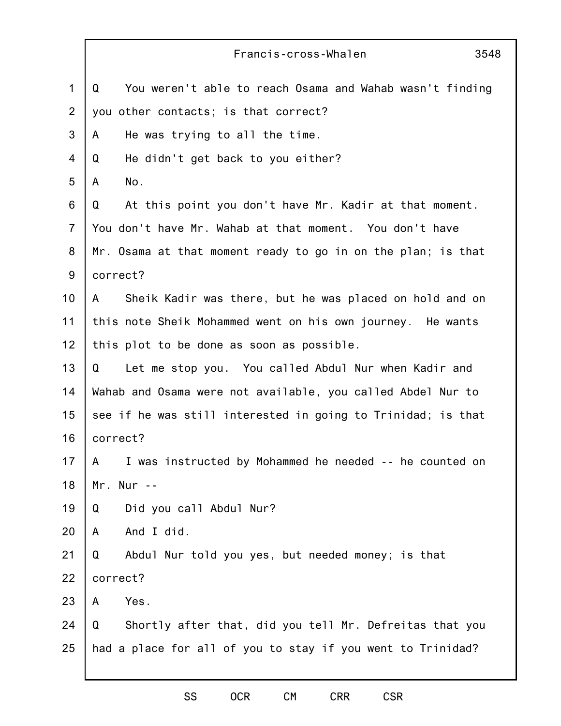|                | 3548<br>Francis-cross-Whalen                                  |  |
|----------------|---------------------------------------------------------------|--|
| $\mathbf 1$    | You weren't able to reach Osama and Wahab wasn't finding<br>Q |  |
| 2              | you other contacts; is that correct?                          |  |
| 3              | He was trying to all the time.<br>A                           |  |
| 4              | He didn't get back to you either?<br>Q                        |  |
| 5              | No.<br>A                                                      |  |
| 6              | At this point you don't have Mr. Kadir at that moment.<br>Q   |  |
| $\overline{7}$ | You don't have Mr. Wahab at that moment. You don't have       |  |
| 8              | Mr. Osama at that moment ready to go in on the plan; is that  |  |
| 9              | correct?                                                      |  |
| 10             | Sheik Kadir was there, but he was placed on hold and on<br>A  |  |
| 11             | this note Sheik Mohammed went on his own journey. He wants    |  |
| 12             | this plot to be done as soon as possible.                     |  |
| 13             | Let me stop you. You called Abdul Nur when Kadir and<br>Q     |  |
| 14             | Wahab and Osama were not available, you called Abdel Nur to   |  |
| 15             | see if he was still interested in going to Trinidad; is that  |  |
| 16             | correct?                                                      |  |
| 17             | I was instructed by Mohammed he needed -- he counted on<br>A  |  |
| 18             | $Mr. Nur -$                                                   |  |
| 19             | Did you call Abdul Nur?<br>Q                                  |  |
| 20             | And I did.<br>A                                               |  |
| 21             | Abdul Nur told you yes, but needed money; is that<br>Q        |  |
| 22             | correct?                                                      |  |
| 23             | Yes.<br>A                                                     |  |
| 24             | Shortly after that, did you tell Mr. Defreitas that you<br>Q  |  |
| 25             | had a place for all of you to stay if you went to Trinidad?   |  |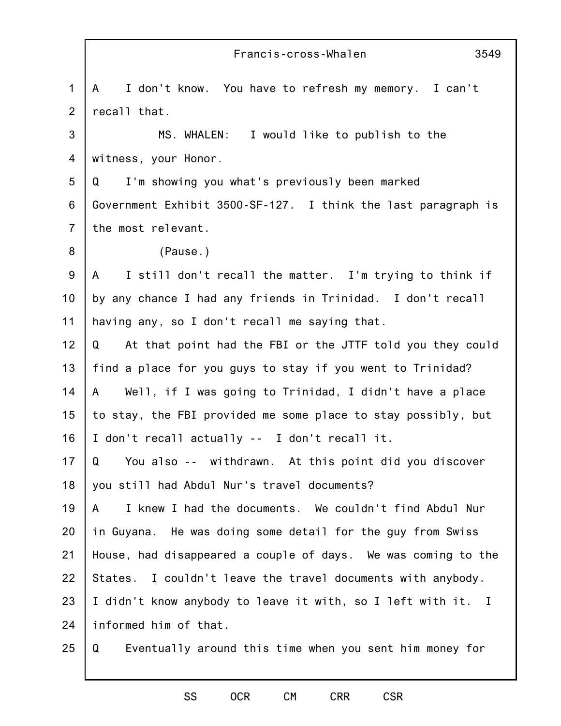|                | Francis-cross-Whalen<br>3549                                   |  |
|----------------|----------------------------------------------------------------|--|
| $\mathbf 1$    | I don't know. You have to refresh my memory. I can't<br>A      |  |
| $\overline{2}$ | recall that.                                                   |  |
| 3              | MS. WHALEN: I would like to publish to the                     |  |
| 4              | witness, your Honor.                                           |  |
| 5              | I'm showing you what's previously been marked<br>Q             |  |
| 6              | Government Exhibit 3500-SF-127. I think the last paragraph is  |  |
| $\overline{7}$ | the most relevant.                                             |  |
| 8              | (Pause.)                                                       |  |
| 9              | I still don't recall the matter. I'm trying to think if<br>A   |  |
| 10             | by any chance I had any friends in Trinidad. I don't recall    |  |
| 11             | having any, so I don't recall me saying that.                  |  |
| 12             | At that point had the FBI or the JTTF told you they could<br>Q |  |
| 13             | find a place for you guys to stay if you went to Trinidad?     |  |
| 14             | A Well, if I was going to Trinidad, I didn't have a place      |  |
| 15             | to stay, the FBI provided me some place to stay possibly, but  |  |
| 16             | I don't recall actually -- I don't recall it.                  |  |
| 17             | Q<br>You also -- withdrawn. At this point did you discover     |  |
| 18             | you still had Abdul Nur's travel documents?                    |  |
| 19             | I knew I had the documents. We couldn't find Abdul Nur<br>A    |  |
| 20             | in Guyana. He was doing some detail for the guy from Swiss     |  |
| 21             | House, had disappeared a couple of days. We was coming to the  |  |
| 22             | States. I couldn't leave the travel documents with anybody.    |  |
| 23             | I didn't know anybody to leave it with, so I left with it. I   |  |
| 24             | informed him of that.                                          |  |
| 25             | Q<br>Eventually around this time when you sent him money for   |  |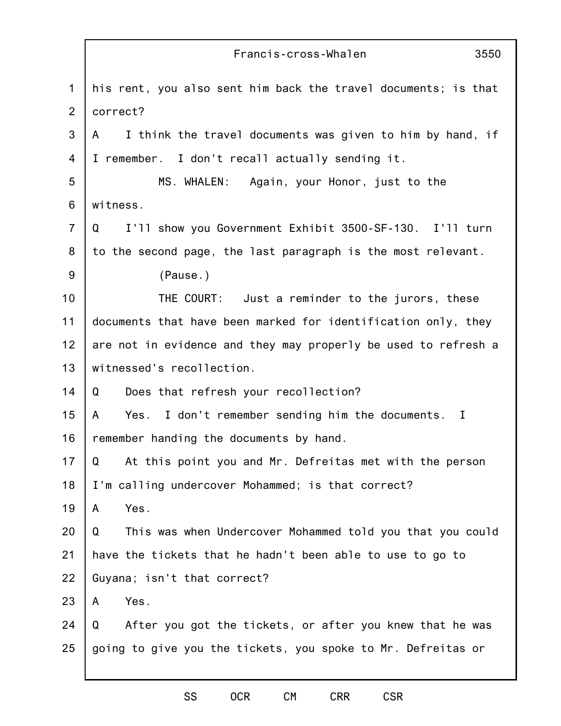|                | Francis-cross-Whalen<br>3550                                   |  |
|----------------|----------------------------------------------------------------|--|
| $\mathbf 1$    | his rent, you also sent him back the travel documents; is that |  |
| $\overline{2}$ | correct?                                                       |  |
| 3              | I think the travel documents was given to him by hand, if<br>A |  |
| 4              | I remember. I don't recall actually sending it.                |  |
| 5              | MS. WHALEN: Again, your Honor, just to the                     |  |
| 6              | witness.                                                       |  |
| $\overline{7}$ | I'll show you Government Exhibit 3500-SF-130. I'll turn<br>Q   |  |
| 8              | to the second page, the last paragraph is the most relevant.   |  |
| $9\,$          | (Pause.)                                                       |  |
| 10             | THE COURT: Just a reminder to the jurors, these                |  |
| 11             | documents that have been marked for identification only, they  |  |
| 12             | are not in evidence and they may properly be used to refresh a |  |
| 13             | witnessed's recollection.                                      |  |
| 14             | Does that refresh your recollection?<br>Q                      |  |
| 15             | Yes. I don't remember sending him the documents. I<br>A        |  |
| 16             | remember handing the documents by hand.                        |  |
| 17             | At this point you and Mr. Defreitas met with the person<br>Q   |  |
| 18             | I'm calling undercover Mohammed; is that correct?              |  |
| 19             | Yes.<br>A                                                      |  |
| 20             | Q<br>This was when Undercover Mohammed told you that you could |  |
| 21             | have the tickets that he hadn't been able to use to go to      |  |
| 22             | Guyana; isn't that correct?                                    |  |
| 23             | Yes.<br>A                                                      |  |
| 24             | After you got the tickets, or after you knew that he was<br>Q  |  |
| 25             | going to give you the tickets, you spoke to Mr. Defreitas or   |  |
|                |                                                                |  |

SS OCR CM CRR CSR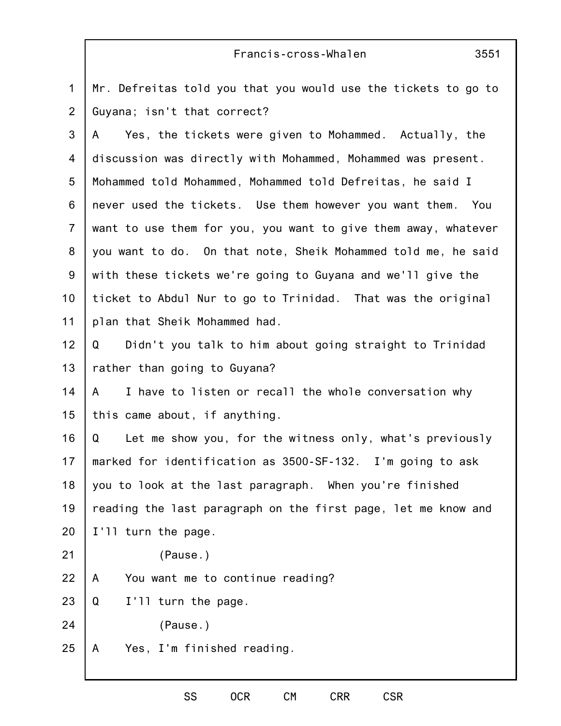| Francis-cross-Whalen |
|----------------------|
|----------------------|

1 2 Mr. Defreitas told you that you would use the tickets to go to Guyana; isn't that correct?

3 4 5 6 7 8 9 10 11 A Yes, the tickets were given to Mohammed. Actually, the discussion was directly with Mohammed, Mohammed was present. Mohammed told Mohammed, Mohammed told Defreitas, he said I never used the tickets. Use them however you want them. You want to use them for you, you want to give them away, whatever you want to do. On that note, Sheik Mohammed told me, he said with these tickets we're going to Guyana and we'll give the ticket to Abdul Nur to go to Trinidad. That was the original plan that Sheik Mohammed had.

12 13 Q Didn't you talk to him about going straight to Trinidad rather than going to Guyana?

14 15 A I have to listen or recall the whole conversation why this came about, if anything.

16 17 18 19 20 Q Let me show you, for the witness only, what's previously marked for identification as 3500-SF-132. I'm going to ask you to look at the last paragraph. When you're finished reading the last paragraph on the first page, let me know and I'll turn the page.

21

(Pause.)

22 A You want me to continue reading?

23 Q I'll turn the page.

24 (Pause.)

25 A Yes, I'm finished reading.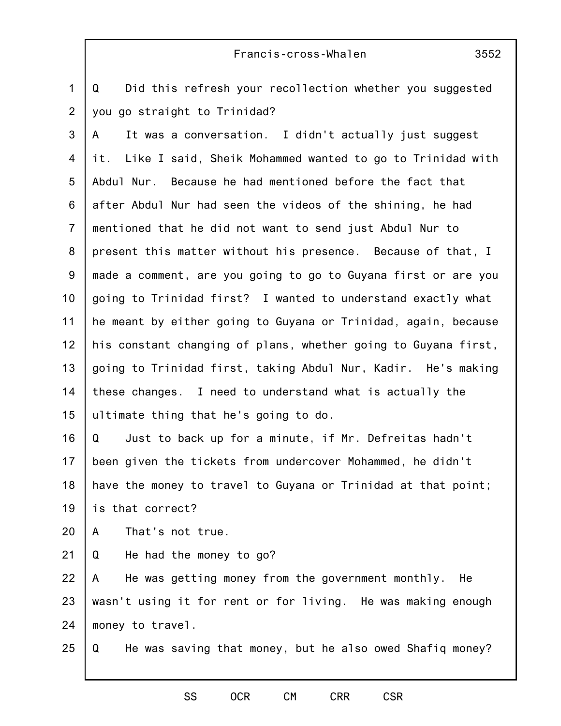#### Francis-cross-Whalen

1 2 Q Did this refresh your recollection whether you suggested you go straight to Trinidad?

3 4 5 6 7 8 9 10 11 12 13 14 15 A It was a conversation. I didn't actually just suggest it. Like I said, Sheik Mohammed wanted to go to Trinidad with Abdul Nur. Because he had mentioned before the fact that after Abdul Nur had seen the videos of the shining, he had mentioned that he did not want to send just Abdul Nur to present this matter without his presence. Because of that, I made a comment, are you going to go to Guyana first or are you going to Trinidad first? I wanted to understand exactly what he meant by either going to Guyana or Trinidad, again, because his constant changing of plans, whether going to Guyana first, going to Trinidad first, taking Abdul Nur, Kadir. He's making these changes. I need to understand what is actually the ultimate thing that he's going to do.

16 17 18 19 Q Just to back up for a minute, if Mr. Defreitas hadn't been given the tickets from undercover Mohammed, he didn't have the money to travel to Guyana or Trinidad at that point; is that correct?

20 A That's not true.

21 Q He had the money to go?

22 23 24 A He was getting money from the government monthly. He wasn't using it for rent or for living. He was making enough money to travel.

25 Q He was saving that money, but he also owed Shafiq money?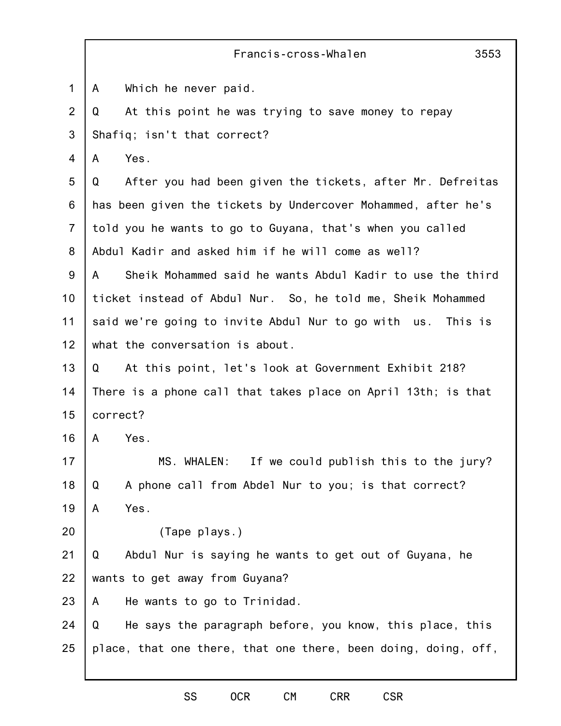|                | Francis-cross-Whalen<br>3553                                   |  |
|----------------|----------------------------------------------------------------|--|
| $\mathbf 1$    | Which he never paid.<br>A                                      |  |
| 2              | At this point he was trying to save money to repay<br>Q        |  |
| 3              | Shafiq; isn't that correct?                                    |  |
| $\overline{4}$ | Yes.<br>A                                                      |  |
| 5              | After you had been given the tickets, after Mr. Defreitas<br>Q |  |
| 6              | has been given the tickets by Undercover Mohammed, after he's  |  |
| $\overline{7}$ | told you he wants to go to Guyana, that's when you called      |  |
| 8              | Abdul Kadir and asked him if he will come as well?             |  |
| $9\,$          | Sheik Mohammed said he wants Abdul Kadir to use the third<br>A |  |
| 10             | ticket instead of Abdul Nur. So, he told me, Sheik Mohammed    |  |
| 11             | said we're going to invite Abdul Nur to go with us. This is    |  |
| 12             | what the conversation is about.                                |  |
| 13             | At this point, let's look at Government Exhibit 218?<br>Q      |  |
| 14             | There is a phone call that takes place on April 13th; is that  |  |
| 15             | correct?                                                       |  |
| 16             | A<br>Yes.                                                      |  |
| 17             | MS. WHALEN: If we could publish this to the jury?              |  |
| 18             | A phone call from Abdel Nur to you; is that correct?<br>Q      |  |
| 19             | Yes.<br>A                                                      |  |
| 20             | (Tape plays.)                                                  |  |
| 21             | Abdul Nur is saying he wants to get out of Guyana, he<br>Q     |  |
| 22             | wants to get away from Guyana?                                 |  |
| 23             | He wants to go to Trinidad.<br>A                               |  |
| 24             | He says the paragraph before, you know, this place, this<br>Q  |  |
| 25             | place, that one there, that one there, been doing, doing, off, |  |
|                |                                                                |  |

SS OCR CM CRR CSR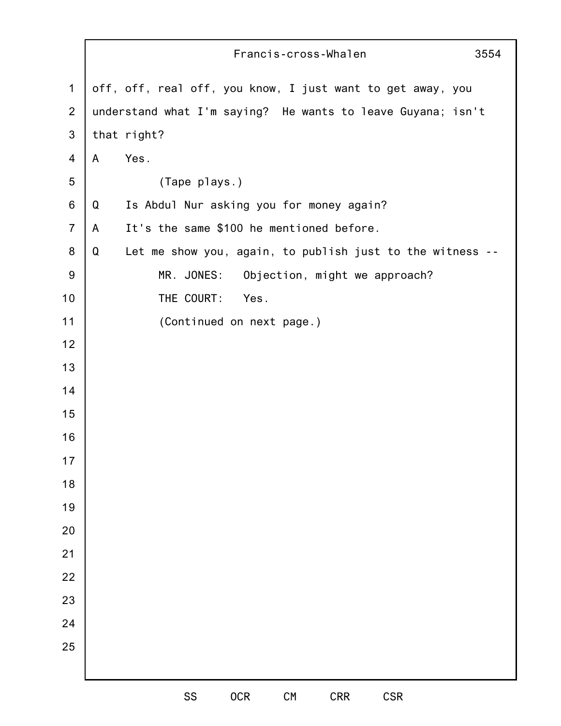|                  | Francis-cross-Whalen<br>3554                                   |  |  |  |  |
|------------------|----------------------------------------------------------------|--|--|--|--|
| $\mathbf 1$      | off, off, real off, you know, I just want to get away, you     |  |  |  |  |
| $\overline{2}$   | understand what I'm saying? He wants to leave Guyana; isn't    |  |  |  |  |
| 3                | that right?                                                    |  |  |  |  |
| 4                | Yes.<br>$\mathsf{A}$                                           |  |  |  |  |
| 5                | (Tape plays.)                                                  |  |  |  |  |
| 6                | Is Abdul Nur asking you for money again?<br>Q                  |  |  |  |  |
| $\overline{7}$   | It's the same \$100 he mentioned before.<br>A                  |  |  |  |  |
| 8                | Let me show you, again, to publish just to the witness --<br>Q |  |  |  |  |
| $\boldsymbol{9}$ | Objection, might we approach?<br>MR. JONES:                    |  |  |  |  |
| 10               | THE COURT:<br>Yes.                                             |  |  |  |  |
| 11               | (Continued on next page.)                                      |  |  |  |  |
| 12               |                                                                |  |  |  |  |
| 13               |                                                                |  |  |  |  |
| 14               |                                                                |  |  |  |  |
| 15               |                                                                |  |  |  |  |
| 16               |                                                                |  |  |  |  |
| 17               |                                                                |  |  |  |  |
| 18               |                                                                |  |  |  |  |
| 19               |                                                                |  |  |  |  |
| 20               |                                                                |  |  |  |  |
| 21               |                                                                |  |  |  |  |
| 22               |                                                                |  |  |  |  |
| 23               |                                                                |  |  |  |  |
| 24               |                                                                |  |  |  |  |
| 25               |                                                                |  |  |  |  |
|                  | SS<br><b>OCR</b><br><b>CRR</b><br>${\sf CM}$<br><b>CSR</b>     |  |  |  |  |
|                  |                                                                |  |  |  |  |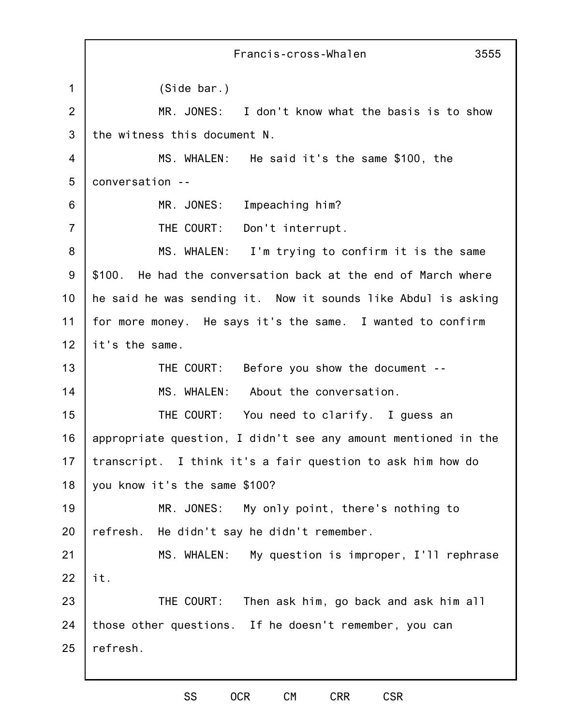1 2 3 4 5 6 7 8 9 10 11 12 13 14 15 16 17 18 19 20 21 22 23 24 25 Francis-cross-Whalen 3555 (Side bar.) MR. JONES: I don't know what the basis is to show the witness this document N. MS. WHALEN: He said it's the same \$100, the conversation -- MR. JONES: Impeaching him? THE COURT: Don't interrupt. MS. WHALEN: I'm trying to confirm it is the same \$100. He had the conversation back at the end of March where he said he was sending it. Now it sounds like Abdul is asking for more money. He says it's the same. I wanted to confirm it's the same. THE COURT: Before you show the document -- MS. WHALEN: About the conversation. THE COURT: You need to clarify. I guess an appropriate question, I didn't see any amount mentioned in the transcript. I think it's a fair question to ask him how do you know it's the same \$100? MR. JONES: My only point, there's nothing to refresh. He didn't say he didn't remember. MS. WHALEN: My question is improper, I'll rephrase it. THE COURT: Then ask him, go back and ask him all those other questions. If he doesn't remember, you can refresh.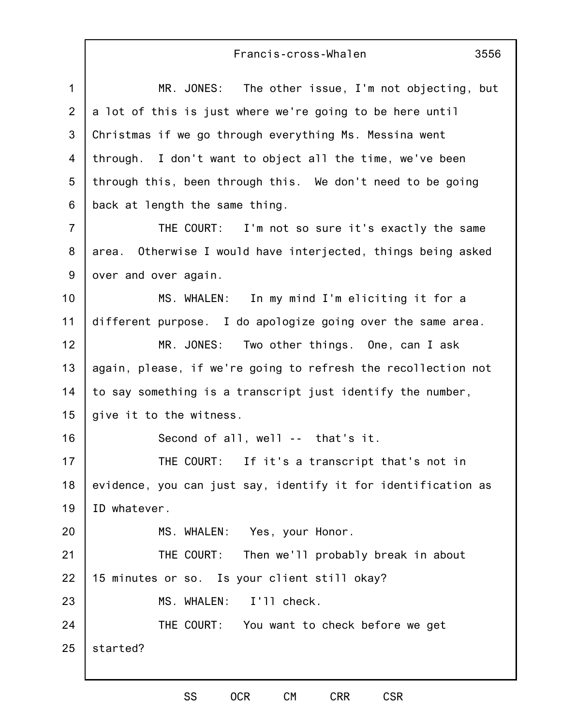## Francis-cross-Whalen

| $\mathbf{1}$    | MR. JONES: The other issue, I'm not objecting, but              |
|-----------------|-----------------------------------------------------------------|
| $\overline{2}$  | a lot of this is just where we're going to be here until        |
| 3               | Christmas if we go through everything Ms. Messina went          |
| $\overline{4}$  | through. I don't want to object all the time, we've been        |
| 5               | through this, been through this. We don't need to be going      |
| 6               | back at length the same thing.                                  |
| $\overline{7}$  | THE COURT: I'm not so sure it's exactly the same                |
| 8               | Otherwise I would have interjected, things being asked<br>area. |
| 9               | over and over again.                                            |
| 10 <sup>1</sup> | MS. WHALEN: In my mind I'm eliciting it for a                   |
| 11              | different purpose. I do apologize going over the same area.     |
| 12              | MR. JONES: Two other things. One, can I ask                     |
| 13              | again, please, if we're going to refresh the recollection not   |
| 14              | to say something is a transcript just identify the number,      |
| 15              | give it to the witness.                                         |
| 16              | Second of all, well -- that's it.                               |
| 17              | THE COURT: If it's a transcript that's not in                   |
| 18              | evidence, you can just say, identify it for identification as   |
| 19              | ID whatever.                                                    |
| 20              | MS. WHALEN: Yes, your Honor.                                    |
| 21              | THE COURT: Then we'll probably break in about                   |
| 22              | 15 minutes or so. Is your client still okay?                    |
| 23              | MS. WHALEN:<br>I'll check.                                      |
| 24              | THE COURT: You want to check before we get                      |
| 25              | started?                                                        |
|                 |                                                                 |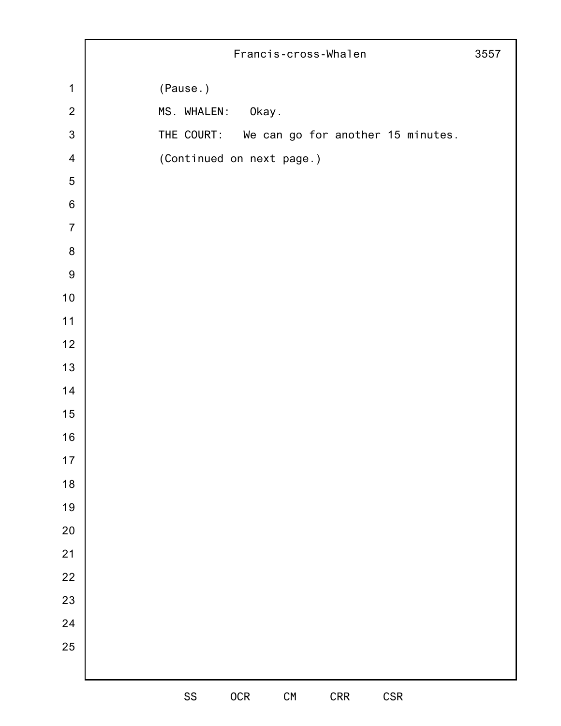|                         | Francis-cross-Whalen                                           | 3557 |
|-------------------------|----------------------------------------------------------------|------|
| $\mathbf{1}$            | (Pause.)                                                       |      |
| $\overline{2}$          | MS. WHALEN: Okay.                                              |      |
| $\mathbf{3}$            | THE COURT: We can go for another 15 minutes.                   |      |
| $\overline{\mathbf{4}}$ | (Continued on next page.)                                      |      |
| $\overline{5}$          |                                                                |      |
| $\,6\,$                 |                                                                |      |
| $\overline{7}$          |                                                                |      |
| $\bf 8$                 |                                                                |      |
| $\boldsymbol{9}$        |                                                                |      |
| $10$                    |                                                                |      |
| 11                      |                                                                |      |
| 12                      |                                                                |      |
| 13                      |                                                                |      |
| $14$                    |                                                                |      |
| 15                      |                                                                |      |
| 16                      |                                                                |      |
| $17$                    |                                                                |      |
| 18                      |                                                                |      |
| 19                      |                                                                |      |
| $20\,$                  |                                                                |      |
| 21                      |                                                                |      |
| 22                      |                                                                |      |
| 23                      |                                                                |      |
| 24                      |                                                                |      |
| 25                      |                                                                |      |
|                         |                                                                |      |
|                         | <b>OCR</b><br>$\textsf{SS}\xspace$<br>CRR<br>CSR<br>${\sf CM}$ |      |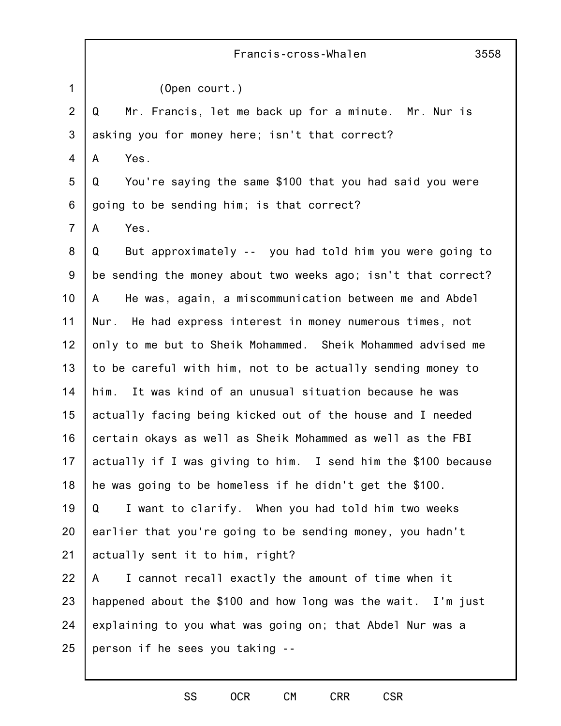|                | Francis-cross-Whalen<br>3558                                  |
|----------------|---------------------------------------------------------------|
| $\mathbf{1}$   | (Open court.)                                                 |
| $\overline{2}$ | Mr. Francis, let me back up for a minute. Mr. Nur is<br>Q     |
| 3              | asking you for money here; isn't that correct?                |
| $\overline{4}$ | Yes.<br>A                                                     |
| 5              | You're saying the same \$100 that you had said you were<br>Q  |
| 6              | going to be sending him; is that correct?                     |
| $\overline{7}$ | Yes.<br>A                                                     |
| 8              | But approximately -- you had told him you were going to<br>Q  |
| 9              | be sending the money about two weeks ago; isn't that correct? |
| 10             | He was, again, a miscommunication between me and Abdel<br>A   |
| 11             | Nur. He had express interest in money numerous times, not     |
| 12             | only to me but to Sheik Mohammed. Sheik Mohammed advised me   |
| 13             | to be careful with him, not to be actually sending money to   |
| 14             | It was kind of an unusual situation because he was<br>him.    |
| 15             | actually facing being kicked out of the house and I needed    |
| 16             | certain okays as well as Sheik Mohammed as well as the FBI    |
| 17             | actually if I was giving to him. I send him the \$100 because |
| 18             | he was going to be homeless if he didn't get the \$100.       |
| 19             | I want to clarify. When you had told him two weeks<br>Q       |
| 20             | earlier that you're going to be sending money, you hadn't     |
| 21             | actually sent it to him, right?                               |
| 22             | I cannot recall exactly the amount of time when it<br>A       |
| 23             | happened about the \$100 and how long was the wait. I'm just  |
| 24             | explaining to you what was going on; that Abdel Nur was a     |
| 25             | person if he sees you taking --                               |

SS OCR CM CRR CSR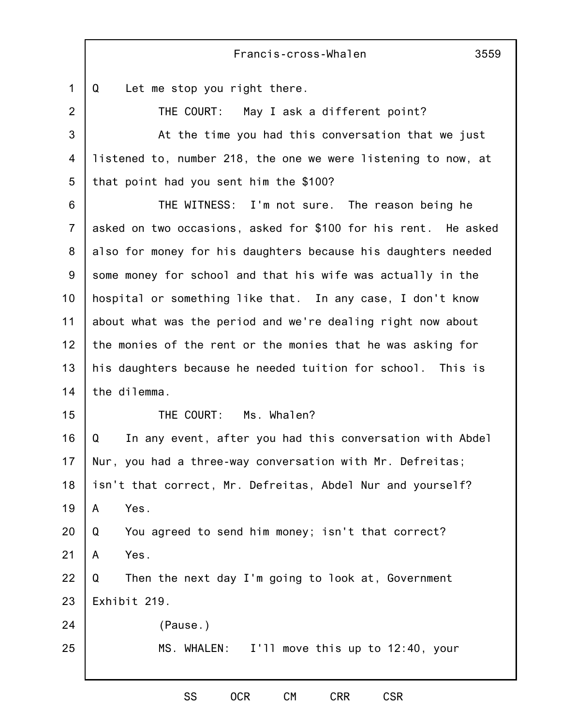|                | 3559<br>Francis-cross-Whalen                                   |
|----------------|----------------------------------------------------------------|
| $\mathbf 1$    | Q<br>Let me stop you right there.                              |
| $\overline{2}$ | THE COURT: May I ask a different point?                        |
| 3              | At the time you had this conversation that we just             |
| 4              | listened to, number 218, the one we were listening to now, at  |
| 5              | that point had you sent him the \$100?                         |
| 6              | THE WITNESS: I'm not sure. The reason being he                 |
| $\overline{7}$ | asked on two occasions, asked for \$100 for his rent. He asked |
| 8              | also for money for his daughters because his daughters needed  |
| $9\,$          | some money for school and that his wife was actually in the    |
| 10             | hospital or something like that. In any case, I don't know     |
| 11             | about what was the period and we're dealing right now about    |
| 12             | the monies of the rent or the monies that he was asking for    |
| 13             | his daughters because he needed tuition for school. This is    |
| 14             | the dilemma.                                                   |
| 15             | THE COURT: Ms. Whalen?                                         |
| 16             | In any event, after you had this conversation with Abdel<br>Q  |
| 17             | Nur, you had a three-way conversation with Mr. Defreitas;      |
| 18             | isn't that correct, Mr. Defreitas, Abdel Nur and yourself?     |
| 19             | Yes.<br>A                                                      |
| 20             | Q<br>You agreed to send him money; isn't that correct?         |
| 21             | Yes.<br>A                                                      |
| 22             | Then the next day I'm going to look at, Government<br>Q        |
| 23             | Exhibit 219.                                                   |
| 24             | (Pause.)                                                       |
| 25             | MS. WHALEN:<br>I'll move this up to 12:40, your                |
|                |                                                                |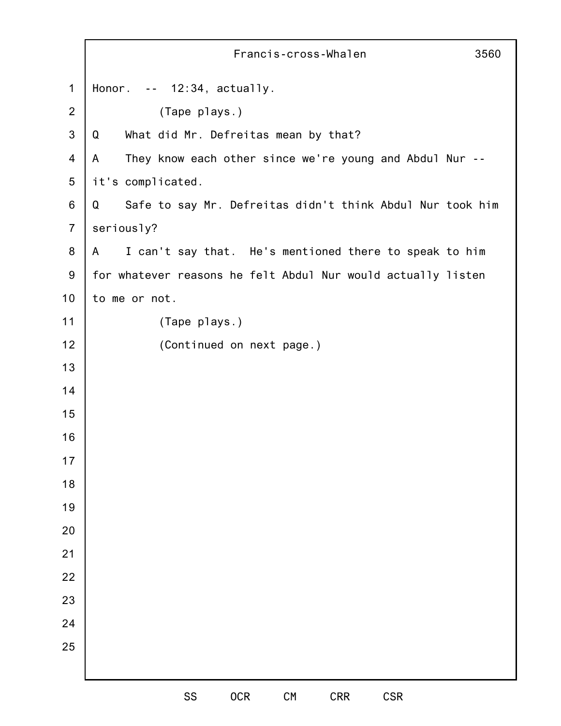|                | Francis-cross-Whalen<br>3560                                   |
|----------------|----------------------------------------------------------------|
| $\mathbf 1$    | Honor. $--$ 12:34, actually.                                   |
| $\overline{2}$ | (Tape plays.)                                                  |
| 3              | What did Mr. Defreitas mean by that?<br>Q                      |
| 4              | They know each other since we're young and Abdul Nur --<br>A   |
| 5              | it's complicated.                                              |
| 6              | Safe to say Mr. Defreitas didn't think Abdul Nur took him<br>Q |
| $\overline{7}$ | seriously?                                                     |
| 8              | I can't say that. He's mentioned there to speak to him<br>A    |
| $9\,$          | for whatever reasons he felt Abdul Nur would actually listen   |
| 10             | to me or not.                                                  |
| 11             | (Tape plays.)                                                  |
| 12             | (Continued on next page.)                                      |
| 13             |                                                                |
| 14             |                                                                |
| 15             |                                                                |
| 16             |                                                                |
| 17             |                                                                |
| 18             |                                                                |
| 19             |                                                                |
| 20             |                                                                |
| 21             |                                                                |
| 22             |                                                                |
| 23             |                                                                |
| 24             |                                                                |
| 25             |                                                                |
|                | SS<br><b>OCR</b><br><b>CRR</b><br><b>CSR</b><br>${\sf CM}$     |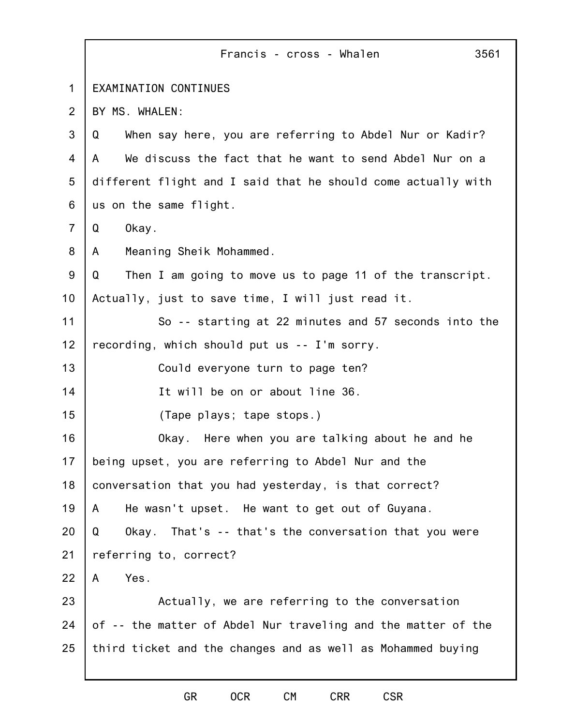|                | Francis - cross - Whalen<br>3561                              |
|----------------|---------------------------------------------------------------|
| 1              | EXAMINATION CONTINUES                                         |
| 2              | BY MS. WHALEN:                                                |
| 3              | When say here, you are referring to Abdel Nur or Kadir?<br>Q  |
| 4              | We discuss the fact that he want to send Abdel Nur on a<br>A  |
| 5              | different flight and I said that he should come actually with |
| 6              | us on the same flight.                                        |
| $\overline{7}$ | Okay.<br>Q                                                    |
| 8              | Meaning Sheik Mohammed.<br>A                                  |
| $9\,$          | Q<br>Then I am going to move us to page 11 of the transcript. |
| 10             | Actually, just to save time, I will just read it.             |
| 11             | So -- starting at 22 minutes and 57 seconds into the          |
| 12             | recording, which should put us -- I'm sorry.                  |
| 13             | Could everyone turn to page ten?                              |
| 14             | It will be on or about line 36.                               |
| 15             | (Tape plays; tape stops.)                                     |
| 16             | Okay. Here when you are talking about he and he               |
| 17             | being upset, you are referring to Abdel Nur and the           |
| 18             | conversation that you had yesterday, is that correct?         |
| 19             | He wasn't upset. He want to get out of Guyana.<br>A           |
| 20             | Okay. That's -- that's the conversation that you were<br>Q    |
| 21             | referring to, correct?                                        |
| 22             | Yes.<br>A                                                     |
| 23             | Actually, we are referring to the conversation                |
| 24             | of -- the matter of Abdel Nur traveling and the matter of the |
| 25             | third ticket and the changes and as well as Mohammed buying   |
|                |                                                               |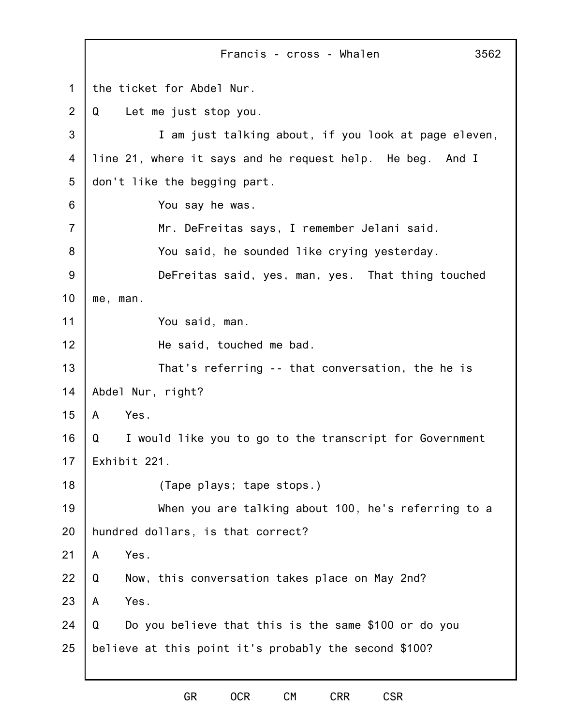1 2 3 4 5 6 7 8 9 10 11 12 13 14 15 16 17 18 19 20 21 22 23 24 25 Francis - cross - Whalen 3562 the ticket for Abdel Nur. Q Let me just stop you. I am just talking about, if you look at page eleven, line 21, where it says and he request help. He beg. And I don't like the begging part. You say he was. Mr. DeFreitas says, I remember Jelani said. You said, he sounded like crying yesterday. DeFreitas said, yes, man, yes. That thing touched me, man. You said, man. He said, touched me bad. That's referring -- that conversation, the he is Abdel Nur, right? A Yes. Q I would like you to go to the transcript for Government Exhibit 221. (Tape plays; tape stops.) When you are talking about 100, he's referring to a hundred dollars, is that correct? A Yes. Q Now, this conversation takes place on May 2nd? A Yes. Q Do you believe that this is the same \$100 or do you believe at this point it's probably the second \$100?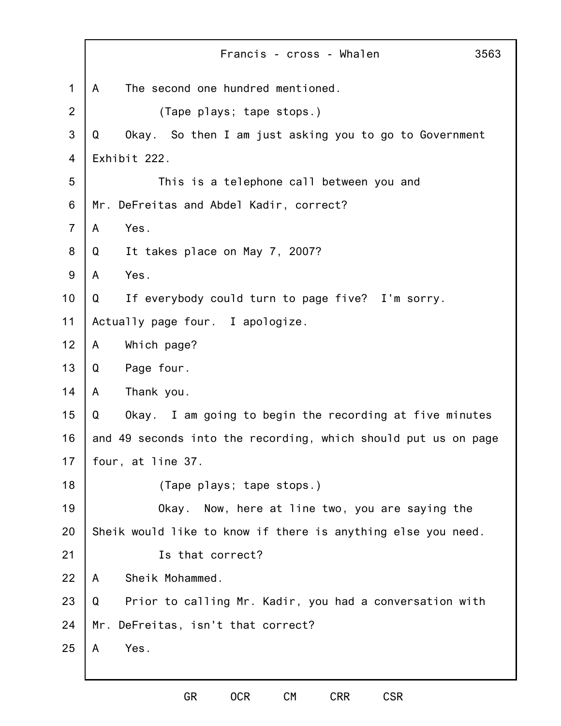|                | 3563<br>Francis - cross - Whalen                               |
|----------------|----------------------------------------------------------------|
| $\mathbf 1$    | The second one hundred mentioned.<br>A                         |
| $\overline{2}$ | (Tape plays; tape stops.)                                      |
| 3              | Okay. So then I am just asking you to go to Government<br>Q    |
| 4              | Exhibit 222.                                                   |
| 5              | This is a telephone call between you and                       |
| 6              | Mr. DeFreitas and Abdel Kadir, correct?                        |
| $\overline{7}$ | Yes.<br>A                                                      |
| 8              | It takes place on May 7, 2007?<br>Q                            |
| $9\,$          | Yes.<br>A                                                      |
| 10             | If everybody could turn to page five? I'm sorry.<br>Q          |
| 11             | Actually page four. I apologize.                               |
| 12             | Which page?<br>A                                               |
| 13             | Page four.<br>Q                                                |
| 14             | $\mathsf{A}$<br>Thank you.                                     |
| 15             | Okay. I am going to begin the recording at five minutes<br>Q   |
| 16             | and 49 seconds into the recording, which should put us on page |
| 17             | four, at line 37.                                              |
| 18             | (Tape plays; tape stops.)                                      |
| 19             | Now, here at line two, you are saying the<br>Okay.             |
| 20             | Sheik would like to know if there is anything else you need.   |
| 21             | Is that correct?                                               |
| 22             | Sheik Mohammed.<br>A                                           |
| 23             | Prior to calling Mr. Kadir, you had a conversation with<br>Q   |
| 24             | DeFreitas, isn't that correct?<br>Mr.                          |
| 25             | Yes.<br>A                                                      |
|                |                                                                |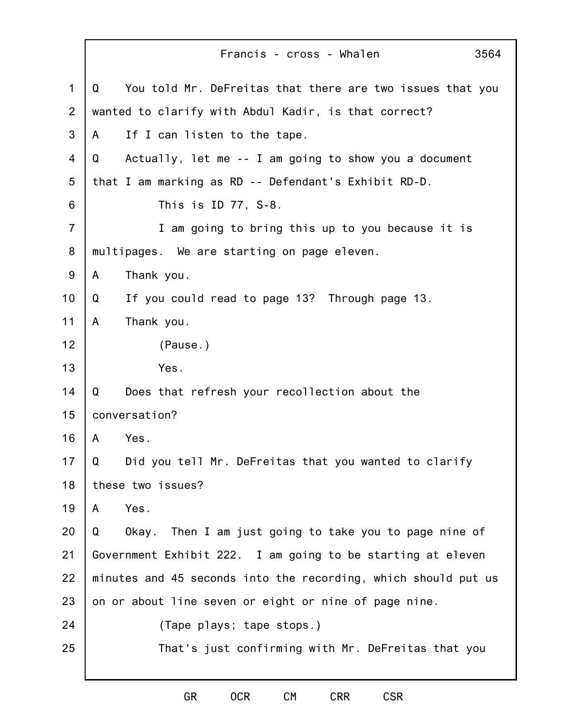Francis - cross - Whalen

| 1              | You told Mr. DeFreitas that there are two issues that you<br>Q |
|----------------|----------------------------------------------------------------|
| $\overline{2}$ | wanted to clarify with Abdul Kadir, is that correct?           |
| 3              | If I can listen to the tape.<br>A                              |
| 4              | Actually, let me -- I am going to show you a document<br>Q     |
| 5              | that I am marking as RD -- Defendant's Exhibit RD-D.           |
| 6              | This is ID 77, S-8.                                            |
| $\overline{7}$ | I am going to bring this up to you because it is               |
| 8              | multipages. We are starting on page eleven.                    |
| 9              | Thank you.<br>A                                                |
| 10             | If you could read to page 13? Through page 13.<br>Q            |
| 11             | Thank you.<br>A                                                |
| 12             | (Pause.)                                                       |
| 13             | Yes.                                                           |
| 14             | Does that refresh your recollection about the<br>Q             |
| 15             | conversation?                                                  |
| 16             | Yes.<br>A                                                      |
| 17             | Did you tell Mr. DeFreitas that you wanted to clarify<br>Q     |
| 18             | these two issues?                                              |
| 19             | Yes.<br>A                                                      |
| 20             | Then I am just going to take you to page nine of<br>Q<br>Okay. |
| 21             | Government Exhibit 222. I am going to be starting at eleven    |
| 22             | minutes and 45 seconds into the recording, which should put us |
| 23             | on or about line seven or eight or nine of page nine.          |
| 24             | (Tape plays; tape stops.)                                      |
| 25             | That's just confirming with Mr. DeFreitas that you             |
|                |                                                                |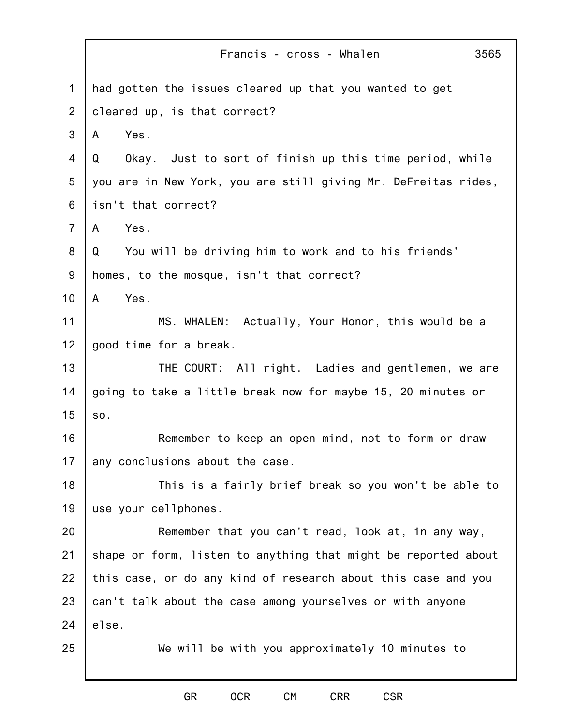|                | 3565<br>Francis - cross - Whalen                               |
|----------------|----------------------------------------------------------------|
| $\mathbf 1$    | had gotten the issues cleared up that you wanted to get        |
| $\overline{2}$ | cleared up, is that correct?                                   |
| 3              | Yes.<br>A                                                      |
| $\overline{4}$ | Okay. Just to sort of finish up this time period, while<br>Q   |
| 5              | you are in New York, you are still giving Mr. DeFreitas rides, |
| 6              | isn't that correct?                                            |
| $\overline{7}$ | Yes.<br>A                                                      |
| 8              | You will be driving him to work and to his friends'<br>Q       |
| 9              | homes, to the mosque, isn't that correct?                      |
| 10             | Yes.<br>A                                                      |
| 11             | MS. WHALEN: Actually, Your Honor, this would be a              |
| 12             | good time for a break.                                         |
| 13             | THE COURT: All right. Ladies and gentlemen, we are             |
| 14             | going to take a little break now for maybe 15, 20 minutes or   |
| 15             | SO.                                                            |
| 16             | Remember to keep an open mind, not to form or draw             |
| 17             | any conclusions about the case.                                |
| 18             | This is a fairly brief break so you won't be able to           |
| 19             | use your cellphones.                                           |
| 20             | Remember that you can't read, look at, in any way,             |
| 21             | shape or form, listen to anything that might be reported about |
| 22             | this case, or do any kind of research about this case and you  |
| 23             | can't talk about the case among yourselves or with anyone      |
| 24             | else.                                                          |
| 25             | We will be with you approximately 10 minutes to                |
|                |                                                                |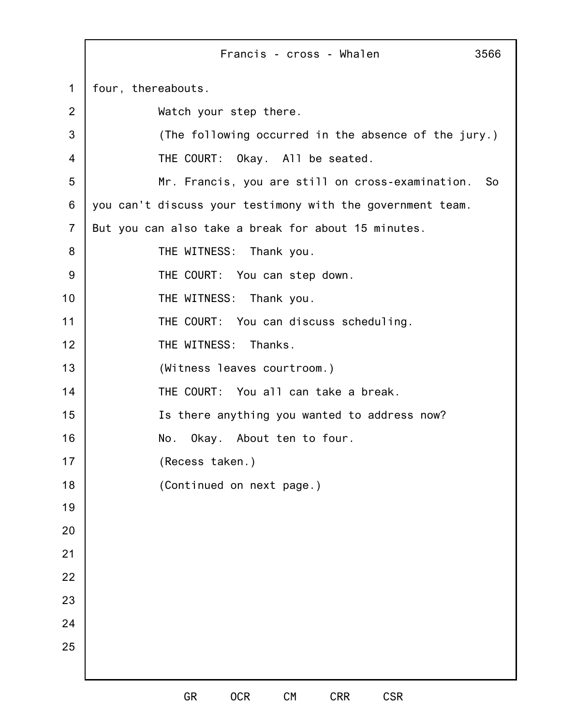1 2 3 4 5 6 7 8 9 10 11 12 13 14 15 16 17 18 19 20 21 22 23 24 25 Francis - cross - Whalen GR OCR CM CRR CSR 3566 four, thereabouts. Watch your step there. (The following occurred in the absence of the jury.) THE COURT: Okay. All be seated. Mr. Francis, you are still on cross-examination. So you can't discuss your testimony with the government team. But you can also take a break for about 15 minutes. THE WITNESS: Thank you. THE COURT: You can step down. THE WITNESS: Thank you. THE COURT: You can discuss scheduling. THE WITNESS: Thanks. (Witness leaves courtroom.) THE COURT: You all can take a break. Is there anything you wanted to address now? No. Okay. About ten to four. (Recess taken.) (Continued on next page.)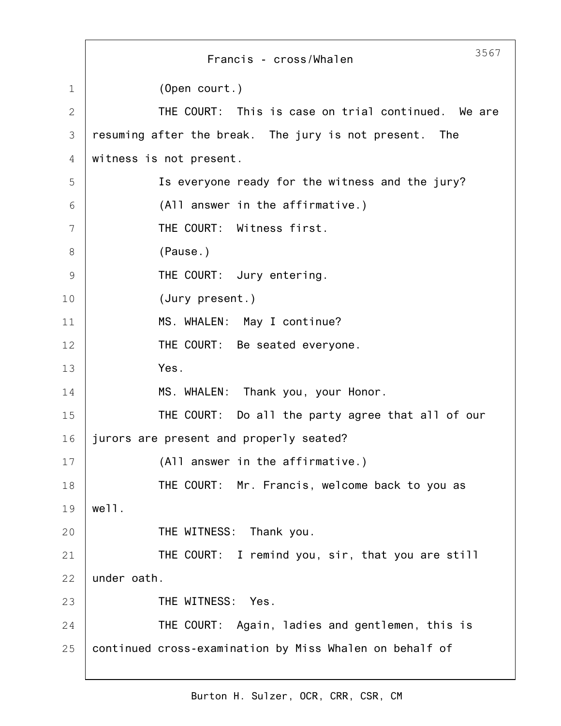|    | 3567<br>Francis - cross/Whalen                          |
|----|---------------------------------------------------------|
| 1  | (Open court.)                                           |
| 2  | THE COURT: This is case on trial continued. We are      |
| 3  | resuming after the break. The jury is not present. The  |
| 4  | witness is not present.                                 |
| 5  | Is everyone ready for the witness and the jury?         |
| 6  | (All answer in the affirmative.)                        |
| 7  | THE COURT: Witness first.                               |
| 8  | (Pause.)                                                |
| 9  | THE COURT: Jury entering.                               |
| 10 | (Jury present.)                                         |
| 11 | MS. WHALEN: May I continue?                             |
| 12 | THE COURT: Be seated everyone.                          |
| 13 | Yes.                                                    |
| 14 | MS. WHALEN: Thank you, your Honor.                      |
| 15 | THE COURT: Do all the party agree that all of our       |
| 16 | jurors are present and properly seated?                 |
| 17 | (All answer in the affirmative.)                        |
| 18 | THE COURT: Mr. Francis, welcome back to you as          |
| 19 | well.                                                   |
| 20 | THE WITNESS:<br>Thank you.                              |
| 21 | THE COURT: I remind you, sir, that you are still        |
| 22 | under oath.                                             |
| 23 | THE WITNESS: Yes.                                       |
| 24 | THE COURT: Again, ladies and gentlemen, this is         |
| 25 | continued cross-examination by Miss Whalen on behalf of |
|    |                                                         |

 $\Gamma$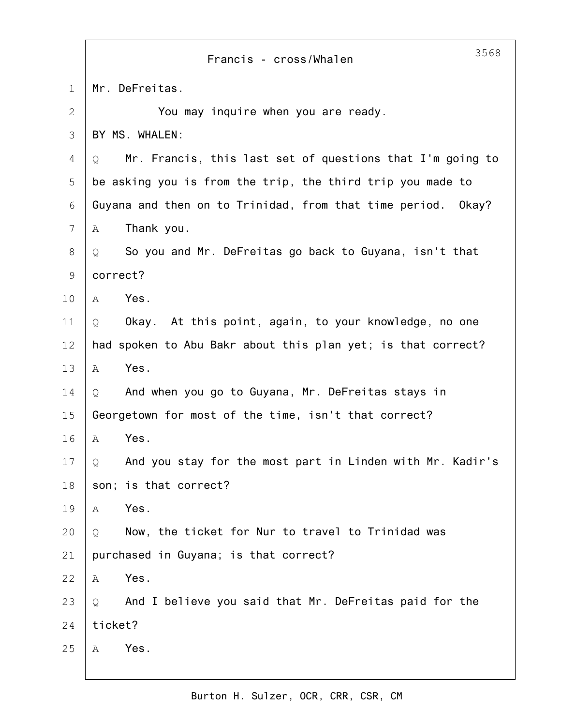|                | 3568<br>Francis - cross/Whalen                                  |
|----------------|-----------------------------------------------------------------|
| $\mathbf{1}$   | Mr. DeFreitas.                                                  |
| $\overline{2}$ | You may inquire when you are ready.                             |
| 3              | BY MS. WHALEN:                                                  |
| 4              | Mr. Francis, this last set of questions that I'm going to<br>Q  |
| 5              | be asking you is from the trip, the third trip you made to      |
| 6              | Guyana and then on to Trinidad, from that time period.<br>Okay? |
| 7              | Thank you.<br>A                                                 |
| 8              | So you and Mr. DeFreitas go back to Guyana, isn't that<br>Q     |
| $\mathcal{G}$  | correct?                                                        |
| 10             | Yes.<br>Α                                                       |
| 11             | Okay. At this point, again, to your knowledge, no one<br>Q      |
| 12             | spoken to Abu Bakr about this plan yet; is that correct?<br>had |
| 13             | Yes.<br>Α                                                       |
| 14             | And when you go to Guyana, Mr. DeFreitas stays in<br>Q          |
| 15             | Georgetown for most of the time, isn't that correct?            |
| 16             | Yes.<br>Α                                                       |
| 17             | And you stay for the most part in Linden with Mr. Kadir's<br>Q  |
| 18             | son; is that correct?                                           |
| 19             | Yes.<br>A                                                       |
| 20             | Now, the ticket for Nur to travel to Trinidad was<br>Q          |
| 21             | purchased in Guyana; is that correct?                           |
| 22             | Yes.<br>Α                                                       |
| 23             | And I believe you said that Mr. DeFreitas paid for the<br>Q     |
| 24             | ticket?                                                         |
| 25             | Yes.<br>Α                                                       |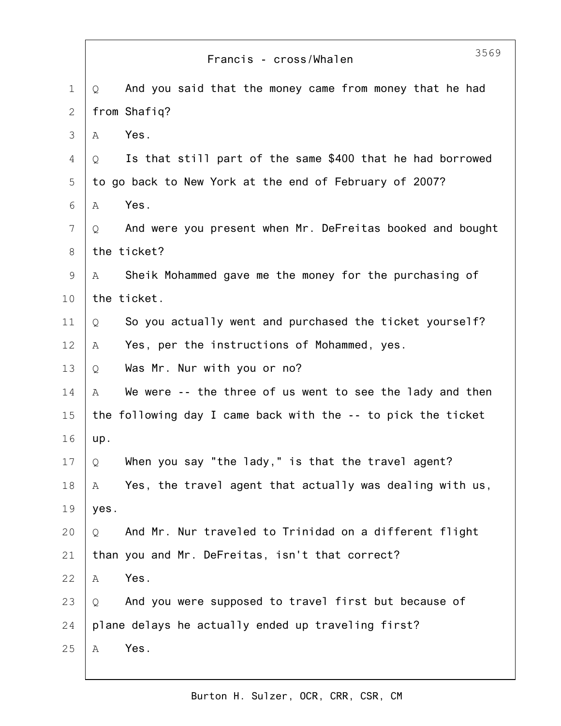|              | 3569<br>Francis - cross/Whalen                                 |
|--------------|----------------------------------------------------------------|
| $\mathbf{1}$ | And you said that the money came from money that he had<br>Q   |
| $\mathbf{2}$ | from Shafiq?                                                   |
| 3            | Yes.<br>A                                                      |
| 4            | Is that still part of the same \$400 that he had borrowed<br>Q |
| 5            | to go back to New York at the end of February of 2007?         |
| 6            | Yes.<br>Α                                                      |
| 7            | And were you present when Mr. DeFreitas booked and bought<br>Q |
| $8\,$        | the ticket?                                                    |
| $\mathsf 9$  | Sheik Mohammed gave me the money for the purchasing of<br>A    |
| 10           | the ticket.                                                    |
| 11           | So you actually went and purchased the ticket yourself?<br>Q   |
| 12           | Yes, per the instructions of Mohammed, yes.<br>A               |
| 13           | Was Mr. Nur with you or no?<br>Q                               |
| 14           | We were -- the three of us went to see the lady and then<br>Α  |
| 15           | the following day I came back with the -- to pick the ticket   |
| 16           | up.                                                            |
| 17           | When you say "the lady," is that the travel agent?<br>Q        |
| 18           | Yes, the travel agent that actually was dealing with us,<br>Α  |
| 19           | yes.                                                           |
| 20           | And Mr. Nur traveled to Trinidad on a different flight<br>Q    |
| 21           | than you and Mr. DeFreitas, isn't that correct?                |
| 22           | Yes.<br>Α                                                      |
| 23           | And you were supposed to travel first but because of<br>Q      |
| 24           | plane delays he actually ended up traveling first?             |
| 25           | Yes.<br>Α                                                      |

Burton H. Sulzer, OCR, CRR, CSR, CM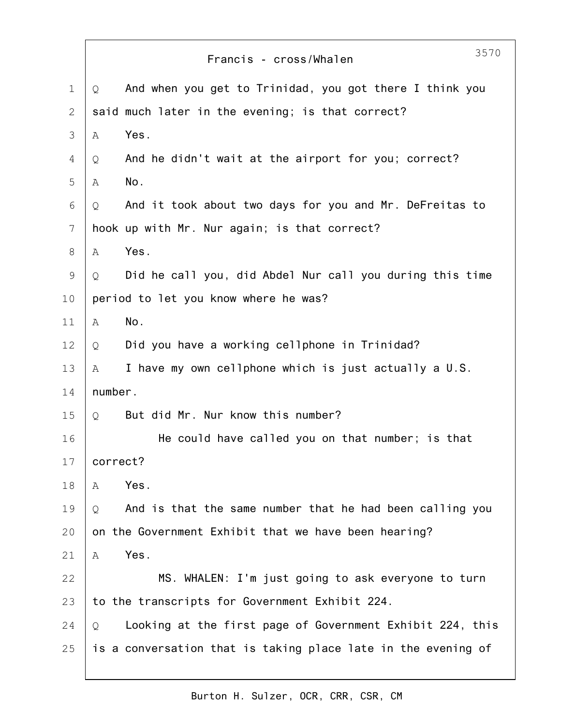|                | 3570<br>Francis - cross/Whalen                                 |
|----------------|----------------------------------------------------------------|
| 1              | And when you get to Trinidad, you got there I think you<br>Q   |
| 2              | said much later in the evening; is that correct?               |
| 3              | Yes.<br>Α                                                      |
| $\overline{4}$ | And he didn't wait at the airport for you; correct?<br>Q       |
| 5              | No.<br>Α                                                       |
| 6              | And it took about two days for you and Mr. DeFreitas to<br>Q   |
| 7              | hook up with Mr. Nur again; is that correct?                   |
| 8              | Yes.<br>A                                                      |
| 9              | Did he call you, did Abdel Nur call you during this time<br>Q  |
| 10             | period to let you know where he was?                           |
| 11             | No.<br>Α                                                       |
| 12             | Did you have a working cellphone in Trinidad?<br>Q             |
| 13             | I have my own cellphone which is just actually a U.S.<br>Α     |
| 14             | number.                                                        |
| 15             | But did Mr. Nur know this number?<br>Q                         |
| 16             | He could have called you on that number; is that               |
| 17             | correct?                                                       |
| 18             | Yes.<br>Α                                                      |
| 19             | And is that the same number that he had been calling you<br>Q  |
| 20             | on the Government Exhibit that we have been hearing?           |
| 21             | Yes.<br>Α                                                      |
| 22             | MS. WHALEN: I'm just going to ask everyone to turn             |
| 23             | to the transcripts for Government Exhibit 224.                 |
| 24             | Looking at the first page of Government Exhibit 224, this<br>Q |
| 25             | is a conversation that is taking place late in the evening of  |
|                |                                                                |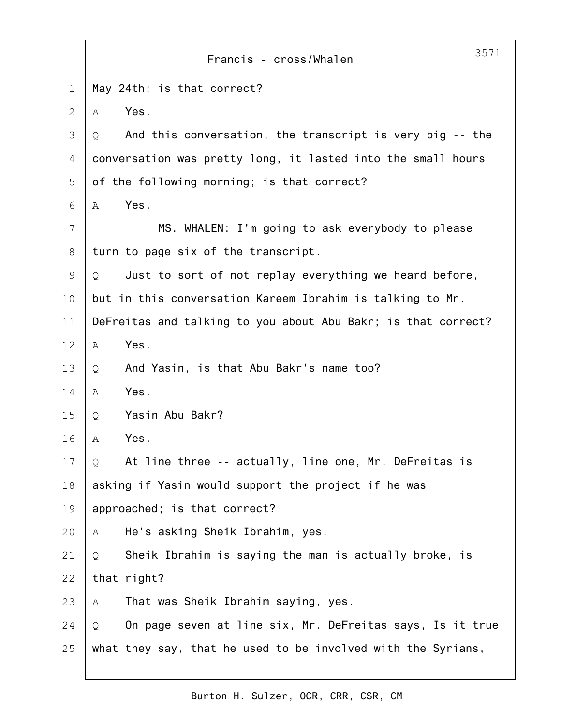|    | 3571<br>Francis - cross/Whalen                                 |
|----|----------------------------------------------------------------|
| 1  | May 24th; is that correct?                                     |
| 2  | Yes.<br>Α                                                      |
| 3  | And this conversation, the transcript is very big -- the<br>Q  |
| 4  | conversation was pretty long, it lasted into the small hours   |
| 5  | of the following morning; is that correct?                     |
| 6  | Yes.<br>Α                                                      |
| 7  | MS. WHALEN: I'm going to ask everybody to please               |
| 8  | turn to page six of the transcript.                            |
| 9  | Just to sort of not replay everything we heard before,<br>Q    |
| 10 | but in this conversation Kareem Ibrahim is talking to Mr.      |
| 11 | DeFreitas and talking to you about Abu Bakr; is that correct?  |
| 12 | Yes.<br>Α                                                      |
| 13 | And Yasin, is that Abu Bakr's name too?<br>Q                   |
| 14 | Yes.<br>Α                                                      |
| 15 | Yasin Abu Bakr?<br>Q                                           |
| 16 | Yes.<br>Α                                                      |
| 17 | At line three -- actually, line one, Mr. DeFreitas is<br>Q     |
| 18 | asking if Yasin would support the project if he was            |
| 19 | approached; is that correct?                                   |
| 20 | He's asking Sheik Ibrahim, yes.<br>Α                           |
| 21 | Sheik Ibrahim is saying the man is actually broke, is<br>Q     |
| 22 | that right?                                                    |
| 23 | That was Sheik Ibrahim saying, yes.<br>Α                       |
| 24 | On page seven at line six, Mr. DeFreitas says, Is it true<br>Q |
| 25 | what they say, that he used to be involved with the Syrians,   |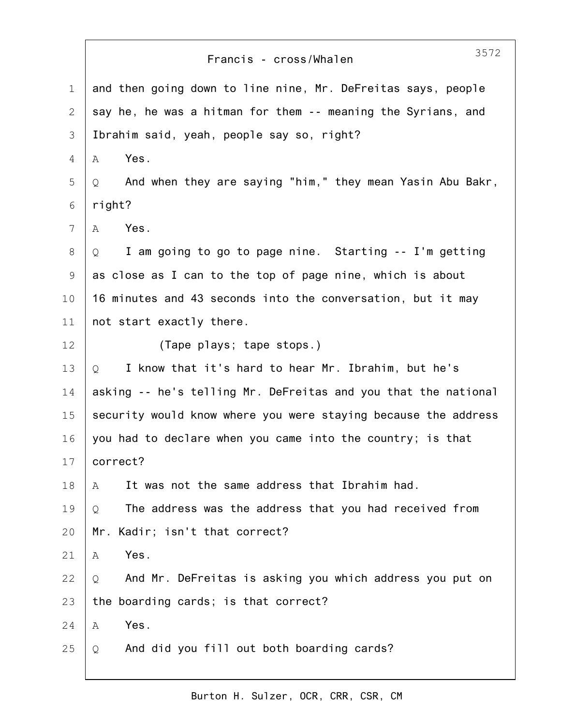|              | 3572<br>Francis - cross/Whalen                                 |
|--------------|----------------------------------------------------------------|
| $\mathbf 1$  | and then going down to line nine, Mr. DeFreitas says, people   |
| $\mathbf{2}$ | say he, he was a hitman for them -- meaning the Syrians, and   |
| 3            | Ibrahim said, yeah, people say so, right?                      |
| 4            | Yes.<br>Α                                                      |
| 5            | And when they are saying "him," they mean Yasin Abu Bakr,<br>Q |
| 6            | right?                                                         |
| 7            | Yes.<br>А                                                      |
| 8            | I am going to go to page nine. Starting -- I'm getting<br>Q    |
| $\mathsf 9$  | as close as I can to the top of page nine, which is about      |
| 10           | 16 minutes and 43 seconds into the conversation, but it may    |
| 11           | not start exactly there.                                       |
| 12           | (Tape plays; tape stops.)                                      |
| 13           | I know that it's hard to hear Mr. Ibrahim, but he's<br>Q       |
| 14           | asking -- he's telling Mr. DeFreitas and you that the national |
| 15           | security would know where you were staying because the address |
| 16           | you had to declare when you came into the country; is that     |
| 17           | correct?                                                       |
| 18           | It was not the same address that Ibrahim had.<br>Α             |
| 19           | The address was the address that you had received from<br>Q    |
| 20           | Mr. Kadir; isn't that correct?                                 |
| 21           | Yes.<br>A                                                      |
| 22           | And Mr. DeFreitas is asking you which address you put on<br>Q  |
| 23           | the boarding cards; is that correct?                           |
| 24           | Yes.<br>A                                                      |
| 25           | And did you fill out both boarding cards?<br>Q                 |
|              |                                                                |

Burton H. Sulzer, OCR, CRR, CSR, CM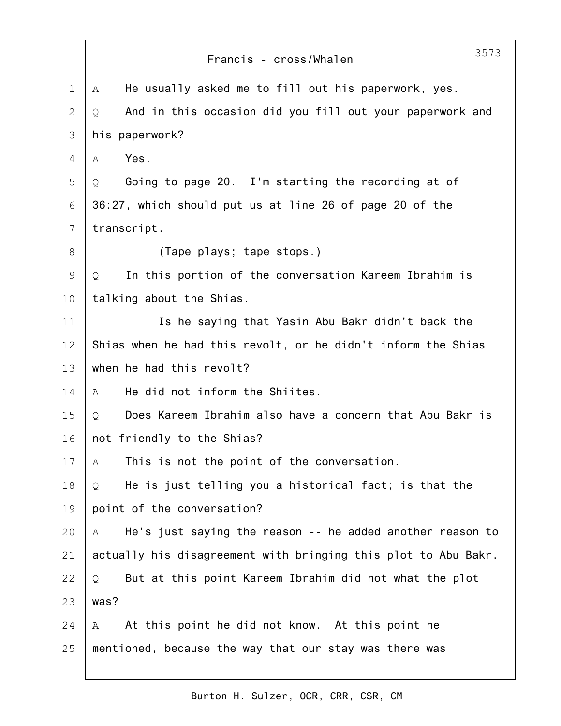|              | 3573<br>Francis - cross/Whalen                                 |
|--------------|----------------------------------------------------------------|
| $\mathbf 1$  | He usually asked me to fill out his paperwork, yes.<br>A       |
| $\mathbf{2}$ | And in this occasion did you fill out your paperwork and<br>Q  |
| 3            | his paperwork?                                                 |
| 4            | Yes.<br>Α                                                      |
| 5            | Going to page 20. I'm starting the recording at of<br>Q        |
| 6            | 36:27, which should put us at line 26 of page 20 of the        |
| 7            | transcript.                                                    |
| 8            | (Tape plays; tape stops.)                                      |
| $\mathsf 9$  | In this portion of the conversation Kareem Ibrahim is<br>Q     |
| 10           | talking about the Shias.                                       |
| 11           | Is he saying that Yasin Abu Bakr didn't back the               |
| 12           | Shias when he had this revolt, or he didn't inform the Shias   |
| 13           | when he had this revolt?                                       |
| 14           | He did not inform the Shiites.<br>Α                            |
| 15           | Does Kareem Ibrahim also have a concern that Abu Bakr is<br>Q  |
| 16           | not friendly to the Shias?                                     |
| 17           | This is not the point of the conversation.<br>Α                |
| 18           | He is just telling you a historical fact; is that the<br>Q     |
| 19           | point of the conversation?                                     |
| 20           | He's just saying the reason -- he added another reason to<br>A |
| 21           | actually his disagreement with bringing this plot to Abu Bakr. |
| 22           | But at this point Kareem Ibrahim did not what the plot<br>Q    |
| 23           | was?                                                           |
| 24           | At this point he did not know. At this point he<br>A           |
| 25           | mentioned, because the way that our stay was there was         |
|              |                                                                |

Г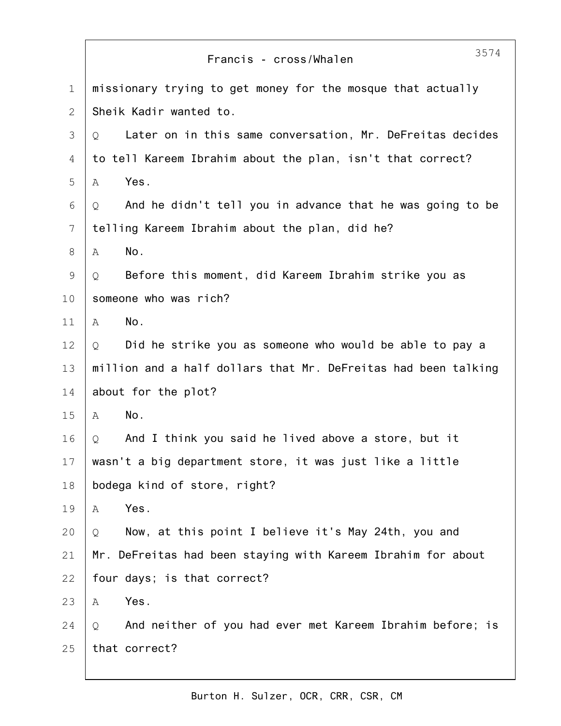|              | 3574<br>Francis - cross/Whalen                                 |
|--------------|----------------------------------------------------------------|
| $\mathbf 1$  | missionary trying to get money for the mosque that actually    |
| $\mathbf{2}$ | Sheik Kadir wanted to.                                         |
| 3            | Later on in this same conversation, Mr. DeFreitas decides<br>Q |
| 4            | to tell Kareem Ibrahim about the plan, isn't that correct?     |
| 5            | Yes.<br>A                                                      |
| 6            | And he didn't tell you in advance that he was going to be<br>Q |
| 7            | telling Kareem Ibrahim about the plan, did he?                 |
| 8            | No.<br>Α                                                       |
| $\mathsf 9$  | Before this moment, did Kareem Ibrahim strike you as<br>Q      |
| 10           | someone who was rich?                                          |
| 11           | No.<br>A                                                       |
| 12           | Did he strike you as someone who would be able to pay a<br>Q   |
| 13           | million and a half dollars that Mr. DeFreitas had been talking |
| 14           | about for the plot?                                            |
| 15           | No.<br>Α                                                       |
| 16           | And I think you said he lived above a store, but it<br>Q       |
| 17           | wasn't a big department store, it was just like a little       |
| 18           | bodega kind of store, right?                                   |
| 19           | Yes.<br>Α                                                      |
| 20           | Now, at this point I believe it's May 24th, you and<br>Q       |
| 21           | Mr. DeFreitas had been staying with Kareem Ibrahim for about   |
| 22           | four days; is that correct?                                    |
| 23           | Yes.<br>Α                                                      |
| 24           | And neither of you had ever met Kareem Ibrahim before; is<br>Q |
| 25           | that correct?                                                  |
|              |                                                                |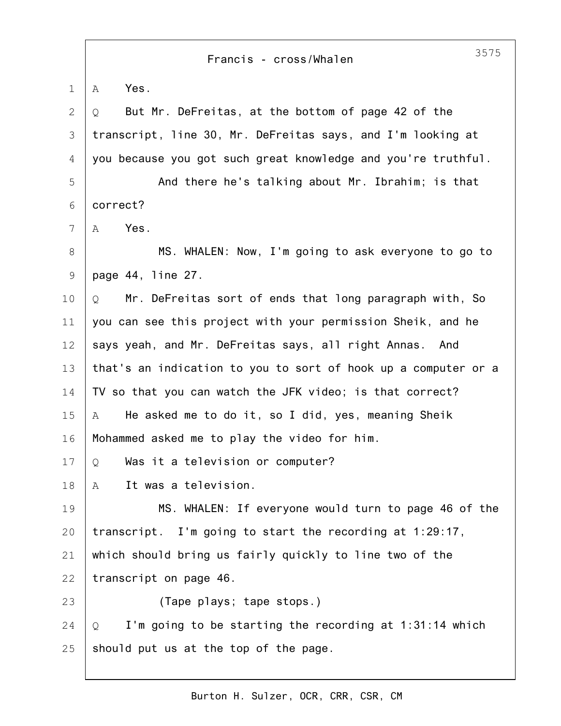|                | 3575<br>Francis - cross/Whalen                                 |
|----------------|----------------------------------------------------------------|
| 1              | Yes.<br>A                                                      |
| $\overline{2}$ | But Mr. DeFreitas, at the bottom of page 42 of the<br>Q        |
| 3              | transcript, line 30, Mr. DeFreitas says, and I'm looking at    |
| 4              | you because you got such great knowledge and you're truthful.  |
| 5              | And there he's talking about Mr. Ibrahim; is that              |
| 6              | correct?                                                       |
| 7              | Yes.<br>A                                                      |
| 8              | MS. WHALEN: Now, I'm going to ask everyone to go to            |
| 9              | page 44, line 27.                                              |
| 10             | Mr. DeFreitas sort of ends that long paragraph with, So<br>Q   |
| 11             | you can see this project with your permission Sheik, and he    |
| 12             | says yeah, and Mr. DeFreitas says, all right Annas. And        |
| 13             | that's an indication to you to sort of hook up a computer or a |
| 14             | TV so that you can watch the JFK video; is that correct?       |
| 15             | He asked me to do it, so I did, yes, meaning Sheik<br>Α        |
| 16             | Mohammed asked me to play the video for him.                   |
| 17             | Was it a television or computer?<br>Q                          |
| 18             | It was a television.<br>Α                                      |
| 19             | MS. WHALEN: If everyone would turn to page 46 of the           |
| 20             | transcript. I'm going to start the recording at 1:29:17,       |
| 21             | which should bring us fairly quickly to line two of the        |
| 22             | transcript on page 46.                                         |
| 23             | (Tape plays; tape stops.)                                      |
| 24             | I'm going to be starting the recording at 1:31:14 which<br>Q   |
| 25             | should put us at the top of the page.                          |
|                |                                                                |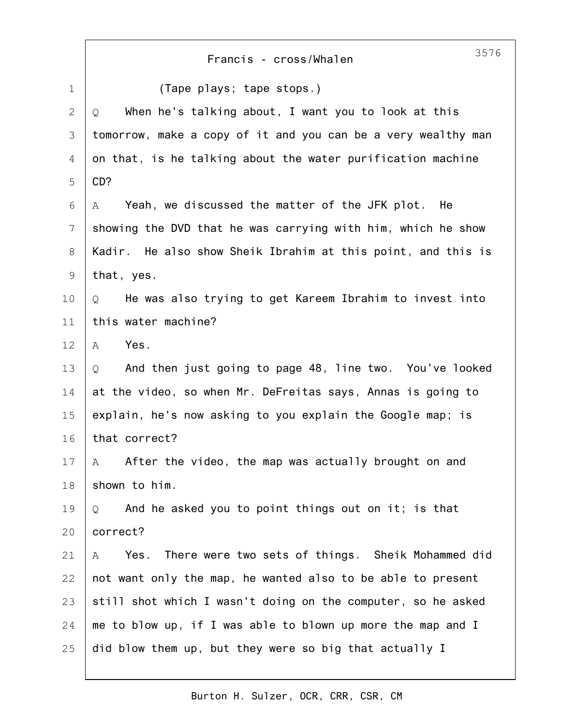|               | 3576<br>Francis - cross/Whalen                                |
|---------------|---------------------------------------------------------------|
| $\mathbf 1$   | (Tape plays; tape stops.)                                     |
| $\mathbf{2}$  | When he's talking about, I want you to look at this<br>Q      |
| $\mathcal{S}$ | tomorrow, make a copy of it and you can be a very wealthy man |
| 4             | on that, is he talking about the water purification machine   |
| 5             | CD?                                                           |
| 6             | Yeah, we discussed the matter of the JFK plot. He<br>A        |
| 7             | showing the DVD that he was carrying with him, which he show  |
| 8             | Kadir. He also show Sheik Ibrahim at this point, and this is  |
| $\mathsf 9$   | that, yes.                                                    |
| 10            | He was also trying to get Kareem Ibrahim to invest into<br>Q  |
| 11            | this water machine?                                           |
| 12            | Yes.<br>A                                                     |
| 13            | And then just going to page 48, line two. You've looked<br>Q  |
| 14            | at the video, so when Mr. DeFreitas says, Annas is going to   |
| 15            | explain, he's now asking to you explain the Google map; is    |
| 16            | that correct?                                                 |
| 17            | After the video, the map was actually brought on and<br>Α     |
| 18            | shown to him.                                                 |
| 19            | And he asked you to point things out on it; is that<br>Q      |
| 20            | correct?                                                      |
| 21            | Yes. There were two sets of things. Sheik Mohammed did<br>Α   |
| 22            | not want only the map, he wanted also to be able to present   |
| 23            | still shot which I wasn't doing on the computer, so he asked  |
| 24            | me to blow up, if I was able to blown up more the map and I   |
| 25            | did blow them up, but they were so big that actually I        |

Burton H. Sulzer, OCR, CRR, CSR, CM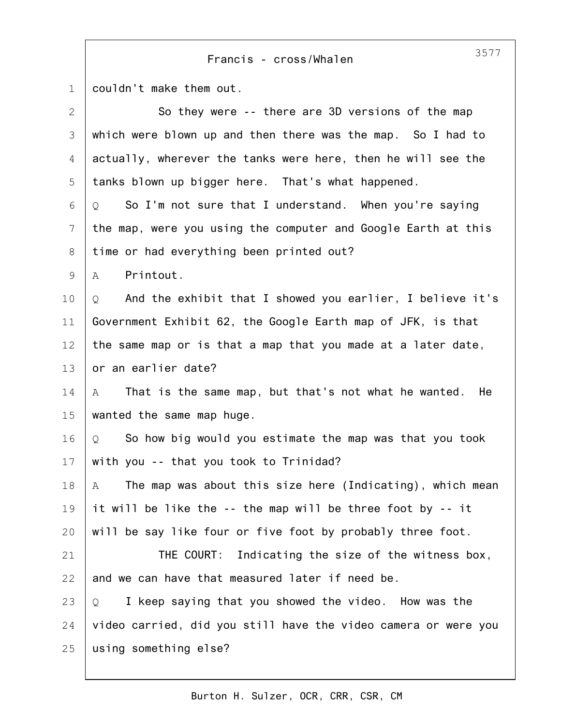## Francis - cross/Whalen

| $\mathbf 1$ | couldn't make them out.                                         |
|-------------|-----------------------------------------------------------------|
| 2           | So they were -- there are 3D versions of the map                |
| 3           | which were blown up and then there was the map. So I had to     |
| 4           | actually, wherever the tanks were here, then he will see the    |
| 5           | tanks blown up bigger here. That's what happened.               |
| 6           | So I'm not sure that I understand. When you're saying<br>Q      |
| 7           | the map, were you using the computer and Google Earth at this   |
| 8           | time or had everything been printed out?                        |
| 9           | Printout.<br>Α                                                  |
| 10          | And the exhibit that I showed you earlier, I believe it's<br>Q  |
| 11          | Government Exhibit 62, the Google Earth map of JFK, is that     |
| 12          | the same map or is that a map that you made at a later date,    |
| 13          | or an earlier date?                                             |
| 14          | That is the same map, but that's not what he wanted.<br>He<br>A |
| 15          | wanted the same map huge.                                       |
| 16          | So how big would you estimate the map was that you took<br>Q    |
| 17          | with you -- that you took to Trinidad?                          |
| 18          | The map was about this size here (Indicating), which mean<br>Α  |
| 19          | it will be like the -- the map will be three foot by -- it      |
| 20          | will be say like four or five foot by probably three foot.      |
| 21          | THE COURT: Indicating the size of the witness box,              |
| 22          | and we can have that measured later if need be.                 |
| 23          | I keep saying that you showed the video. How was the<br>Q       |
| 24          | video carried, did you still have the video camera or were you  |
| 25          | using something else?                                           |
|             |                                                                 |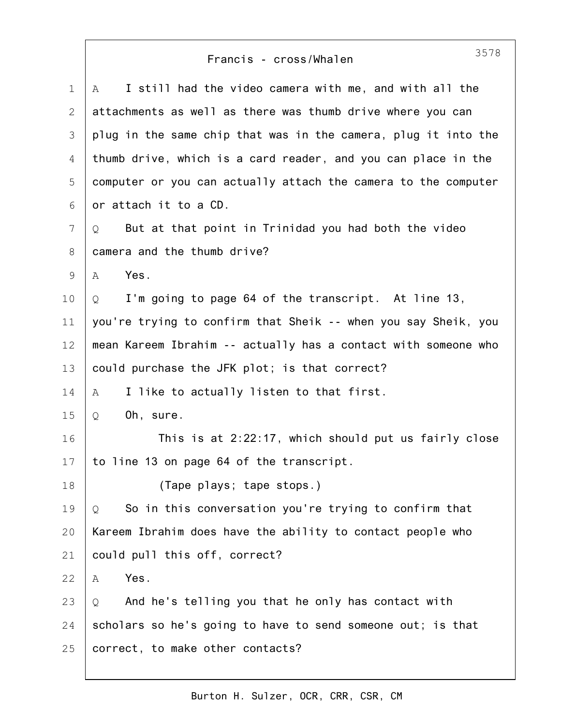## Francis - cross/Whalen

| $\mathbf 1$ | I still had the video camera with me, and with all the<br>Α    |
|-------------|----------------------------------------------------------------|
| 2           | attachments as well as there was thumb drive where you can     |
| 3           | plug in the same chip that was in the camera, plug it into the |
| 4           | thumb drive, which is a card reader, and you can place in the  |
| 5           | computer or you can actually attach the camera to the computer |
| 6           | or attach it to a CD.                                          |
| 7           | But at that point in Trinidad you had both the video<br>Q      |
| $\,8\,$     | camera and the thumb drive?                                    |
| 9           | Yes.<br>А                                                      |
| 10          | I'm going to page 64 of the transcript. At line 13,<br>Q       |
| 11          | you're trying to confirm that Sheik -- when you say Sheik, you |
| 12          | mean Kareem Ibrahim -- actually has a contact with someone who |
| 13          | could purchase the JFK plot; is that correct?                  |
| 14          | I like to actually listen to that first.<br>Α                  |
| 15          | Oh, sure.<br>Q                                                 |
| 16          | This is at 2:22:17, which should put us fairly close           |
| 17          | to line 13 on page 64 of the transcript.                       |
| 18          | (Tape plays; tape stops.)                                      |
| 19          | So in this conversation you're trying to confirm that<br>Q     |
| 20          | Kareem Ibrahim does have the ability to contact people who     |
| 21          | could pull this off, correct?                                  |
| 22          | Yes.<br>Α                                                      |
| 23          | And he's telling you that he only has contact with<br>Q        |
| 24          | scholars so he's going to have to send someone out; is that    |
| 25          | correct, to make other contacts?                               |
|             |                                                                |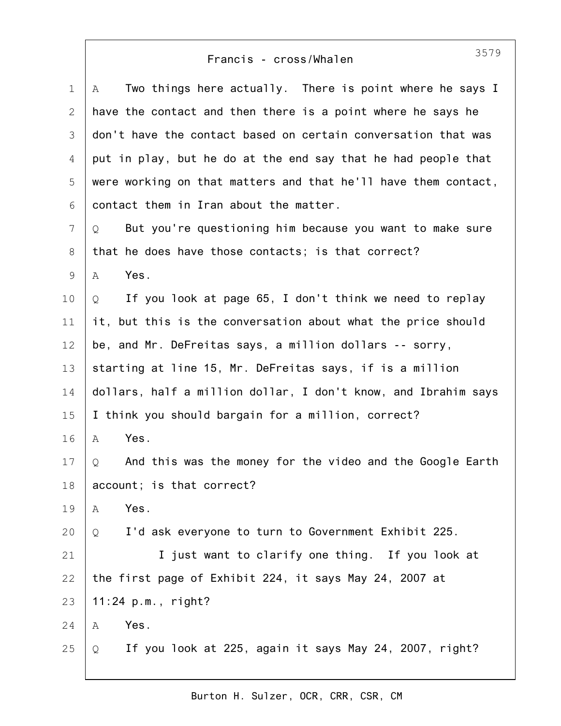## Francis - cross/Whalen

| $\mathbf 1$   | Two things here actually. There is point where he says I<br>A  |
|---------------|----------------------------------------------------------------|
| 2             | have the contact and then there is a point where he says he    |
| $\mathcal{S}$ | don't have the contact based on certain conversation that was  |
| 4             | put in play, but he do at the end say that he had people that  |
| 5             | were working on that matters and that he'll have them contact, |
| 6             | contact them in Iran about the matter.                         |
| 7             | But you're questioning him because you want to make sure<br>Q  |
| 8             | that he does have those contacts; is that correct?             |
| $\mathsf 9$   | Yes.<br>Α                                                      |
| 10            | If you look at page 65, I don't think we need to replay<br>Q   |
| 11            | it, but this is the conversation about what the price should   |
| 12            | be, and Mr. DeFreitas says, a million dollars -- sorry,        |
| 13            | starting at line 15, Mr. DeFreitas says, if is a million       |
| 14            | dollars, half a million dollar, I don't know, and Ibrahim says |
| 15            | I think you should bargain for a million, correct?             |
| 16            | Yes.<br>Α                                                      |
| 17            | And this was the money for the video and the Google Earth<br>Q |
| 18            | account; is that correct?                                      |
| 19            | Yes.<br>Α                                                      |
| 20            | I'd ask everyone to turn to Government Exhibit 225.<br>Q       |
| 21            | I just want to clarify one thing. If you look at               |
| 22            | the first page of Exhibit 224, it says May 24, 2007 at         |
| 23            | $11:24$ p.m., right?                                           |
| 24            | Yes.<br>Α                                                      |
| 25            | If you look at 225, again it says May 24, 2007, right?<br>Q    |
|               |                                                                |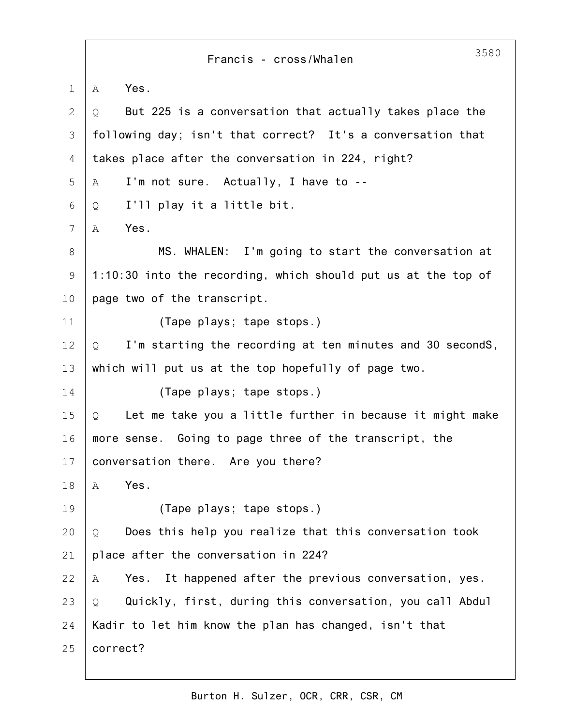|              | 3580<br>Francis - cross/Whalen                                 |  |  |  |  |  |  |  |  |
|--------------|----------------------------------------------------------------|--|--|--|--|--|--|--|--|
| 1            | Yes.<br>Α                                                      |  |  |  |  |  |  |  |  |
| $\mathbf{2}$ | But 225 is a conversation that actually takes place the<br>Q   |  |  |  |  |  |  |  |  |
| 3            | following day; isn't that correct? It's a conversation that    |  |  |  |  |  |  |  |  |
| 4            | takes place after the conversation in 224, right?              |  |  |  |  |  |  |  |  |
| 5            | I'm not sure. Actually, I have to --<br>Α                      |  |  |  |  |  |  |  |  |
| 6            | I'll play it a little bit.<br>Q                                |  |  |  |  |  |  |  |  |
| 7            | Yes.<br>Α                                                      |  |  |  |  |  |  |  |  |
| 8            | MS. WHALEN: I'm going to start the conversation at             |  |  |  |  |  |  |  |  |
| $\mathsf 9$  | 1:10:30 into the recording, which should put us at the top of  |  |  |  |  |  |  |  |  |
| 10           | page two of the transcript.                                    |  |  |  |  |  |  |  |  |
| 11           | (Tape plays; tape stops.)                                      |  |  |  |  |  |  |  |  |
| 12           | I'm starting the recording at ten minutes and 30 secondS,<br>Q |  |  |  |  |  |  |  |  |
| 13           | which will put us at the top hopefully of page two.            |  |  |  |  |  |  |  |  |
| 14           | (Tape plays; tape stops.)                                      |  |  |  |  |  |  |  |  |
| 15           | Let me take you a little further in because it might make<br>Q |  |  |  |  |  |  |  |  |
| 16           | more sense. Going to page three of the transcript, the         |  |  |  |  |  |  |  |  |
| 17           | conversation there. Are you there?                             |  |  |  |  |  |  |  |  |
| 18           | Yes.<br>Α                                                      |  |  |  |  |  |  |  |  |
| 19           | (Tape plays; tape stops.)                                      |  |  |  |  |  |  |  |  |
| 20           | Does this help you realize that this conversation took<br>Q    |  |  |  |  |  |  |  |  |
| 21           | place after the conversation in 224?                           |  |  |  |  |  |  |  |  |
| 22           | Yes. It happened after the previous conversation, yes.<br>A    |  |  |  |  |  |  |  |  |
| 23           | Quickly, first, during this conversation, you call Abdul<br>Q  |  |  |  |  |  |  |  |  |
| 24           | Kadir to let him know the plan has changed, isn't that         |  |  |  |  |  |  |  |  |
| 25           | correct?                                                       |  |  |  |  |  |  |  |  |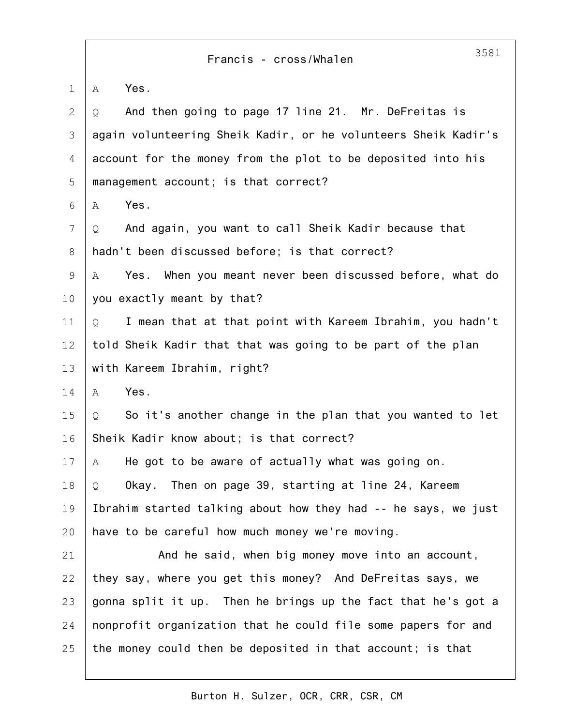1 2 3 4 5 6 7 8 9 10 11 12 13 14 15 16 17 18 19  $20$ 21 22 23 24 25 A Yes. Q And then going to page 17 line 21. Mr. DeFreitas is again volunteering Sheik Kadir, or he volunteers Sheik Kadir's account for the money from the plot to be deposited into his management account; is that correct? A Yes. Q And again, you want to call Sheik Kadir because that hadn't been discussed before; is that correct? A Yes. When you meant never been discussed before, what do you exactly meant by that? Q I mean that at that point with Kareem Ibrahim, you hadn't told Sheik Kadir that that was going to be part of the plan with Kareem Ibrahim, right? A Yes. Q So it's another change in the plan that you wanted to let Sheik Kadir know about; is that correct? A He got to be aware of actually what was going on. Q Okay. Then on page 39, starting at line 24, Kareem Ibrahim started talking about how they had -- he says, we just have to be careful how much money we're moving. And he said, when big money move into an account, they say, where you get this money? And DeFreitas says, we gonna split it up. Then he brings up the fact that he's got a nonprofit organization that he could file some papers for and the money could then be deposited in that account; is that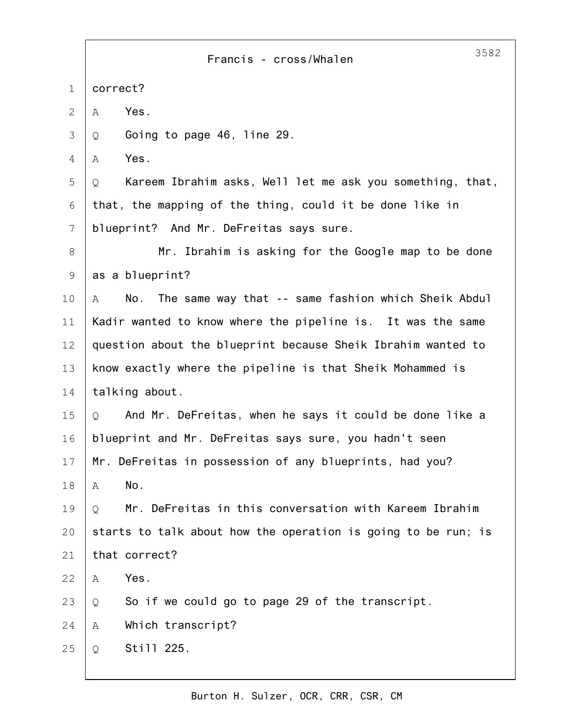|                | 3582<br>Francis - cross/Whalen                                 |  |  |  |  |  |  |  |  |
|----------------|----------------------------------------------------------------|--|--|--|--|--|--|--|--|
| $\mathbf 1$    | correct?                                                       |  |  |  |  |  |  |  |  |
| $\overline{2}$ | Yes.<br>Α                                                      |  |  |  |  |  |  |  |  |
| 3              | Going to page 46, line 29.<br>Q                                |  |  |  |  |  |  |  |  |
| 4              | Yes.<br>Α                                                      |  |  |  |  |  |  |  |  |
| 5              | Kareem Ibrahim asks, Well let me ask you something, that,<br>Q |  |  |  |  |  |  |  |  |
| 6              | that, the mapping of the thing, could it be done like in       |  |  |  |  |  |  |  |  |
| $7\phantom{.}$ | blueprint? And Mr. DeFreitas says sure.                        |  |  |  |  |  |  |  |  |
| $8\,$          | Mr. Ibrahim is asking for the Google map to be done            |  |  |  |  |  |  |  |  |
| $\mathsf 9$    | as a blueprint?                                                |  |  |  |  |  |  |  |  |
| 10             | No. The same way that -- same fashion which Sheik Abdul<br>Α   |  |  |  |  |  |  |  |  |
| 11             | Kadir wanted to know where the pipeline is. It was the same    |  |  |  |  |  |  |  |  |
| 12             | question about the blueprint because Sheik Ibrahim wanted to   |  |  |  |  |  |  |  |  |
| 13             | know exactly where the pipeline is that Sheik Mohammed is      |  |  |  |  |  |  |  |  |
| 14             | talking about.                                                 |  |  |  |  |  |  |  |  |
| 15             | And Mr. DeFreitas, when he says it could be done like a<br>Q   |  |  |  |  |  |  |  |  |
| 16             | blueprint and Mr. DeFreitas says sure, you hadn't seen         |  |  |  |  |  |  |  |  |
| 17             | Mr. DeFreitas in possession of any blueprints, had you?        |  |  |  |  |  |  |  |  |
| 18             | No.<br>Α                                                       |  |  |  |  |  |  |  |  |
| 19             | Mr. DeFreitas in this conversation with Kareem Ibrahim<br>Q    |  |  |  |  |  |  |  |  |
| 20             | starts to talk about how the operation is going to be run; is  |  |  |  |  |  |  |  |  |
| 21             | that correct?                                                  |  |  |  |  |  |  |  |  |
| 22             | Yes.<br>Α                                                      |  |  |  |  |  |  |  |  |
| 23             | So if we could go to page 29 of the transcript.<br>Q           |  |  |  |  |  |  |  |  |
| 24             | Which transcript?<br>Α                                         |  |  |  |  |  |  |  |  |
| 25             | Still 225.<br>Q                                                |  |  |  |  |  |  |  |  |
|                |                                                                |  |  |  |  |  |  |  |  |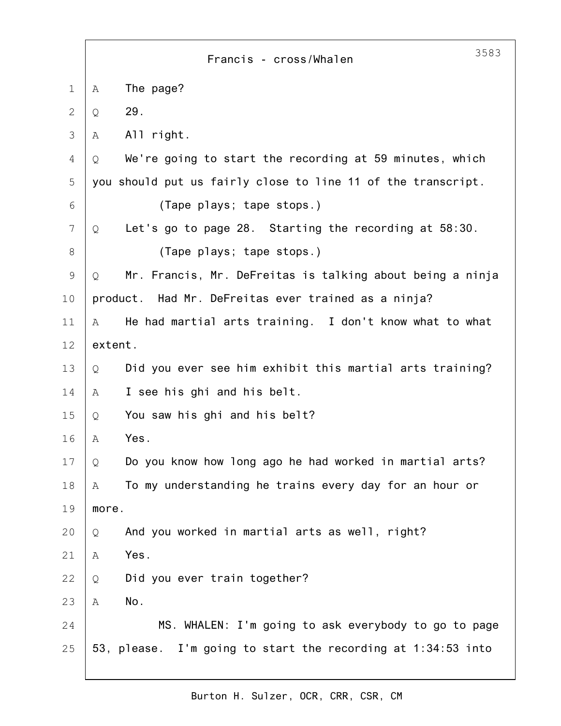|                | 3583<br>Francis - cross/Whalen                                          |  |  |  |  |  |  |  |  |
|----------------|-------------------------------------------------------------------------|--|--|--|--|--|--|--|--|
| 1              | The page?<br>Α                                                          |  |  |  |  |  |  |  |  |
| $\mathbf{2}$   | 29.<br>Q                                                                |  |  |  |  |  |  |  |  |
| 3              | All right.<br>Α                                                         |  |  |  |  |  |  |  |  |
| 4              | We're going to start the recording at 59 minutes, which<br>Q            |  |  |  |  |  |  |  |  |
| 5              | you should put us fairly close to line 11 of the transcript.            |  |  |  |  |  |  |  |  |
| 6              | (Tape plays; tape stops.)                                               |  |  |  |  |  |  |  |  |
| $\overline{7}$ | Let's go to page 28. Starting the recording at 58:30.<br>Q              |  |  |  |  |  |  |  |  |
| 8              | (Tape plays; tape stops.)                                               |  |  |  |  |  |  |  |  |
| $\mathcal{G}$  | Mr. Francis, Mr. DeFreitas is talking about being a ninja<br>Q          |  |  |  |  |  |  |  |  |
| 10             | Had Mr. DeFreitas ever trained as a ninja?<br>product.                  |  |  |  |  |  |  |  |  |
| 11             | He had martial arts training. I don't know what to what<br>A            |  |  |  |  |  |  |  |  |
| 12             | extent.                                                                 |  |  |  |  |  |  |  |  |
| 13             | Did you ever see him exhibit this martial arts training?<br>Q           |  |  |  |  |  |  |  |  |
| 14             | I see his ghi and his belt.<br>Α                                        |  |  |  |  |  |  |  |  |
| 15             | You saw his ghi and his belt?<br>Q                                      |  |  |  |  |  |  |  |  |
| 16             | Yes.<br>Α                                                               |  |  |  |  |  |  |  |  |
| 17             | Do you know how long ago he had worked in martial arts?<br>$\mathsf{Q}$ |  |  |  |  |  |  |  |  |
| 18             | To my understanding he trains every day for an hour or<br>Α             |  |  |  |  |  |  |  |  |
| 19             | more.                                                                   |  |  |  |  |  |  |  |  |
| 20             | And you worked in martial arts as well, right?<br>Q                     |  |  |  |  |  |  |  |  |
| 21             | Yes.<br>Α                                                               |  |  |  |  |  |  |  |  |
| 22             | Did you ever train together?<br>Q                                       |  |  |  |  |  |  |  |  |
| 23             | No.<br>Α                                                                |  |  |  |  |  |  |  |  |
| 24             | MS. WHALEN: I'm going to ask everybody to go to page                    |  |  |  |  |  |  |  |  |
| 25             | 53, please. I'm going to start the recording at 1:34:53 into            |  |  |  |  |  |  |  |  |
|                |                                                                         |  |  |  |  |  |  |  |  |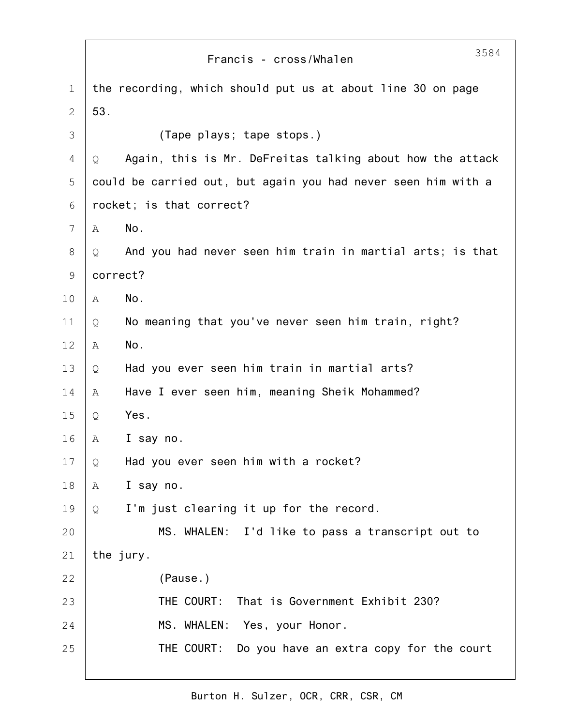|             | 3584<br>Francis - cross/Whalen                                 |  |  |  |  |  |  |  |  |
|-------------|----------------------------------------------------------------|--|--|--|--|--|--|--|--|
| $\mathbf 1$ | the recording, which should put us at about line 30 on page    |  |  |  |  |  |  |  |  |
| 2           | 53.                                                            |  |  |  |  |  |  |  |  |
| 3           | (Tape plays; tape stops.)                                      |  |  |  |  |  |  |  |  |
| 4           | Again, this is Mr. DeFreitas talking about how the attack<br>Q |  |  |  |  |  |  |  |  |
| 5           | could be carried out, but again you had never seen him with a  |  |  |  |  |  |  |  |  |
| 6           | rocket; is that correct?                                       |  |  |  |  |  |  |  |  |
| 7           | No.<br>Α                                                       |  |  |  |  |  |  |  |  |
| 8           | And you had never seen him train in martial arts; is that<br>Q |  |  |  |  |  |  |  |  |
| 9           | correct?                                                       |  |  |  |  |  |  |  |  |
| 10          | No.<br>Α                                                       |  |  |  |  |  |  |  |  |
| 11          | No meaning that you've never seen him train, right?<br>Q       |  |  |  |  |  |  |  |  |
| 12          | No.<br>Α                                                       |  |  |  |  |  |  |  |  |
| 13          | Had you ever seen him train in martial arts?<br>Q              |  |  |  |  |  |  |  |  |
| 14          | Have I ever seen him, meaning Sheik Mohammed?<br>Α             |  |  |  |  |  |  |  |  |
| 15          | Yes.<br>Q                                                      |  |  |  |  |  |  |  |  |
| 16          | I say no.<br>Α                                                 |  |  |  |  |  |  |  |  |
| 17          | Had you ever seen him with a rocket?<br>Q                      |  |  |  |  |  |  |  |  |
| 18          | I say no.<br>Α                                                 |  |  |  |  |  |  |  |  |
| 19          | I'm just clearing it up for the record.<br>Q                   |  |  |  |  |  |  |  |  |
| 20          | MS. WHALEN: I'd like to pass a transcript out to               |  |  |  |  |  |  |  |  |
| 21          | the jury.                                                      |  |  |  |  |  |  |  |  |
| 22          | (Pause.)                                                       |  |  |  |  |  |  |  |  |
| 23          | THE COURT:<br>That is Government Exhibit 230?                  |  |  |  |  |  |  |  |  |
| 24          | MS. WHALEN: Yes, your Honor.                                   |  |  |  |  |  |  |  |  |
| 25          | THE COURT: Do you have an extra copy for the court             |  |  |  |  |  |  |  |  |
|             |                                                                |  |  |  |  |  |  |  |  |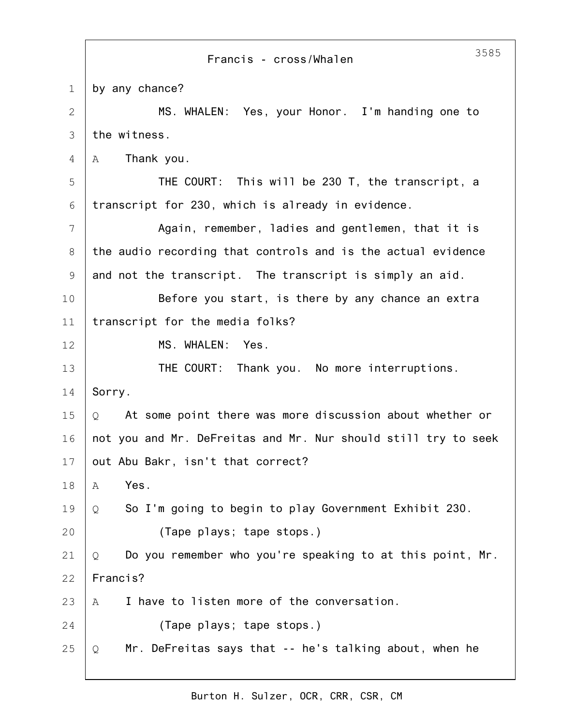|              | 3585<br>Francis - cross/Whalen                                 |  |  |  |  |  |  |  |  |
|--------------|----------------------------------------------------------------|--|--|--|--|--|--|--|--|
| $\mathbf 1$  | by any chance?                                                 |  |  |  |  |  |  |  |  |
| $\mathbf{2}$ | MS. WHALEN: Yes, your Honor. I'm handing one to                |  |  |  |  |  |  |  |  |
| 3            | the witness.                                                   |  |  |  |  |  |  |  |  |
| 4            | Thank you.<br>A                                                |  |  |  |  |  |  |  |  |
| 5            | THE COURT: This will be 230 T, the transcript, a               |  |  |  |  |  |  |  |  |
| 6            | transcript for 230, which is already in evidence.              |  |  |  |  |  |  |  |  |
| 7            | Again, remember, ladies and gentlemen, that it is              |  |  |  |  |  |  |  |  |
| 8            | the audio recording that controls and is the actual evidence   |  |  |  |  |  |  |  |  |
| $\mathsf 9$  | and not the transcript. The transcript is simply an aid.       |  |  |  |  |  |  |  |  |
| 10           | Before you start, is there by any chance an extra              |  |  |  |  |  |  |  |  |
| 11           | transcript for the media folks?                                |  |  |  |  |  |  |  |  |
| 12           | MS. WHALEN: Yes.                                               |  |  |  |  |  |  |  |  |
| 13           | THE COURT: Thank you. No more interruptions.                   |  |  |  |  |  |  |  |  |
| 14           | Sorry.                                                         |  |  |  |  |  |  |  |  |
| 15           | At some point there was more discussion about whether or<br>Q  |  |  |  |  |  |  |  |  |
| 16           | not you and Mr. DeFreitas and Mr. Nur should still try to seek |  |  |  |  |  |  |  |  |
| 17           | out Abu Bakr, isn't that correct?                              |  |  |  |  |  |  |  |  |
| 18           | Yes.<br>Α                                                      |  |  |  |  |  |  |  |  |
| 19           | So I'm going to begin to play Government Exhibit 230.<br>Q     |  |  |  |  |  |  |  |  |
| 20           | (Tape plays; tape stops.)                                      |  |  |  |  |  |  |  |  |
| 21           | Do you remember who you're speaking to at this point, Mr.<br>Q |  |  |  |  |  |  |  |  |
| 22           | Francis?                                                       |  |  |  |  |  |  |  |  |
| 23           | I have to listen more of the conversation.<br>Α                |  |  |  |  |  |  |  |  |
| 24           | (Tape plays; tape stops.)                                      |  |  |  |  |  |  |  |  |
| 25           | Mr. DeFreitas says that -- he's talking about, when he<br>Q    |  |  |  |  |  |  |  |  |
|              |                                                                |  |  |  |  |  |  |  |  |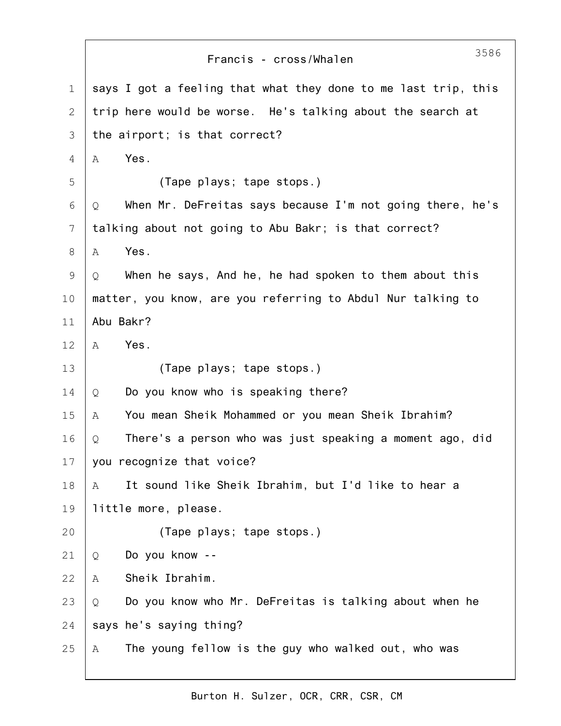|              | 3586<br>Francis - cross/Whalen                                 |  |  |  |  |  |  |  |  |
|--------------|----------------------------------------------------------------|--|--|--|--|--|--|--|--|
| 1            | says I got a feeling that what they done to me last trip, this |  |  |  |  |  |  |  |  |
| $\mathbf{2}$ | trip here would be worse. He's talking about the search at     |  |  |  |  |  |  |  |  |
| 3            | the airport; is that correct?                                  |  |  |  |  |  |  |  |  |
| 4            | Yes.<br>Α                                                      |  |  |  |  |  |  |  |  |
| 5            | (Tape plays; tape stops.)                                      |  |  |  |  |  |  |  |  |
| 6            | When Mr. DeFreitas says because I'm not going there, he's<br>Q |  |  |  |  |  |  |  |  |
| 7            | talking about not going to Abu Bakr; is that correct?          |  |  |  |  |  |  |  |  |
| $8\,$        | Yes.<br>Α                                                      |  |  |  |  |  |  |  |  |
| $\mathsf 9$  | When he says, And he, he had spoken to them about this<br>Q    |  |  |  |  |  |  |  |  |
| 10           | matter, you know, are you referring to Abdul Nur talking to    |  |  |  |  |  |  |  |  |
| 11           | Abu Bakr?                                                      |  |  |  |  |  |  |  |  |
| 12           | Yes.<br>Α                                                      |  |  |  |  |  |  |  |  |
| 13           | (Tape plays; tape stops.)                                      |  |  |  |  |  |  |  |  |
| 14           | Do you know who is speaking there?<br>Q                        |  |  |  |  |  |  |  |  |
| 15           | You mean Sheik Mohammed or you mean Sheik Ibrahim?<br>Α        |  |  |  |  |  |  |  |  |
| 16           | There's a person who was just speaking a moment ago, did<br>Q  |  |  |  |  |  |  |  |  |
| 17           | you recognize that voice?                                      |  |  |  |  |  |  |  |  |
| 18           | It sound like Sheik Ibrahim, but I'd like to hear a<br>A       |  |  |  |  |  |  |  |  |
| 19           | little more, please.                                           |  |  |  |  |  |  |  |  |
| 20           | (Tape plays; tape stops.)                                      |  |  |  |  |  |  |  |  |
| 21           | Do you know --<br>Q                                            |  |  |  |  |  |  |  |  |
| 22           | Sheik Ibrahim.<br>Α                                            |  |  |  |  |  |  |  |  |
| 23           | Do you know who Mr. DeFreitas is talking about when he<br>Q    |  |  |  |  |  |  |  |  |
| 24           | says he's saying thing?                                        |  |  |  |  |  |  |  |  |
| 25           | The young fellow is the guy who walked out, who was<br>Α       |  |  |  |  |  |  |  |  |
|              |                                                                |  |  |  |  |  |  |  |  |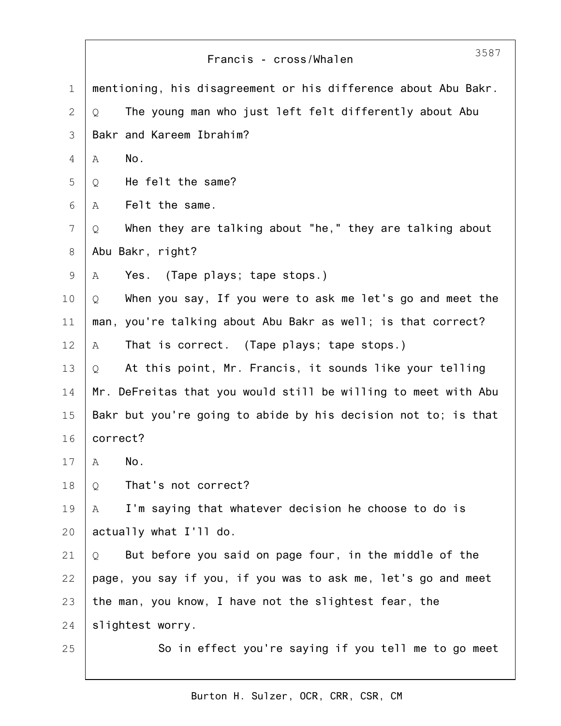|               | 3587<br>Francis - cross/Whalen                                 |  |  |  |  |  |  |  |  |  |
|---------------|----------------------------------------------------------------|--|--|--|--|--|--|--|--|--|
| $\mathbf 1$   | mentioning, his disagreement or his difference about Abu Bakr. |  |  |  |  |  |  |  |  |  |
| 2             | The young man who just left felt differently about Abu<br>Q    |  |  |  |  |  |  |  |  |  |
| 3             | Bakr and Kareem Ibrahim?                                       |  |  |  |  |  |  |  |  |  |
| 4             | No.<br>Α                                                       |  |  |  |  |  |  |  |  |  |
| 5             | He felt the same?<br>Q                                         |  |  |  |  |  |  |  |  |  |
| 6             | Felt the same.<br>Α                                            |  |  |  |  |  |  |  |  |  |
| 7             | When they are talking about "he," they are talking about<br>Q  |  |  |  |  |  |  |  |  |  |
| 8             | Abu Bakr, right?                                               |  |  |  |  |  |  |  |  |  |
| $\mathcal{G}$ | Yes. (Tape plays; tape stops.)<br>Α                            |  |  |  |  |  |  |  |  |  |
| 10            | When you say, If you were to ask me let's go and meet the<br>Q |  |  |  |  |  |  |  |  |  |
| 11            | man, you're talking about Abu Bakr as well; is that correct?   |  |  |  |  |  |  |  |  |  |
| 12            | That is correct. (Tape plays; tape stops.)<br>Α                |  |  |  |  |  |  |  |  |  |
| 13            | At this point, Mr. Francis, it sounds like your telling<br>Q   |  |  |  |  |  |  |  |  |  |
| 14            | Mr. DeFreitas that you would still be willing to meet with Abu |  |  |  |  |  |  |  |  |  |
| 15            | Bakr but you're going to abide by his decision not to; is that |  |  |  |  |  |  |  |  |  |
| 16            | correct?                                                       |  |  |  |  |  |  |  |  |  |
| 17            | No.<br>Α                                                       |  |  |  |  |  |  |  |  |  |
| 18            | That's not correct?<br>Q                                       |  |  |  |  |  |  |  |  |  |
| 19            | I'm saying that whatever decision he choose to do is<br>Α      |  |  |  |  |  |  |  |  |  |
| 20            | actually what I'll do.                                         |  |  |  |  |  |  |  |  |  |
| 21            | But before you said on page four, in the middle of the<br>Q    |  |  |  |  |  |  |  |  |  |
| 22            | page, you say if you, if you was to ask me, let's go and meet  |  |  |  |  |  |  |  |  |  |
| 23            | the man, you know, I have not the slightest fear, the          |  |  |  |  |  |  |  |  |  |
| 24            | slightest worry.                                               |  |  |  |  |  |  |  |  |  |
| 25            | So in effect you're saying if you tell me to go meet           |  |  |  |  |  |  |  |  |  |
|               |                                                                |  |  |  |  |  |  |  |  |  |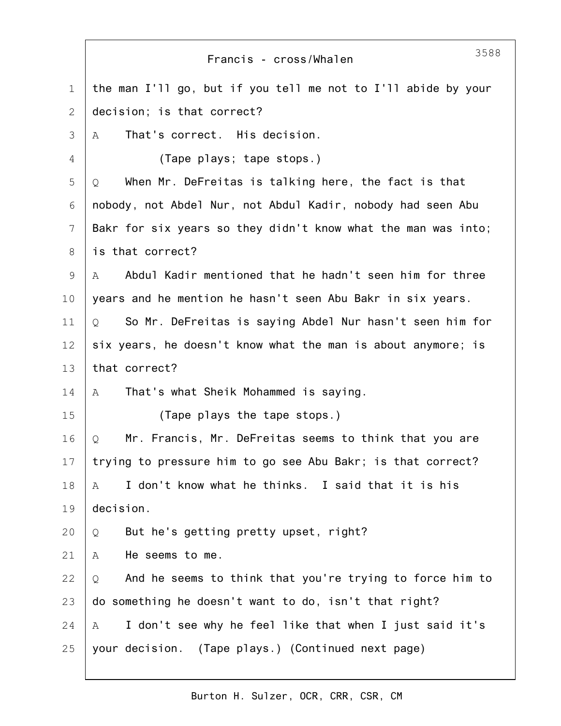|                | 3588<br>Francis - cross/Whalen                                |  |  |  |  |  |  |  |  |  |
|----------------|---------------------------------------------------------------|--|--|--|--|--|--|--|--|--|
| $\mathbf 1$    | the man I'll go, but if you tell me not to I'll abide by your |  |  |  |  |  |  |  |  |  |
| 2              | decision; is that correct?                                    |  |  |  |  |  |  |  |  |  |
| 3              | That's correct. His decision.<br>A                            |  |  |  |  |  |  |  |  |  |
| 4              | (Tape plays; tape stops.)                                     |  |  |  |  |  |  |  |  |  |
| 5              | When Mr. DeFreitas is talking here, the fact is that<br>Q     |  |  |  |  |  |  |  |  |  |
| 6              | nobody, not Abdel Nur, not Abdul Kadir, nobody had seen Abu   |  |  |  |  |  |  |  |  |  |
| 7              | Bakr for six years so they didn't know what the man was into; |  |  |  |  |  |  |  |  |  |
| 8              | is that correct?                                              |  |  |  |  |  |  |  |  |  |
| $\overline{9}$ | Abdul Kadir mentioned that he hadn't seen him for three<br>Α  |  |  |  |  |  |  |  |  |  |
| 10             | years and he mention he hasn't seen Abu Bakr in six years.    |  |  |  |  |  |  |  |  |  |
| 11             | So Mr. DeFreitas is saying Abdel Nur hasn't seen him for<br>Q |  |  |  |  |  |  |  |  |  |
| 12             | six years, he doesn't know what the man is about anymore; is  |  |  |  |  |  |  |  |  |  |
| 13             | that correct?                                                 |  |  |  |  |  |  |  |  |  |
| 14             | That's what Sheik Mohammed is saying.<br>Α                    |  |  |  |  |  |  |  |  |  |
| 15             | (Tape plays the tape stops.)                                  |  |  |  |  |  |  |  |  |  |
| 16             | Mr. Francis, Mr. DeFreitas seems to think that you are<br>Q   |  |  |  |  |  |  |  |  |  |
| 17             | trying to pressure him to go see Abu Bakr; is that correct?   |  |  |  |  |  |  |  |  |  |
| 18             | I don't know what he thinks. I said that it is his<br>A       |  |  |  |  |  |  |  |  |  |
| 19             | decision.                                                     |  |  |  |  |  |  |  |  |  |
| 20             | But he's getting pretty upset, right?<br>Q                    |  |  |  |  |  |  |  |  |  |
| 21             | He seems to me.<br>Α                                          |  |  |  |  |  |  |  |  |  |
| 22             | And he seems to think that you're trying to force him to<br>Q |  |  |  |  |  |  |  |  |  |
| 23             | do something he doesn't want to do, isn't that right?         |  |  |  |  |  |  |  |  |  |
| 24             | I don't see why he feel like that when I just said it's<br>A  |  |  |  |  |  |  |  |  |  |
| 25             | your decision. (Tape plays.) (Continued next page)            |  |  |  |  |  |  |  |  |  |
|                |                                                               |  |  |  |  |  |  |  |  |  |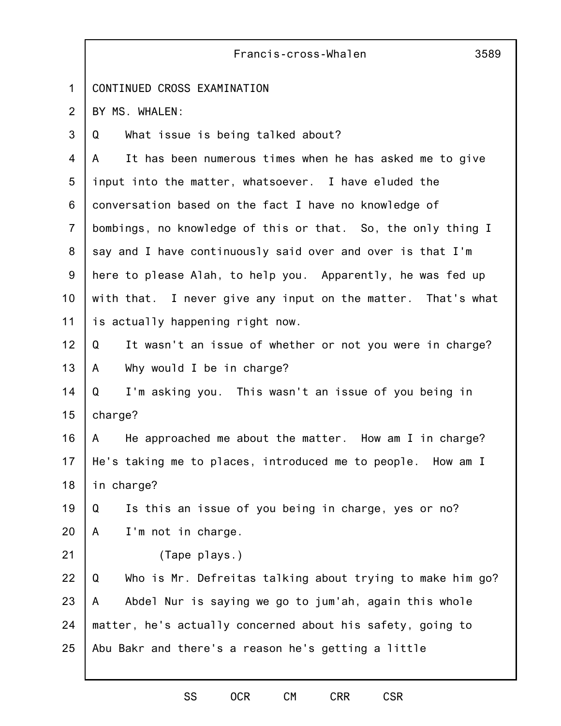|                | Francis-cross-Whalen<br>3589                                   |  |  |  |  |  |  |  |  |
|----------------|----------------------------------------------------------------|--|--|--|--|--|--|--|--|
| $\mathbf 1$    | CONTINUED CROSS EXAMINATION                                    |  |  |  |  |  |  |  |  |
| 2              | BY MS. WHALEN:                                                 |  |  |  |  |  |  |  |  |
| 3              | What issue is being talked about?<br>Q                         |  |  |  |  |  |  |  |  |
| 4              | It has been numerous times when he has asked me to give<br>A   |  |  |  |  |  |  |  |  |
| 5              | input into the matter, whatsoever. I have eluded the           |  |  |  |  |  |  |  |  |
| 6              | conversation based on the fact I have no knowledge of          |  |  |  |  |  |  |  |  |
| $\overline{7}$ | bombings, no knowledge of this or that. So, the only thing I   |  |  |  |  |  |  |  |  |
| 8              | say and I have continuously said over and over is that I'm     |  |  |  |  |  |  |  |  |
| 9              | here to please Alah, to help you. Apparently, he was fed up    |  |  |  |  |  |  |  |  |
| 10             | with that. I never give any input on the matter. That's what   |  |  |  |  |  |  |  |  |
| 11             | is actually happening right now.                               |  |  |  |  |  |  |  |  |
| 12             | Q<br>It wasn't an issue of whether or not you were in charge?  |  |  |  |  |  |  |  |  |
| 13             | Why would I be in charge?<br>A                                 |  |  |  |  |  |  |  |  |
| 14             | I'm asking you. This wasn't an issue of you being in<br>Q      |  |  |  |  |  |  |  |  |
| 15             | charge?                                                        |  |  |  |  |  |  |  |  |
| 16             | He approached me about the matter. How am I in charge?<br>A    |  |  |  |  |  |  |  |  |
| 17             | He's taking me to places, introduced me to people. How am I    |  |  |  |  |  |  |  |  |
| 18             | in charge?                                                     |  |  |  |  |  |  |  |  |
| 19             | Is this an issue of you being in charge, yes or no?<br>Q       |  |  |  |  |  |  |  |  |
| 20             | I'm not in charge.<br>A                                        |  |  |  |  |  |  |  |  |
| 21             | (Tape plays.)                                                  |  |  |  |  |  |  |  |  |
| 22             | Q<br>Who is Mr. Defreitas talking about trying to make him go? |  |  |  |  |  |  |  |  |
| 23             | Abdel Nur is saying we go to jum'ah, again this whole<br>A     |  |  |  |  |  |  |  |  |
| 24             | matter, he's actually concerned about his safety, going to     |  |  |  |  |  |  |  |  |
| 25             | Abu Bakr and there's a reason he's getting a little            |  |  |  |  |  |  |  |  |
|                |                                                                |  |  |  |  |  |  |  |  |

SS OCR CM CRR CSR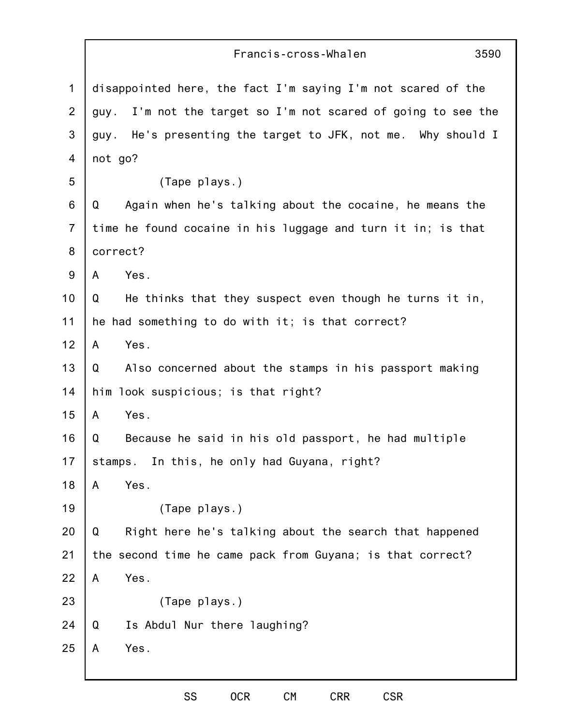|                | 3590<br>Francis-cross-Whalen                                     |  |  |  |  |  |  |  |  |
|----------------|------------------------------------------------------------------|--|--|--|--|--|--|--|--|
| $\mathbf 1$    | disappointed here, the fact I'm saying I'm not scared of the     |  |  |  |  |  |  |  |  |
| $\overline{2}$ | I'm not the target so I'm not scared of going to see the<br>guy. |  |  |  |  |  |  |  |  |
| 3              | He's presenting the target to JFK, not me. Why should I<br>guy.  |  |  |  |  |  |  |  |  |
| 4              | not go?                                                          |  |  |  |  |  |  |  |  |
| 5              | (Tape plays.)                                                    |  |  |  |  |  |  |  |  |
| 6              | Again when he's talking about the cocaine, he means the<br>Q     |  |  |  |  |  |  |  |  |
| $\overline{7}$ | time he found cocaine in his luggage and turn it in; is that     |  |  |  |  |  |  |  |  |
| 8              | correct?                                                         |  |  |  |  |  |  |  |  |
| 9              | Yes.<br>A                                                        |  |  |  |  |  |  |  |  |
| 10             | He thinks that they suspect even though he turns it in,<br>Q     |  |  |  |  |  |  |  |  |
| 11             | he had something to do with it; is that correct?                 |  |  |  |  |  |  |  |  |
| 12             | Yes.<br>A                                                        |  |  |  |  |  |  |  |  |
| 13             | Q<br>Also concerned about the stamps in his passport making      |  |  |  |  |  |  |  |  |
| 14             | him look suspicious; is that right?                              |  |  |  |  |  |  |  |  |
| 15             | Yes.<br>A                                                        |  |  |  |  |  |  |  |  |
| 16             | Because he said in his old passport, he had multiple<br>Q        |  |  |  |  |  |  |  |  |
| 17             | In this, he only had Guyana, right?<br>stamps.                   |  |  |  |  |  |  |  |  |
| 18             | Yes.<br>A                                                        |  |  |  |  |  |  |  |  |
| 19             | (Tape plays.)                                                    |  |  |  |  |  |  |  |  |
| 20             | Right here he's talking about the search that happened<br>Q      |  |  |  |  |  |  |  |  |
| 21             | the second time he came pack from Guyana; is that correct?       |  |  |  |  |  |  |  |  |
| 22             | Yes.<br>A                                                        |  |  |  |  |  |  |  |  |
| 23             | (Tape plays.)                                                    |  |  |  |  |  |  |  |  |
| 24             | Is Abdul Nur there laughing?<br>Q                                |  |  |  |  |  |  |  |  |
| 25             | Yes.<br>A                                                        |  |  |  |  |  |  |  |  |
|                |                                                                  |  |  |  |  |  |  |  |  |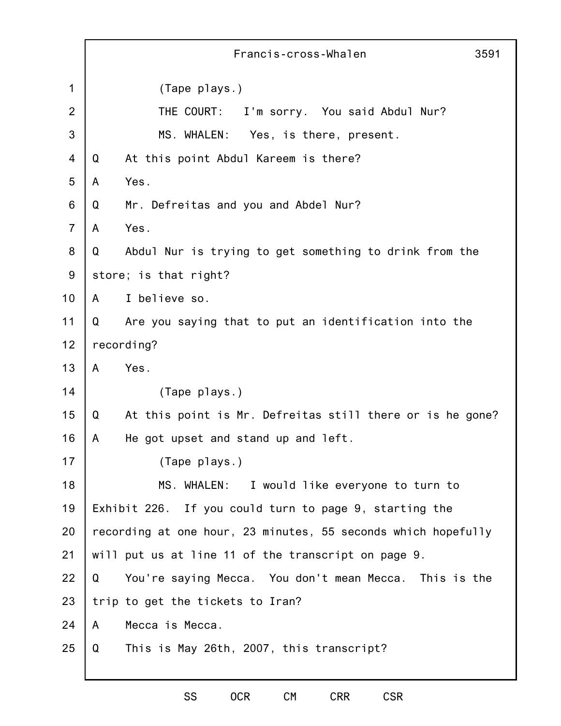|                | 3591<br>Francis-cross-Whalen                                  |                                                           |  |  |  |  |  |  |  |  |
|----------------|---------------------------------------------------------------|-----------------------------------------------------------|--|--|--|--|--|--|--|--|
| 1              | (Tape plays.)                                                 |                                                           |  |  |  |  |  |  |  |  |
| $\overline{2}$ | I'm sorry. You said Abdul Nur?<br>THE COURT:                  |                                                           |  |  |  |  |  |  |  |  |
| 3              | MS. WHALEN: Yes, is there, present.                           |                                                           |  |  |  |  |  |  |  |  |
| 4              | Q                                                             | At this point Abdul Kareem is there?                      |  |  |  |  |  |  |  |  |
| 5              | A                                                             | Yes.                                                      |  |  |  |  |  |  |  |  |
| 6              | Q                                                             | Mr. Defreitas and you and Abdel Nur?                      |  |  |  |  |  |  |  |  |
| $\overline{7}$ | A                                                             | Yes.                                                      |  |  |  |  |  |  |  |  |
| 8              | Q                                                             | Abdul Nur is trying to get something to drink from the    |  |  |  |  |  |  |  |  |
| 9              | store; is that right?                                         |                                                           |  |  |  |  |  |  |  |  |
| 10             | A                                                             | I believe so.                                             |  |  |  |  |  |  |  |  |
| 11             | Are you saying that to put an identification into the<br>Q    |                                                           |  |  |  |  |  |  |  |  |
| 12             | recording?                                                    |                                                           |  |  |  |  |  |  |  |  |
| 13             | A                                                             | Yes.                                                      |  |  |  |  |  |  |  |  |
| 14             |                                                               | (Tape plays.)                                             |  |  |  |  |  |  |  |  |
| 15             | Q                                                             | At this point is Mr. Defreitas still there or is he gone? |  |  |  |  |  |  |  |  |
| 16             | A                                                             | He got upset and stand up and left.                       |  |  |  |  |  |  |  |  |
| 17             |                                                               | (Tape plays.)                                             |  |  |  |  |  |  |  |  |
| 18             |                                                               | MS. WHALEN:<br>I would like everyone to turn to           |  |  |  |  |  |  |  |  |
| 19             | Exhibit 226. If you could turn to page 9, starting the        |                                                           |  |  |  |  |  |  |  |  |
| 20             | recording at one hour, 23 minutes, 55 seconds which hopefully |                                                           |  |  |  |  |  |  |  |  |
| 21             | will put us at line 11 of the transcript on page 9.           |                                                           |  |  |  |  |  |  |  |  |
| 22             | You're saying Mecca. You don't mean Mecca. This is the<br>Q   |                                                           |  |  |  |  |  |  |  |  |
| 23             |                                                               | trip to get the tickets to Iran?                          |  |  |  |  |  |  |  |  |
| 24             | A                                                             | Mecca is Mecca.                                           |  |  |  |  |  |  |  |  |
| 25             | This is May 26th, 2007, this transcript?<br>Q                 |                                                           |  |  |  |  |  |  |  |  |
|                |                                                               |                                                           |  |  |  |  |  |  |  |  |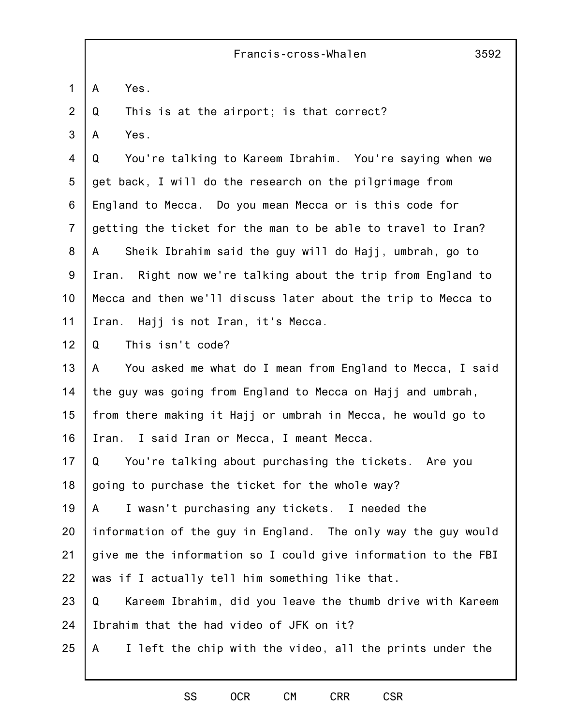| Francis-cross-Whalen |  |  |  |
|----------------------|--|--|--|
|                      |  |  |  |

1 A Yes.

2 Q This is at the airport; is that correct?

3 A Yes.

4 5 6 7 8 9 10 11 Q You're talking to Kareem Ibrahim. You're saying when we get back, I will do the research on the pilgrimage from England to Mecca. Do you mean Mecca or is this code for getting the ticket for the man to be able to travel to Iran? A Sheik Ibrahim said the guy will do Hajj, umbrah, go to Iran. Right now we're talking about the trip from England to Mecca and then we'll discuss later about the trip to Mecca to Iran. Hajj is not Iran, it's Mecca.

12 Q This isn't code?

13 14 15 16 A You asked me what do I mean from England to Mecca, I said the guy was going from England to Mecca on Hajj and umbrah, from there making it Hajj or umbrah in Mecca, he would go to Iran. I said Iran or Mecca, I meant Mecca.

17 18 Q You're talking about purchasing the tickets. Are you going to purchase the ticket for the whole way?

19 A I wasn't purchasing any tickets. I needed the

20 21 22 information of the guy in England. The only way the guy would give me the information so I could give information to the FBI was if I actually tell him something like that.

23 24 Q Kareem Ibrahim, did you leave the thumb drive with Kareem Ibrahim that the had video of JFK on it?

25 A I left the chip with the video, all the prints under the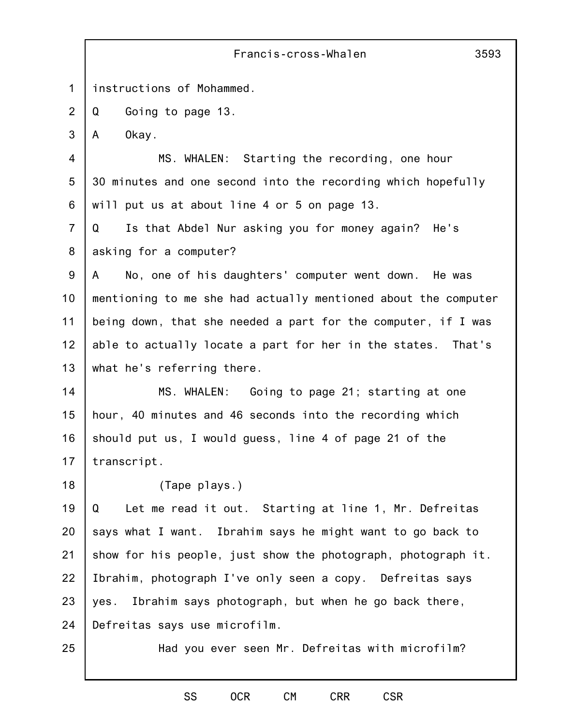|                | 3593<br>Francis-cross-Whalen                                    |
|----------------|-----------------------------------------------------------------|
| $\mathbf{1}$   | instructions of Mohammed.                                       |
| $\overline{2}$ | Going to page 13.<br>Q                                          |
| 3              | A<br>Okay.                                                      |
| $\overline{4}$ | MS. WHALEN: Starting the recording, one hour                    |
| 5              | 30 minutes and one second into the recording which hopefully    |
| 6              | will put us at about line 4 or 5 on page 13.                    |
| $\overline{7}$ | Is that Abdel Nur asking you for money again? He's<br>Q         |
| 8              | asking for a computer?                                          |
| 9              | No, one of his daughters' computer went down. He was<br>A       |
| 10             | mentioning to me she had actually mentioned about the computer  |
| 11             | being down, that she needed a part for the computer, if I was   |
| 12             | able to actually locate a part for her in the states.<br>That's |
| 13             | what he's referring there.                                      |
| 14             | MS. WHALEN:<br>Going to page 21; starting at one                |
| 15             | hour, 40 minutes and 46 seconds into the recording which        |
| 16             | should put us, I would guess, line 4 of page 21 of the          |
| 17             | transcript.                                                     |
| 18             | (Tape plays.)                                                   |
| 19             | Let me read it out. Starting at line 1, Mr. Defreitas<br>Q      |
| 20             | says what I want. Ibrahim says he might want to go back to      |
| 21             | show for his people, just show the photograph, photograph it.   |
| 22             | Ibrahim, photograph I've only seen a copy. Defreitas says       |
| 23             | Ibrahim says photograph, but when he go back there,<br>yes.     |
| 24             | Defreitas says use microfilm.                                   |
| 25             | Had you ever seen Mr. Defreitas with microfilm?                 |
|                |                                                                 |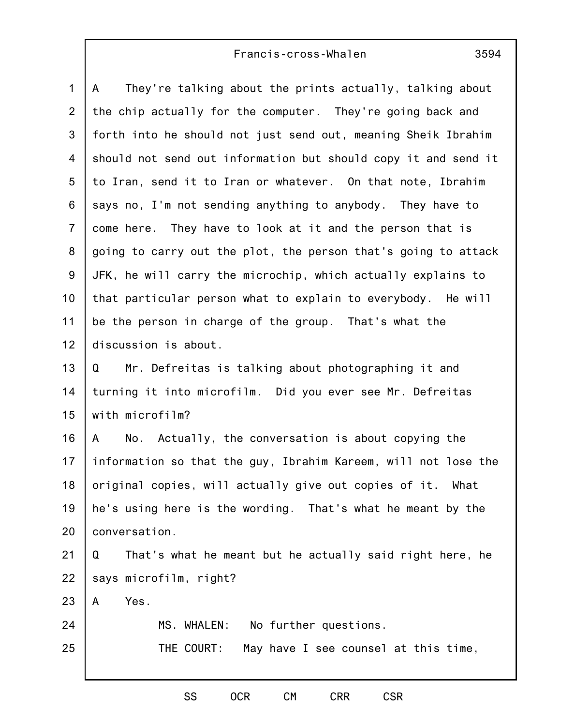### Francis-cross-Whalen

1 2 3 4 5 6 7 8 9 10 11 12 13 14 15 16 17 18 19 20 21 22 23 24 25 A They're talking about the prints actually, talking about the chip actually for the computer. They're going back and forth into he should not just send out, meaning Sheik Ibrahim should not send out information but should copy it and send it to Iran, send it to Iran or whatever. On that note, Ibrahim says no, I'm not sending anything to anybody. They have to come here. They have to look at it and the person that is going to carry out the plot, the person that's going to attack JFK, he will carry the microchip, which actually explains to that particular person what to explain to everybody. He will be the person in charge of the group. That's what the discussion is about. Q Mr. Defreitas is talking about photographing it and turning it into microfilm. Did you ever see Mr. Defreitas with microfilm? A No. Actually, the conversation is about copying the information so that the guy, Ibrahim Kareem, will not lose the original copies, will actually give out copies of it. What he's using here is the wording. That's what he meant by the conversation. Q That's what he meant but he actually said right here, he says microfilm, right? A Yes. MS. WHALEN: No further questions. THE COURT: May have I see counsel at this time,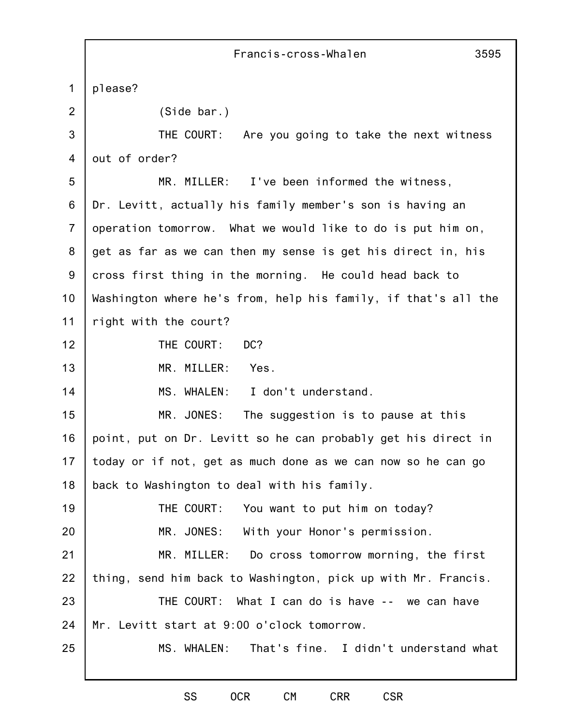|                 | 3595<br>Francis-cross-Whalen                                   |
|-----------------|----------------------------------------------------------------|
| $\mathbf{1}$    | please?                                                        |
| 2               | (Side bar.)                                                    |
| 3               | THE COURT: Are you going to take the next witness              |
| 4               | out of order?                                                  |
| 5               | MR. MILLER:<br>I've been informed the witness,                 |
| 6               | Dr. Levitt, actually his family member's son is having an      |
| $\overline{7}$  | operation tomorrow. What we would like to do is put him on,    |
| 8               | get as far as we can then my sense is get his direct in, his   |
| 9               | cross first thing in the morning. He could head back to        |
| 10 <sub>1</sub> | Washington where he's from, help his family, if that's all the |
| 11              | right with the court?                                          |
| 12              | THE COURT:<br>DC?                                              |
| 13              | MR. MILLER:<br>Yes.                                            |
| 14              | MS. WHALEN:<br>I don't understand.                             |
| 15              | MR. JONES:<br>The suggestion is to pause at this               |
| 16              | point, put on Dr. Levitt so he can probably get his direct in  |
| 17              | today or if not, get as much done as we can now so he can go   |
| 18              | back to Washington to deal with his family.                    |
| 19              | THE COURT:<br>You want to put him on today?                    |
| 20              | MR. JONES: With your Honor's permission.                       |
| 21              | MR. MILLER: Do cross tomorrow morning, the first               |
| 22              | thing, send him back to Washington, pick up with Mr. Francis.  |
| 23              | THE COURT: What I can do is have -- we can have                |
| 24              | Mr. Levitt start at 9:00 o'clock tomorrow.                     |
| 25              | MS. WHALEN:<br>That's fine. I didn't understand what           |
|                 |                                                                |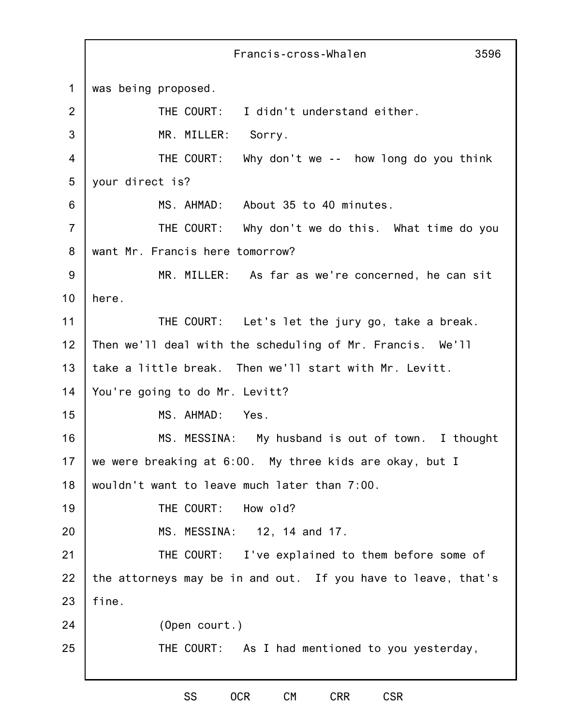1  $\mathcal{P}$ 3 4 5 6 7 8 9 10 11 12 13 14 15 16 17 18 19 20 21 22 23 24 25 Francis-cross-Whalen 3596 was being proposed. THE COURT: I didn't understand either. MR. MILLER: Sorry. THE COURT: Why don't we -- how long do you think your direct is? MS. AHMAD: About 35 to 40 minutes. THE COURT: Why don't we do this. What time do you want Mr. Francis here tomorrow? MR. MILLER: As far as we're concerned, he can sit here. THE COURT: Let's let the jury go, take a break. Then we'll deal with the scheduling of Mr. Francis. We'll take a little break. Then we'll start with Mr. Levitt. You're going to do Mr. Levitt? MS. AHMAD: Yes. MS. MESSINA: My husband is out of town. I thought we were breaking at 6:00. My three kids are okay, but I wouldn't want to leave much later than 7:00. THE COURT: How old? MS. MESSINA: 12, 14 and 17. THE COURT: I've explained to them before some of the attorneys may be in and out. If you have to leave, that's fine. (Open court.) THE COURT: As I had mentioned to you yesterday,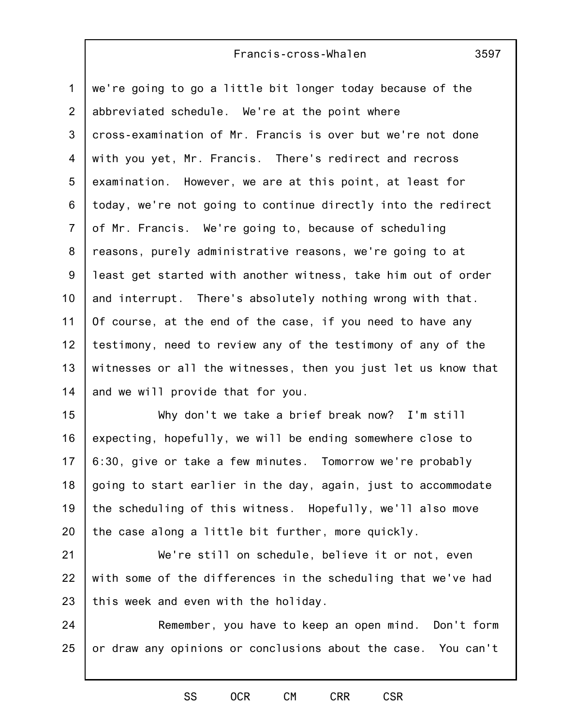## Francis-cross-Whalen

1 2 3 4 5 6 7 8 9 10 11 12 13 14 we're going to go a little bit longer today because of the abbreviated schedule. We're at the point where cross-examination of Mr. Francis is over but we're not done with you yet, Mr. Francis. There's redirect and recross examination. However, we are at this point, at least for today, we're not going to continue directly into the redirect of Mr. Francis. We're going to, because of scheduling reasons, purely administrative reasons, we're going to at least get started with another witness, take him out of order and interrupt. There's absolutely nothing wrong with that. Of course, at the end of the case, if you need to have any testimony, need to review any of the testimony of any of the witnesses or all the witnesses, then you just let us know that and we will provide that for you.

15 16 17 18 19 20 Why don't we take a brief break now? I'm still expecting, hopefully, we will be ending somewhere close to 6:30, give or take a few minutes. Tomorrow we're probably going to start earlier in the day, again, just to accommodate the scheduling of this witness. Hopefully, we'll also move the case along a little bit further, more quickly.

21 22 23 We're still on schedule, believe it or not, even with some of the differences in the scheduling that we've had this week and even with the holiday.

24 25 Remember, you have to keep an open mind. Don't form or draw any opinions or conclusions about the case. You can't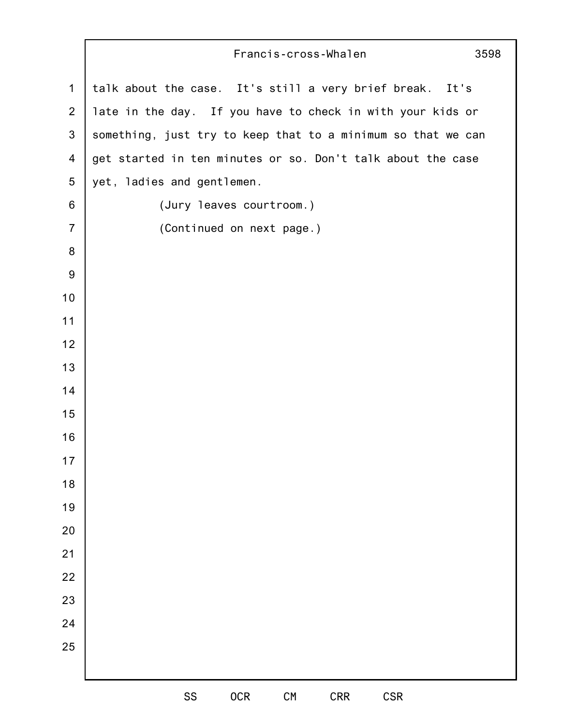## Francis-cross-Whalen

 talk about the case. It's still a very brief break. It's late in the day. If you have to check in with your kids or something, just try to keep that to a minimum so that we can get started in ten minutes or so. Don't talk about the case yet, ladies and gentlemen. (Jury leaves courtroom.) (Continued on next page.)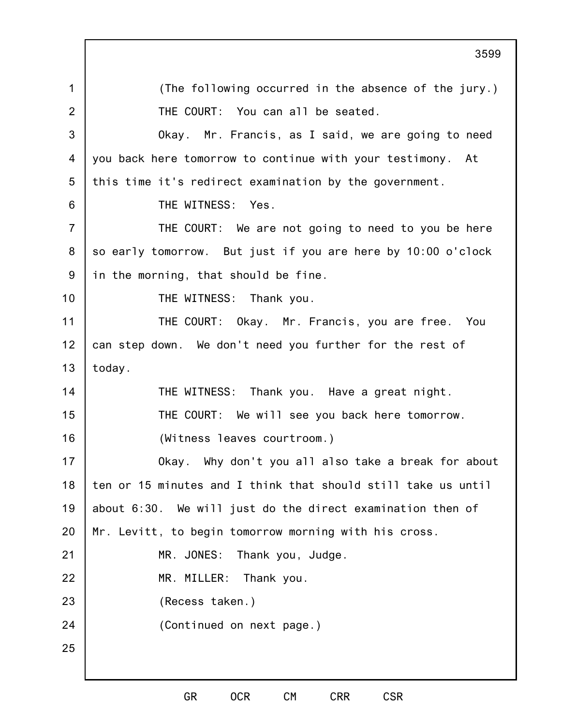1 2 3 4 5 6 7 8 9 10 11 12 13 14 15 16 17 18 19 20 21 22 23 24 25 3599 (The following occurred in the absence of the jury.) THE COURT: You can all be seated. Okay. Mr. Francis, as I said, we are going to need you back here tomorrow to continue with your testimony. At this time it's redirect examination by the government. THE WITNESS: Yes. THE COURT: We are not going to need to you be here so early tomorrow. But just if you are here by 10:00 o'clock in the morning, that should be fine. THE WITNESS: Thank you. THE COURT: Okay. Mr. Francis, you are free. You can step down. We don't need you further for the rest of today. THE WITNESS: Thank you. Have a great night. THE COURT: We will see you back here tomorrow. (Witness leaves courtroom.) Okay. Why don't you all also take a break for about ten or 15 minutes and I think that should still take us until about 6:30. We will just do the direct examination then of Mr. Levitt, to begin tomorrow morning with his cross. MR. JONES: Thank you, Judge. MR. MILLER: Thank you. (Recess taken.) (Continued on next page.)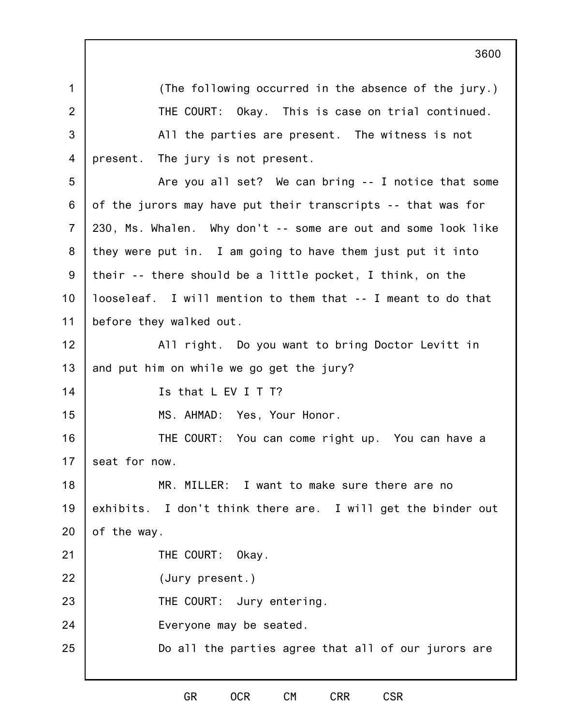|                | 3600                                                          |
|----------------|---------------------------------------------------------------|
| $\mathbf 1$    | (The following occurred in the absence of the jury.)          |
| $\overline{2}$ | THE COURT: Okay. This is case on trial continued.             |
| 3              | All the parties are present. The witness is not               |
| 4              | present. The jury is not present.                             |
| 5              | Are you all set? We can bring -- I notice that some           |
| 6              | of the jurors may have put their transcripts -- that was for  |
| $\overline{7}$ | 230, Ms. Whalen. Why don't -- some are out and some look like |
| 8              | they were put in. I am going to have them just put it into    |
| $9\,$          | their -- there should be a little pocket, I think, on the     |
| 10             | looseleaf. I will mention to them that -- I meant to do that  |
| 11             | before they walked out.                                       |
| 12             | All right. Do you want to bring Doctor Levitt in              |
| 13             | and put him on while we go get the jury?                      |
| 14             | Is that L EV I T T?                                           |
| 15             | MS. AHMAD: Yes, Your Honor.                                   |
| 16             | THE COURT: You can come right up. You can have a              |
| 17             | seat for now.                                                 |
| 18             | MR. MILLER: I want to make sure there are no                  |
| 19             | exhibits. I don't think there are. I will get the binder out  |
| 20             | of the way.                                                   |
| 21             | THE COURT: Okay.                                              |
| 22             | (Jury present.)                                               |
| 23             | THE COURT: Jury entering.                                     |
| 24             | Everyone may be seated.                                       |
| 25             | Do all the parties agree that all of our jurors are           |

GR OCR CM CRR CSR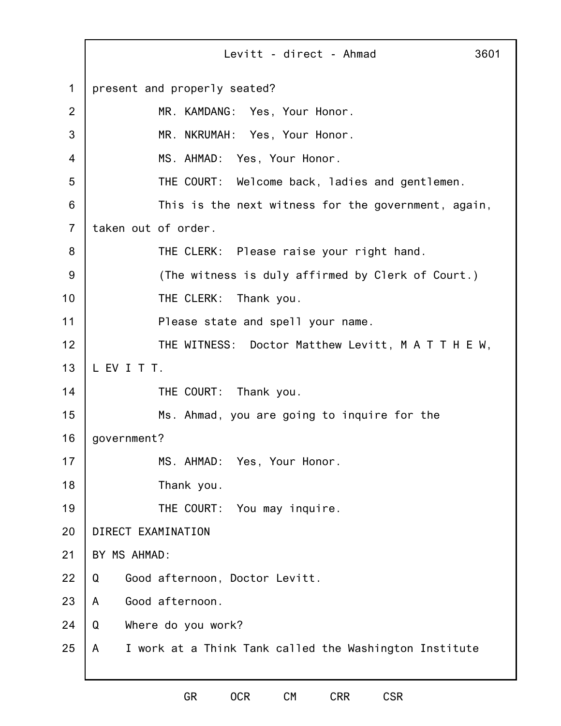1 2 3 4 5 6 7 8 9 10 11 12 13 14 15 16 17 18 19 20 21 22 23 24 25 Levitt - direct - Ahmad 3601 present and properly seated? MR. KAMDANG: Yes, Your Honor. MR. NKRUMAH: Yes, Your Honor. MS. AHMAD: Yes, Your Honor. THE COURT: Welcome back, ladies and gentlemen. This is the next witness for the government, again, taken out of order. THE CLERK: Please raise your right hand. (The witness is duly affirmed by Clerk of Court.) THE CLERK: Thank you. Please state and spell your name. THE WITNESS: Doctor Matthew Levitt, M A T T H E W, L EV I T T. THE COURT: Thank you. Ms. Ahmad, you are going to inquire for the government? MS. AHMAD: Yes, Your Honor. Thank you. THE COURT: You may inquire. DIRECT EXAMINATION BY MS AHMAD: Q Good afternoon, Doctor Levitt. A Good afternoon. Q Where do you work? A I work at a Think Tank called the Washington Institute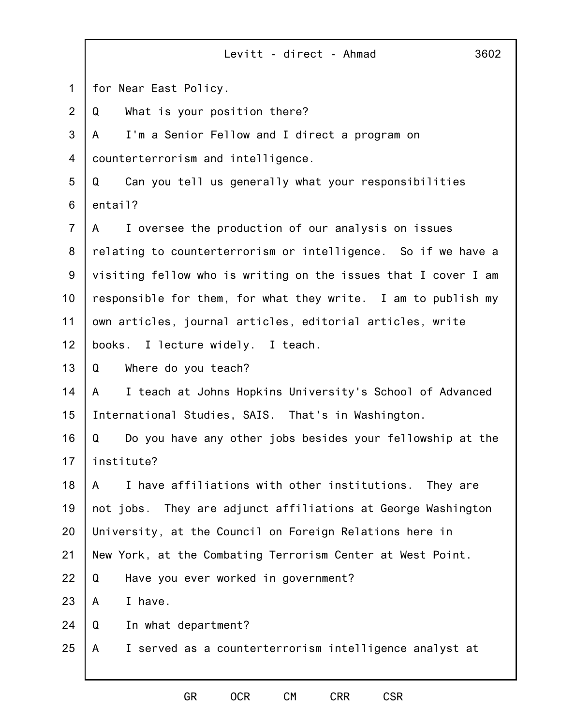|                | Levitt - direct - Ahmad<br>3602                                 |
|----------------|-----------------------------------------------------------------|
| $\mathbf 1$    | for Near East Policy.                                           |
| $\overline{2}$ | What is your position there?<br>Q                               |
| 3              | I'm a Senior Fellow and I direct a program on<br>A              |
| 4              | counterterrorism and intelligence.                              |
| 5              | Can you tell us generally what your responsibilities<br>Q       |
| 6              | entail?                                                         |
| $\overline{7}$ | I oversee the production of our analysis on issues<br>A         |
| 8              | relating to counterterrorism or intelligence. So if we have a   |
| 9              | visiting fellow who is writing on the issues that I cover I am  |
| 10             | responsible for them, for what they write. I am to publish my   |
| 11             | own articles, journal articles, editorial articles, write       |
| 12             | books. I lecture widely. I teach.                               |
| 13             | Where do you teach?<br>Q                                        |
| 14             | I teach at Johns Hopkins University's School of Advanced<br>A   |
| 15             | International Studies, SAIS. That's in Washington.              |
| 16             | Do you have any other jobs besides your fellowship at the<br>Q  |
| 17             | institute?                                                      |
| 18             | I have affiliations with other institutions.<br>They are<br>A   |
| 19             | They are adjunct affiliations at George Washington<br>not jobs. |
| 20             | University, at the Council on Foreign Relations here in         |
| 21             | New York, at the Combating Terrorism Center at West Point.      |
| 22             | Have you ever worked in government?<br>Q                        |
| 23             | I have.<br>A                                                    |
| 24             | In what department?<br>Q                                        |
| 25             | I served as a counterterrorism intelligence analyst at<br>A     |
|                |                                                                 |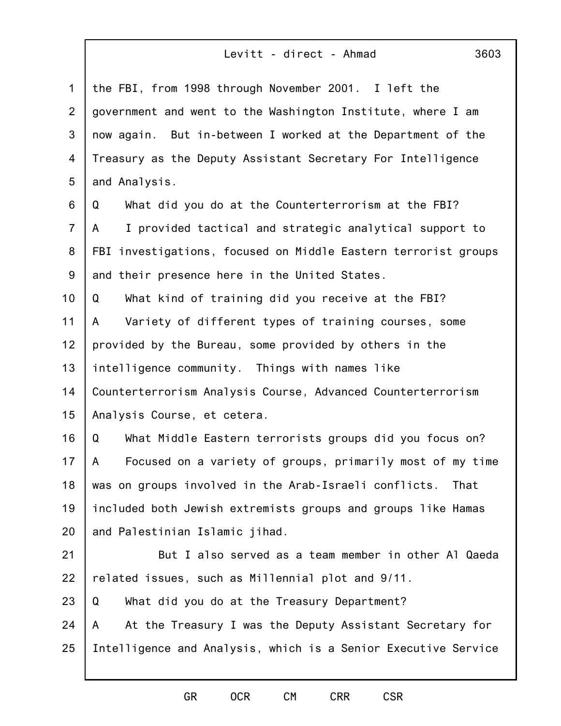1 2 3 4 5 6 7 8 9 10 11 12 13 14 15 16 17 18 19 20 21 22 23 24 25 the FBI, from 1998 through November 2001. I left the government and went to the Washington Institute, where I am now again. But in-between I worked at the Department of the Treasury as the Deputy Assistant Secretary For Intelligence and Analysis. Q What did you do at the Counterterrorism at the FBI? A I provided tactical and strategic analytical support to FBI investigations, focused on Middle Eastern terrorist groups and their presence here in the United States. Q What kind of training did you receive at the FBI? A Variety of different types of training courses, some provided by the Bureau, some provided by others in the intelligence community. Things with names like Counterterrorism Analysis Course, Advanced Counterterrorism Analysis Course, et cetera. Q What Middle Eastern terrorists groups did you focus on? A Focused on a variety of groups, primarily most of my time was on groups involved in the Arab-Israeli conflicts. That included both Jewish extremists groups and groups like Hamas and Palestinian Islamic jihad. But I also served as a team member in other Al Qaeda related issues, such as Millennial plot and 9/11. Q What did you do at the Treasury Department? A At the Treasury I was the Deputy Assistant Secretary for Intelligence and Analysis, which is a Senior Executive Service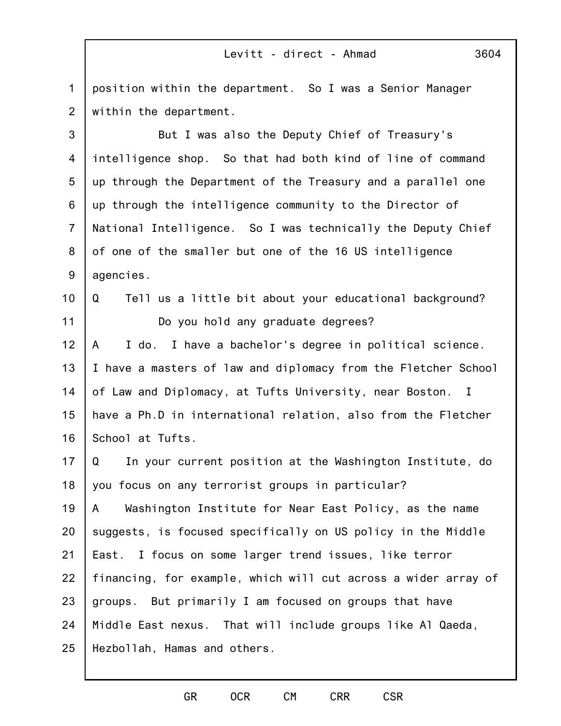1 2 position within the department. So I was a Senior Manager within the department.

3 4 5 6 7 8 9 But I was also the Deputy Chief of Treasury's intelligence shop. So that had both kind of line of command up through the Department of the Treasury and a parallel one up through the intelligence community to the Director of National Intelligence. So I was technically the Deputy Chief of one of the smaller but one of the 16 US intelligence agencies.

10 11 Q Tell us a little bit about your educational background? Do you hold any graduate degrees?

12 13 14 15 16 A I do. I have a bachelor's degree in political science. I have a masters of law and diplomacy from the Fletcher School of Law and Diplomacy, at Tufts University, near Boston. I have a Ph.D in international relation, also from the Fletcher School at Tufts.

17 18 Q In your current position at the Washington Institute, do you focus on any terrorist groups in particular?

19 20 21 22 23 24 25 A Washington Institute for Near East Policy, as the name suggests, is focused specifically on US policy in the Middle East. I focus on some larger trend issues, like terror financing, for example, which will cut across a wider array of groups. But primarily I am focused on groups that have Middle East nexus. That will include groups like Al Qaeda, Hezbollah, Hamas and others.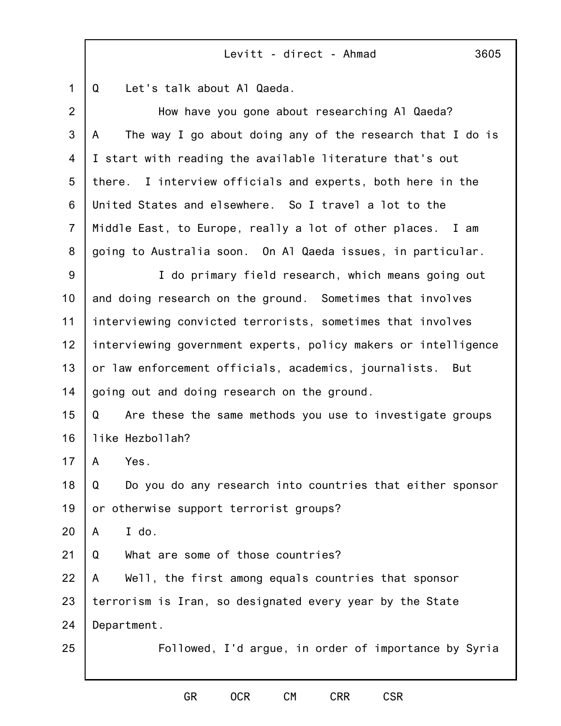3605

1 2 3 4 5 6 7 8 9 10 11 12 13 14 15 16 17 18 19 20 21 22 23 24 25 Q Let's talk about Al Qaeda. How have you gone about researching Al Qaeda? A The way I go about doing any of the research that I do is I start with reading the available literature that's out there. I interview officials and experts, both here in the United States and elsewhere. So I travel a lot to the Middle East, to Europe, really a lot of other places. I am going to Australia soon. On Al Qaeda issues, in particular. I do primary field research, which means going out and doing research on the ground. Sometimes that involves interviewing convicted terrorists, sometimes that involves interviewing government experts, policy makers or intelligence or law enforcement officials, academics, journalists. But going out and doing research on the ground. Q Are these the same methods you use to investigate groups like Hezbollah? A Yes. Q Do you do any research into countries that either sponsor or otherwise support terrorist groups? A I do. Q What are some of those countries? A Well, the first among equals countries that sponsor terrorism is Iran, so designated every year by the State Department. Followed, I'd argue, in order of importance by Syria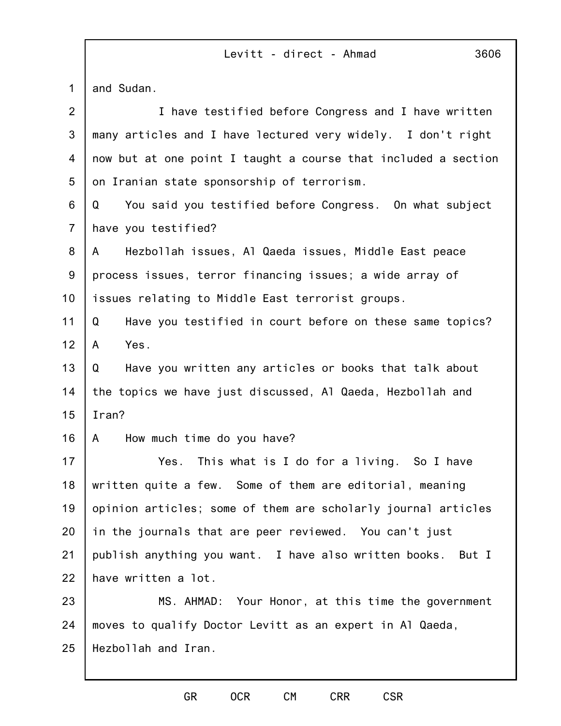1 2 3 4 5 6 7 8 9 10 11 12 13 14 15 16 17 18 19 20 21 22 23 24 25 and Sudan. I have testified before Congress and I have written many articles and I have lectured very widely. I don't right now but at one point I taught a course that included a section on Iranian state sponsorship of terrorism. Q You said you testified before Congress. On what subject have you testified? A Hezbollah issues, Al Qaeda issues, Middle East peace process issues, terror financing issues; a wide array of issues relating to Middle East terrorist groups. Q Have you testified in court before on these same topics? A Yes. Q Have you written any articles or books that talk about the topics we have just discussed, Al Qaeda, Hezbollah and Iran? A How much time do you have? Yes. This what is I do for a living. So I have written quite a few. Some of them are editorial, meaning opinion articles; some of them are scholarly journal articles in the journals that are peer reviewed. You can't just publish anything you want. I have also written books. But I have written a lot. MS. AHMAD: Your Honor, at this time the government moves to qualify Doctor Levitt as an expert in Al Qaeda, Hezbollah and Iran.

3606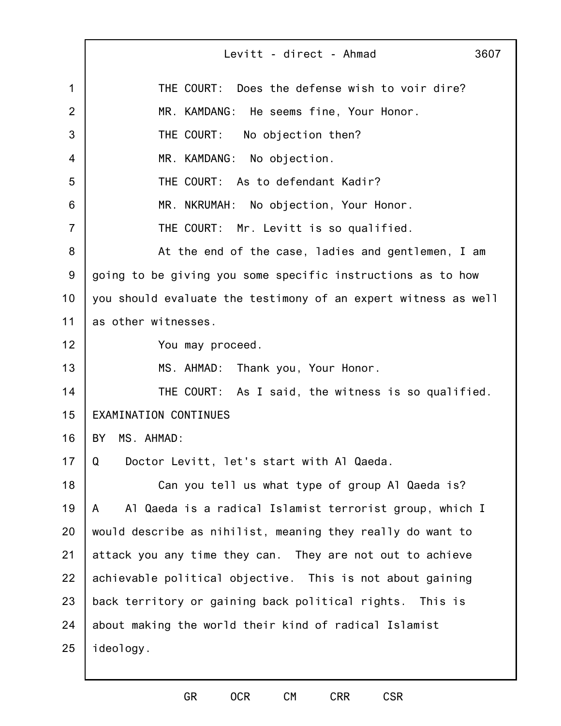1 2 3 4 5 6 7 8 9 10 11 12 13 14 15 16 17 18 19 20 21 22 23 24 25 Levitt - direct - Ahmad 3607 THE COURT: Does the defense wish to voir dire? MR. KAMDANG: He seems fine, Your Honor. THE COURT: No objection then? MR. KAMDANG: No objection. THE COURT: As to defendant Kadir? MR. NKRUMAH: No objection, Your Honor. THE COURT: Mr. Levitt is so qualified. At the end of the case, ladies and gentlemen, I am going to be giving you some specific instructions as to how you should evaluate the testimony of an expert witness as well as other witnesses. You may proceed. MS. AHMAD: Thank you, Your Honor. THE COURT: As I said, the witness is so qualified. EXAMINATION CONTINUES BY MS. AHMAD: Q Doctor Levitt, let's start with Al Qaeda. Can you tell us what type of group Al Qaeda is? A Al Qaeda is a radical Islamist terrorist group, which I would describe as nihilist, meaning they really do want to attack you any time they can. They are not out to achieve achievable political objective. This is not about gaining back territory or gaining back political rights. This is about making the world their kind of radical Islamist ideology.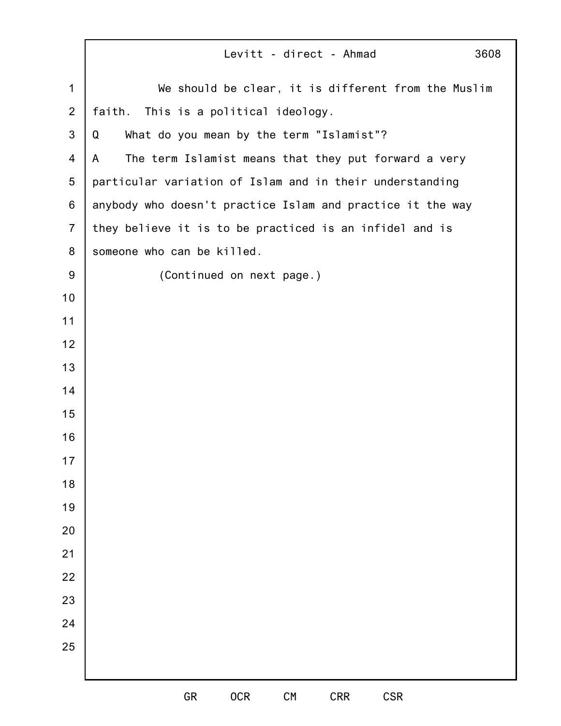|                | Levitt - direct - Ahmad<br>3608                            |
|----------------|------------------------------------------------------------|
| $\mathbf{1}$   | We should be clear, it is different from the Muslim        |
| $\overline{2}$ | faith.<br>This is a political ideology.                    |
| 3              | What do you mean by the term "Islamist"?<br>Q              |
| 4              | The term Islamist means that they put forward a very<br>A  |
| 5              | particular variation of Islam and in their understanding   |
| 6              | anybody who doesn't practice Islam and practice it the way |
| $\overline{7}$ | they believe it is to be practiced is an infidel and is    |
| 8              | someone who can be killed.                                 |
| 9              | (Continued on next page.)                                  |
| 10             |                                                            |
| 11             |                                                            |
| 12             |                                                            |
| 13             |                                                            |
| 14             |                                                            |
| 15             |                                                            |
| 16             |                                                            |
| 17             |                                                            |
| 18             |                                                            |
| 19             |                                                            |
| 20             |                                                            |
| 21             |                                                            |
| 22             |                                                            |
| 23             |                                                            |
| 24             |                                                            |
| 25             |                                                            |
|                |                                                            |
|                |                                                            |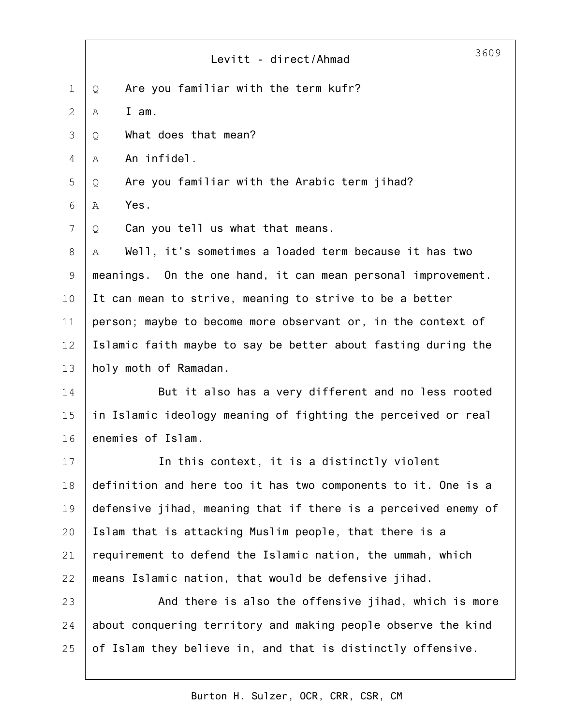|               | 3609<br>Levitt - direct/Ahmad                                  |
|---------------|----------------------------------------------------------------|
| $\mathbf 1$   | Are you familiar with the term kufr?<br>Q                      |
| 2             | $I$ am.<br>A                                                   |
| 3             | What does that mean?<br>Q                                      |
| 4             | An infidel.<br>Α                                               |
| 5             | Are you familiar with the Arabic term jihad?<br>Q              |
| 6             | Yes.<br>Α                                                      |
| 7             | Can you tell us what that means.<br>Q                          |
| 8             | Well, it's sometimes a loaded term because it has two<br>A     |
| $\mathcal{G}$ | meanings. On the one hand, it can mean personal improvement.   |
| 10            | It can mean to strive, meaning to strive to be a better        |
| 11            | person; maybe to become more observant or, in the context of   |
| 12            | Islamic faith maybe to say be better about fasting during the  |
| 13            | holy moth of Ramadan.                                          |
| 14            | But it also has a very different and no less rooted            |
| 15            | in Islamic ideology meaning of fighting the perceived or real  |
| 16            | enemies of Islam.                                              |
| 17            | In this context, it is a distinctly violent                    |
| 18            | definition and here too it has two components to it. One is a  |
| 19            | defensive jihad, meaning that if there is a perceived enemy of |
| 20            | Islam that is attacking Muslim people, that there is a         |
| 21            | requirement to defend the Islamic nation, the ummah, which     |
| 22            | means Islamic nation, that would be defensive jihad.           |
| 23            | And there is also the offensive jihad, which is more           |
| 24            | about conquering territory and making people observe the kind  |
| 25            | of Islam they believe in, and that is distinctly offensive.    |
|               |                                                                |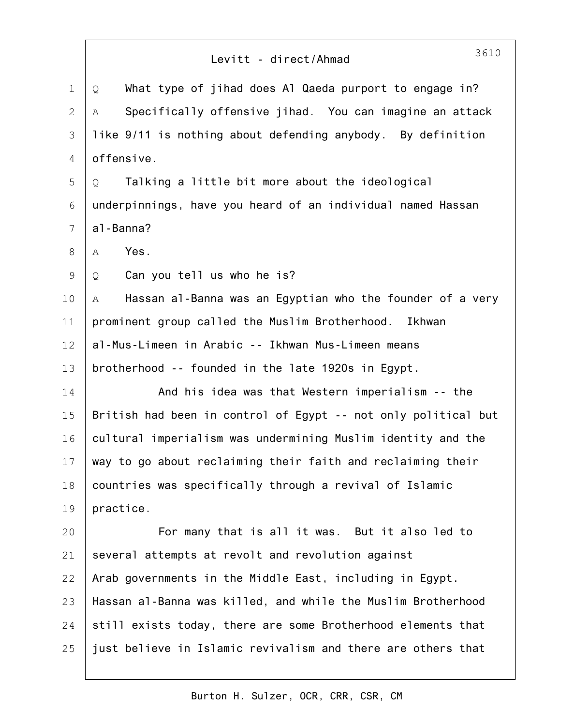| $\mathbf 1$   | What type of jihad does Al Qaeda purport to engage in?<br>Q    |
|---------------|----------------------------------------------------------------|
| 2             | Specifically offensive jihad. You can imagine an attack<br>Α   |
| 3             | like 9/11 is nothing about defending anybody. By definition    |
| 4             | offensive.                                                     |
| 5             | Talking a little bit more about the ideological<br>Q           |
| 6             | underpinnings, have you heard of an individual named Hassan    |
| 7             | al-Banna?                                                      |
| 8             | Yes.<br>Α                                                      |
| $\mathcal{G}$ | Can you tell us who he is?<br>Q                                |
| 10            | Hassan al-Banna was an Egyptian who the founder of a very<br>Α |
| 11            | prominent group called the Muslim Brotherhood.<br>Ikhwan       |
| 12            | al-Mus-Limeen in Arabic -- Ikhwan Mus-Limeen means             |
| 13            | brotherhood -- founded in the late 1920s in Egypt.             |
| 14            | And his idea was that Western imperialism -- the               |
| 15            | British had been in control of Egypt -- not only political but |
| 16            | cultural imperialism was undermining Muslim identity and the   |
| 17            | way to go about reclaiming their faith and reclaiming their    |
| 18            | countries was specifically through a revival of Islamic        |
| 19            | practice.                                                      |
| 20            | For many that is all it was. But it also led to                |
| 21            | several attempts at revolt and revolution against              |
| 22            | Arab governments in the Middle East, including in Egypt.       |
| 23            | Hassan al-Banna was killed, and while the Muslim Brotherhood   |
| 24            | still exists today, there are some Brotherhood elements that   |
| 25            | just believe in Islamic revivalism and there are others that   |
|               |                                                                |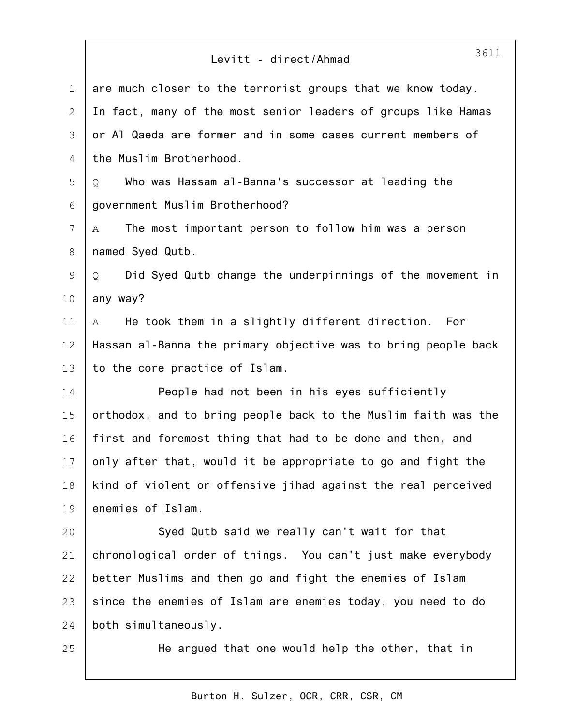| $\mathbf 1$ | are much closer to the terrorist groups that we know today.    |
|-------------|----------------------------------------------------------------|
| 2           | In fact, many of the most senior leaders of groups like Hamas  |
| 3           | or Al Qaeda are former and in some cases current members of    |
| 4           | the Muslim Brotherhood.                                        |
| 5           | Who was Hassam al-Banna's successor at leading the<br>Q        |
| 6           | government Muslim Brotherhood?                                 |
| 7           | The most important person to follow him was a person<br>Α      |
| 8           | named Syed Qutb.                                               |
| 9           | Did Syed Qutb change the underpinnings of the movement in<br>Q |
| $10$        | any way?                                                       |
| 11          | He took them in a slightly different direction.<br>For<br>А    |
| 12          | Hassan al-Banna the primary objective was to bring people back |
| 13          | to the core practice of Islam.                                 |
| 14          | People had not been in his eyes sufficiently                   |
| 15          | orthodox, and to bring people back to the Muslim faith was the |
| 16          | first and foremost thing that had to be done and then, and     |
| 17          | only after that, would it be appropriate to go and fight the   |
| 18          | kind of violent or offensive jihad against the real perceived  |
| 19          | enemies of Islam.                                              |
| 20          | Syed Qutb said we really can't wait for that                   |
| 21          | chronological order of things. You can't just make everybody   |
| 22          | better Muslims and then go and fight the enemies of Islam      |
| 23          | since the enemies of Islam are enemies today, you need to do   |
| 24          | both simultaneously.                                           |
| 25          | He argued that one would help the other, that in               |

Burton H. Sulzer, OCR, CRR, CSR, CM

3611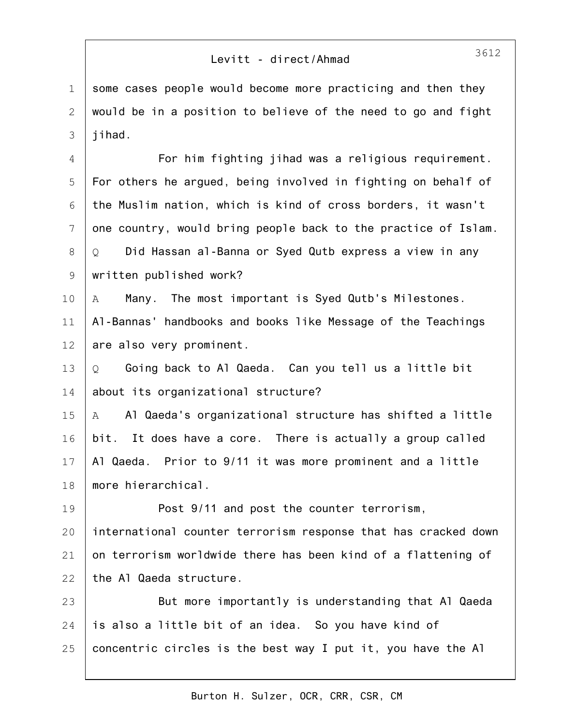1 2 3 some cases people would become more practicing and then they would be in a position to believe of the need to go and fight jihad.

4 5 6 7 8 9 10 11 12 13 14 15 16 17 18 19  $20$ 21 For him fighting jihad was a religious requirement. For others he argued, being involved in fighting on behalf of the Muslim nation, which is kind of cross borders, it wasn't one country, would bring people back to the practice of Islam. Q Did Hassan al-Banna or Syed Qutb express a view in any written published work? A Many. The most important is Syed Qutb's Milestones. Al-Bannas' handbooks and books like Message of the Teachings are also very prominent. Q Going back to Al Qaeda. Can you tell us a little bit about its organizational structure? A Al Qaeda's organizational structure has shifted a little bit. It does have a core. There is actually a group called Al Qaeda. Prior to 9/11 it was more prominent and a little more hierarchical. Post 9/11 and post the counter terrorism, international counter terrorism response that has cracked down on terrorism worldwide there has been kind of a flattening of

22 the Al Qaeda structure.

23 24 25 But more importantly is understanding that Al Qaeda is also a little bit of an idea. So you have kind of concentric circles is the best way I put it, you have the Al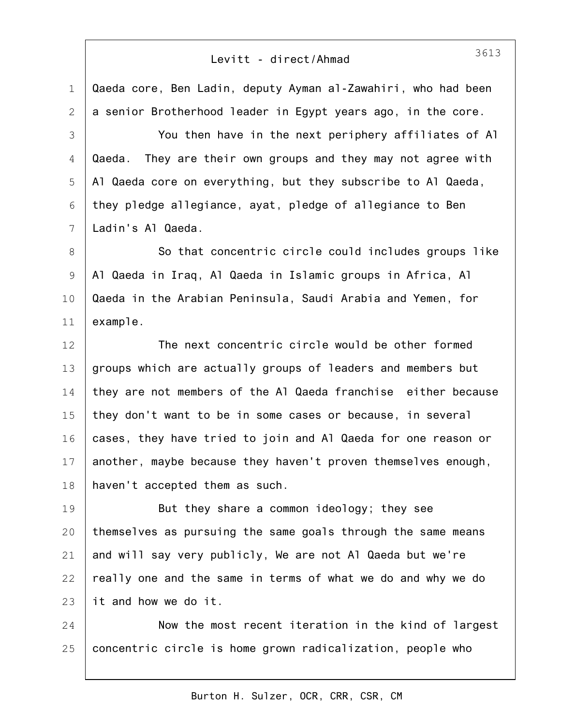3613

1 2 Qaeda core, Ben Ladin, deputy Ayman al-Zawahiri, who had been a senior Brotherhood leader in Egypt years ago, in the core.

3 4 5 6 7 You then have in the next periphery affiliates of Al Qaeda. They are their own groups and they may not agree with Al Qaeda core on everything, but they subscribe to Al Qaeda, they pledge allegiance, ayat, pledge of allegiance to Ben Ladin's Al Qaeda.

8 9 10 11 So that concentric circle could includes groups like Al Qaeda in Iraq, Al Qaeda in Islamic groups in Africa, Al Qaeda in the Arabian Peninsula, Saudi Arabia and Yemen, for example.

12 13 14 15 16 17 18 The next concentric circle would be other formed groups which are actually groups of leaders and members but they are not members of the Al Qaeda franchise either because they don't want to be in some cases or because, in several cases, they have tried to join and Al Qaeda for one reason or another, maybe because they haven't proven themselves enough, haven't accepted them as such.

19  $20$ 21 22 23 But they share a common ideology; they see themselves as pursuing the same goals through the same means and will say very publicly, We are not Al Qaeda but we're really one and the same in terms of what we do and why we do it and how we do it.

24 25 Now the most recent iteration in the kind of largest concentric circle is home grown radicalization, people who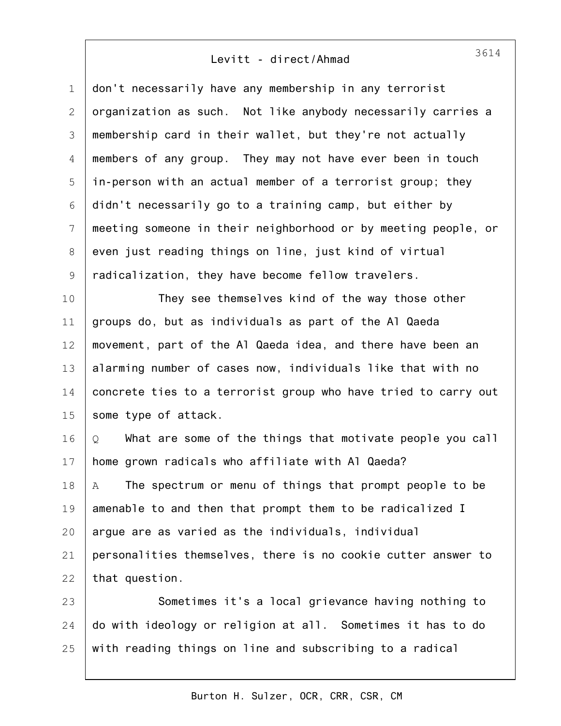1 2 3 4 5 6 7 8 9 don't necessarily have any membership in any terrorist organization as such. Not like anybody necessarily carries a membership card in their wallet, but they're not actually members of any group. They may not have ever been in touch in-person with an actual member of a terrorist group; they didn't necessarily go to a training camp, but either by meeting someone in their neighborhood or by meeting people, or even just reading things on line, just kind of virtual radicalization, they have become fellow travelers.

10 11 12 13 14 15 They see themselves kind of the way those other groups do, but as individuals as part of the Al Qaeda movement, part of the Al Qaeda idea, and there have been an alarming number of cases now, individuals like that with no concrete ties to a terrorist group who have tried to carry out some type of attack.

16 17 18 19  $20$ 21 22 Q What are some of the things that motivate people you call home grown radicals who affiliate with Al Qaeda? A The spectrum or menu of things that prompt people to be amenable to and then that prompt them to be radicalized I argue are as varied as the individuals, individual personalities themselves, there is no cookie cutter answer to that question.

23 24 25 Sometimes it's a local grievance having nothing to do with ideology or religion at all. Sometimes it has to do with reading things on line and subscribing to a radical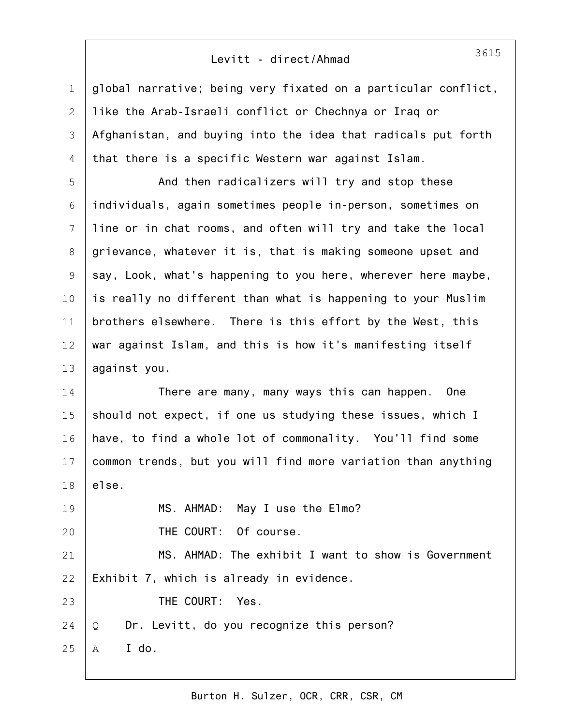1 2 3 4 global narrative; being very fixated on a particular conflict, like the Arab-Israeli conflict or Chechnya or Iraq or Afghanistan, and buying into the idea that radicals put forth that there is a specific Western war against Islam.

5 6 7 8 9 10 11 12 13 And then radicalizers will try and stop these individuals, again sometimes people in-person, sometimes on line or in chat rooms, and often will try and take the local grievance, whatever it is, that is making someone upset and say, Look, what's happening to you here, wherever here maybe, is really no different than what is happening to your Muslim brothers elsewhere. There is this effort by the West, this war against Islam, and this is how it's manifesting itself against you.

14 15 16 17 18 There are many, many ways this can happen. One should not expect, if one us studying these issues, which I have, to find a whole lot of commonality. You'll find some common trends, but you will find more variation than anything else.

19  $20$ 21 22 23 24 25 MS. AHMAD: May I use the Elmo? THE COURT: Of course. MS. AHMAD: The exhibit I want to show is Government Exhibit 7, which is already in evidence. THE COURT: Yes. Q Dr. Levitt, do you recognize this person? A I do.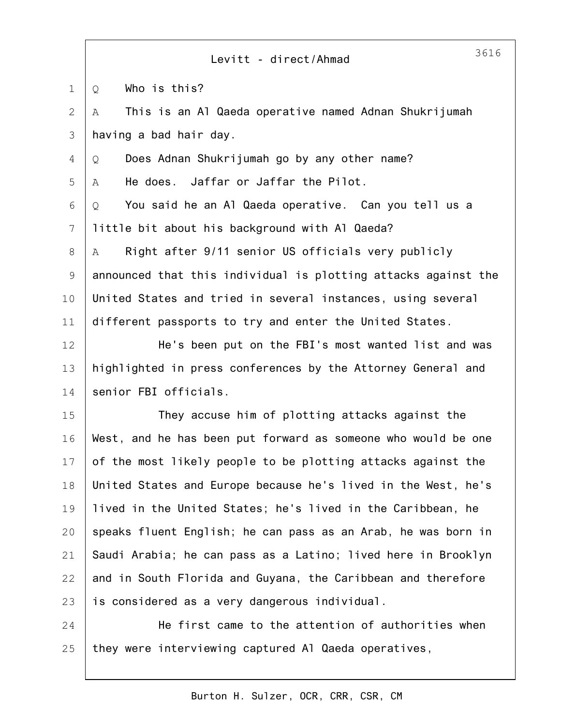|                | 3616<br>Levitt - direct/Ahmad                                  |
|----------------|----------------------------------------------------------------|
| $\mathbf 1$    | Who is this?<br>Q                                              |
| $\mathbf{2}$   | This is an Al Qaeda operative named Adnan Shukrijumah<br>Α     |
| 3              | having a bad hair day.                                         |
| $\overline{4}$ | Does Adnan Shukrijumah go by any other name?<br>Q              |
| 5              | He does. Jaffar or Jaffar the Pilot.<br>A                      |
| 6              | You said he an Al Qaeda operative. Can you tell us a<br>Q      |
| 7              | little bit about his background with Al Qaeda?                 |
| 8              | Right after 9/11 senior US officials very publicly<br>Α        |
| $\mathsf 9$    | announced that this individual is plotting attacks against the |
| 10             | United States and tried in several instances, using several    |
| 11             | different passports to try and enter the United States.        |
| 12             | He's been put on the FBI's most wanted list and was            |
| 13             | highlighted in press conferences by the Attorney General and   |
| 14             | senior FBI officials.                                          |
| 15             | They accuse him of plotting attacks against the                |
| 16             | West, and he has been put forward as someone who would be one  |
| 17             | of the most likely people to be plotting attacks against the   |
| 18             | United States and Europe because he's lived in the West, he's  |
| 19             | lived in the United States; he's lived in the Caribbean, he    |
| 20             | speaks fluent English; he can pass as an Arab, he was born in  |
| 21             | Saudi Arabia; he can pass as a Latino; lived here in Brooklyn  |
| 22             | and in South Florida and Guyana, the Caribbean and therefore   |
| 23             | is considered as a very dangerous individual.                  |
| 24             | He first came to the attention of authorities when             |
| 25             | they were interviewing captured Al Qaeda operatives,           |

 $\sqrt{ }$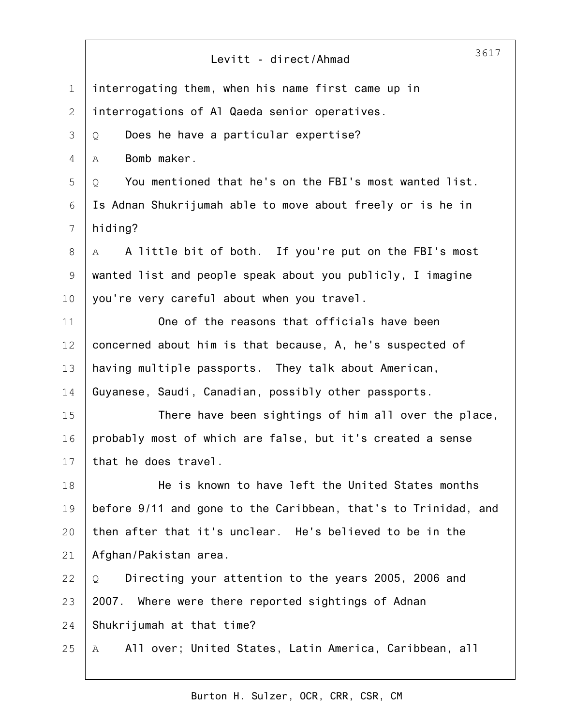|                | 3617<br>Levitt - direct/Ahmad                                  |
|----------------|----------------------------------------------------------------|
| $\mathbf 1$    | interrogating them, when his name first came up in             |
| $\mathbf{2}$   | interrogations of Al Qaeda senior operatives.                  |
| 3              | Does he have a particular expertise?<br>Q                      |
| $\overline{4}$ | Bomb maker.<br>Α                                               |
| 5              | You mentioned that he's on the FBI's most wanted list.<br>Q    |
| 6              | Is Adnan Shukrijumah able to move about freely or is he in     |
| 7              | hiding?                                                        |
| 8              | A little bit of both. If you're put on the FBI's most<br>A     |
| $\mathsf 9$    | wanted list and people speak about you publicly, I imagine     |
| 10             | you're very careful about when you travel.                     |
| 11             | One of the reasons that officials have been                    |
| 12             | concerned about him is that because, A, he's suspected of      |
| 13             | having multiple passports. They talk about American,           |
| 14             | Guyanese, Saudi, Canadian, possibly other passports.           |
| 15             | There have been sightings of him all over the place,           |
| 16             | probably most of which are false, but it's created a sense     |
| 17             | that he does travel.                                           |
| 18             | He is known to have left the United States months              |
| 19             | before 9/11 and gone to the Caribbean, that's to Trinidad, and |
| 20             | then after that it's unclear. He's believed to be in the       |
| 21             | Afghan/Pakistan area.                                          |
| 22             | Directing your attention to the years 2005, 2006 and<br>Q      |
| 23             | 2007. Where were there reported sightings of Adnan             |
| 24             | Shukrijumah at that time?                                      |
| 25             | All over; United States, Latin America, Caribbean, all<br>A    |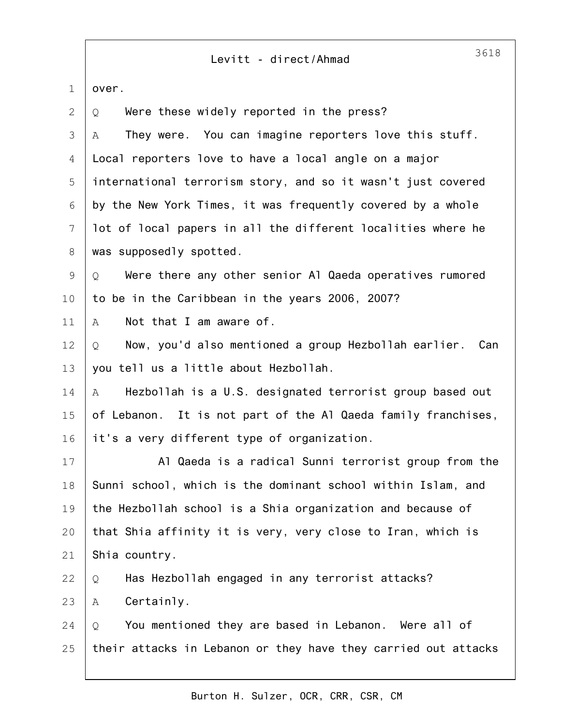# Levitt - direct/Ahmad

| $\mathbf 1$  | over.                                                          |
|--------------|----------------------------------------------------------------|
| $\mathbf{2}$ | Were these widely reported in the press?<br>Q                  |
| 3            | They were. You can imagine reporters love this stuff.<br>A     |
| 4            | Local reporters love to have a local angle on a major          |
| 5            | international terrorism story, and so it wasn't just covered   |
| 6            | by the New York Times, it was frequently covered by a whole    |
| 7            | lot of local papers in all the different localities where he   |
| $8\,$        | was supposedly spotted.                                        |
| $\mathsf 9$  | Were there any other senior Al Qaeda operatives rumored<br>Q   |
| 10           | to be in the Caribbean in the years 2006, 2007?                |
| 11           | Not that I am aware of.<br>A                                   |
| 12           | Now, you'd also mentioned a group Hezbollah earlier. Can<br>Q  |
| 13           | you tell us a little about Hezbollah.                          |
| 14           | Hezbollah is a U.S. designated terrorist group based out<br>А  |
| 15           | of Lebanon. It is not part of the Al Qaeda family franchises,  |
| 16           | it's a very different type of organization.                    |
| 17           | Al Qaeda is a radical Sunni terrorist group from the           |
| 18           | Sunni school, which is the dominant school within Islam, and   |
| 19           | the Hezbollah school is a Shia organization and because of     |
| 20           | that Shia affinity it is very, very close to Iran, which is    |
| 21           | Shia country.                                                  |
| 22           | Has Hezbollah engaged in any terrorist attacks?<br>Q           |
| 23           | Certainly.<br>Α                                                |
| 24           | You mentioned they are based in Lebanon. Were all of<br>Q      |
| 25           | their attacks in Lebanon or they have they carried out attacks |
|              |                                                                |

Burton H. Sulzer, OCR, CRR, CSR, CM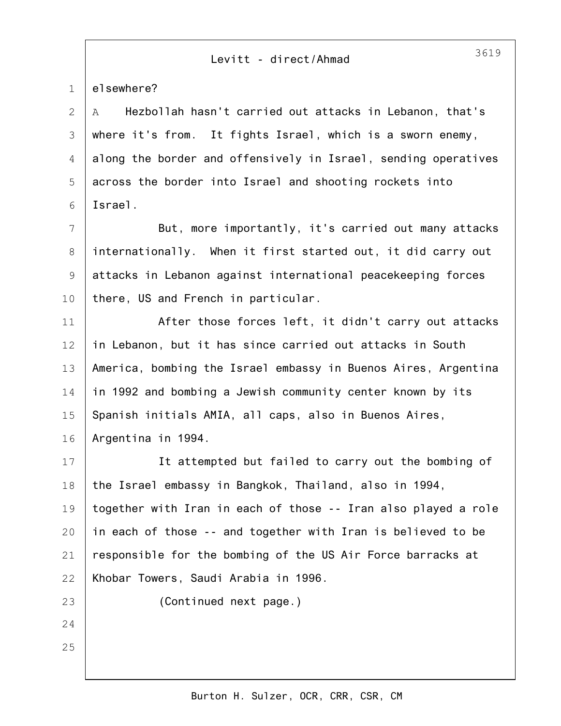1 elsewhere?

24

25

2 3 4 5 6 A Hezbollah hasn't carried out attacks in Lebanon, that's where it's from. It fights Israel, which is a sworn enemy, along the border and offensively in Israel, sending operatives across the border into Israel and shooting rockets into Israel.

7 8 9 10 But, more importantly, it's carried out many attacks internationally. When it first started out, it did carry out attacks in Lebanon against international peacekeeping forces there, US and French in particular.

11 12 13 14 15 16 After those forces left, it didn't carry out attacks in Lebanon, but it has since carried out attacks in South America, bombing the Israel embassy in Buenos Aires, Argentina in 1992 and bombing a Jewish community center known by its Spanish initials AMIA, all caps, also in Buenos Aires, Argentina in 1994.

17 18 19  $20$ 21 22 23 It attempted but failed to carry out the bombing of the Israel embassy in Bangkok, Thailand, also in 1994, together with Iran in each of those -- Iran also played a role in each of those -- and together with Iran is believed to be responsible for the bombing of the US Air Force barracks at Khobar Towers, Saudi Arabia in 1996. (Continued next page.)

Burton H. Sulzer, OCR, CRR, CSR, CM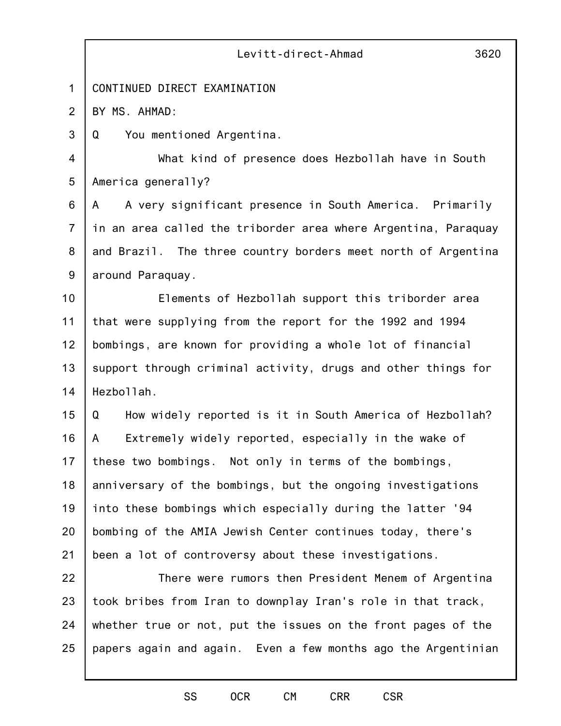1  $\mathcal{P}$ 3 4 5 6 7 8 9 10 11 12 13 14 15 16 17 18 19 20 21 22 23 24 25 Levitt-direct-Ahmad 3620 CONTINUED DIRECT EXAMINATION BY MS. AHMAD: Q You mentioned Argentina. What kind of presence does Hezbollah have in South America generally? A A very significant presence in South America. Primarily in an area called the triborder area where Argentina, Paraquay and Brazil. The three country borders meet north of Argentina around Paraquay. Elements of Hezbollah support this triborder area that were supplying from the report for the 1992 and 1994 bombings, are known for providing a whole lot of financial support through criminal activity, drugs and other things for Hezbollah. Q How widely reported is it in South America of Hezbollah? A Extremely widely reported, especially in the wake of these two bombings. Not only in terms of the bombings, anniversary of the bombings, but the ongoing investigations into these bombings which especially during the latter '94 bombing of the AMIA Jewish Center continues today, there's been a lot of controversy about these investigations. There were rumors then President Menem of Argentina took bribes from Iran to downplay Iran's role in that track, whether true or not, put the issues on the front pages of the papers again and again. Even a few months ago the Argentinian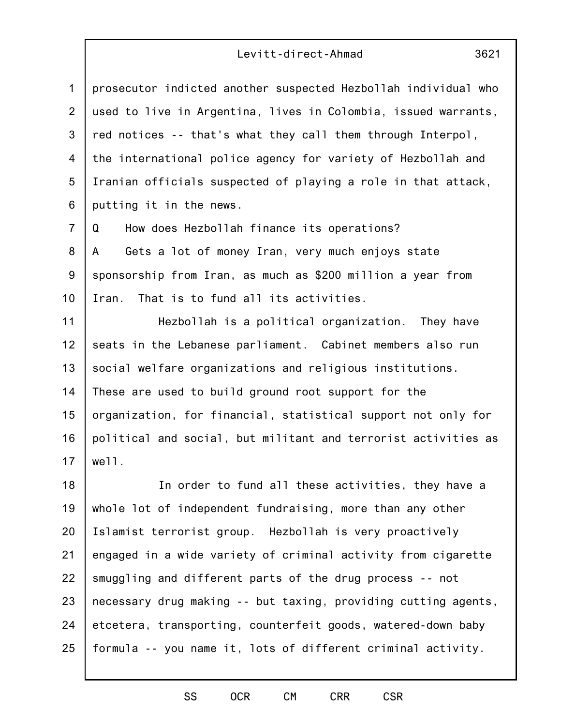| $\mathbf{1}$     | prosecutor indicted another suspected Hezbollah individual who |
|------------------|----------------------------------------------------------------|
| 2                | used to live in Argentina, lives in Colombia, issued warrants, |
| 3                | red notices -- that's what they call them through Interpol,    |
| 4                | the international police agency for variety of Hezbollah and   |
| 5                | Iranian officials suspected of playing a role in that attack,  |
| $6\phantom{1}$   | putting it in the news.                                        |
| $\overline{7}$   | How does Hezbollah finance its operations?<br>Q                |
| 8                | Gets a lot of money Iran, very much enjoys state<br>A          |
| $\boldsymbol{9}$ | sponsorship from Iran, as much as \$200 million a year from    |
| 10               | That is to fund all its activities.<br>Iran.                   |
| 11               | Hezbollah is a political organization. They have               |
| 12               | seats in the Lebanese parliament. Cabinet members also run     |
| 13               | social welfare organizations and religious institutions.       |
| 14               | These are used to build ground root support for the            |
| 15               | organization, for financial, statistical support not only for  |
| 16               | political and social, but militant and terrorist activities as |
| 17               | well.                                                          |
| 18               | In order to fund all these activities, they have a             |
| 19               | whole lot of independent fundraising, more than any other      |
| 20               | Islamist terrorist group. Hezbollah is very proactively        |
| 21               | engaged in a wide variety of criminal activity from cigarette  |

SS OCR CM CRR CSR

necessary drug making -- but taxing, providing cutting agents,

etcetera, transporting, counterfeit goods, watered-down baby

formula -- you name it, lots of different criminal activity.

smuggling and different parts of the drug process -- not

22

23

24

25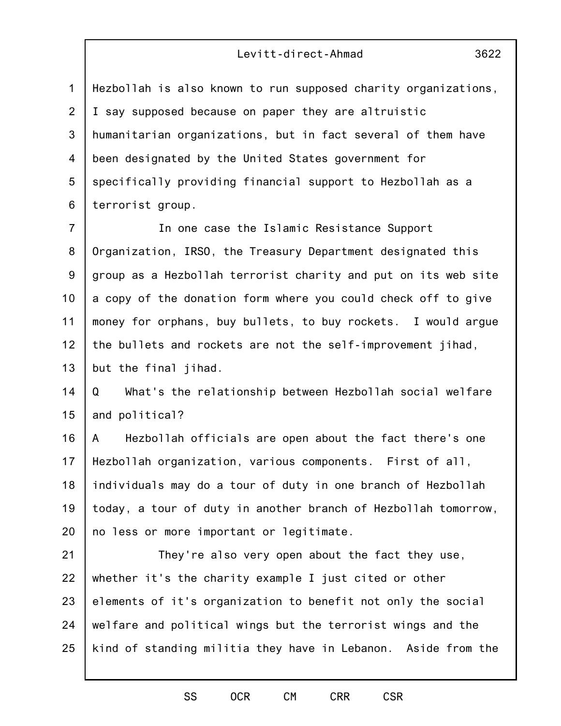1 2 3 4 5 6 Hezbollah is also known to run supposed charity organizations, I say supposed because on paper they are altruistic humanitarian organizations, but in fact several of them have been designated by the United States government for specifically providing financial support to Hezbollah as a terrorist group.

7 8 9 10 11 12 13 In one case the Islamic Resistance Support Organization, IRSO, the Treasury Department designated this group as a Hezbollah terrorist charity and put on its web site a copy of the donation form where you could check off to give money for orphans, buy bullets, to buy rockets. I would argue the bullets and rockets are not the self-improvement jihad, but the final jihad.

14 15 Q What's the relationship between Hezbollah social welfare and political?

16 17 18 19 20 A Hezbollah officials are open about the fact there's one Hezbollah organization, various components. First of all, individuals may do a tour of duty in one branch of Hezbollah today, a tour of duty in another branch of Hezbollah tomorrow, no less or more important or legitimate.

21 22 23 24 25 They're also very open about the fact they use, whether it's the charity example I just cited or other elements of it's organization to benefit not only the social welfare and political wings but the terrorist wings and the kind of standing militia they have in Lebanon. Aside from the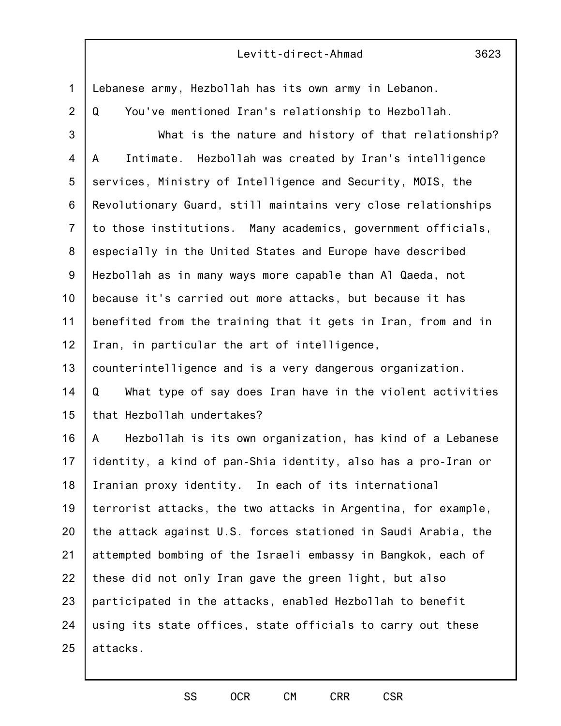3623

1 2 Lebanese army, Hezbollah has its own army in Lebanon. Q You've mentioned Iran's relationship to Hezbollah.

3 4 5 6 7 8 9 10 11 12 13 What is the nature and history of that relationship? A Intimate. Hezbollah was created by Iran's intelligence services, Ministry of Intelligence and Security, MOIS, the Revolutionary Guard, still maintains very close relationships to those institutions. Many academics, government officials, especially in the United States and Europe have described Hezbollah as in many ways more capable than Al Qaeda, not because it's carried out more attacks, but because it has benefited from the training that it gets in Iran, from and in Iran, in particular the art of intelligence, counterintelligence and is a very dangerous organization.

14 15 Q What type of say does Iran have in the violent activities that Hezbollah undertakes?

16 17 18 19 20 21 22 23 24 25 A Hezbollah is its own organization, has kind of a Lebanese identity, a kind of pan-Shia identity, also has a pro-Iran or Iranian proxy identity. In each of its international terrorist attacks, the two attacks in Argentina, for example, the attack against U.S. forces stationed in Saudi Arabia, the attempted bombing of the Israeli embassy in Bangkok, each of these did not only Iran gave the green light, but also participated in the attacks, enabled Hezbollah to benefit using its state offices, state officials to carry out these attacks.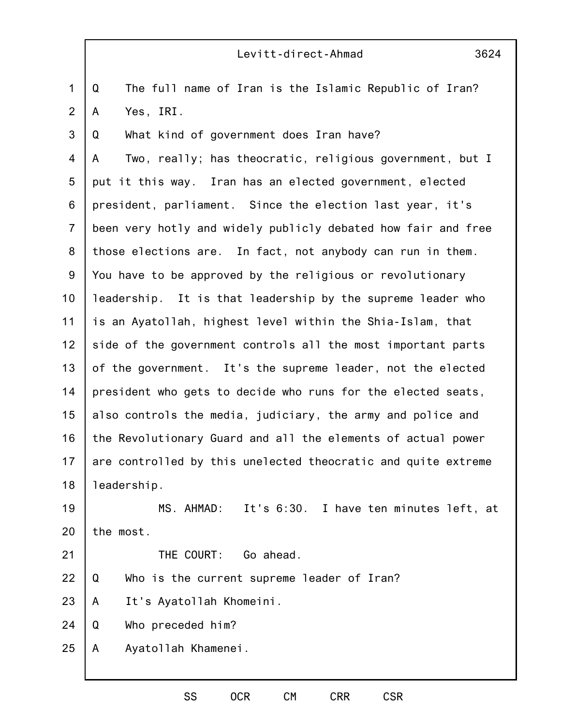|                | Levitt-direct-Ahmad<br>3624                                   |
|----------------|---------------------------------------------------------------|
| $\mathbf{1}$   | Q<br>The full name of Iran is the Islamic Republic of Iran?   |
| 2              | Yes, IRI.<br>A                                                |
| 3              | Q<br>What kind of government does Iran have?                  |
| $\overline{4}$ | Two, really; has theocratic, religious government, but I<br>A |
| 5              | put it this way. Iran has an elected government, elected      |
| 6              | president, parliament. Since the election last year, it's     |
| $\overline{7}$ | been very hotly and widely publicly debated how fair and free |
| 8              | those elections are. In fact, not anybody can run in them.    |
| $9\,$          | You have to be approved by the religious or revolutionary     |
| 10             | leadership. It is that leadership by the supreme leader who   |
| 11             | is an Ayatollah, highest level within the Shia-Islam, that    |
| 12             | side of the government controls all the most important parts  |
| 13             | of the government. It's the supreme leader, not the elected   |
| 14             | president who gets to decide who runs for the elected seats,  |
| 15             | also controls the media, judiciary, the army and police and   |
| 16             | the Revolutionary Guard and all the elements of actual power  |
| 17             | are controlled by this unelected theocratic and quite extreme |
| 18             | leadership.                                                   |
| 19             | MS. AHMAD: It's 6:30. I have ten minutes left, at             |
| 20             | the most.                                                     |
|                |                                                               |

21

THE COURT: Go ahead.

22 Q Who is the current supreme leader of Iran?

23 A It's Ayatollah Khomeini.

24 Q Who preceded him?

25 A Ayatollah Khamenei.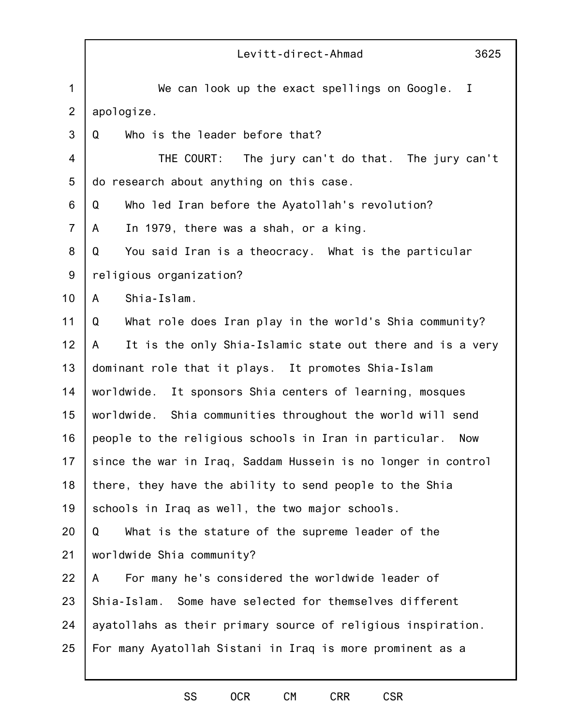|                | Levitt-direct-Ahmad<br>3625                                          |
|----------------|----------------------------------------------------------------------|
| $\mathbf 1$    | We can look up the exact spellings on Google.<br>$\mathbf{I}$        |
| $\overline{2}$ | apologize.                                                           |
| 3              | Who is the leader before that?<br>Q                                  |
| $\overline{4}$ | THE COURT: The jury can't do that. The jury can't                    |
| 5              | do research about anything on this case.                             |
| 6              | Who led Iran before the Ayatollah's revolution?<br>Q                 |
| $\overline{7}$ | In 1979, there was a shah, or a king.<br>A                           |
| 8              | You said Iran is a theocracy. What is the particular<br>Q            |
| $9\,$          | religious organization?                                              |
| 10             | Shia-Islam.<br>A                                                     |
| 11             | What role does Iran play in the world's Shia community?<br>Q         |
| 12             | It is the only Shia-Islamic state out there and is a very<br>A       |
| 13             | dominant role that it plays. It promotes Shia-Islam                  |
| 14             | worldwide.<br>It sponsors Shia centers of learning, mosques          |
| 15             | worldwide. Shia communities throughout the world will send           |
| 16             | people to the religious schools in Iran in particular.<br><b>Now</b> |
| 17             | since the war in Iraq, Saddam Hussein is no longer in control        |
| 18             | there, they have the ability to send people to the Shia              |
| 19             | schools in Iraq as well, the two major schools.                      |
| 20             | What is the stature of the supreme leader of the<br>Q                |
| 21             | worldwide Shia community?                                            |
| 22             | For many he's considered the worldwide leader of<br>A                |
| 23             | Shia-Islam. Some have selected for themselves different              |
| 24             | ayatollahs as their primary source of religious inspiration.         |
| 25             | For many Ayatollah Sistani in Iraq is more prominent as a            |
|                |                                                                      |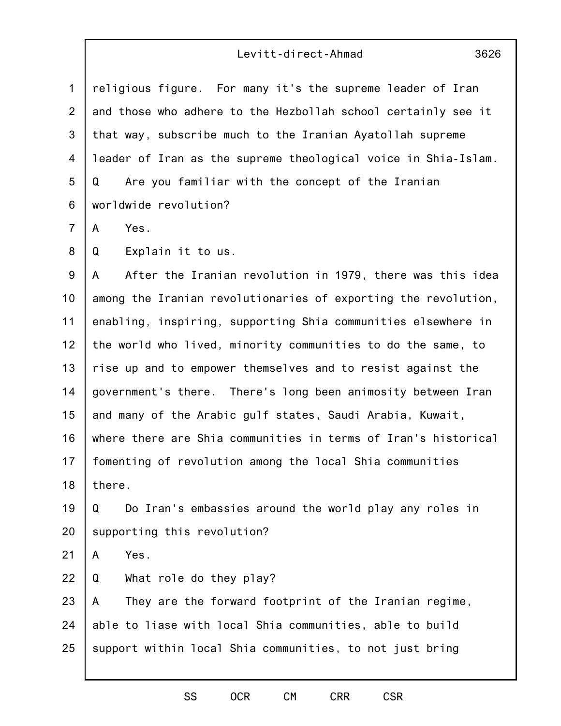1 2 3 4 5 6 religious figure. For many it's the supreme leader of Iran and those who adhere to the Hezbollah school certainly see it that way, subscribe much to the Iranian Ayatollah supreme leader of Iran as the supreme theological voice in Shia-Islam. Q Are you familiar with the concept of the Iranian worldwide revolution?

7 A Yes.

8 Q Explain it to us.

9 10 11 12 13 14 15 16 17 18 A After the Iranian revolution in 1979, there was this idea among the Iranian revolutionaries of exporting the revolution, enabling, inspiring, supporting Shia communities elsewhere in the world who lived, minority communities to do the same, to rise up and to empower themselves and to resist against the government's there. There's long been animosity between Iran and many of the Arabic gulf states, Saudi Arabia, Kuwait, where there are Shia communities in terms of Iran's historical fomenting of revolution among the local Shia communities there.

19 20 Q Do Iran's embassies around the world play any roles in supporting this revolution?

21 A Yes.

22 Q What role do they play?

23 24 25 A They are the forward footprint of the Iranian regime, able to liase with local Shia communities, able to build support within local Shia communities, to not just bring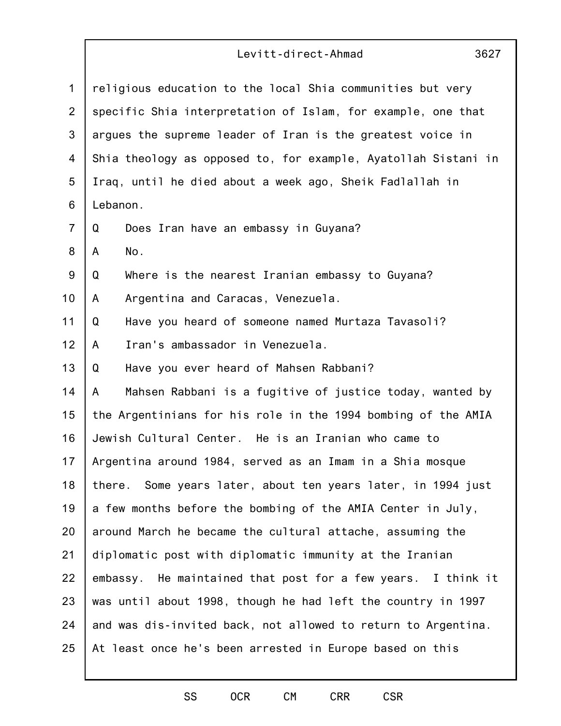| $\mathbf{1}$    | religious education to the local Shia communities but very     |
|-----------------|----------------------------------------------------------------|
| $\overline{2}$  | specific Shia interpretation of Islam, for example, one that   |
| 3               | argues the supreme leader of Iran is the greatest voice in     |
| $\overline{4}$  | Shia theology as opposed to, for example, Ayatollah Sistani in |
| 5               | Iraq, until he died about a week ago, Sheik Fadlallah in       |
| 6               | Lebanon.                                                       |
| $\overline{7}$  | Q<br>Does Iran have an embassy in Guyana?                      |
| 8               | No.<br>A                                                       |
| 9               | Where is the nearest Iranian embassy to Guyana?<br>Q           |
| 10 <sub>1</sub> | Argentina and Caracas, Venezuela.<br>A                         |
| 11              | Have you heard of someone named Murtaza Tavasoli?<br>Q         |
| 12              | Iran's ambassador in Venezuela.<br>A                           |
| 13              | Have you ever heard of Mahsen Rabbani?<br>Q                    |
| 14              | Mahsen Rabbani is a fugitive of justice today, wanted by<br>A  |
| 15              | the Argentinians for his role in the 1994 bombing of the AMIA  |
| 16              | Jewish Cultural Center. He is an Iranian who came to           |
| 17              | Argentina around 1984, served as an Imam in a Shia mosque      |
| 18              | there. Some years later, about ten years later, in 1994 just   |
| 19              | a few months before the bombing of the AMIA Center in July,    |
| 20              | around March he became the cultural attache, assuming the      |
| 21              | diplomatic post with diplomatic immunity at the Iranian        |
| 22              | embassy. He maintained that post for a few years. I think it   |
| 23              | was until about 1998, though he had left the country in 1997   |
| 24              | and was dis-invited back, not allowed to return to Argentina.  |
| 25              | At least once he's been arrested in Europe based on this       |
|                 |                                                                |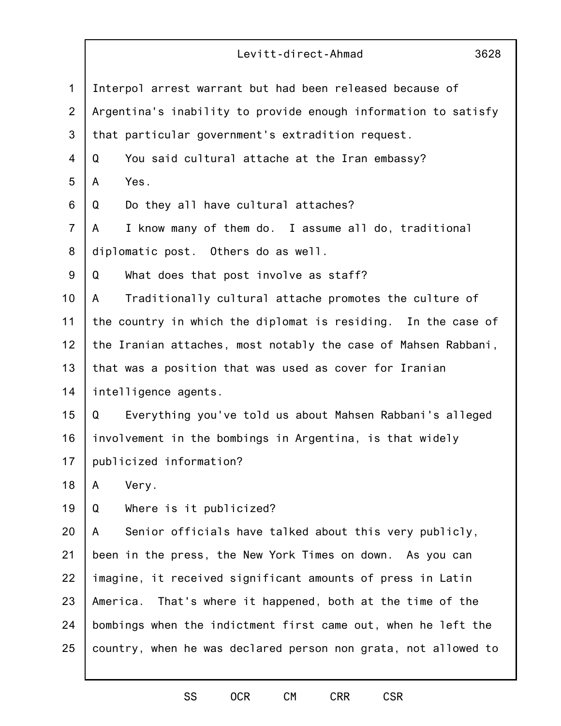|                | 3628<br>Levitt-direct-Ahmad                                    |
|----------------|----------------------------------------------------------------|
| $\mathbf{1}$   | Interpol arrest warrant but had been released because of       |
| $\overline{2}$ | Argentina's inability to provide enough information to satisfy |
| 3              | that particular government's extradition request.              |
| 4              | You said cultural attache at the Iran embassy?<br>Q            |
| 5              | Yes.<br>A                                                      |
| 6              | Do they all have cultural attaches?<br>Q                       |
| $\overline{7}$ | I know many of them do. I assume all do, traditional<br>A      |
| 8              | diplomatic post. Others do as well.                            |
| 9              | What does that post involve as staff?<br>Q                     |
| 10             | Traditionally cultural attache promotes the culture of<br>A    |
| 11             | the country in which the diplomat is residing. In the case of  |
| 12             | the Iranian attaches, most notably the case of Mahsen Rabbani, |
| 13             | that was a position that was used as cover for Iranian         |
| 14             | intelligence agents.                                           |
| 15             | Everything you've told us about Mahsen Rabbani's alleged<br>Q  |
| 16             | involvement in the bombings in Argentina, is that widely       |
| 17             | publicized information?                                        |
| 18             | A<br>Very.                                                     |
| 19             | Where is it publicized?<br>Q                                   |
| 20             | Senior officials have talked about this very publicly,<br>A    |
| 21             | been in the press, the New York Times on down. As you can      |
| 22             | imagine, it received significant amounts of press in Latin     |
| 23             | America.<br>That's where it happened, both at the time of the  |
| 24             | bombings when the indictment first came out, when he left the  |
| 25             | country, when he was declared person non grata, not allowed to |
|                |                                                                |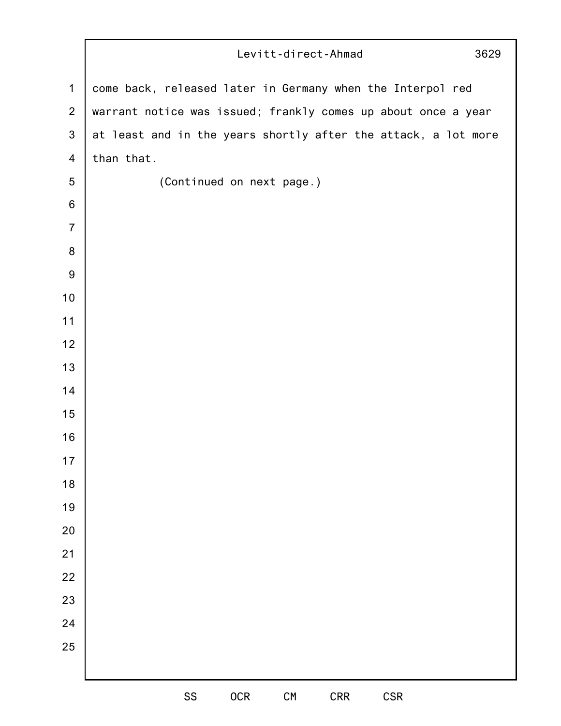| $\mathbf{1}$     | come back, released later in Germany when the Interpol red     |
|------------------|----------------------------------------------------------------|
| $\overline{2}$   | warrant notice was issued; frankly comes up about once a year  |
| $\mathfrak{S}$   | at least and in the years shortly after the attack, a lot more |
| 4                | than that.                                                     |
| $\sqrt{5}$       | (Continued on next page.)                                      |
| 6                |                                                                |
| $\overline{7}$   |                                                                |
| $\bf 8$          |                                                                |
| $\boldsymbol{9}$ |                                                                |
| 10               |                                                                |
| 11               |                                                                |
| 12               |                                                                |
| 13               |                                                                |
| 14               |                                                                |
| 15               |                                                                |
| 16               |                                                                |
| 17               |                                                                |
| 18               |                                                                |
| 19               |                                                                |
| 20               |                                                                |
| 21               |                                                                |
| 22               |                                                                |
| 23               |                                                                |
| 24               |                                                                |
| 25               |                                                                |
|                  |                                                                |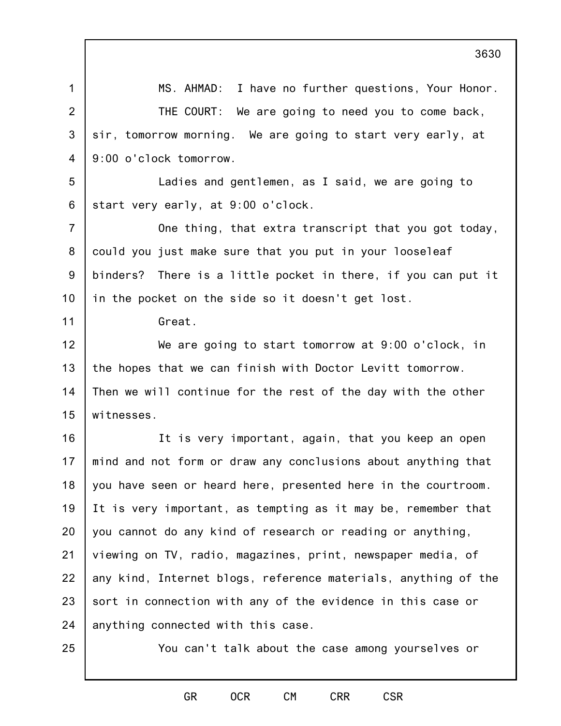|                | 3630                                                           |
|----------------|----------------------------------------------------------------|
| $\mathbf{1}$   | MS. AHMAD: I have no further questions, Your Honor.            |
| $\overline{2}$ | THE COURT: We are going to need you to come back,              |
| 3              | sir, tomorrow morning. We are going to start very early, at    |
| 4              | 9:00 o'clock tomorrow.                                         |
| 5              | Ladies and gentlemen, as I said, we are going to               |
| 6              | start very early, at 9:00 o'clock.                             |
| $\overline{7}$ | One thing, that extra transcript that you got today,           |
| 8              | could you just make sure that you put in your looseleaf        |
| 9              | binders? There is a little pocket in there, if you can put it  |
| 10             | in the pocket on the side so it doesn't get lost.              |
| 11             | Great.                                                         |
| 12             | We are going to start tomorrow at 9:00 o'clock, in             |
| 13             | the hopes that we can finish with Doctor Levitt tomorrow.      |
| 14             | Then we will continue for the rest of the day with the other   |
| 15             | witnesses.                                                     |
| 16             | It is very important, again, that you keep an open             |
| 17             | mind and not form or draw any conclusions about anything that  |
| 18             | you have seen or heard here, presented here in the courtroom.  |
| 19             | It is very important, as tempting as it may be, remember that  |
| 20             | you cannot do any kind of research or reading or anything,     |
| 21             | viewing on TV, radio, magazines, print, newspaper media, of    |
| 22             | any kind, Internet blogs, reference materials, anything of the |
| 23             | sort in connection with any of the evidence in this case or    |
| 24             | anything connected with this case.                             |
| 25             | You can't talk about the case among yourselves or              |
|                |                                                                |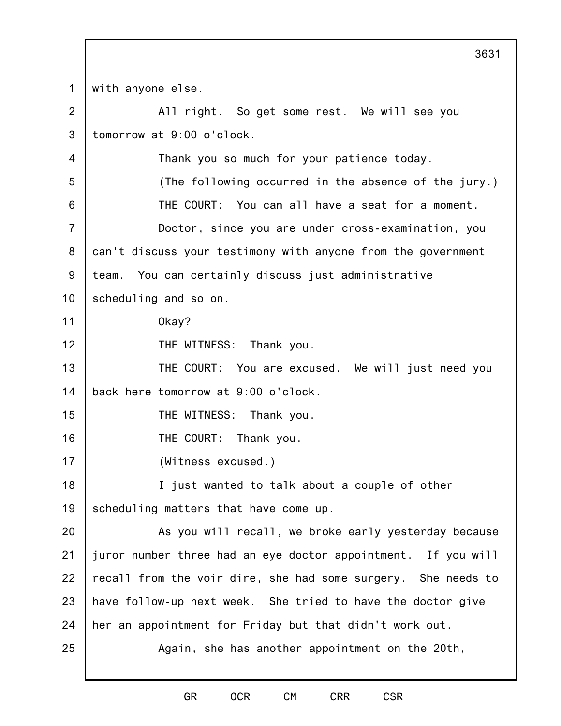1 2 3 4 5 6 7 8 9 10 11 12 13 14 15 16 17 18 19 20 21 22 23 24 25 with anyone else. All right. So get some rest. We will see you tomorrow at 9:00 o'clock. Thank you so much for your patience today. (The following occurred in the absence of the jury.) THE COURT: You can all have a seat for a moment. Doctor, since you are under cross-examination, you can't discuss your testimony with anyone from the government team. You can certainly discuss just administrative scheduling and so on. Okay? THE WITNESS: Thank you. THE COURT: You are excused. We will just need you back here tomorrow at 9:00 o'clock. THE WITNESS: Thank you. THE COURT: Thank you. (Witness excused.) I just wanted to talk about a couple of other scheduling matters that have come up. As you will recall, we broke early yesterday because juror number three had an eye doctor appointment. If you will recall from the voir dire, she had some surgery. She needs to have follow-up next week. She tried to have the doctor give her an appointment for Friday but that didn't work out. Again, she has another appointment on the 20th,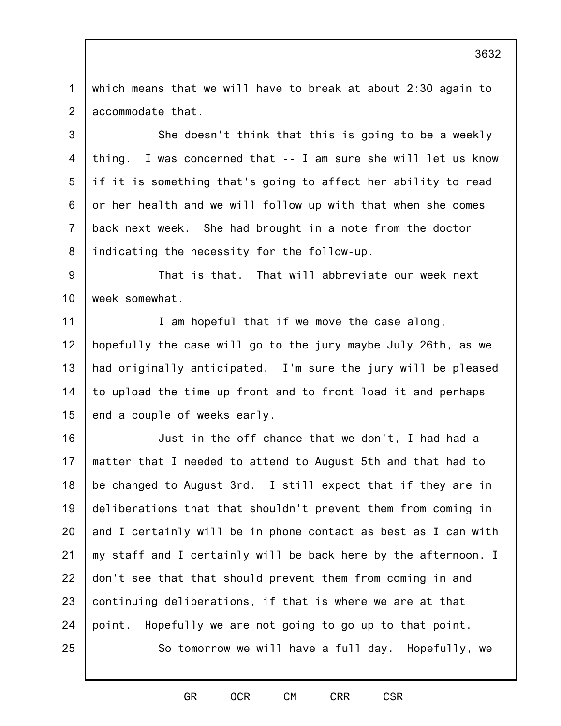1  $\mathcal{P}$ which means that we will have to break at about 2:30 again to accommodate that.

3 4 5 6 7 8 She doesn't think that this is going to be a weekly thing. I was concerned that -- I am sure she will let us know if it is something that's going to affect her ability to read or her health and we will follow up with that when she comes back next week. She had brought in a note from the doctor indicating the necessity for the follow-up.

9 10 That is that. That will abbreviate our week next week somewhat.

11 12 13 14 15 I am hopeful that if we move the case along, hopefully the case will go to the jury maybe July 26th, as we had originally anticipated. I'm sure the jury will be pleased to upload the time up front and to front load it and perhaps end a couple of weeks early.

16 17 18 19 20 21 22 23 24 25 Just in the off chance that we don't, I had had a matter that I needed to attend to August 5th and that had to be changed to August 3rd. I still expect that if they are in deliberations that that shouldn't prevent them from coming in and I certainly will be in phone contact as best as I can with my staff and I certainly will be back here by the afternoon. I don't see that that should prevent them from coming in and continuing deliberations, if that is where we are at that point. Hopefully we are not going to go up to that point. So tomorrow we will have a full day. Hopefully, we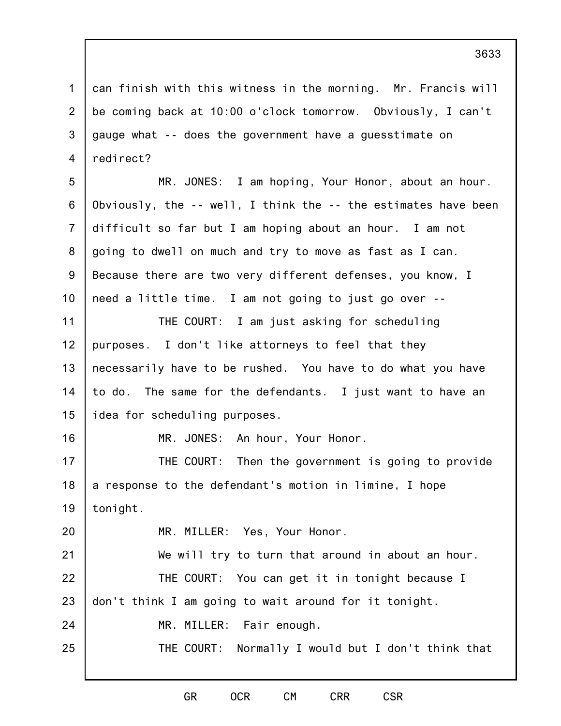1 2 3 4 can finish with this witness in the morning. Mr. Francis will be coming back at 10:00 o'clock tomorrow. Obviously, I can't gauge what -- does the government have a guesstimate on redirect?

5 6 7 8 9 10 11 12 13 14 15 16 17 18 19 20 21 22 23 MR. JONES: I am hoping, Your Honor, about an hour. Obviously, the -- well, I think the -- the estimates have been difficult so far but I am hoping about an hour. I am not going to dwell on much and try to move as fast as I can. Because there are two very different defenses, you know, I need a little time. I am not going to just go over -- THE COURT: I am just asking for scheduling purposes. I don't like attorneys to feel that they necessarily have to be rushed. You have to do what you have to do. The same for the defendants. I just want to have an idea for scheduling purposes. MR. JONES: An hour, Your Honor. THE COURT: Then the government is going to provide a response to the defendant's motion in limine, I hope tonight. MR. MILLER: Yes, Your Honor. We will try to turn that around in about an hour. THE COURT: You can get it in tonight because I don't think I am going to wait around for it tonight.

24 MR. MILLER: Fair enough.

25 THE COURT: Normally I would but I don't think that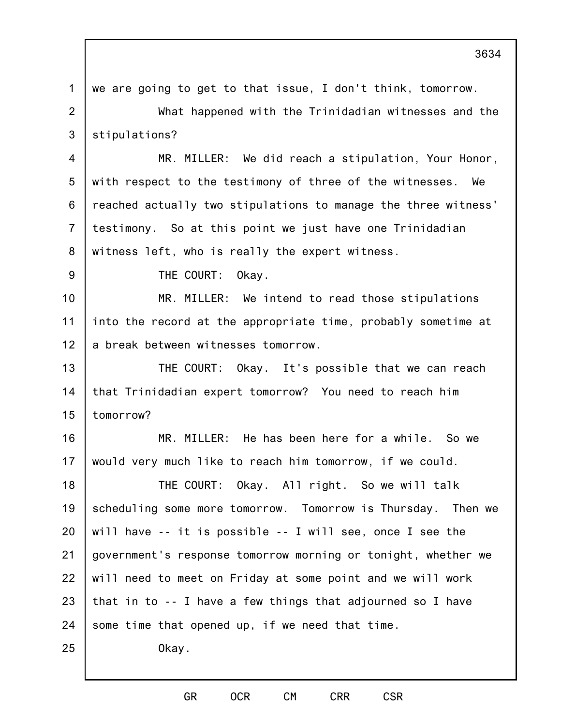1 2 3 4 5 6 7 8 9 10 11 12 13 14 15 16 17 18 19 20 21 22 23 24 25 we are going to get to that issue, I don't think, tomorrow. What happened with the Trinidadian witnesses and the stipulations? MR. MILLER: We did reach a stipulation, Your Honor, with respect to the testimony of three of the witnesses. We reached actually two stipulations to manage the three witness' testimony. So at this point we just have one Trinidadian witness left, who is really the expert witness. THE COURT: Okay. MR. MILLER: We intend to read those stipulations into the record at the appropriate time, probably sometime at a break between witnesses tomorrow. THE COURT: Okay. It's possible that we can reach that Trinidadian expert tomorrow? You need to reach him tomorrow? MR. MILLER: He has been here for a while. So we would very much like to reach him tomorrow, if we could. THE COURT: Okay. All right. So we will talk scheduling some more tomorrow. Tomorrow is Thursday. Then we will have -- it is possible -- I will see, once I see the government's response tomorrow morning or tonight, whether we will need to meet on Friday at some point and we will work that in to -- I have a few things that adjourned so I have some time that opened up, if we need that time. Okay.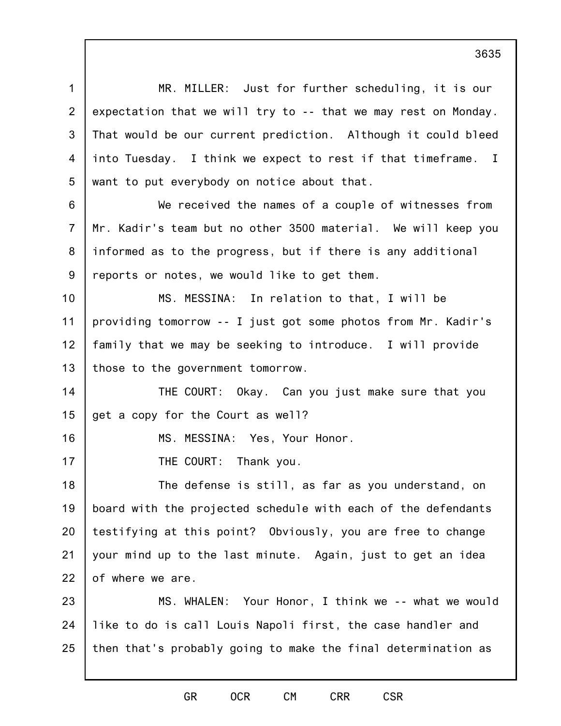1 2 3 4 5 6 7 8 9 10 11 12 13 14 15 16 17 18 19 20 21 22 23 24 25 MR. MILLER: Just for further scheduling, it is our expectation that we will try to -- that we may rest on Monday. That would be our current prediction. Although it could bleed into Tuesday. I think we expect to rest if that timeframe. I want to put everybody on notice about that. We received the names of a couple of witnesses from Mr. Kadir's team but no other 3500 material. We will keep you informed as to the progress, but if there is any additional reports or notes, we would like to get them. MS. MESSINA: In relation to that, I will be providing tomorrow -- I just got some photos from Mr. Kadir's family that we may be seeking to introduce. I will provide those to the government tomorrow. THE COURT: Okay. Can you just make sure that you get a copy for the Court as well? MS. MESSINA: Yes, Your Honor. THE COURT: Thank you. The defense is still, as far as you understand, on board with the projected schedule with each of the defendants testifying at this point? Obviously, you are free to change your mind up to the last minute. Again, just to get an idea of where we are. MS. WHALEN: Your Honor, I think we -- what we would like to do is call Louis Napoli first, the case handler and then that's probably going to make the final determination as

GR OCR CM CRR CSR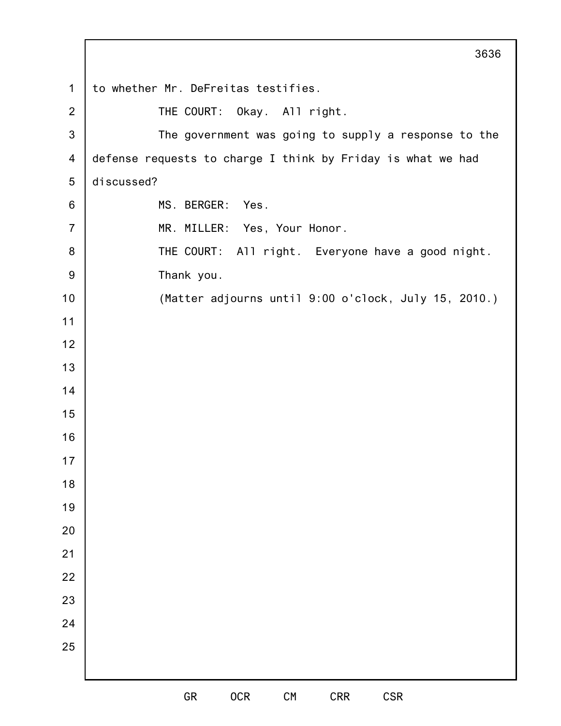GR OCR CM CRR CSR to whether Mr. DeFreitas testifies. THE COURT: Okay. All right. The government was going to supply a response to the defense requests to charge I think by Friday is what we had discussed? MS. BERGER: Yes. MR. MILLER: Yes, Your Honor. THE COURT: All right. Everyone have a good night. Thank you. (Matter adjourns until 9:00 o'clock, July 15, 2010.)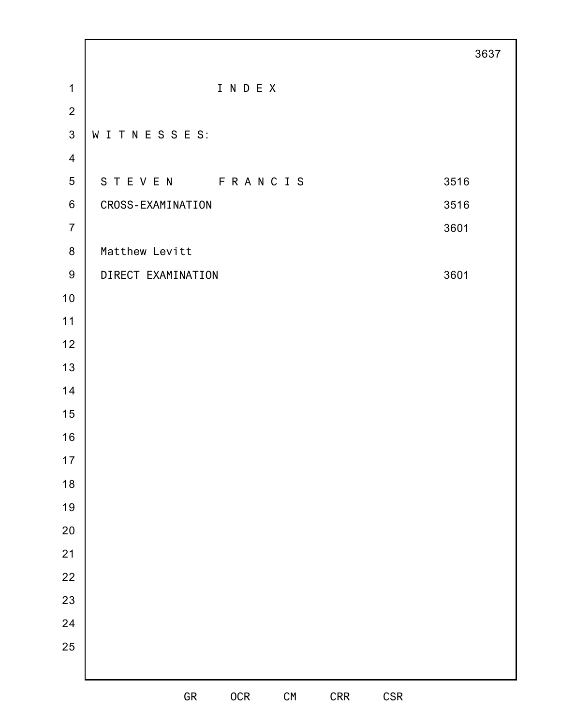|                  |                    |            |            |     |            | 3637 |
|------------------|--------------------|------------|------------|-----|------------|------|
| $\mathbf{1}$     |                    | INDEX      |            |     |            |      |
| $\overline{2}$   |                    |            |            |     |            |      |
| $\mathfrak{S}$   | WITNESSES:         |            |            |     |            |      |
| $\overline{4}$   |                    |            |            |     |            |      |
| $\overline{5}$   | STEVEN FRANCIS     |            |            |     |            | 3516 |
| $\,6\,$          | CROSS-EXAMINATION  |            |            |     |            | 3516 |
| $\overline{7}$   |                    |            |            |     |            | 3601 |
| $\bf 8$          | Matthew Levitt     |            |            |     |            |      |
| $\boldsymbol{9}$ | DIRECT EXAMINATION |            |            |     |            | 3601 |
| $10$             |                    |            |            |     |            |      |
| 11               |                    |            |            |     |            |      |
| 12               |                    |            |            |     |            |      |
| 13               |                    |            |            |     |            |      |
| 14               |                    |            |            |     |            |      |
| 15               |                    |            |            |     |            |      |
| 16               |                    |            |            |     |            |      |
| $17$             |                    |            |            |     |            |      |
| 18               |                    |            |            |     |            |      |
| 19               |                    |            |            |     |            |      |
| $20\,$           |                    |            |            |     |            |      |
| 21               |                    |            |            |     |            |      |
| 22               |                    |            |            |     |            |      |
| 23               |                    |            |            |     |            |      |
| 24               |                    |            |            |     |            |      |
| 25               |                    |            |            |     |            |      |
|                  |                    |            |            |     |            |      |
|                  | GR                 | <b>OCR</b> | ${\sf CM}$ | CRR | <b>CSR</b> |      |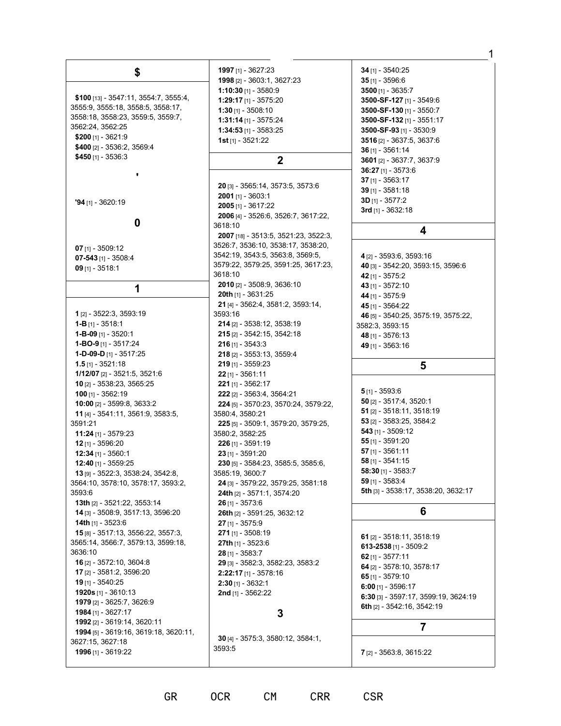|                                                           |                                                             | 1                                    |
|-----------------------------------------------------------|-------------------------------------------------------------|--------------------------------------|
|                                                           | 1997 [1] - 3627:23                                          | $34$ [1] - 3540:25                   |
| \$                                                        | 1998 [2] - 3603:1, 3627:23                                  | $35$ [1] - 3596:6                    |
|                                                           | 1:10:30 [1] - 3580:9                                        | 3500 [1] - 3635:7                    |
| $$100$ [13] - 3547:11, 3554:7, 3555:4,                    | 1:29:17 [1] - 3575:20                                       | 3500-SF-127 [1] - 3549:6             |
| 3555:9, 3555:18, 3558:5, 3558:17,                         |                                                             |                                      |
| 3558:18, 3558:23, 3559:5, 3559:7,                         | 1:30 [1] - 3508:10                                          | 3500-SF-130 [1] - 3550:7             |
| 3562:24, 3562:25                                          | 1:31:14 [1] - 3575:24                                       | 3500-SF-132 [1] - 3551:17            |
| \$200 $[1] - 3621:9$                                      | $1:34:53$ [1] - 3583:25                                     | 3500-SF-93 [1] - 3530:9              |
| \$400 [2] - 3536:2, 3569:4                                | <b>1st</b> [1] - $3521:22$                                  | 3516 [2] - 3637:5, 3637:6            |
| \$450 [1] - 3536:3                                        |                                                             | $36$ [1] - 3561:14                   |
|                                                           | $\mathbf 2$                                                 | 3601 [2] - 3637:7, 3637:9            |
| ٠                                                         |                                                             | $36:27$ [1] - 3573:6                 |
|                                                           | 20 [3] - 3565:14, 3573:5, 3573:6                            | 37 [1] - 3563:17                     |
|                                                           | $2001$ [1] - 3603:1                                         | $39$ [1] - 3581:18                   |
| $94$ [1] - 3620:19                                        | $2005$ [1] - 3617:22                                        | $3D_{[1]} - 3577:2$                  |
|                                                           | 2006 [4] - 3526:6, 3526:7, 3617:22,                         | 3rd $[1]$ - 3632:18                  |
| 0                                                         | 3618:10                                                     |                                      |
|                                                           | 2007 [18] - 3513:5, 3521:23, 3522:3,                        | 4                                    |
|                                                           | 3526:7, 3536:10, 3538:17, 3538:20,                          |                                      |
| 07 [1] - 3509:12                                          | 3542:19, 3543:5, 3563:8, 3569:5,                            | 4 [2] - 3593:6, 3593:16              |
| 07-543 $[1]$ - 3508:4                                     | 3579:22, 3579:25, 3591:25, 3617:23,                         | 40 [3] - 3542:20, 3593:15, 3596:6    |
| $09$ [1] - 3518:1                                         | 3618:10                                                     | 42 [1] - 3575:2                      |
|                                                           | 2010 [2] - 3508:9, 3636:10                                  | 43 [1] - 3572:10                     |
| 1                                                         | <b>20th</b> [1] - 3631:25                                   | 44 [1] - 3575:9                      |
|                                                           | 21 [4] - 3562:4, 3581:2, 3593:14,                           | 45 [1] - 3564:22                     |
| 1 [2] - 3522:3, 3593:19                                   | 3593:16                                                     | 46 [5] - 3540:25, 3575:19, 3575:22,  |
| <b>1-B</b> [1] - 3518:1                                   | 214 [2] - 3538:12, 3538:19                                  | 3582:3, 3593:15                      |
| <b>1-B-09</b> [1] - 3520:1                                | 215 [2] - 3542:15, 3542:18                                  | 48 [1] - 3576:13                     |
| <b>1-BO-9</b> [1] - 3517:24                               | <b>216</b> [1] - 3543:3                                     | 49 [1] - 3563:16                     |
| <b>1-D-09-D</b> [1] - 3517:25                             | 218 [2] - 3553:13, 3559:4                                   |                                      |
| 1.5 [1] - 3521:18                                         | 219 [1] - 3559:23                                           | 5                                    |
|                                                           |                                                             |                                      |
| 1/12/07 [2] - 3521:5, 3521:6                              |                                                             |                                      |
|                                                           | $22$ [1] - 3561:11                                          |                                      |
| 10 [2] - 3538:23, 3565:25                                 | 221 [1] - 3562:17                                           | $5$ [1] - 3593:6                     |
| <b>100</b> [1] - 3562:19<br>10:00 [2] - 3599:8, 3633:2    | <b>222</b> [2] - 3563:4, 3564:21                            | <b>50</b> [2] - 3517:4, 3520:1       |
| 11 [4] - 3541:11, 3561:9, 3583:5,                         | 224 [5] - 3570:23, 3570:24, 3579:22,<br>3580:4, 3580:21     | 51 [2] - 3518:11, 3518:19            |
| 3591:21                                                   | 225 [5] - 3509:1, 3579:20, 3579:25,                         | 53 [2] - 3583:25, 3584:2             |
|                                                           |                                                             | $543$ [1] - 3509:12                  |
| <b>11:24</b> [1] - 3579:23<br><b>12</b> [1] - 3596:20     | 3580:2, 3582:25<br>$226$ [1] - 3591:19                      | $55$ [1] - 3591:20                   |
| $12:34$ [1] - 3560:1                                      |                                                             | $57$ [1] - 3561:11                   |
| 12:40 [1] - 3559:25                                       | 23 [1] - 3591:20                                            | 58 [1] - 3541:15                     |
| 13 [9] - 3522:3, 3538:24, 3542:8,                         | 230 [5] - 3584:23, 3585:5, 3585:6,<br>3585:19, 3600:7       | 58:30 [1] - 3583:7                   |
| 3564:10, 3578:10, 3578:17, 3593:2,                        | 24 [3] - 3579:22, 3579:25, 3581:18                          | 59 [1] - 3583:4                      |
| 3593:6                                                    | 24th [2] - 3571:1, 3574:20                                  | 5th [3] - 3538:17, 3538:20, 3632:17  |
| 13th [2] - 3521:22, 3553:14                               | $26$ [1] - 3573:6                                           |                                      |
| 14 [3] - 3508:9, 3517:13, 3596:20                         | 26th [2] - 3591:25, 3632:12                                 | 6                                    |
| <b>14th</b> [1] - 3523:6                                  | $27$ [1] - 3575:9                                           |                                      |
| 15 [8] - 3517:13, 3556:22, 3557:3,                        | 271 [1] - 3508:19                                           |                                      |
| 3565:14, 3566:7, 3579:13, 3599:18,                        |                                                             | 61 [2] - 3518:11, 3518:19            |
| 3636:10                                                   | <b>27th</b> [1] - 3523:6<br>28 [1] - 3583:7                 | 613-2538 [1] - 3509:2                |
| 16 [2] - 3572:10, 3604:8                                  |                                                             | 62 $[1] - 3577:11$                   |
| 17 [2] - 3581:2, 3596:20                                  | 29 [3] - 3582:3, 3582:23, 3583:2<br>$2:22:17$ [1] - 3578:16 | 64 [2] - 3578:10, 3578:17            |
| 19 [1] - 3540:25                                          | $2:30$ [1] - 3632:1                                         | 65 $[1] - 3579:10$                   |
| <b>1920s</b> [1] - 3610:13                                | <b>2nd</b> [1] - 3562:22                                    | $6:00$ [1] - 3596:17                 |
| <b>1979</b> [2] - 3625:7, 3626:9                          |                                                             | 6:30 [3] - 3597:17, 3599:19, 3624:19 |
| 1984 [1] - 3627:17                                        |                                                             | 6th [2] - 3542:16, 3542:19           |
| 1992 [2] - 3619:14, 3620:11                               | 3                                                           |                                      |
|                                                           |                                                             | 7                                    |
| 1994 [5] - 3619:16, 3619:18, 3620:11,<br>3627:15, 3627:18 | <b>30</b> [4] - 3575:3, 3580:12, 3584:1,                    |                                      |
| 1996 [1] - 3619:22                                        | 3593:5                                                      | 7 [2] - 3563:8, 3615:22              |
|                                                           |                                                             |                                      |

GR OCR CM CRR CSR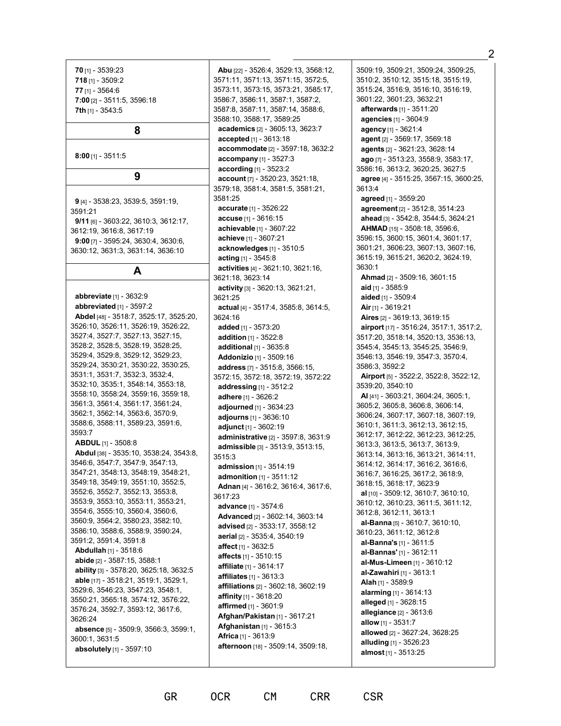**70** [1] - 3539:23 **718** [1] - 3509:2 **77** [1] - 3564:6 **7:00** [2] - 3511:5, 3596:18 **7th** [1] - 3543:5

#### **8**

**8:00** [1] - 3511:5

**9**

**9** [4] - 3538:23, 3539:5, 3591:19, 3591:21 **9/11** [6] - 3603:22, 3610:3, 3612:17, 3612:19, 3616:8, 3617:19 **9:00** [7] - 3595:24, 3630:4, 3630:6, 3630:12, 3631:3, 3631:14, 3636:10

### **A**

**abbreviate** [1] - 3632:9 **abbreviated** [1] - 3597:2 **Abdel** [48] - 3518:7, 3525:17, 3525:20, 3526:10, 3526:11, 3526:19, 3526:22, 3527:4, 3527:7, 3527:13, 3527:15, 3528:2, 3528:5, 3528:19, 3528:25, 3529:4, 3529:8, 3529:12, 3529:23, 3529:24, 3530:21, 3530:22, 3530:25, 3531:1, 3531:7, 3532:3, 3532:4, 3532:10, 3535:1, 3548:14, 3553:18, 3558:10, 3558:24, 3559:16, 3559:18, 3561:3, 3561:4, 3561:17, 3561:24, 3562:1, 3562:14, 3563:6, 3570:9, 3588:6, 3588:11, 3589:23, 3591:6, 3593:7 **ABDUL** [1] - 3508:8 **Abdul** [38] - 3535:10, 3538:24, 3543:8, 3546:6, 3547:7, 3547:9, 3547:13, 3547:21, 3548:13, 3548:19, 3548:21, 3549:18, 3549:19, 3551:10, 3552:5, 3552:6, 3552:7, 3552:13, 3553:8, 3553:9, 3553:10, 3553:11, 3553:21, 3554:6, 3555:10, 3560:4, 3560:6, 3560:9, 3564:2, 3580:23, 3582:10, 3586:10, 3588:6, 3588:9, 3590:24, 3591:2, 3591:4, 3591:8 **Abdullah** [1] - 3518:6 **abide** [2] - 3587:15, 3588:1 **ability** [3] - 3578:20, 3625:18, 3632:5 **able** [17] - 3518:21, 3519:1, 3529:1, 3529:6, 3546:23, 3547:23, 3548:1, 3550:21, 3565:18, 3574:12, 3576:22, 3576:24, 3592:7, 3593:12, 3617:6, 3626:24 **absence** [5] - 3509:9, 3566:3, 3599:1, 3600:1, 3631:5 **absolutely** [1] - 3597:10

**Abu** [22] - 3526:4, 3529:13, 3568:12, 3571:11, 3571:13, 3571:15, 3572:5, 3573:11, 3573:15, 3573:21, 3585:17, 3586:7, 3586:11, 3587:1, 3587:2, 3587:8, 3587:11, 3587:14, 3588:6, 3588:10, 3588:17, 3589:25 **academics** [2] - 3605:13, 3623:7 **accepted** [1] - 3613:18 **accommodate** [2] - 3597:18, 3632:2 **accompany** [1] - 3527:3 **according** [1] - 3523:2 **account** [7] - 3520:23, 3521:18, 3579:18, 3581:4, 3581:5, 3581:21, 3581:25 **accurate** [1] - 3526:22 **accuse** [1] - 3616:15 **achievable** [1] - 3607:22 **achieve** [1] - 3607:21 **acknowledges** [1] - 3510:5 **acting** [1] - 3545:8 **activities** [4] - 3621:10, 3621:16, 3621:18, 3623:14 **activity** [3] - 3620:13, 3621:21, 3621:25 **actual** [4] - 3517:4, 3585:8, 3614:5, 3624:16 **added** [1] - 3573:20 **addition** [1] - 3522:8 **additional** [1] - 3635:8 **Addonizio** [1] - 3509:16 **address** [7] - 3515:8, 3566:15, 3572:15, 3572:18, 3572:19, 3572:22 **addressing** [1] - 3512:2 **adhere** [1] - 3626:2 **adjourned** [1] - 3634:23 **adjourns** [1] - 3636:10 **adjunct** [1] - 3602:19 **administrative** [2] - 3597:8, 3631:9 **admissible** [3] - 3513:9, 3513:15, 3515:3 **admission** [1] - 3514:19 **admonition** [1] - 3511:12 **Adnan** [4] - 3616:2, 3616:4, 3617:6, 3617:23 **advance** [1] - 3574:6 **Advanced** [2] - 3602:14, 3603:14 **advised** [2] - 3533:17, 3558:12 **aerial** [2] - 3535:4, 3540:19 **affect** [1] - 3632:5 **affects** [1] - 3510:15 **affiliate** [1] - 3614:17 **affiliates** [1] - 3613:3 **affiliations** [2] - 3602:18, 3602:19 **affinity** [1] - 3618:20 **affirmed** [1] - 3601:9 **Afghan/Pakistan** [1] - 3617:21 **Afghanistan** [1] - 3615:3 **Africa** [1] - 3613:9 **afternoon** [18] - 3509:14, 3509:18,

GR OCR CM CRR CSR

3509:19, 3509:21, 3509:24, 3509:25, 3510:2, 3510:12, 3515:18, 3515:19, 3515:24, 3516:9, 3516:10, 3516:19, 3601:22, 3601:23, 3632:21 **afterwards** [1] - 3511:20 **agencies** [1] - 3604:9 **agency** [1] - 3621:4 **agent** [2] - 3569:17, 3569:18 **agents** [2] - 3621:23, 3628:14 **ago** [7] - 3513:23, 3558:9, 3583:17, 3586:16, 3613:2, 3620:25, 3627:5 **agree** [4] - 3515:25, 3567:15, 3600:25, 3613:4 **agreed** [1] - 3559:20 **agreement** [2] - 3512:8, 3514:23 **ahead** [3] - 3542:8, 3544:5, 3624:21 **AHMAD** [15] - 3508:18, 3596:6, 3596:15, 3600:15, 3601:4, 3601:17, 3601:21, 3606:23, 3607:13, 3607:16, 3615:19, 3615:21, 3620:2, 3624:19, 3630:1 **Ahmad** [2] - 3509:16, 3601:15 **aid** [1] - 3585:9 **aided** [1] - 3509:4 **Air** [1] - 3619:21 **Aires** [2] - 3619:13, 3619:15 **airport** [17] - 3516:24, 3517:1, 3517:2, 3517:20, 3518:14, 3520:13, 3536:13, 3545:4, 3545:13, 3545:25, 3546:9, 3546:13, 3546:19, 3547:3, 3570:4, 3586:3, 3592:2 **Airport** [5] - 3522:2, 3522:8, 3522:12, 3539:20, 3540:10 **Al** [41] - 3603:21, 3604:24, 3605:1, 3605:2, 3605:8, 3606:8, 3606:14, 3606:24, 3607:17, 3607:18, 3607:19, 3610:1, 3611:3, 3612:13, 3612:15, 3612:17, 3612:22, 3612:23, 3612:25, 3613:3, 3613:5, 3613:7, 3613:9, 3613:14, 3613:16, 3613:21, 3614:11, 3614:12, 3614:17, 3616:2, 3616:6, 3616:7, 3616:25, 3617:2, 3618:9, 3618:15, 3618:17, 3623:9 **al** [10] - 3509:12, 3610:7, 3610:10, 3610:12, 3610:23, 3611:5, 3611:12, 3612:8, 3612:11, 3613:1 **al-Banna** [5] - 3610:7, 3610:10, 3610:23, 3611:12, 3612:8 **al-Banna's** [1] - 3611:5 **al-Bannas'** [1] - 3612:11 **al-Mus-Limeen** [1] - 3610:12 **al-Zawahiri** [1] - 3613:1 **Alah** [1] - 3589:9 **alarming** [1] - 3614:13 **alleged** [1] - 3628:15 **allegiance** [2] - 3613:6 **allow** [1] - 3531:7 **allowed** [2] - 3627:24, 3628:25 **alluding** [1] - 3526:23 **almost** [1] - 3513:25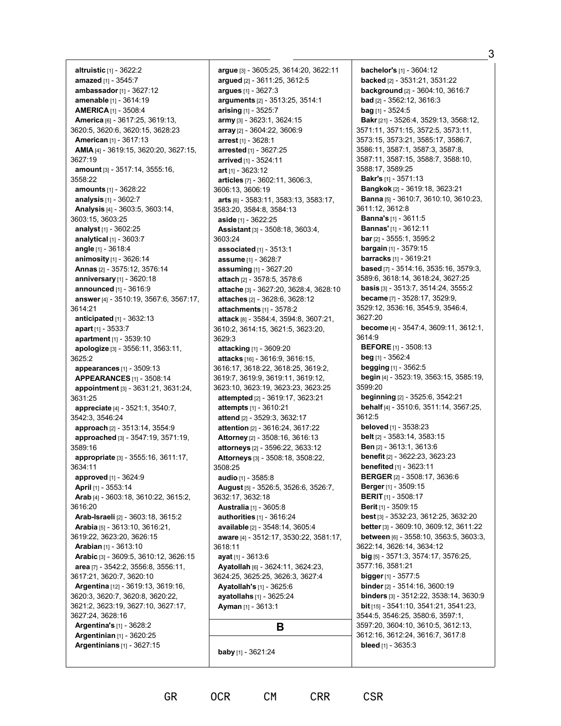**altruistic** [1] - 3622:2 **amazed** [1] - 3545:7 **ambassador**[1] - 3627:12 **amenable** [1] - 3614:19 **AMERICA** [1] - 3508:4 **America** [6] - 3617:25, 3619:13, 3620:5, 3620:6, 3620:15, 3628:23 **American** [1] - 3617:13 **AMIA** [4] - 3619:15, 3620:20, 3627:15, 3627:19 **amount** [3] - 3517:14, 3555:16, 3558:22 **amounts** [1] - 3628:22 **analysis** [1] - 3602:7 **Analysis** [4] - 3603:5, 3603:14, 3603:15, 3603:25 **analyst** [1] - 3602:25 **analytical** [1] - 3603:7 **angle** [1] - 3618:4 **animosity** [1] - 3626:14 **Annas** [2] - 3575:12, 3576:14 **anniversary** [1] - 3620:18 **announced** [1] - 3616:9 **answer** [4] - 3510:19, 3567:6, 3567:17, 3614:21 **anticipated** [1] - 3632:13 **apart** [1] - 3533:7 **apartment** [1] - 3539:10 **apologize** [3] - 3556:11, 3563:11, 3625:2 **appearances** [1] - 3509:13 **APPEARANCES** [1] - 3508:14 **appointment** [3] - 3631:21, 3631:24, 3631:25 **appreciate** [4] - 3521:1, 3540:7, 3542:3, 3546:24 **approach** [2] - 3513:14, 3554:9 **approached** [3] - 3547:19, 3571:19, 3589:16 **appropriate** [3] - 3555:16, 3611:17, 3634:11 **approved** [1] - 3624:9 **April** [1] - 3553:14 **Arab** [4] - 3603:18, 3610:22, 3615:2, 3616:20 **Arab-Israeli** [2] - 3603:18, 3615:2 **Arabia** [5] - 3613:10, 3616:21, 3619:22, 3623:20, 3626:15 **Arabian** [1] - 3613:10 **Arabic** [3] - 3609:5, 3610:12, 3626:15 **area** [7] - 3542:2, 3556:8, 3556:11, 3617:21, 3620:7, 3620:10 **Argentina** [12] - 3619:13, 3619:16, 3620:3, 3620:7, 3620:8, 3620:22, 3621:2, 3623:19, 3627:10, 3627:17, 3627:24, 3628:16 **Argentina's** [1] - 3628:2 **Argentinian** [1] - 3620:25 **Argentinians** [1] - 3627:15

**argue** [3] - 3605:25, 3614:20, 3622:11 **argued** [2] - 3611:25, 3612:5 **argues** [1] - 3627:3 **arguments** [2] - 3513:25, 3514:1 **arising** [1] - 3525:7 **army** [3] - 3623:1, 3624:15 **array** [2] - 3604:22, 3606:9 **arrest** [1] - 3628:1 **arrested** [1] - 3627:25 **arrived** [1] - 3524:11 **art** [1] - 3623:12 **articles** [7] - 3602:11, 3606:3, 3606:13, 3606:19 **arts** [6] - 3583:11, 3583:13, 3583:17, 3583:20, 3584:8, 3584:13 **aside** [1] - 3622:25 **Assistant** [3] - 3508:18, 3603:4, 3603:24 **associated** [1] - 3513:1 **assume** [1] - 3628:7 **assuming** [1] - 3627:20 **attach** [2] - 3578:5, 3578:6 **attache** [3] - 3627:20, 3628:4, 3628:10 **attaches** [2] - 3628:6, 3628:12 **attachments** [1] - 3578:2 **attack** [8] - 3584:4, 3594:8, 3607:21, 3610:2, 3614:15, 3621:5, 3623:20, 3629:3 **attacking** [1] - 3609:20 **attacks** [16] - 3616:9, 3616:15, 3616:17, 3618:22, 3618:25, 3619:2, 3619:7, 3619:9, 3619:11, 3619:12, 3623:10, 3623:19, 3623:23, 3623:25 **attempted** [2] - 3619:17, 3623:21 **attempts** [1] - 3610:21 **attend** [2] - 3529:3, 3632:17 **attention** [2] - 3616:24, 3617:22 **Attorney** [2] - 3508:16, 3616:13 **attorneys** [2] - 3596:22, 3633:12 **Attorneys** [3] - 3508:18, 3508:22, 3508:25 **audio** [1] - 3585:8 **August** [5] - 3526:5, 3526:6, 3526:7, 3632:17, 3632:18 **Australia** [1] - 3605:8 **authorities** [1] - 3616:24 **available** [2] - 3548:14, 3605:4 **aware** [4] - 3512:17, 3530:22, 3581:17, 3618:11 **ayat** [1] - 3613:6 **Ayatollah** [6] - 3624:11, 3624:23, 3624:25, 3625:25, 3626:3, 3627:4 **Ayatollah's** [1] - 3625:6 **ayatollahs** [1] - 3625:24 **Ayman** [1] - 3613:1 **B**

**bachelor's** [1] - 3604:12 **backed** [2] - 3531:21, 3531:22 **background** [2] - 3604:10, 3616:7 **bad** [2] - 3562:12, 3616:3 **bag** [1] - 3524:5 **Bakr** [21] - 3526:4, 3529:13, 3568:12, 3571:11, 3571:15, 3572:5, 3573:11, 3573:15, 3573:21, 3585:17, 3586:7, 3586:11, 3587:1, 3587:3, 3587:8, 3587:11, 3587:15, 3588:7, 3588:10, 3588:17, 3589:25 **Bakr's** [1] - 3571:13 **Bangkok** [2] - 3619:18, 3623:21 **Banna** [5] - 3610:7, 3610:10, 3610:23, 3611:12, 3612:8 **Banna's** [1] - 3611:5 **Bannas'** [1] - 3612:11 **bar** [2] - 3555:1, 3595:2 **bargain** [1] - 3579:15 **barracks** [1] - 3619:21 **based** [7] - 3514:16, 3535:16, 3579:3, 3589:6, 3618:14, 3618:24, 3627:25 **basis** [3] - 3513:7, 3514:24, 3555:2 **became** [7] - 3528:17, 3529:9, 3529:12, 3536:16, 3545:9, 3546:4, 3627:20 **become** [4] - 3547:4, 3609:11, 3612:1, 3614:9 **BEFORE** [1] - 3508:13 **beg** [1] - 3562:4 **begging** [1] - 3562:5 **begin** [4] - 3523:19, 3563:15, 3585:19, 3599:20 **beginning** [2] - 3525:6, 3542:21 **behalf** [4] - 3510:6, 3511:14, 3567:25, 3612:5 **beloved** [1] - 3538:23 **belt** [2] - 3583:14, 3583:15 **Ben** [2] - 3613:1, 3613:6 **benefit** [2] - 3622:23, 3623:23 **benefited** [1] - 3623:11 **BERGER** [2] - 3508:17, 3636:6 **Berger** [1] - 3509:15 **BERIT** [1] - 3508:17 **Berit** [1] - 3509:15 **best** [3] - 3532:23, 3612:25, 3632:20 **better** [3] - 3609:10, 3609:12, 3611:22 **between** [6] - 3558:10, 3563:5, 3603:3, 3622:14, 3626:14, 3634:12 **big** [5] - 3571:3, 3574:17, 3576:25, 3577:16, 3581:21 **bigger** [1] - 3577:5 **binder** [2] - 3514:16, 3600:19 **binders** [3] - 3512:22, 3538:14, 3630:9 **bit** [15] - 3541:10, 3541:21, 3541:23, 3544:5, 3546:25, 3580:6, 3597:1, 3597:20, 3604:10, 3610:5, 3612:13, 3612:16, 3612:24, 3616:7, 3617:8 **bleed** [1] - 3635:3

#### 3

**baby** [1] - 3621:24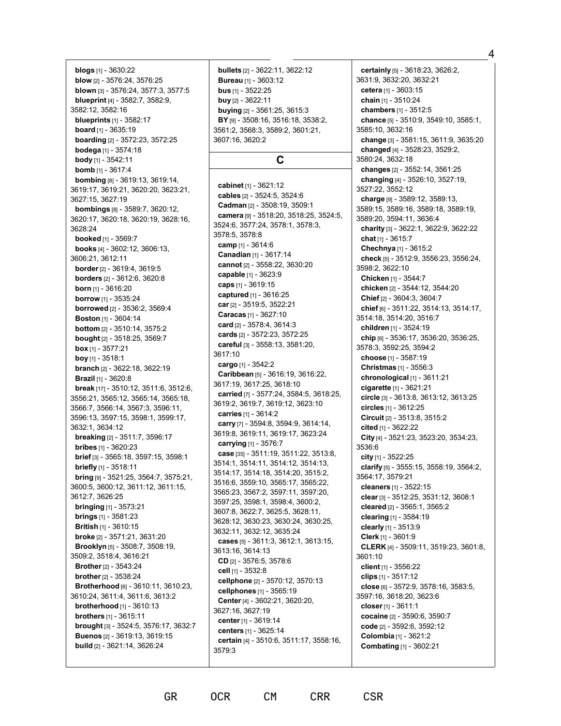**blogs** [1] - 3630:22 **blow** [2] - 3576:24, 3576:25 **blown** [3] - 3576:24, 3577:3, 3577:5 **blueprint** [4] - 3582:7, 3582:9, 3582:12, 3582:16 **blueprints** [1] - 3582:17 **board** [1] - 3635:19 **boarding** [2] - 3572:23, 3572:25 **bodega** [1] - 3574:18 **body** [1] - 3542:11 **bomb** [1] - 3617:4 **bombing** [8] - 3619:13, 3619:14, 3619:17, 3619:21, 3620:20, 3623:21, 3627:15, 3627:19 **bombings** [8] - 3589:7, 3620:12, 3620:17, 3620:18, 3620:19, 3628:16, 3628:24 **booked** [1] - 3569:7 **books** [4] - 3602:12, 3606:13, 3606:21, 3612:11 **border** [2] - 3619:4, 3619:5 **borders** [2] - 3612:6, 3620:8 **born** [1] - 3616:20 **borrow** [1] - 3535:24 **borrowed** [2] - 3536:2, 3569:4 **Boston** [1] - 3604:14 **bottom** [2] - 3510:14, 3575:2 **bought** [2] - 3518:25, 3569:7 **box** [1] - 3577:21 **boy** [1] - 3518:1 **branch** [2] - 3622:18, 3622:19 **Brazil** [1] - 3620:8 **break** [17] - 3510:12, 3511:6, 3512:6, 3556:21, 3565:12, 3565:14, 3565:18, 3566:7, 3566:14, 3567:3, 3596:11, 3596:13, 3597:15, 3598:1, 3599:17, 3632:1, 3634:12 **breaking** [2] - 3511:7, 3596:17 **bribes** [1] - 3620:23 **brief** [3] - 3565:18, 3597:15, 3598:1 **briefly** [1] - 3518:11 **bring** [9] - 3521:25, 3564:7, 3575:21, 3600:5, 3600:12, 3611:12, 3611:15, 3612:7, 3626:25 **bringing** [1] - 3573:21 **brings** [1] - 3581:23 **British** [1] - 3610:15 **broke** [2] - 3571:21, 3631:20 **Brooklyn** [5] - 3508:7, 3508:19, 3509:2, 3518:4, 3616:21 **Brother** [2] - 3543:24 **brother**[2] - 3538:24 **Brotherhood** [6] - 3610:11, 3610:23, 3610:24, 3611:4, 3611:6, 3613:2 **brotherhood** [1] - 3610:13 **brothers** [1] - 3615:11 **brought** [3] - 3524:5, 3576:17, 3632:7 **Buenos** [2] - 3619:13, 3619:15 **build** [2] - 3621:14, 3626:24

**bullets** [2] - 3622:11, 3622:12 **Bureau** [1] - 3603:12 **bus** [1] - 3522:25 **buy** [2] - 3622:11 **buying** [2] - 3561:25, 3615:3 **BY** [9] - 3508:16, 3516:18, 3538:2, 3561:2, 3568:3, 3589:2, 3601:21, 3607:16, 3620:2

#### **C**

**cabinet** [1] - 3621:12 **cables** [2] - 3524:5, 3524:6 **Cadman** [2] - 3508:19, 3509:1 **camera** [9] - 3518:20, 3518:25, 3524:5, 3524:6, 3577:24, 3578:1, 3578:3, 3578:5, 3578:8 **camp** [1] - 3614:6 **Canadian** [1] - 3617:14 **cannot** [2] - 3558:22, 3630:20 **capable** [1] - 3623:9 **caps** [1] - 3619:15 **captured** [1] - 3616:25 **car** [2] - 3519:5, 3522:21 **Caracas** [1] - 3627:10 **card** [2] - 3578:4, 3614:3 **cards** [2] - 3572:23, 3572:25 **careful** [3] - 3558:13, 3581:20, 3617:10 **cargo** [1] - 3542:2 **Caribbean** [5] - 3616:19, 3616:22, 3617:19, 3617:25, 3618:10 **carried** [7] - 3577:24, 3584:5, 3618:25, 3619:2, 3619:7, 3619:12, 3623:10 **carries** [1] - 3614:2 **carry** [7] - 3594:8, 3594:9, 3614:14, 3619:8, 3619:11, 3619:17, 3623:24 **carrying** [1] - 3576:7 **case** [35] - 3511:19, 3511:22, 3513:8, 3514:1, 3514:11, 3514:12, 3514:13, 3514:17, 3514:18, 3514:20, 3515:2, 3516:6, 3559:10, 3565:17, 3565:22, 3565:23, 3567:2, 3597:11, 3597:20, 3597:25, 3598:1, 3598:4, 3600:2, 3607:8, 3622:7, 3625:5, 3628:11, 3628:12, 3630:23, 3630:24, 3630:25, 3632:11, 3632:12, 3635:24 **cases** [5] - 3611:3, 3612:1, 3613:15, 3613:16, 3614:13 **CD** [2] - 3576:5, 3578:6 **cell** [1] - 3532:8 **cellphone** [2] - 3570:12, 3570:13 **cellphones** [1] - 3565:19 **Center** [4] - 3602:21, 3620:20, 3627:16, 3627:19 **center** [1] - 3619:14 **centers** [1] - 3625:14 **certain** [4] - 3510:6, 3511:17, 3558:16, 3579:3

GR OCR CM CRR CSR

**certainly** [5] - 3618:23, 3626:2, 3631:9, 3632:20, 3632:21 **cetera** [1] - 3603:15 **chain** [1] - 3510:24 **chambers** [1] - 3512:5 **chance** [5] - 3510:9, 3549:10, 3585:1, 3585:10, 3632:16 **change** [3] - 3581:15, 3611:9, 3635:20 **changed** [4] - 3528:23, 3529:2, 3580:24, 3632:18 **changes** [2] - 3552:14, 3561:25 **changing** [4] - 3526:10, 3527:19, 3527:22, 3552:12 **charge** [9] - 3589:12, 3589:13, 3589:15, 3589:16, 3589:18, 3589:19, 3589:20, 3594:11, 3636:4 **charity** [3] - 3622:1, 3622:9, 3622:22 **chat** [1] - 3615:7 **Chechnya** [1] - 3615:2 **check** [5] - 3512:9, 3556:23, 3556:24, 3598:2, 3622:10 **Chicken** [1] - 3544:7 **chicken** [2] - 3544:12, 3544:20 **Chief** [2] - 3604:3, 3604:7 **chief** [6] - 3511:22, 3514:13, 3514:17, 3514:18, 3514:20, 3516:7 **children** [1] - 3524:19 **chip** [6] - 3536:17, 3536:20, 3536:25, 3578:3, 3592:25, 3594:2 **choose** [1] - 3587:19 **Christmas** [1] - 3556:3 **chronological** [1] - 3611:21 **cigarette** [1] - 3621:21 **circle** [3] - 3613:8, 3613:12, 3613:25 **circles** [1] - 3612:25 **Circuit** [2] - 3513:8, 3515:2 **cited** [1] - 3622:22 **City** [4] - 3521:23, 3523:20, 3534:23, 3536:6 **city** [1] - 3522:25 **clarify** [5] - 3555:15, 3558:19, 3564:2, 3564:17, 3579:21 **cleaners** [1] - 3522:15 **clear** [3] - 3512:25, 3531:12, 3608:1 **cleared** [2] - 3565:1, 3565:2 **clearing** [1] - 3584:19 **clearly** [1] - 3513:9 **Clerk** [1] - 3601:9 **CLERK** [4] - 3509:11, 3519:23, 3601:8, 3601:10 **client** [1] - 3556:22 **clips** [1] - 3517:12 **close** [6] - 3572:9, 3578:16, 3583:5, 3597:16, 3618:20, 3623:6 **closer** [1] - 3611:1 **cocaine** [2] - 3590:6, 3590:7 **code** [2] - 3592:6, 3592:12 **Colombia** [1] - 3621:2 **Combating** [1] - 3602:21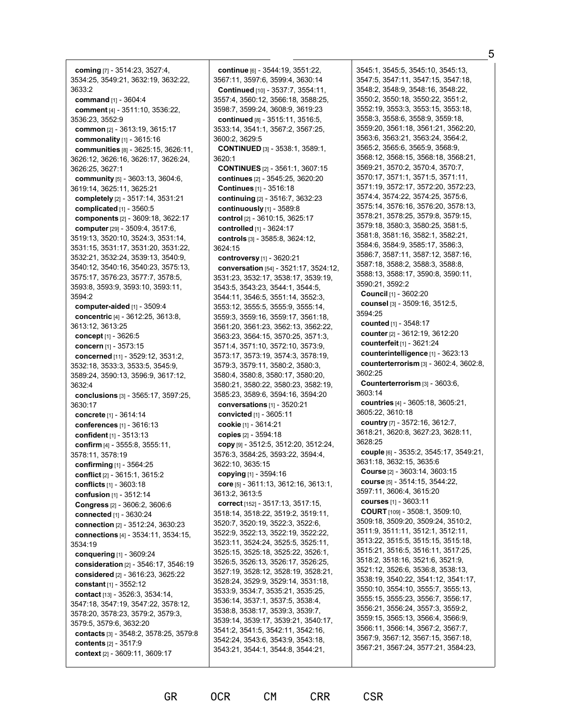**coming** [7] - 3514:23, 3527:4, 3534:25, 3549:21, 3632:19, 3632:22, 3633:2 **command** [1] - 3604:4 **comment** [4] - 3511:10, 3536:22, 3536:23, 3552:9 **common** [2] - 3613:19, 3615:17 **commonality** [1] - 3615:16 **communities** [8] - 3625:15, 3626:11, 3626:12, 3626:16, 3626:17, 3626:24, 3626:25, 3627:1 **community** [5] - 3603:13, 3604:6, 3619:14, 3625:11, 3625:21 **completely** [2] - 3517:14, 3531:21 **complicated** [1] - 3560:5 **components** [2] - 3609:18, 3622:17 **computer**[29] - 3509:4, 3517:6, 3519:13, 3520:10, 3524:3, 3531:14, 3531:15, 3531:17, 3531:20, 3531:22, 3532:21, 3532:24, 3539:13, 3540:9, 3540:12, 3540:16, 3540:23, 3575:13, 3575:17, 3576:23, 3577:7, 3578:5, 3593:8, 3593:9, 3593:10, 3593:11, 3594:2 **computer-aided** [1] - 3509:4 **concentric** [4] - 3612:25, 3613:8, 3613:12, 3613:25 **concept** [1] - 3626:5 **concern** [1] - 3573:15 **concerned** [11] - 3529:12, 3531:2, 3532:18, 3533:3, 3533:5, 3545:9, 3589:24, 3590:13, 3596:9, 3617:12, 3632:4 **conclusions** [3] - 3565:17, 3597:25, 3630:17 **concrete** [1] - 3614:14 **conferences** [1] - 3616:13 **confident** [1] - 3513:13 **confirm** [4] - 3555:8, 3555:11, 3578:11, 3578:19 **confirming** [1] - 3564:25 **conflict** [2] - 3615:1, 3615:2 **conflicts** [1] - 3603:18 **confusion** [1] - 3512:14 **Congress** [2] - 3606:2, 3606:6 **connected** [1] - 3630:24 **connection** [2] - 3512:24, 3630:23 **connections** [4] - 3534:11, 3534:15, 3534:19 **conquering** [1] - 3609:24 **consideration** [2] - 3546:17, 3546:19 **considered** [2] - 3616:23, 3625:22 **constant** [1] - 3552:12 **contact** [13] - 3526:3, 3534:14, 3547:18, 3547:19, 3547:22, 3578:12, 3578:20, 3578:23, 3579:2, 3579:3, 3579:5, 3579:6, 3632:20 **contacts** [3] - 3548:2, 3578:25, 3579:8 **contents** [2] - 3517:9 **context** [2] - 3609:11, 3609:17

**continue** [6] - 3544:19, 3551:22, 3567:11, 3597:6, 3599:4, 3630:14 **Continued** [10] - 3537:7, 3554:11, 3557:4, 3560:12, 3566:18, 3588:25, 3598:7, 3599:24, 3608:9, 3619:23 **continued** [8] - 3515:11, 3516:5, 3533:14, 3541:1, 3567:2, 3567:25, 3600:2, 3629:5 **CONTINUED** [3] - 3538:1, 3589:1, 3620:1 **CONTINUES** [2] - 3561:1, 3607:15 **continues** [2] - 3545:25, 3620:20 **Continues** [1] - 3516:18 **continuing** [2] - 3516:7, 3632:23 **continuously** [1] - 3589:8 **control** [2] - 3610:15, 3625:17 **controlled** [1] - 3624:17 **controls** [3] - 3585:8, 3624:12, 3624:15 **controversy** [1] - 3620:21 **conversation** [54] - 3521:17, 3524:12, 3531:23, 3532:17, 3538:17, 3539:19, 3543:5, 3543:23, 3544:1, 3544:5, 3544:11, 3546:5, 3551:14, 3552:3, 3553:12, 3555:5, 3555:9, 3555:14, 3559:3, 3559:16, 3559:17, 3561:18, 3561:20, 3561:23, 3562:13, 3562:22, 3563:23, 3564:15, 3570:25, 3571:3, 3571:4, 3571:10, 3572:10, 3573:9, 3573:17, 3573:19, 3574:3, 3578:19, 3579:3, 3579:11, 3580:2, 3580:3, 3580:4, 3580:8, 3580:17, 3580:20, 3580:21, 3580:22, 3580:23, 3582:19, 3585:23, 3589:6, 3594:16, 3594:20 **conversations** [1] - 3520:21 **convicted** [1] - 3605:11 **cookie** [1] - 3614:21 **copies** [2] - 3594:18 **copy** [9] - 3512:5, 3512:20, 3512:24, 3576:3, 3584:25, 3593:22, 3594:4, 3622:10, 3635:15 **copying** [1] - 3594:16 **core** [5] - 3611:13, 3612:16, 3613:1, 3613:2, 3613:5 **correct** [152] - 3517:13, 3517:15, 3518:14, 3518:22, 3519:2, 3519:11, 3520:7, 3520:19, 3522:3, 3522:6, 3522:9, 3522:13, 3522:19, 3522:22, 3523:11, 3524:24, 3525:5, 3525:11, 3525:15, 3525:18, 3525:22, 3526:1, 3526:5, 3526:13, 3526:17, 3526:25, 3527:19, 3528:12, 3528:19, 3528:21, 3528:24, 3529:9, 3529:14, 3531:18, 3533:9, 3534:7, 3535:21, 3535:25, 3536:14, 3537:1, 3537:5, 3538:4, 3538:8, 3538:17, 3539:3, 3539:7, 3539:14, 3539:17, 3539:21, 3540:17, 3541:2, 3541:5, 3542:11, 3542:16, 3542:24, 3543:6, 3543:9, 3543:18, 3543:21, 3544:1, 3544:8, 3544:21,

GR OCR CM CRR CSR

3545:1, 3545:5, 3545:10, 3545:13, 3547:5, 3547:11, 3547:15, 3547:18, 3548:2, 3548:9, 3548:16, 3548:22, 3550:2, 3550:18, 3550:22, 3551:2, 3552:19, 3553:3, 3553:15, 3553:18, 3558:3, 3558:6, 3558:9, 3559:18, 3559:20, 3561:18, 3561:21, 3562:20, 3563:6, 3563:21, 3563:24, 3564:2, 3565:2, 3565:6, 3565:9, 3568:9, 3568:12, 3568:15, 3568:18, 3568:21, 3569:21, 3570:2, 3570:4, 3570:7, 3570:17, 3571:1, 3571:5, 3571:11, 3571:19, 3572:17, 3572:20, 3572:23, 3574:4, 3574:22, 3574:25, 3575:6, 3575:14, 3576:16, 3576:20, 3578:13, 3578:21, 3578:25, 3579:8, 3579:15, 3579:18, 3580:3, 3580:25, 3581:5, 3581:8, 3581:16, 3582:1, 3582:21, 3584:6, 3584:9, 3585:17, 3586:3, 3586:7, 3587:11, 3587:12, 3587:16, 3587:18, 3588:2, 3588:3, 3588:8, 3588:13, 3588:17, 3590:8, 3590:11, 3590:21, 3592:2 **Council** [1] - 3602:20 **counsel** [3] - 3509:16, 3512:5, 3594:25 **counted** [1] - 3548:17 **counter** [2] - 3612:19, 3612:20 **counterfeit** [1] - 3621:24 **counterintelligence** [1] - 3623:13 **counterterrorism** [3] - 3602:4, 3602:8, 3602:25 **Counterterrorism** [3] - 3603:6, 3603:14 **countries** [4] - 3605:18, 3605:21, 3605:22, 3610:18 **country** [7] - 3572:16, 3612:7, 3618:21, 3620:8, 3627:23, 3628:11, 3628:25 **couple** [6] - 3535:2, 3545:17, 3549:21, 3631:18, 3632:15, 3635:6 **Course** [2] - 3603:14, 3603:15 **course** [5] - 3514:15, 3544:22, 3597:11, 3606:4, 3615:20 **courses** [1] - 3603:11 **COURT** [109] - 3508:1, 3509:10, 3509:18, 3509:20, 3509:24, 3510:2, 3511:9, 3511:11, 3512:1, 3512:11, 3513:22, 3515:5, 3515:15, 3515:18, 3515:21, 3516:5, 3516:11, 3517:25, 3518:2, 3518:16, 3521:6, 3521:9, 3521:12, 3526:6, 3536:8, 3538:13, 3538:19, 3540:22, 3541:12, 3541:17, 3550:10, 3554:10, 3555:7, 3555:13, 3555:15, 3555:23, 3556:7, 3556:17, 3556:21, 3556:24, 3557:3, 3559:2, 3559:15, 3565:13, 3566:4, 3566:9, 3566:11, 3566:14, 3567:2, 3567:7, 3567:9, 3567:12, 3567:15, 3567:18, 3567:21, 3567:24, 3577:21, 3584:23,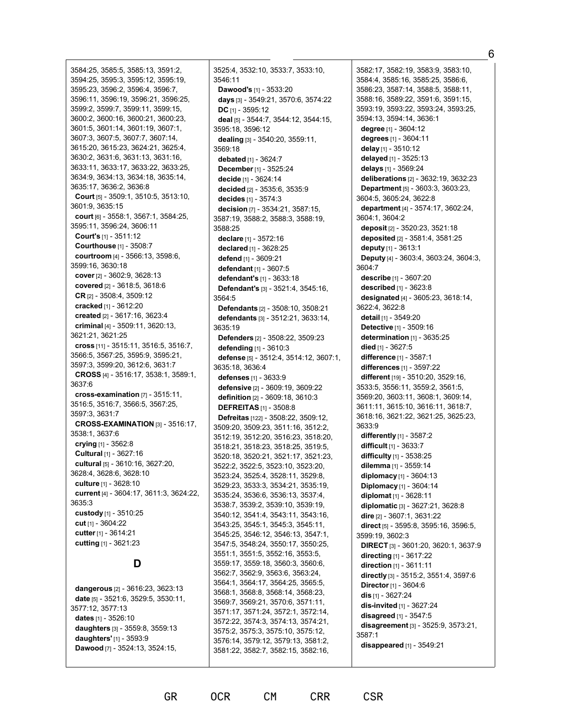6

3584:25, 3585:5, 3585:13, 3591:2, 3594:25, 3595:3, 3595:12, 3595:19, 3595:23, 3596:2, 3596:4, 3596:7, 3596:11, 3596:19, 3596:21, 3596:25, 3599:2, 3599:7, 3599:11, 3599:15, 3600:2, 3600:16, 3600:21, 3600:23, 3601:5, 3601:14, 3601:19, 3607:1, 3607:3, 3607:5, 3607:7, 3607:14, 3615:20, 3615:23, 3624:21, 3625:4, 3630:2, 3631:6, 3631:13, 3631:16, 3633:11, 3633:17, 3633:22, 3633:25, 3634:9, 3634:13, 3634:18, 3635:14, 3635:17, 3636:2, 3636:8 **Court** [5] - 3509:1, 3510:5, 3513:10, 3601:9, 3635:15 **court** [6] - 3558:1, 3567:1, 3584:25, 3595:11, 3596:24, 3606:11 **Court's** [1] - 3511:12 **Courthouse** [1] - 3508:7 **courtroom** [4] - 3566:13, 3598:6, 3599:16, 3630:18 **cover** [2] - 3602:9, 3628:13 **covered** [2] - 3618:5, 3618:6 **CR** [2] - 3508:4, 3509:12 **cracked** [1] - 3612:20 **created** [2] - 3617:16, 3623:4 **criminal** [4] - 3509:11, 3620:13, 3621:21, 3621:25 **cross** [11] - 3515:11, 3516:5, 3516:7, 3566:5, 3567:25, 3595:9, 3595:21, 3597:3, 3599:20, 3612:6, 3631:7 **CROSS** [4] - 3516:17, 3538:1, 3589:1, 3637:6 **cross-examination** [7] - 3515:11, 3516:5, 3516:7, 3566:5, 3567:25, 3597:3, 3631:7 **CROSS-EXAMINATION** [3] - 3516:17, 3538:1, 3637:6 **crying** [1] - 3562:8 **Cultural** [1] - 3627:16 **cultural** [5] - 3610:16, 3627:20, 3628:4, 3628:6, 3628:10 **culture** [1] - 3628:10 **current** [4] - 3604:17, 3611:3, 3624:22, 3635:3 **custody** [1] - 3510:25 **cut** [1] - 3604:22 **cutter** [1] - 3614:21 **cutting** [1] - 3621:23 **D dangerous** [2] - 3616:23, 3623:13 **date** [5] - 3521:6, 3529:5, 3530:11, 3577:12, 3577:13 **dates** [1] - 3526:10

**daughters** [3] - 3559:8, 3559:13 **daughters'** [1] - 3593:9 **Dawood** [7] - 3524:13, 3524:15,

3525:4, 3532:10, 3533:7, 3533:10, 3546:11 **Dawood's** [1] - 3533:20 **days** [3] - 3549:21, 3570:6, 3574:22 **DC** [1] - 3595:12 **deal** [5] - 3544:7, 3544:12, 3544:15, 3595:18, 3596:12 **dealing** [3] - 3540:20, 3559:11, 3569:18 **debated** [1] - 3624:7 **December** [1] - 3525:24 **decide** [1] - 3624:14 **decided** [2] - 3535:6, 3535:9 **decides** [1] - 3574:3 **decision** [7] - 3534:21, 3587:15, 3587:19, 3588:2, 3588:3, 3588:19, 3588:25 **declare** [1] - 3572:16 **declared** [1] - 3628:25 **defend** [1] - 3609:21 **defendant** [1] - 3607:5 **defendant's** [1] - 3633:18 **Defendant's** [3] - 3521:4, 3545:16, 3564:5 **Defendants** [2] - 3508:10, 3508:21 **defendants** [3] - 3512:21, 3633:14, 3635:19 **Defenders** [2] - 3508:22, 3509:23 **defending** [1] - 3610:3 **defense** [5] - 3512:4, 3514:12, 3607:1, 3635:18, 3636:4 **defenses** [1] - 3633:9 **defensive** [2] - 3609:19, 3609:22 **definition** [2] - 3609:18, 3610:3 **DEFREITAS** [1] - 3508:8 **Defreitas** [122] - 3508:22, 3509:12, 3509:20, 3509:23, 3511:16, 3512:2, 3512:19, 3512:20, 3516:23, 3518:20, 3518:21, 3518:23, 3518:25, 3519:5, 3520:18, 3520:21, 3521:17, 3521:23, 3522:2, 3522:5, 3523:10, 3523:20, 3523:24, 3525:4, 3528:11, 3529:8, 3529:23, 3533:3, 3534:21, 3535:19, 3535:24, 3536:6, 3536:13, 3537:4, 3538:7, 3539:2, 3539:10, 3539:19, 3540:12, 3541:4, 3543:11, 3543:16, 3543:25, 3545:1, 3545:3, 3545:11, 3545:25, 3546:12, 3546:13, 3547:1, 3547:5, 3548:24, 3550:17, 3550:25, 3551:1, 3551:5, 3552:16, 3553:5, 3559:17, 3559:18, 3560:3, 3560:6, 3562:7, 3562:9, 3563:6, 3563:24, 3564:1, 3564:17, 3564:25, 3565:5, 3568:1, 3568:8, 3568:14, 3568:23, 3569:7, 3569:21, 3570:6, 3571:11, 3571:17, 3571:24, 3572:1, 3572:14, 3572:22, 3574:3, 3574:13, 3574:21, 3575:2, 3575:3, 3575:10, 3575:12, 3576:14, 3579:12, 3579:13, 3581:2, 3581:22, 3582:7, 3582:15, 3582:16,

3582:17, 3582:19, 3583:9, 3583:10, 3584:4, 3585:16, 3585:25, 3586:6, 3586:23, 3587:14, 3588:5, 3588:11, 3588:16, 3589:22, 3591:6, 3591:15, 3593:19, 3593:22, 3593:24, 3593:25, 3594:13, 3594:14, 3636:1 **degree** [1] - 3604:12 **degrees** [1] - 3604:11 **delay** [1] - 3510:12 **delayed** [1] - 3525:13 **delays** [1] - 3569:24 **deliberations** [2] - 3632:19, 3632:23 **Department** [5] - 3603:3, 3603:23, 3604:5, 3605:24, 3622:8 **department** [4] - 3574:17, 3602:24, 3604:1, 3604:2 **deposit** [2] - 3520:23, 3521:18 **deposited** [2] - 3581:4, 3581:25 **deputy** [1] - 3613:1 **Deputy** [4] - 3603:4, 3603:24, 3604:3, 3604:7 **describe** [1] - 3607:20 **described** [1] - 3623:8 **designated** [4] - 3605:23, 3618:14, 3622:4, 3622:8 **detail** [1] - 3549:20 **Detective** [1] - 3509:16 **determination** [1] - 3635:25 **died** [1] - 3627:5 **difference** [1] - 3587:1 **differences** [1] - 3597:22 **different** [19] - 3510:20, 3529:16, 3533:5, 3556:11, 3559:2, 3561:5, 3569:20, 3603:11, 3608:1, 3609:14, 3611:11, 3615:10, 3616:11, 3618:7, 3618:16, 3621:22, 3621:25, 3625:23, 3633:9 **differently** [1] - 3587:2 **difficult** [1] - 3633:7 **difficulty** [1] - 3538:25 **dilemma** [1] - 3559:14 **diplomacy** [1] - 3604:13 **Diplomacy** [1] - 3604:14 **diplomat** [1] - 3628:11 **diplomatic** [3] - 3627:21, 3628:8 **dire** [2] - 3607:1, 3631:22 **direct** [5] - 3595:8, 3595:16, 3596:5, 3599:19, 3602:3 **DIRECT** [3] - 3601:20, 3620:1, 3637:9 **directing** [1] - 3617:22 **direction** [1] - 3611:11 **directly** [3] - 3515:2, 3551:4, 3597:6 **Director**[1] - 3604:6 **dis** [1] - 3627:24 **dis-invited** [1] - 3627:24 **disagreed** [1] - 3547:5 **disagreement** [3] - 3525:9, 3573:21, 3587:1 **disappeared** [1] - 3549:21

GR OCR CM CRR CSR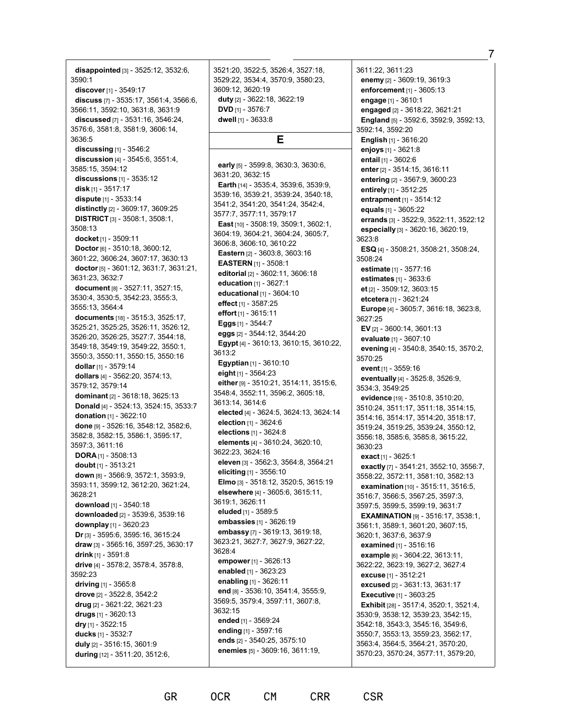**disappointed** [3] - 3525:12, 3532:6, 3590:1 **discover** [1] - 3549:17 **discuss** [7] - 3535:17, 3561:4, 3566:6, 3566:11, 3592:10, 3631:8, 3631:9 **discussed** [7] - 3531:16, 3546:24, 3576:6, 3581:8, 3581:9, 3606:14, 3636:5 **discussing** [1] - 3546:2 **discussion** [4] - 3545:6, 3551:4, 3585:15, 3594:12 **discussions** [1] - 3535:12 **disk** [1] - 3517:17 **dispute** [1] - 3533:14 **distinctly** [2] - 3609:17, 3609:25 **DISTRICT** [3] - 3508:1, 3508:1, 3508:13 **docket** [1] - 3509:11 **Doctor** [6] - 3510:18, 3600:12, 3601:22, 3606:24, 3607:17, 3630:13 **doctor**[5] - 3601:12, 3631:7, 3631:21, 3631:23, 3632:7 **document** [8] - 3527:11, 3527:15, 3530:4, 3530:5, 3542:23, 3555:3, 3555:13, 3564:4 **documents** [18] - 3515:3, 3525:17, 3525:21, 3525:25, 3526:11, 3526:12, 3526:20, 3526:25, 3527:7, 3544:18, 3549:18, 3549:19, 3549:22, 3550:1, 3550:3, 3550:11, 3550:15, 3550:16 **dollar** [1] - 3579:14 **dollars** [4] - 3562:20, 3574:13, 3579:12, 3579:14 **dominant** [2] - 3618:18, 3625:13 **Donald** [4] - 3524:13, 3524:15, 3533:7 **donation** [1] - 3622:10 **done** [9] - 3526:16, 3548:12, 3582:6, 3582:8, 3582:15, 3586:1, 3595:17, 3597:3, 3611:16 **DORA** [1] - 3508:13 **doubt** [1] - 3513:21 **down** [8] - 3566:9, 3572:1, 3593:9, 3593:11, 3599:12, 3612:20, 3621:24, 3628:21 **download** [1] - 3540:18 **downloaded** [2] - 3539:6, 3539:16 **downplay** [1] - 3620:23 **Dr** [3] - 3595:6, 3595:16, 3615:24 **draw** [3] - 3565:16, 3597:25, 3630:17 **drink** [1] - 3591:8 **drive** [4] - 3578:2, 3578:4, 3578:8, 3592:23 **driving** [1] - 3565:8 **drove** [2] - 3522:8, 3542:2 **drug** [2] - 3621:22, 3621:23 **drugs** [1] - 3620:13 **dry** [1] - 3522:15 **ducks** [1] - 3532:7 **duly** [2] - 3516:15, 3601:9 **during** [12] - 3511:20, 3512:6,

3521:20, 3522:5, 3526:4, 3527:18, 3529:22, 3534:4, 3570:9, 3580:23, 3609:12, 3620:19 **duty** [2] - 3622:18, 3622:19 **DVD** [1] - 3576:7 **dwell** [1] - 3633:8

#### **E**

**early** [5] - 3599:8, 3630:3, 3630:6, 3631:20, 3632:15 **Earth** [14] - 3535:4, 3539:6, 3539:9, 3539:16, 3539:21, 3539:24, 3540:18, 3541:2, 3541:20, 3541:24, 3542:4, 3577:7, 3577:11, 3579:17 **East** [10] - 3508:19, 3509:1, 3602:1, 3604:19, 3604:21, 3604:24, 3605:7, 3606:8, 3606:10, 3610:22 **Eastern** [2] - 3603:8, 3603:16 **EASTERN** [1] - 3508:1 **editorial** [2] - 3602:11, 3606:18 **education** [1] - 3627:1 **educational** [1] - 3604:10 **effect** [1] - 3587:25 **effort** [1] - 3615:11 **Eggs** [1] - 3544:7 **eggs** [2] - 3544:12, 3544:20 **Egypt** [4] - 3610:13, 3610:15, 3610:22, 3613:2 **Egyptian** [1] - 3610:10 **eight** [1] - 3564:23 **either** [9] - 3510:21, 3514:11, 3515:6, 3548:4, 3552:11, 3596:2, 3605:18, 3613:14, 3614:6 **elected** [4] - 3624:5, 3624:13, 3624:14 **election** [1] - 3624:6 **elections** [1] - 3624:8 **elements** [4] - 3610:24, 3620:10, 3622:23, 3624:16 **eleven** [3] - 3562:3, 3564:8, 3564:21 **eliciting** [1] - 3556:10 **Elmo** [3] - 3518:12, 3520:5, 3615:19 **elsewhere** [4] - 3605:6, 3615:11, 3619:1, 3626:11 **eluded** [1] - 3589:5 **embassies** [1] - 3626:19 **embassy** [7] - 3619:13, 3619:18, 3623:21, 3627:7, 3627:9, 3627:22, 3628:4 **empower**[1] - 3626:13 **enabled** [1] - 3623:23 **enabling** [1] - 3626:11 **end** [8] - 3536:10, 3541:4, 3555:9, 3569:5, 3579:4, 3597:11, 3607:8, 3632:15 **ended** [1] - 3569:24 **ending** [1] - 3597:16 **ends** [2] - 3540:25, 3575:10 **enemies** [5] - 3609:16, 3611:19,

GR OCR CM CRR CSR

3611:22, 3611:23 **enemy** [2] - 3609:19, 3619:3 **enforcement** [1] - 3605:13 **engage** [1] - 3610:1 **engaged** [2] - 3618:22, 3621:21 **England** [5] - 3592:6, 3592:9, 3592:13, 3592:14, 3592:20 **English** [1] - 3616:20 **enjoys** [1] - 3621:8 **entail** [1] - 3602:6 **enter** [2] - 3514:15, 3616:11 **entering** [2] - 3567:9, 3600:23 **entirely** [1] - 3512:25 **entrapment** [1] - 3514:12 **equals** [1] - 3605:22 **errands** [3] - 3522:9, 3522:11, 3522:12 **especially** [3] - 3620:16, 3620:19, 3623:8 **ESQ** [4] - 3508:21, 3508:21, 3508:24, 3508:24 **estimate** [1] - 3577:16 **estimates** [1] - 3633:6 **et** [2] - 3509:12, 3603:15 **etcetera** [1] - 3621:24 **Europe** [4] - 3605:7, 3616:18, 3623:8, 3627:25 **EV** [2] - 3600:14, 3601:13 **evaluate** [1] - 3607:10 **evening** [4] - 3540:8, 3540:15, 3570:2, 3570:25 **event** [1] - 3559:16 **eventually** [4] - 3525:8, 3526:9, 3534:3, 3549:25 **evidence** [19] - 3510:8, 3510:20, 3510:24, 3511:17, 3511:18, 3514:15, 3514:16, 3514:17, 3514:20, 3518:17, 3519:24, 3519:25, 3539:24, 3550:12, 3556:18, 3585:6, 3585:8, 3615:22, 3630:23 **exact** [1] - 3625:1 **exactly** [7] - 3541:21, 3552:10, 3556:7, 3558:22, 3572:11, 3581:10, 3582:13 **examination** [10] - 3515:11, 3516:5, 3516:7, 3566:5, 3567:25, 3597:3, 3597:5, 3599:5, 3599:19, 3631:7 **EXAMINATION** [9] - 3516:17, 3538:1, 3561:1, 3589:1, 3601:20, 3607:15, 3620:1, 3637:6, 3637:9 **examined** [1] - 3516:16 **example** [6] - 3604:22, 3613:11, 3622:22, 3623:19, 3627:2, 3627:4 **excuse** [1] - 3512:21 **excused** [2] - 3631:13, 3631:17 **Executive** [1] - 3603:25 **Exhibit** [28] - 3517:4, 3520:1, 3521:4, 3530:9, 3538:12, 3539:23, 3542:15, 3542:18, 3543:3, 3545:16, 3549:6, 3550:7, 3553:13, 3559:23, 3562:17, 3563:4, 3564:5, 3564:21, 3570:20, 3570:23, 3570:24, 3577:11, 3579:20,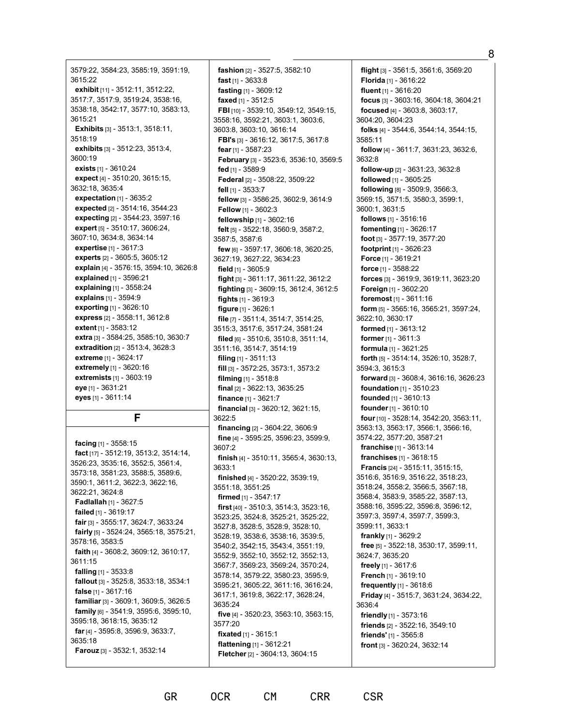3579:22, 3584:23, 3585:19, 3591:19, 3615:22 **exhibit** [11] - 3512:11, 3512:22, 3517:7, 3517:9, 3519:24, 3538:16, 3538:18, 3542:17, 3577:10, 3583:13, 3615:21 **Exhibits** [3] - 3513:1, 3518:11, 3518:19 **exhibits** [3] - 3512:23, 3513:4, 3600:19 **exists** [1] - 3610:24 **expect** [4] - 3510:20, 3615:15, 3632:18, 3635:4 **expectation** [1] - 3635:2 **expected** [2] - 3514:16, 3544:23 **expecting** [2] - 3544:23, 3597:16 **expert** [5] - 3510:17, 3606:24, 3607:10, 3634:8, 3634:14 **expertise** [1] - 3617:3 **experts** [2] - 3605:5, 3605:12 **explain** [4] - 3576:15, 3594:10, 3626:8 **explained** [1] - 3596:21 **explaining** [1] - 3558:24 **explains** [1] - 3594:9 **exporting** [1] - 3626:10 **express** [2] - 3558:11, 3612:8 **extent** [1] - 3583:12 **extra** [3] - 3584:25, 3585:10, 3630:7 **extradition** [2] - 3513:4, 3628:3 **extreme** [1] - 3624:17 **extremely** [1] - 3620:16 **extremists** [1] - 3603:19 **eye** [1] - 3631:21 **eyes** [1] - 3611:14 **F facing** [1] - 3558:15 **fact** [17] - 3512:19, 3513:2, 3514:14,

3526:23, 3535:16, 3552:5, 3561:4, 3573:18, 3581:23, 3588:5, 3589:6, 3590:1, 3611:2, 3622:3, 3622:16, 3622:21, 3624:8 **Fadlallah** [1] - 3627:5 **failed** [1] - 3619:17 **fair** [3] - 3555:17, 3624:7, 3633:24 **fairly** [5] - 3524:24, 3565:18, 3575:21, 3578:16, 3583:5 **faith** [4] - 3608:2, 3609:12, 3610:17, 3611:15 **falling** [1] - 3533:8 **fallout** [3] - 3525:8, 3533:18, 3534:1 **false** [1] - 3617:16 **familiar** [3] - 3609:1, 3609:5, 3626:5 **family** [6] - 3541:9, 3595:6, 3595:10, 3595:18, 3618:15, 3635:12 **far** [4] - 3595:8, 3596:9, 3633:7, 3635:18 **Farouz** [3] - 3532:1, 3532:14

**fashion** [2] - 3527:5, 3582:10 **fast** [1] - 3633:8 **fasting** [1] - 3609:12 **faxed** [1] - 3512:5 **FBI** [10] - 3539:10, 3549:12, 3549:15, 3558:16, 3592:21, 3603:1, 3603:6, 3603:8, 3603:10, 3616:14 **FBI's** [3] - 3616:12, 3617:5, 3617:8 **fear** [1] - 3587:23 **February** [3] - 3523:6, 3536:10, 3569:5 **fed** [1] - 3589:9 **Federal** [2] - 3508:22, 3509:22 **fell** [1] - 3533:7 **fellow** [3] - 3586:25, 3602:9, 3614:9 **Fellow** [1] - 3602:3 **fellowship** [1] - 3602:16 **felt** [5] - 3522:18, 3560:9, 3587:2, 3587:5, 3587:6 **few** [6] - 3597:17, 3606:18, 3620:25, 3627:19, 3627:22, 3634:23 **field** [1] - 3605:9 **fight** [3] - 3611:17, 3611:22, 3612:2 **fighting** [3] - 3609:15, 3612:4, 3612:5 **fights** [1] - 3619:3 **figure** [1] - 3626:1 **file** [7] - 3511:4, 3514:7, 3514:25, 3515:3, 3517:6, 3517:24, 3581:24 **filed** [6] - 3510:6, 3510:8, 3511:14, 3511:16, 3514:7, 3514:19 **filing** [1] - 3511:13 **fill** [3] - 3572:25, 3573:1, 3573:2 **filming** [1] - 3518:8 **final** [2] - 3622:13, 3635:25 **finance** [1] - 3621:7 **financial** [3] - 3620:12, 3621:15, 3622:5 **financing** [2] - 3604:22, 3606:9 **fine** [4] - 3595:25, 3596:23, 3599:9, 3607:2 **finish** [4] - 3510:11, 3565:4, 3630:13, 3633:1 **finished** [4] - 3520:22, 3539:19, 3551:18, 3551:25 **firmed** [1] - 3547:17 **first** [40] - 3510:3, 3514:3, 3523:16, 3523:25, 3524:8, 3525:21, 3525:22, 3527:8, 3528:5, 3528:9, 3528:10, 3528:19, 3538:6, 3538:16, 3539:5, 3540:2, 3542:15, 3543:4, 3551:19, 3552:9, 3552:10, 3552:12, 3552:13, 3567:7, 3569:23, 3569:24, 3570:24, 3578:14, 3579:22, 3580:23, 3595:9, 3595:21, 3605:22, 3611:16, 3616:24, 3617:1, 3619:8, 3622:17, 3628:24, 3635:24 **five** [4] - 3520:23, 3563:10, 3563:15, 3577:20 **fixated** [1] - 3615:1 **flattening** [1] - 3612:21 **Fletcher** [2] - 3604:13, 3604:15

**flight** [3] - 3561:5, 3561:6, 3569:20 **Florida** [1] - 3616:22 **fluent** [1] - 3616:20 **focus** [3] - 3603:16, 3604:18, 3604:21 **focused** [4] - 3603:8, 3603:17, 3604:20, 3604:23 **folks** [4] - 3544:6, 3544:14, 3544:15, 3585:11 **follow** [4] - 3611:7, 3631:23, 3632:6, 3632:8 **follow-up** [2] - 3631:23, 3632:8 **followed** [1] - 3605:25 **following** [8] - 3509:9, 3566:3, 3569:15, 3571:5, 3580:3, 3599:1, 3600:1, 3631:5 **follows** [1] - 3516:16 **fomenting** [1] - 3626:17 **foot** [3] - 3577:19, 3577:20 **footprint** [1] - 3626:23 **Force** [1] - 3619:21 **force** [1] - 3588:22 **forces** [3] - 3619:9, 3619:11, 3623:20 **Foreign** [1] - 3602:20 **foremost** [1] - 3611:16 **form** [5] - 3565:16, 3565:21, 3597:24, 3622:10, 3630:17 **formed** [1] - 3613:12 **former** [1] - 3611:3 **formula** [1] - 3621:25 **forth** [5] - 3514:14, 3526:10, 3528:7, 3594:3, 3615:3 **forward** [3] - 3608:4, 3616:16, 3626:23 **foundation** [1] - 3510:23 **founded** [1] - 3610:13 **founder**[1] - 3610:10 **four** [10] - 3528:14, 3542:20, 3563:11, 3563:13, 3563:17, 3566:1, 3566:16, 3574:22, 3577:20, 3587:21 **franchise** [1] - 3613:14 **franchises** [1] - 3618:15 **Francis** [24] - 3515:11, 3515:15, 3516:6, 3516:9, 3516:22, 3518:23, 3518:24, 3558:2, 3566:5, 3567:18, 3568:4, 3583:9, 3585:22, 3587:13, 3588:16, 3595:22, 3596:8, 3596:12, 3597:3, 3597:4, 3597:7, 3599:3, 3599:11, 3633:1 **frankly** [1] - 3629:2 **free** [5] - 3522:18, 3530:17, 3599:11, 3624:7, 3635:20 **freely** [1] - 3617:6 **French** [1] - 3619:10 **frequently** [1] - 3618:6 **Friday** [4] - 3515:7, 3631:24, 3634:22, 3636:4 **friendly** [1] - 3573:16 **friends** [2] - 3522:16, 3549:10 **friends'** [1] - 3565:8 **front** [3] - 3620:24, 3632:14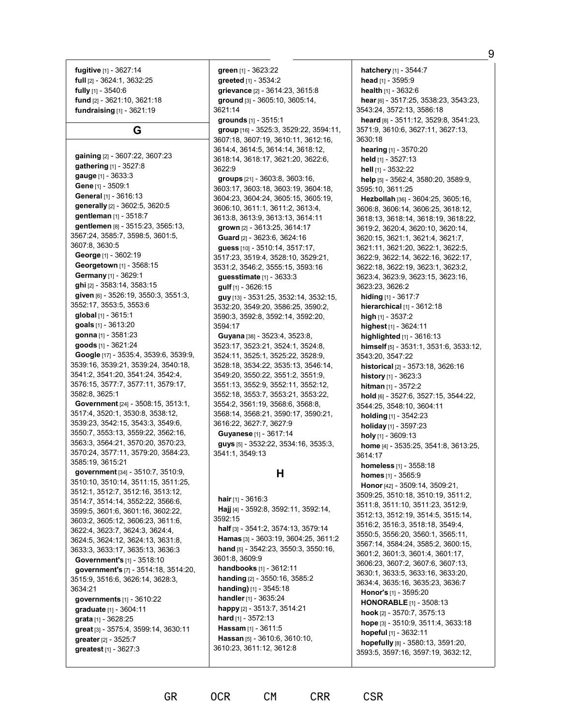**fugitive** [1] - 3627:14 **full** [2] - 3624:1, 3632:25 **fully** [1] - 3540:6 **fund** [2] - 3621:10, 3621:18 **fundraising** [1] - 3621:19

#### **G**

**gaining** [2] - 3607:22, 3607:23 **gathering** [1] - 3527:8 **gauge** [1] - 3633:3 **Gene** [1] - 3509:1 **General** [1] - 3616:13 **generally** [2] - 3602:5, 3620:5 **gentleman** [1] - 3518:7 **gentlemen** [8] - 3515:23, 3565:13, 3567:24, 3585:7, 3598:5, 3601:5, 3607:8, 3630:5 **George** [1] - 3602:19 **Georgetown** [1] - 3568:15 **Germany** [1] - 3629:1 **ghi** [2] - 3583:14, 3583:15 **given** [6] - 3526:19, 3550:3, 3551:3, 3552:17, 3553:5, 3553:6 **global** [1] - 3615:1 **goals** [1] - 3613:20 **gonna** [1] - 3581:23 **goods** [1] - 3621:24 **Google** [17] - 3535:4, 3539:6, 3539:9, 3539:16, 3539:21, 3539:24, 3540:18, 3541:2, 3541:20, 3541:24, 3542:4, 3576:15, 3577:7, 3577:11, 3579:17, 3582:8, 3625:1 **Government** [24] - 3508:15, 3513:1, 3517:4, 3520:1, 3530:8, 3538:12, 3539:23, 3542:15, 3543:3, 3549:6, 3550:7, 3553:13, 3559:22, 3562:16, 3563:3, 3564:21, 3570:20, 3570:23, 3570:24, 3577:11, 3579:20, 3584:23, 3585:19, 3615:21 **government** [34] - 3510:7, 3510:9, 3510:10, 3510:14, 3511:15, 3511:25, 3512:1, 3512:7, 3512:16, 3513:12, 3514:7, 3514:14, 3552:22, 3566:6, 3599:5, 3601:6, 3601:16, 3602:22, 3603:2, 3605:12, 3606:23, 3611:6, 3622:4, 3623:7, 3624:3, 3624:4, 3624:5, 3624:12, 3624:13, 3631:8, 3633:3, 3633:17, 3635:13, 3636:3 **Government's** [1] - 3518:10 **government's** [7] - 3514:18, 3514:20, 3515:9, 3516:6, 3626:14, 3628:3, 3634:21 **governments** [1] - 3610:22 **graduate** [1] - 3604:11 **grata** [1] - 3628:25 **great** [3] - 3575:4, 3599:14, 3630:11 **greater** [2] - 3525:7 **greatest** [1] - 3627:3

**green** [1] - 3623:22 **greeted** [1] - 3534:2 **grievance** [2] - 3614:23, 3615:8 **ground** [3] - 3605:10, 3605:14, 3621:14 **grounds** [1] - 3515:1 **group** [16] - 3525:3, 3529:22, 3594:11, 3607:18, 3607:19, 3610:11, 3612:16, 3614:4, 3614:5, 3614:14, 3618:12, 3618:14, 3618:17, 3621:20, 3622:6, 3622:9 **groups** [21] - 3603:8, 3603:16, 3603:17, 3603:18, 3603:19, 3604:18, 3604:23, 3604:24, 3605:15, 3605:19, 3606:10, 3611:1, 3611:2, 3613:4, 3613:8, 3613:9, 3613:13, 3614:11 **grown** [2] - 3613:25, 3614:17 **Guard** [2] - 3623:6, 3624:16 **guess** [10] - 3510:14, 3517:17, 3517:23, 3519:4, 3528:10, 3529:21, 3531:2, 3546:2, 3555:15, 3593:16 **guesstimate** [1] - 3633:3 **gulf** [1] - 3626:15 **guy** [13] - 3531:25, 3532:14, 3532:15, 3532:20, 3549:20, 3586:25, 3590:2, 3590:3, 3592:8, 3592:14, 3592:20, 3594:17 **Guyana** [38] - 3523:4, 3523:8, 3523:17, 3523:21, 3524:1, 3524:8, 3524:11, 3525:1, 3525:22, 3528:9, 3528:18, 3534:22, 3535:13, 3546:14, 3549:20, 3550:22, 3551:2, 3551:9, 3551:13, 3552:9, 3552:11, 3552:12, 3552:18, 3553:7, 3553:21, 3553:22, 3554:2, 3561:19, 3568:6, 3568:8, 3568:14, 3568:21, 3590:17, 3590:21, 3616:22, 3627:7, 3627:9 **Guyanese** [1] - 3617:14 **guys** [5] - 3532:22, 3534:16, 3535:3, 3541:1, 3549:13 **H hair** [1] - 3616:3 **Hajj** [4] - 3592:8, 3592:11, 3592:14, 3592:15 **half** [3] - 3541:2, 3574:13, 3579:14 **Hamas** [3] - 3603:19, 3604:25, 3611:2 **hand** [5] - 3542:23, 3550:3, 3550:16, 3601:8, 3609:9 **handbooks** [1] - 3612:11 **handing** [2] - 3550:16, 3585:2 **handing)** [1] - 3545:18 **handler** [1] - 3635:24 **happy** [2] - 3513:7, 3514:21 **hard** [1] - 3572:13 **Hassam** [1] - 3611:5 **Hassan** [5] - 3610:6, 3610:10, 3610:23, 3611:12, 3612:8

GR OCR CM CRR CSR

**hatchery** [1] - 3544:7 **head** [1] - 3595:9 **health** [1] - 3632:6 **hear** [6] - 3517:25, 3538:23, 3543:23, 3543:24, 3572:13, 3586:18 **heard** [8] - 3511:12, 3529:8, 3541:23, 3571:9, 3610:6, 3627:11, 3627:13, 3630:18 **hearing** [1] - 3570:20 **held** [1] - 3527:13 **hell** [1] - 3532:22 **help** [5] - 3562:4, 3580:20, 3589:9, 3595:10, 3611:25 **Hezbollah** [36] - 3604:25, 3605:16, 3606:8, 3606:14, 3606:25, 3618:12, 3618:13, 3618:14, 3618:19, 3618:22, 3619:2, 3620:4, 3620:10, 3620:14, 3620:15, 3621:1, 3621:4, 3621:7, 3621:11, 3621:20, 3622:1, 3622:5, 3622:9, 3622:14, 3622:16, 3622:17, 3622:18, 3622:19, 3623:1, 3623:2, 3623:4, 3623:9, 3623:15, 3623:16, 3623:23, 3626:2 **hiding** [1] - 3617:7 **hierarchical** [1] - 3612:18 **high** [1] - 3537:2 **highest** [1] - 3624:11 **highlighted** [1] - 3616:13 **himself** [5] - 3531:1, 3531:6, 3533:12, 3543:20, 3547:22 **historical** [2] - 3573:18, 3626:16 **history** [1] - 3623:3 **hitman** [1] - 3572:2 **hold** [6] - 3527:6, 3527:15, 3544:22, 3544:25, 3548:10, 3604:11 **holding** [1] - 3542:23 **holiday** [1] - 3597:23 **holy** [1] - 3609:13 **home** [4] - 3535:25, 3541:8, 3613:25, 3614:17 **homeless** [1] - 3558:18 **homes** [1] - 3565:9 **Honor** [42] - 3509:14, 3509:21, 3509:25, 3510:18, 3510:19, 3511:2, 3511:8, 3511:10, 3511:23, 3512:9, 3512:13, 3512:19, 3514:5, 3515:14, 3516:2, 3516:3, 3518:18, 3549:4, 3550:5, 3556:20, 3560:1, 3565:11, 3567:14, 3584:24, 3585:2, 3600:15, 3601:2, 3601:3, 3601:4, 3601:17, 3606:23, 3607:2, 3607:6, 3607:13, 3630:1, 3633:5, 3633:16, 3633:20, 3634:4, 3635:16, 3635:23, 3636:7 **Honor's** [1] - 3595:20 **HONORABLE** [1] - 3508:13 **hook** [2] - 3570:7, 3575:13 **hope** [3] - 3510:9, 3511:4, 3633:18 **hopeful** [1] - 3632:11 **hopefully** [8] - 3580:13, 3591:20, 3593:5, 3597:16, 3597:19, 3632:12,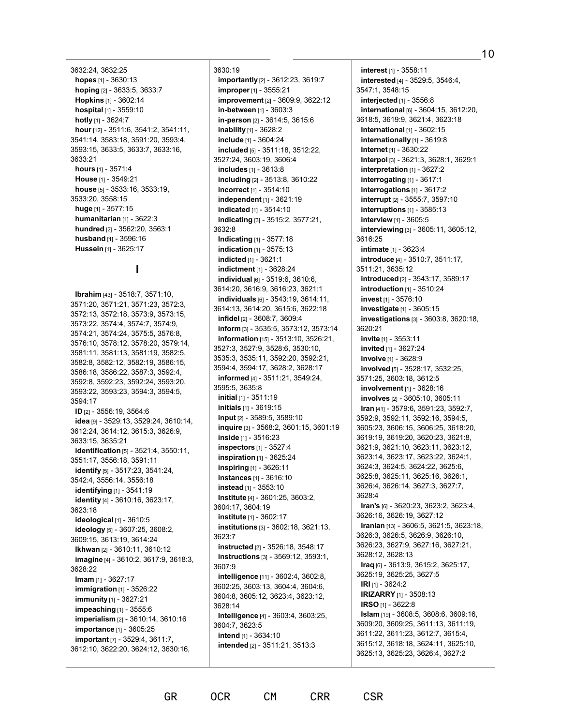3632:24, 3632:25 **hopes** [1] - 3630:13 **hoping** [2] - 3633:5, 3633:7 **Hopkins** [1] - 3602:14 **hospital** [1] - 3559:10 **hotly** [1] - 3624:7 **hour** [12] - 3511:6, 3541:2, 3541:11, 3541:14, 3583:18, 3591:20, 3593:4, 3593:15, 3633:5, 3633:7, 3633:16, 3633:21 **hours** [1] - 3571:4 **House** [1] - 3549:21 **house** [5] - 3533:16, 3533:19, 3533:20, 3558:15 **huge** [1] - 3577:15 **humanitarian** [1] - 3622:3 **hundred** [2] - 3562:20, 3563:1 **husband** [1] - 3596:16 **Hussein** [1] - 3625:17

#### **I**

**Ibrahim** [43] - 3518:7, 3571:10, 3571:20, 3571:21, 3571:23, 3572:3, 3572:13, 3572:18, 3573:9, 3573:15, 3573:22, 3574:4, 3574:7, 3574:9, 3574:21, 3574:24, 3575:5, 3576:8, 3576:10, 3578:12, 3578:20, 3579:14, 3581:11, 3581:13, 3581:19, 3582:5, 3582:8, 3582:12, 3582:19, 3586:15, 3586:18, 3586:22, 3587:3, 3592:4, 3592:8, 3592:23, 3592:24, 3593:20, 3593:22, 3593:23, 3594:3, 3594:5, 3594:17 **ID** [2] - 3556:19, 3564:6 **idea** [9] - 3529:13, 3529:24, 3610:14, 3612:24, 3614:12, 3615:3, 3626:9, 3633:15, 3635:21 **identification** [5] - 3521:4, 3550:11, 3551:17, 3556:18, 3591:11 **identify** [5] - 3517:23, 3541:24, 3542:4, 3556:14, 3556:18 **identifying** [1] - 3541:19 **identity** [4] - 3610:16, 3623:17, 3623:18 **ideological** [1] - 3610:5 **ideology** [5] - 3607:25, 3608:2, 3609:15, 3613:19, 3614:24 **Ikhwan** [2] - 3610:11, 3610:12 **imagine** [4] - 3610:2, 3617:9, 3618:3, 3628:22 **Imam** [1] - 3627:17 **immigration** [1] - 3526:22 **immunity** [1] - 3627:21 **impeaching** [1] - 3555:6 **imperialism** [2] - 3610:14, 3610:16 **importance** [1] - 3605:25 **important** [7] - 3529:4, 3611:7, 3612:10, 3622:20, 3624:12, 3630:16,

3630:19 **importantly** [2] - 3612:23, 3619:7 **improper** [1] - 3555:21 **improvement** [2] - 3609:9, 3622:12 **in-between** [1] - 3603:3 **in-person** [2] - 3614:5, 3615:6 **inability** [1] - 3628:2 **include** [1] - 3604:24 **included** [5] - 3511:18, 3512:22, 3527:24, 3603:19, 3606:4 **includes** [1] - 3613:8 **including** [2] - 3513:8, 3610:22 **incorrect** [1] - 3514:10 **independent** [1] - 3621:19 **indicated** [1] - 3514:10 **indicating** [3] - 3515:2, 3577:21, 3632:8 **Indicating** [1] - 3577:18 **indication** [1] - 3575:13 **indicted** [1] - 3621:1 **indictment** [1] - 3628:24 **individual** [6] - 3519:6, 3610:6, 3614:20, 3616:9, 3616:23, 3621:1 **individuals** [6] - 3543:19, 3614:11, 3614:13, 3614:20, 3615:6, 3622:18 **infidel** [2] - 3608:7, 3609:4 **inform** [3] - 3535:5, 3573:12, 3573:14 **information** [15] - 3513:10, 3526:21, 3527:3, 3527:9, 3528:6, 3530:10, 3535:3, 3535:11, 3592:20, 3592:21, 3594:4, 3594:17, 3628:2, 3628:17 **informed** [4] - 3511:21, 3549:24, 3595:5, 3635:8 **initial** [1] - 3511:19 **initials** [1] - 3619:15 **input** [2] - 3589:5, 3589:10 **inquire** [3] - 3568:2, 3601:15, 3601:19 **inside** [1] - 3516:23 **inspectors** [1] - 3527:4 **inspiration** [1] - 3625:24 **inspiring** [1] - 3626:11 **instances** [1] - 3616:10 **instead** [1] - 3553:10 **Institute** [4] - 3601:25, 3603:2, 3604:17, 3604:19 **institute** [1] - 3602:17 **institutions** [3] - 3602:18, 3621:13, 3623:7 **instructed** [2] - 3526:18, 3548:17 **instructions** [3] - 3569:12, 3593:1, 3607:9 **intelligence** [11] - 3602:4, 3602:8, 3602:25, 3603:13, 3604:4, 3604:6, 3604:8, 3605:12, 3623:4, 3623:12, 3628:14 **Intelligence** [4] - 3603:4, 3603:25, 3604:7, 3623:5 **intend** [1] - 3634:10 **intended** [2] - 3511:21, 3513:3

**interest** [1] - 3558:11 **interested** [4] - 3529:5, 3546:4, 3547:1, 3548:15 **interjected** [1] - 3556:8 **international** [6] - 3604:15, 3612:20, 3618:5, 3619:9, 3621:4, 3623:18 **International** [1] - 3602:15 **internationally** [1] - 3619:8 **Internet** [1] - 3630:22 **Interpol** [3] - 3621:3, 3628:1, 3629:1 **interpretation** [1] - 3627:2 **interrogating** [1] - 3617:1 **interrogations** [1] - 3617:2 **interrupt** [2] - 3555:7, 3597:10 **interruptions** [1] - 3585:13 **interview** [1] - 3605:5 **interviewing** [3] - 3605:11, 3605:12, 3616:25 **intimate** [1] - 3623:4 **introduce** [4] - 3510:7, 3511:17, 3511:21, 3635:12 **introduced** [2] - 3543:17, 3589:17 **introduction** [1] - 3510:24 **invest** [1] - 3576:10 **investigate** [1] - 3605:15 **investigations** [3] - 3603:8, 3620:18, 3620:21 **invite** [1] - 3553:11 **invited** [1] - 3627:24 **involve** [1] - 3628:9 **involved** [5] - 3528:17, 3532:25, 3571:25, 3603:18, 3612:5 **involvement** [1] - 3628:16 **involves** [2] - 3605:10, 3605:11 **Iran** [41] - 3579:6, 3591:23, 3592:7, 3592:9, 3592:11, 3592:16, 3594:5, 3605:23, 3606:15, 3606:25, 3618:20, 3619:19, 3619:20, 3620:23, 3621:8, 3621:9, 3621:10, 3623:11, 3623:12, 3623:14, 3623:17, 3623:22, 3624:1, 3624:3, 3624:5, 3624:22, 3625:6, 3625:8, 3625:11, 3625:16, 3626:1, 3626:4, 3626:14, 3627:3, 3627:7, 3628:4 **Iran's** [6] - 3620:23, 3623:2, 3623:4, 3626:16, 3626:19, 3627:12 **Iranian** [13] - 3606:5, 3621:5, 3623:18, 3626:3, 3626:5, 3626:9, 3626:10, 3626:23, 3627:9, 3627:16, 3627:21, 3628:12, 3628:13 **Iraq** [6] - 3613:9, 3615:2, 3625:17, 3625:19, 3625:25, 3627:5 **IRI** [1] - 3624:2 **IRIZARRY** [1] - 3508:13 **IRSO** [1] - 3622:8 **Islam** [19] - 3608:5, 3608:6, 3609:16, 3609:20, 3609:25, 3611:13, 3611:19, 3611:22, 3611:23, 3612:7, 3615:4, 3615:12, 3618:18, 3624:11, 3625:10, 3625:13, 3625:23, 3626:4, 3627:2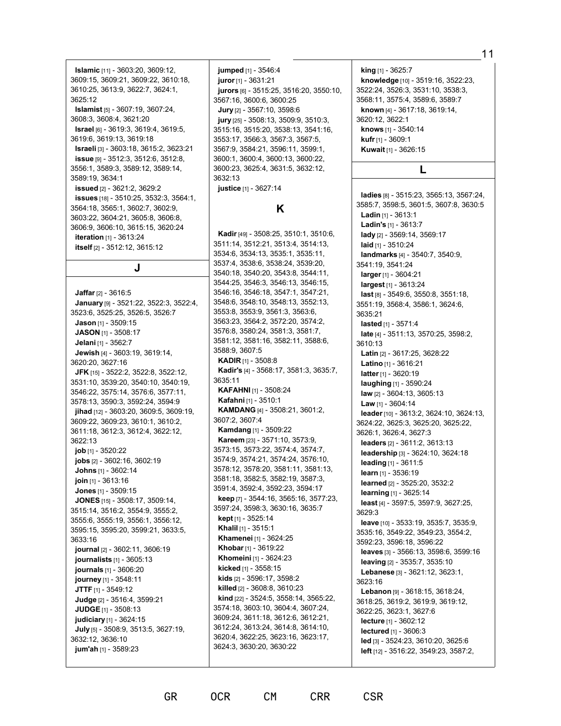**Islamic** [11] - 3603:20, 3609:12, 3609:15, 3609:21, 3609:22, 3610:18, 3610:25, 3613:9, 3622:7, 3624:1, 3625:12 **Islamist** [5] - 3607:19, 3607:24, 3608:3, 3608:4, 3621:20 **Israel** [6] - 3619:3, 3619:4, 3619:5, 3619:6, 3619:13, 3619:18 **Israeli** [3] - 3603:18, 3615:2, 3623:21 **issue** [9] - 3512:3, 3512:6, 3512:8, 3556:1, 3589:3, 3589:12, 3589:14, 3589:19, 3634:1 **issued** [2] - 3621:2, 3629:2 **issues** [18] - 3510:25, 3532:3, 3564:1, 3564:18, 3565:1, 3602:7, 3602:9, 3603:22, 3604:21, 3605:8, 3606:8, 3606:9, 3606:10, 3615:15, 3620:24 **iteration** [1] - 3613:24 **itself** [2] - 3512:12, 3615:12 **J Jaffar** [2] - 3616:5 **January** [9] - 3521:22, 3522:3, 3522:4, 3523:6, 3525:25, 3526:5, 3526:7 **Jason** [1] - 3509:15 **JASON** [1] - 3508:17 **Jelani** [1] - 3562:7 **Jewish** [4] - 3603:19, 3619:14, 3620:20, 3627:16 **JFK** [15] - 3522:2, 3522:8, 3522:12, 3531:10, 3539:20, 3540:10, 3540:19, 3546:22, 3575:14, 3576:6, 3577:11, 3578:13, 3590:3, 3592:24, 3594:9 **jihad** [12] - 3603:20, 3609:5, 3609:19, 3609:22, 3609:23, 3610:1, 3610:2, 3611:18, 3612:3, 3612:4, 3622:12, 3622:13 **job** [1] - 3520:22 **jobs** [2] - 3602:16, 3602:19 **Johns** [1] - 3602:14 **join** [1] - 3613:16 **Jones** [1] - 3509:15 **JONES** [15] - 3508:17, 3509:14, 3515:14, 3516:2, 3554:9, 3555:2, 3555:6, 3555:19, 3556:1, 3556:12, 3595:15, 3595:20, 3599:21, 3633:5, 3633:16 **journal** [2] - 3602:11, 3606:19 **journalists** [1] - 3605:13 **journals** [1] - 3606:20 **journey** [1] - 3548:11 **JTTF** [1] - 3549:12 **Judge** [2] - 3516:4, 3599:21 **JUDGE** [1] - 3508:13 **judiciary** [1] - 3624:15 **July** [5] - 3508:9, 3513:5, 3627:19, 3632:12, 3636:10 **jum'ah** [1] - 3589:23

**jumped** [1] - 3546:4 **juror** [1] - 3631:21 **jurors** [6] - 3515:25, 3516:20, 3550:10, 3567:16, 3600:6, 3600:25 **Jury** [2] - 3567:10, 3598:6 **jury** [25] - 3508:13, 3509:9, 3510:3, 3515:16, 3515:20, 3538:13, 3541:16, 3553:17, 3566:3, 3567:3, 3567:5, 3567:9, 3584:21, 3596:11, 3599:1, 3600:1, 3600:4, 3600:13, 3600:22, 3600:23, 3625:4, 3631:5, 3632:12, 3632:13 **justice** [1] - 3627:14

# **K**

**Kadir** [49] - 3508:25, 3510:1, 3510:6, 3511:14, 3512:21, 3513:4, 3514:13, 3534:6, 3534:13, 3535:1, 3535:11, 3537:4, 3538:6, 3538:24, 3539:20, 3540:18, 3540:20, 3543:8, 3544:11, 3544:25, 3546:3, 3546:13, 3546:15, 3546:16, 3546:18, 3547:1, 3547:21, 3548:6, 3548:10, 3548:13, 3552:13, 3553:8, 3553:9, 3561:3, 3563:6, 3563:23, 3564:2, 3572:20, 3574:2, 3576:8, 3580:24, 3581:3, 3581:7, 3581:12, 3581:16, 3582:11, 3588:6, 3588:9, 3607:5 **KADIR** [1] - 3508:8 **Kadir's** [4] - 3568:17, 3581:3, 3635:7, 3635:11 **KAFAHNI** [1] - 3508:24 **Kafahni** [1] - 3510:1 **KAMDANG** [4] - 3508:21, 3601:2, 3607:2, 3607:4 **Kamdang** [1] - 3509:22 **Kareem** [23] - 3571:10, 3573:9, 3573:15, 3573:22, 3574:4, 3574:7, 3574:9, 3574:21, 3574:24, 3576:10, 3578:12, 3578:20, 3581:11, 3581:13, 3581:18, 3582:5, 3582:19, 3587:3, 3591:4, 3592:4, 3592:23, 3594:17 **keep** [7] - 3544:16, 3565:16, 3577:23, 3597:24, 3598:3, 3630:16, 3635:7 **kept** [1] - 3525:14 **Khalil** [1] - 3515:1 **Khamenei** [1] - 3624:25 **Khobar** [1] - 3619:22 **Khomeini** [1] - 3624:23 **kicked** [1] - 3558:15 **kids** [2] - 3596:17, 3598:2 **killed** [2] - 3608:8, 3610:23 **kind** [22] - 3524:5, 3558:14, 3565:22, 3574:18, 3603:10, 3604:4, 3607:24, 3609:24, 3611:18, 3612:6, 3612:21, 3612:24, 3613:24, 3614:8, 3614:10, 3620:4, 3622:25, 3623:16, 3623:17, 3624:3, 3630:20, 3630:22

**king** [1] - 3625:7 **knowledge** [10] - 3519:16, 3522:23, 3522:24, 3526:3, 3531:10, 3538:3, 3568:11, 3575:4, 3589:6, 3589:7 **known** [4] - 3617:18, 3619:14, 3620:12, 3622:1 **knows** [1] - 3540:14 **kufr** [1] - 3609:1 **Kuwait** [1] - 3626:15

# **L**

**ladies** [8] - 3515:23, 3565:13, 3567:24, 3585:7, 3598:5, 3601:5, 3607:8, 3630:5 **Ladin** [1] - 3613:1 **Ladin's** [1] - 3613:7 **lady** [2] - 3569:14, 3569:17 **laid** [1] - 3510:24 **landmarks** [4] - 3540:7, 3540:9, 3541:19, 3541:24 **larger** [1] - 3604:21 **largest** [1] - 3613:24 **last** [8] - 3549:6, 3550:8, 3551:18, 3551:19, 3568:4, 3586:1, 3624:6, 3635:21 **lasted** [1] - 3571:4 **late** [4] - 3511:13, 3570:25, 3598:2, 3610:13 **Latin** [2] - 3617:25, 3628:22 **Latino** [1] - 3616:21 **latter** [1] - 3620:19 **laughing** [1] - 3590:24 **law** [2] - 3604:13, 3605:13 **Law** [1] - 3604:14 **leader** [10] - 3613:2, 3624:10, 3624:13, 3624:22, 3625:3, 3625:20, 3625:22, 3626:1, 3626:4, 3627:3 **leaders** [2] - 3611:2, 3613:13 **leadership** [3] - 3624:10, 3624:18 **leading** [1] - 3611:5 **learn** [1] - 3536:19 **learned** [2] - 3525:20, 3532:2 **learning** [1] - 3625:14 **least** [4] - 3597:5, 3597:9, 3627:25, 3629:3 **leave** [10] - 3533:19, 3535:7, 3535:9, 3535:16, 3549:22, 3549:23, 3554:2, 3592:23, 3596:18, 3596:22 **leaves** [3] - 3566:13, 3598:6, 3599:16 **leaving** [2] - 3535:7, 3535:10 **Lebanese** [3] - 3621:12, 3623:1, 3623:16 **Lebanon** [9] - 3618:15, 3618:24, 3618:25, 3619:2, 3619:9, 3619:12, 3622:25, 3623:1, 3627:6 **lecture** [1] - 3602:12 **lectured** [1] - 3606:3 **led** [3] - 3524:23, 3610:20, 3625:6 **left** [12] - 3516:22, 3549:23, 3587:2,

11

GR OCR CM CRR CSR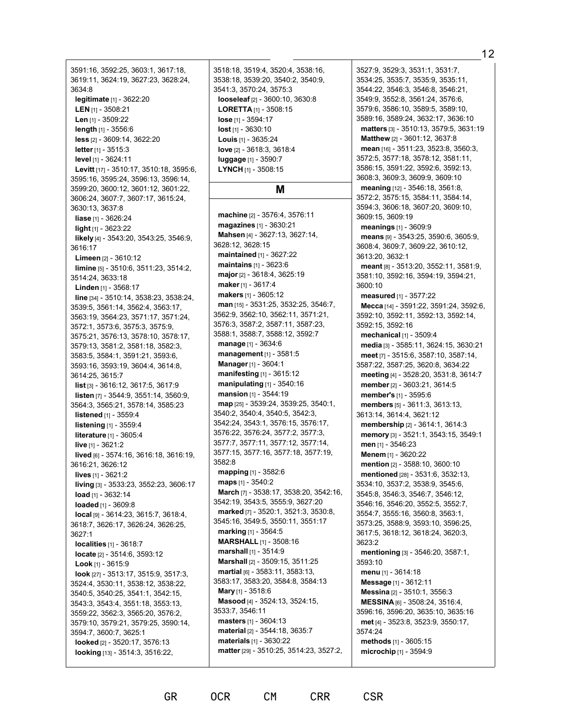3591:16, 3592:25, 3603:1, 3617:18, 3619:11, 3624:19, 3627:23, 3628:24, 3634:8 **legitimate** [1] - 3622:20 **LEN** [1] - 3508:21 **Len** [1] - 3509:22 **length** [1] - 3556:6 **less** [2] - 3609:14, 3622:20 **letter** [1] - 3515:3 **level** [1] - 3624:11 **Levitt** [17] - 3510:17, 3510:18, 3595:6, 3595:16, 3595:24, 3596:13, 3596:14, 3599:20, 3600:12, 3601:12, 3601:22, 3606:24, 3607:7, 3607:17, 3615:24, 3630:13, 3637:8 **liase** [1] - 3626:24 **light** [1] - 3623:22 **likely** [4] - 3543:20, 3543:25, 3546:9, 3616:17 **Limeen** [2] - 3610:12 **limine** [5] - 3510:6, 3511:23, 3514:2, 3514:24, 3633:18 **Linden** [1] - 3568:17 **line** [34] - 3510:14, 3538:23, 3538:24, 3539:5, 3561:14, 3562:4, 3563:17, 3563:19, 3564:23, 3571:17, 3571:24, 3572:1, 3573:6, 3575:3, 3575:9, 3575:21, 3576:13, 3578:10, 3578:17, 3579:13, 3581:2, 3581:18, 3582:3, 3583:5, 3584:1, 3591:21, 3593:6, 3593:16, 3593:19, 3604:4, 3614:8, 3614:25, 3615:7 **list** [3] - 3616:12, 3617:5, 3617:9 **listen** [7] - 3544:9, 3551:14, 3560:9, 3564:3, 3565:21, 3578:14, 3585:23 **listened** [1] - 3559:4 **listening** [1] - 3559:4 **literature** [1] - 3605:4 **live** [1] - 3621:2 **lived** [6] - 3574:16, 3616:18, 3616:19, 3616:21, 3626:12 **lives** [1] - 3621:2 **living** [3] - 3533:23, 3552:23, 3606:17 **load** [1] - 3632:14 **loaded** [1] - 3609:8 **local** [9] - 3614:23, 3615:7, 3618:4, 3618:7, 3626:17, 3626:24, 3626:25, 3627:1 **localities** [1] - 3618:7 **locate** [2] - 3514:6, 3593:12 **Look** [1] - 3615:9 **look** [27] - 3513:17, 3515:9, 3517:3, 3524:4, 3530:11, 3538:12, 3538:22, 3540:5, 3540:25, 3541:1, 3542:15, 3543:3, 3543:4, 3551:18, 3553:13, 3559:22, 3562:3, 3565:20, 3576:2, 3579:10, 3579:21, 3579:25, 3590:14, 3594:7, 3600:7, 3625:1 **looked** [2] - 3520:17, 3576:13 **looking** [13] - 3514:3, 3516:22,

3518:18, 3519:4, 3520:4, 3538:16, 3538:18, 3539:20, 3540:2, 3540:9, 3541:3, 3570:24, 3575:3 **looseleaf** [2] - 3600:10, 3630:8 **LORETTA** [1] - 3508:15 **lose** [1] - 3594:17 **lost** [1] - 3630:10 **Louis** [1] - 3635:24 **love** [2] - 3618:3, 3618:4 **luggage** [1] - 3590:7 **LYNCH** [1] - 3508:15

#### **M**

**machine** [2] - 3576:4, 3576:11 **magazines** [1] - 3630:21 **Mahsen** [4] - 3627:13, 3627:14, 3628:12, 3628:15 **maintained** [1] - 3627:22 **maintains** [1] - 3623:6 **major** [2] - 3618:4, 3625:19 **maker** [1] - 3617:4 **makers** [1] - 3605:12 **man** [15] - 3531:25, 3532:25, 3546:7, 3562:9, 3562:10, 3562:11, 3571:21, 3576:3, 3587:2, 3587:11, 3587:23, 3588:1, 3588:7, 3588:12, 3592:7 **manage** [1] - 3634:6 **management** [1] - 3581:5 **Manager** [1] - 3604:1 **manifesting** [1] - 3615:12 **manipulating** [1] - 3540:16 **mansion** [1] - 3544:19 **map** [25] - 3539:24, 3539:25, 3540:1, 3540:2, 3540:4, 3540:5, 3542:3, 3542:24, 3543:1, 3576:15, 3576:17, 3576:22, 3576:24, 3577:2, 3577:3, 3577:7, 3577:11, 3577:12, 3577:14, 3577:15, 3577:16, 3577:18, 3577:19, 3582:8 **mapping** [1] - 3582:6 **maps** [1] - 3540:2 **March** [7] - 3538:17, 3538:20, 3542:16, 3542:19, 3543:5, 3555:9, 3627:20 **marked** [7] - 3520:1, 3521:3, 3530:8, 3545:16, 3549:5, 3550:11, 3551:17 **marking** [1] - 3564:5 **MARSHALL** [1] - 3508:16 **marshall** [1] - 3514:9 **Marshall** [2] - 3509:15, 3511:25 **martial** [6] - 3583:11, 3583:13, 3583:17, 3583:20, 3584:8, 3584:13 **Mary** [1] - 3518:6 **Masood** [4] - 3524:13, 3524:15, 3533:7, 3546:11 **masters** [1] - 3604:13 **material** [2] - 3544:18, 3635:7 **materials** [1] - 3630:22 **matter** [29] - 3510:25, 3514:23, 3527:2,

GR OCR CM CRR CSR

3527:9, 3529:3, 3531:1, 3531:7, 3534:25, 3535:7, 3535:9, 3535:11, 3544:22, 3546:3, 3546:8, 3546:21, 3549:9, 3552:8, 3561:24, 3576:6, 3579:6, 3586:10, 3589:5, 3589:10, 3589:16, 3589:24, 3632:17, 3636:10 **matters** [3] - 3510:13, 3579:5, 3631:19 **Matthew** [2] - 3601:12, 3637:8 **mean** [16] - 3511:23, 3523:8, 3560:3, 3572:5, 3577:18, 3578:12, 3581:11, 3586:15, 3591:22, 3592:6, 3592:13, 3608:3, 3609:3, 3609:9, 3609:10 **meaning** [12] - 3546:18, 3561:8, 3572:2, 3575:15, 3584:11, 3584:14, 3594:3, 3606:18, 3607:20, 3609:10, 3609:15, 3609:19 **meanings** [1] - 3609:9 **means** [9] - 3543:25, 3590:6, 3605:9, 3608:4, 3609:7, 3609:22, 3610:12, 3613:20, 3632:1 **meant** [8] - 3513:20, 3552:11, 3581:9, 3581:10, 3592:16, 3594:19, 3594:21, 3600:10 **measured** [1] - 3577:22 **Mecca** [14] - 3591:22, 3591:24, 3592:6, 3592:10, 3592:11, 3592:13, 3592:14, 3592:15, 3592:16 **mechanical** [1] - 3509:4 **media** [3] - 3585:11, 3624:15, 3630:21 **meet** [7] - 3515:6, 3587:10, 3587:14, 3587:22, 3587:25, 3620:8, 3634:22 **meeting** [4] - 3528:20, 3531:8, 3614:7 **member** [2] - 3603:21, 3614:5 **member's** [1] - 3595:6 **members** [5] - 3611:3, 3613:13, 3613:14, 3614:4, 3621:12 **membership** [2] - 3614:1, 3614:3 **memory** [3] - 3521:1, 3543:15, 3549:1 **men** [1] - 3546:23 **Menem** [1] - 3620:22 **mention** [2] - 3588:10, 3600:10 **mentioned** [28] - 3531:6, 3532:13, 3534:10, 3537:2, 3538:9, 3545:6, 3545:8, 3546:3, 3546:7, 3546:12, 3546:16, 3546:20, 3552:5, 3552:7, 3554:7, 3555:16, 3560:8, 3563:1, 3573:25, 3588:9, 3593:10, 3596:25, 3617:5, 3618:12, 3618:24, 3620:3, 3623:2 **mentioning** [3] - 3546:20, 3587:1, 3593:10 **menu** [1] - 3614:18 **Message** [1] - 3612:11 **Messina** [2] - 3510:1, 3556:3 **MESSINA** [6] - 3508:24, 3516:4, 3596:16, 3596:20, 3635:10, 3635:16 **met** [4] - 3523:8, 3523:9, 3550:17, 3574:24 **methods** [1] - 3605:15 **microchip** [1] - 3594:9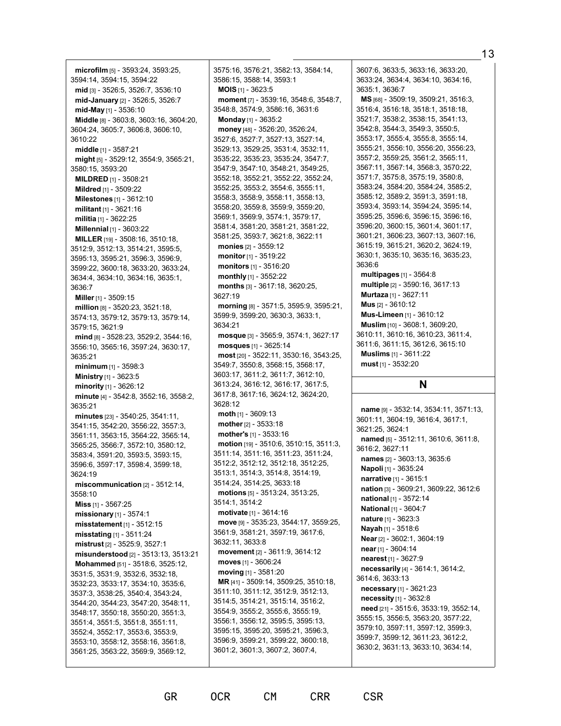**microfilm** [5] - 3593:24, 3593:25, 3594:14, 3594:15, 3594:22 **mid** [3] - 3526:5, 3526:7, 3536:10 **mid-January** [2] - 3526:5, 3526:7 **mid-May** [1] - 3536:10 **Middle** [8] - 3603:8, 3603:16, 3604:20, 3604:24, 3605:7, 3606:8, 3606:10, 3610:22 **middle** [1] - 3587:21 **might** [5] - 3529:12, 3554:9, 3565:21, 3580:15, 3593:20 **MILDRED** [1] - 3508:21 **Mildred** [1] - 3509:22 **Milestones** [1] - 3612:10 **militant** [1] - 3621:16 **militia** [1] - 3622:25 **Millennial** [1] - 3603:22 **MILLER** [19] - 3508:16, 3510:18, 3512:9, 3512:13, 3514:21, 3595:5, 3595:13, 3595:21, 3596:3, 3596:9, 3599:22, 3600:18, 3633:20, 3633:24, 3634:4, 3634:10, 3634:16, 3635:1, 3636:7 **Miller** [1] - 3509:15 **million** [8] - 3520:23, 3521:18, 3574:13, 3579:12, 3579:13, 3579:14, 3579:15, 3621:9 **mind** [8] - 3528:23, 3529:2, 3544:16, 3556:10, 3565:16, 3597:24, 3630:17, 3635:21 **minimum** [1] - 3598:3 **Ministry** [1] - 3623:5 **minority** [1] - 3626:12 **minute** [4] - 3542:8, 3552:16, 3558:2, 3635:21 **minutes** [23] - 3540:25, 3541:11, 3541:15, 3542:20, 3556:22, 3557:3, 3561:11, 3563:15, 3564:22, 3565:14, 3565:25, 3566:7, 3572:10, 3580:12, 3583:4, 3591:20, 3593:5, 3593:15, 3596:6, 3597:17, 3598:4, 3599:18, 3624:19 **miscommunication** [2] - 3512:14, 3558:10 **Miss** [1] - 3567:25 **missionary** [1] - 3574:1 **misstatement** [1] - 3512:15 **misstating** [1] - 3511:24 **mistrust** [2] - 3525:9, 3527:1 **misunderstood** [2] - 3513:13, 3513:21 **Mohammed** [51] - 3518:6, 3525:12, 3531:5, 3531:9, 3532:6, 3532:18, 3532:23, 3533:17, 3534:10, 3535:6, 3537:3, 3538:25, 3540:4, 3543:24, 3544:20, 3544:23, 3547:20, 3548:11, 3548:17, 3550:18, 3550:20, 3551:3, 3551:4, 3551:5, 3551:8, 3551:11, 3552:4, 3552:17, 3553:6, 3553:9, 3553:10, 3558:12, 3558:16, 3561:8, 3561:25, 3563:22, 3569:9, 3569:12,

3575:16, 3576:21, 3582:13, 3584:14, 3586:15, 3588:14, 3593:1 **MOIS** [1] - 3623:5 **moment** [7] - 3539:16, 3548:6, 3548:7, 3548:8, 3574:9, 3586:16, 3631:6 **Monday** [1] - 3635:2 **money** [48] - 3526:20, 3526:24, 3527:6, 3527:7, 3527:13, 3527:14, 3529:13, 3529:25, 3531:4, 3532:11, 3535:22, 3535:23, 3535:24, 3547:7, 3547:9, 3547:10, 3548:21, 3549:25, 3552:18, 3552:21, 3552:22, 3552:24, 3552:25, 3553:2, 3554:6, 3555:11, 3558:3, 3558:9, 3558:11, 3558:13, 3558:20, 3559:8, 3559:9, 3559:20, 3569:1, 3569:9, 3574:1, 3579:17, 3581:4, 3581:20, 3581:21, 3581:22, 3581:25, 3593:7, 3621:8, 3622:11 **monies** [2] - 3559:12 **monitor**[1] - 3519:22 **monitors** [1] - 3516:20 **monthly** [1] - 3552:22 **months** [3] - 3617:18, 3620:25, 3627:19 **morning** [8] - 3571:5, 3595:9, 3595:21, 3599:9, 3599:20, 3630:3, 3633:1, 3634:21 **mosque** [3] - 3565:9, 3574:1, 3627:17 **mosques** [1] - 3625:14 **most** [20] - 3522:11, 3530:16, 3543:25, 3549:7, 3550:8, 3568:15, 3568:17, 3603:17, 3611:2, 3611:7, 3612:10, 3613:24, 3616:12, 3616:17, 3617:5, 3617:8, 3617:16, 3624:12, 3624:20, 3628:12 **moth** [1] - 3609:13 **mother** [2] - 3533:18 **mother's** [1] - 3533:16 **motion** [19] - 3510:6, 3510:15, 3511:3, 3511:14, 3511:16, 3511:23, 3511:24, 3512:2, 3512:12, 3512:18, 3512:25, 3513:1, 3514:3, 3514:8, 3514:19, 3514:24, 3514:25, 3633:18 **motions** [5] - 3513:24, 3513:25, 3514:1, 3514:2 **motivate** [1] - 3614:16 **move** [9] - 3535:23, 3544:17, 3559:25, 3561:9, 3581:21, 3597:19, 3617:6, 3632:11, 3633:8 **movement** [2] - 3611:9, 3614:12 **moves** [1] - 3606:24 **moving** [1] - 3581:20 **MR** [41] - 3509:14, 3509:25, 3510:18, 3511:10, 3511:12, 3512:9, 3512:13, 3514:5, 3514:21, 3515:14, 3516:2, 3554:9, 3555:2, 3555:6, 3555:19, 3556:1, 3556:12, 3595:5, 3595:13, 3595:15, 3595:20, 3595:21, 3596:3, 3596:9, 3599:21, 3599:22, 3600:18, 3601:2, 3601:3, 3607:2, 3607:4,

GR OCR CM CRR CSR

3607:6, 3633:5, 3633:16, 3633:20, 3633:24, 3634:4, 3634:10, 3634:16, 3635:1, 3636:7 **MS** [68] - 3509:19, 3509:21, 3516:3, 3516:4, 3516:18, 3518:1, 3518:18, 3521:7, 3538:2, 3538:15, 3541:13, 3542:8, 3544:3, 3549:3, 3550:5, 3553:17, 3555:4, 3555:8, 3555:14, 3555:21, 3556:10, 3556:20, 3556:23, 3557:2, 3559:25, 3561:2, 3565:11, 3567:11, 3567:14, 3568:3, 3570:22, 3571:7, 3575:8, 3575:19, 3580:8, 3583:24, 3584:20, 3584:24, 3585:2, 3585:12, 3589:2, 3591:3, 3591:18, 3593:4, 3593:14, 3594:24, 3595:14, 3595:25, 3596:6, 3596:15, 3596:16, 3596:20, 3600:15, 3601:4, 3601:17, 3601:21, 3606:23, 3607:13, 3607:16, 3615:19, 3615:21, 3620:2, 3624:19, 3630:1, 3635:10, 3635:16, 3635:23, 3636:6 **multipages** [1] - 3564:8 **multiple** [2] - 3590:16, 3617:13 **Murtaza** [1] - 3627:11 **Mus** [2] - 3610:12 **Mus-Limeen** [1] - 3610:12 **Muslim** [10] - 3608:1, 3609:20, 3610:11, 3610:16, 3610:23, 3611:4, 3611:6, 3611:15, 3612:6, 3615:10 **Muslims** [1] - 3611:22 **must** [1] - 3532:20

#### **N**

**name** [9] - 3532:14, 3534:11, 3571:13, 3601:11, 3604:19, 3616:4, 3617:1, 3621:25, 3624:1 **named** [5] - 3512:11, 3610:6, 3611:8, 3616:2, 3627:11 **names** [2] - 3603:13, 3635:6 **Napoli** [1] - 3635:24 **narrative** [1] - 3615:1 **nation** [3] - 3609:21, 3609:22, 3612:6 **national** [1] - 3572:14 **National** [1] - 3604:7 **nature** [1] - 3623:3 **Nayah** [1] - 3518:6 **Near** [2] - 3602:1, 3604:19 **near** [1] - 3604:14 **nearest** [1] - 3627:9 **necessarily** [4] - 3614:1, 3614:2, 3614:6, 3633:13 **necessary** [1] - 3621:23 **necessity** [1] - 3632:8 **need** [21] - 3515:6, 3533:19, 3552:14, 3555:15, 3556:5, 3563:20, 3577:22, 3579:10, 3597:11, 3597:12, 3599:3, 3599:7, 3599:12, 3611:23, 3612:2, 3630:2, 3631:13, 3633:10, 3634:14,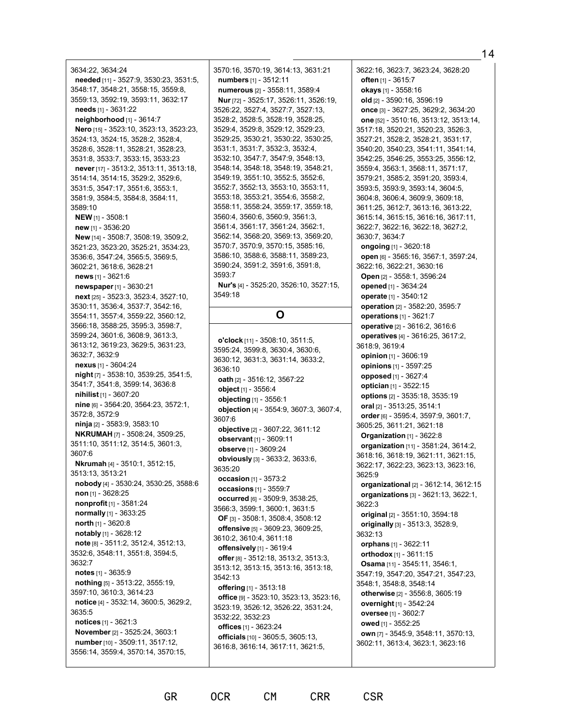3634:22, 3634:24 **needed** [11] - 3527:9, 3530:23, 3531:5, 3548:17, 3548:21, 3558:15, 3559:8, 3559:13, 3592:19, 3593:11, 3632:17 **needs** [1] - 3631:22 **neighborhood** [1] - 3614:7 **Nero** [15] - 3523:10, 3523:13, 3523:23, 3524:13, 3524:15, 3528:2, 3528:4, 3528:6, 3528:11, 3528:21, 3528:23, 3531:8, 3533:7, 3533:15, 3533:23 **never** [17] - 3513:2, 3513:11, 3513:18, 3514:14, 3514:15, 3529:2, 3529:6, 3531:5, 3547:17, 3551:6, 3553:1, 3581:9, 3584:5, 3584:8, 3584:11, 3589:10 **NEW** [1] - 3508:1 **new** [1] - 3536:20 **New** [14] - 3508:7, 3508:19, 3509:2, 3521:23, 3523:20, 3525:21, 3534:23, 3536:6, 3547:24, 3565:5, 3569:5, 3602:21, 3618:6, 3628:21 **news** [1] - 3621:6 **newspaper** [1] - 3630:21 **next** [25] - 3523:3, 3523:4, 3527:10, 3530:11, 3536:4, 3537:7, 3542:16, 3554:11, 3557:4, 3559:22, 3560:12, 3566:18, 3588:25, 3595:3, 3598:7, 3599:24, 3601:6, 3608:9, 3613:3, 3613:12, 3619:23, 3629:5, 3631:23, 3632:7, 3632:9 **nexus** [1] - 3604:24 **night** [7] - 3538:10, 3539:25, 3541:5, 3541:7, 3541:8, 3599:14, 3636:8 **nihilist** [1] - 3607:20 **nine** [6] - 3564:20, 3564:23, 3572:1, 3572:8, 3572:9 **ninja** [2] - 3583:9, 3583:10 **NKRUMAH** [7] - 3508:24, 3509:25, 3511:10, 3511:12, 3514:5, 3601:3, 3607:6 **Nkrumah** [4] - 3510:1, 3512:15, 3513:13, 3513:21 **nobody** [4] - 3530:24, 3530:25, 3588:6 **non** [1] - 3628:25 **nonprofit** [1] - 3581:24 **normally** [1] - 3633:25 **north** [1] - 3620:8 **notably** [1] - 3628:12 **note** [8] - 3511:2, 3512:4, 3512:13, 3532:6, 3548:11, 3551:8, 3594:5, 3632:7 **notes** [1] - 3635:9 **nothing** [5] - 3513:22, 3555:19, 3597:10, 3610:3, 3614:23 **notice** [4] - 3532:14, 3600:5, 3629:2, 3635:5 **notices** [1] - 3621:3 **November** [2] - 3525:24, 3603:1 **number** [10] - 3509:11, 3517:12, 3556:14, 3559:4, 3570:14, 3570:15,

3570:16, 3570:19, 3614:13, 3631:21 **numbers** [1] - 3512:11 **numerous** [2] - 3558:11, 3589:4 **Nur** [72] - 3525:17, 3526:11, 3526:19, 3526:22, 3527:4, 3527:7, 3527:13, 3528:2, 3528:5, 3528:19, 3528:25, 3529:4, 3529:8, 3529:12, 3529:23, 3529:25, 3530:21, 3530:22, 3530:25, 3531:1, 3531:7, 3532:3, 3532:4, 3532:10, 3547:7, 3547:9, 3548:13, 3548:14, 3548:18, 3548:19, 3548:21, 3549:19, 3551:10, 3552:5, 3552:6, 3552:7, 3552:13, 3553:10, 3553:11, 3553:18, 3553:21, 3554:6, 3558:2, 3558:11, 3558:24, 3559:17, 3559:18, 3560:4, 3560:6, 3560:9, 3561:3, 3561:4, 3561:17, 3561:24, 3562:1, 3562:14, 3568:20, 3569:13, 3569:20, 3570:7, 3570:9, 3570:15, 3585:16, 3586:10, 3588:6, 3588:11, 3589:23, 3590:24, 3591:2, 3591:6, 3591:8, 3593:7 **Nur's** [4] - 3525:20, 3526:10, 3527:15, 3549:18

## **O**

**o'clock** [11] - 3508:10, 3511:5, 3595:24, 3599:8, 3630:4, 3630:6, 3630:12, 3631:3, 3631:14, 3633:2, 3636:10 **oath** [2] - 3516:12, 3567:22 **object** [1] - 3556:4 **objecting** [1] - 3556:1 **objection** [4] - 3554:9, 3607:3, 3607:4, 3607:6 **objective** [2] - 3607:22, 3611:12 **observant** [1] - 3609:11 **observe** [1] - 3609:24 **obviously** [3] - 3633:2, 3633:6, 3635:20 **occasion** [1] - 3573:2 **occasions** [1] - 3559:7 **occurred** [6] - 3509:9, 3538:25, 3566:3, 3599:1, 3600:1, 3631:5 **OF** [3] - 3508:1, 3508:4, 3508:12 **offensive** [5] - 3609:23, 3609:25, 3610:2, 3610:4, 3611:18 **offensively** [1] - 3619:4 **offer** [8] - 3512:18, 3513:2, 3513:3, 3513:12, 3513:15, 3513:16, 3513:18, 3542:13 **offering** [1] - 3513:18 **office** [9] - 3523:10, 3523:13, 3523:16, 3523:19, 3526:12, 3526:22, 3531:24, 3532:22, 3532:23 **offices** [1] - 3623:24 **officials** [10] - 3605:5, 3605:13, 3616:8, 3616:14, 3617:11, 3621:5,

3622:16, 3623:7, 3623:24, 3628:20 **often** [1] - 3615:7 **okays** [1] - 3558:16 **old** [2] - 3590:16, 3596:19 **once** [3] - 3627:25, 3629:2, 3634:20 **one** [52] - 3510:16, 3513:12, 3513:14, 3517:18, 3520:21, 3520:23, 3526:3, 3527:21, 3528:2, 3528:21, 3531:17, 3540:20, 3540:23, 3541:11, 3541:14, 3542:25, 3546:25, 3553:25, 3556:12, 3559:4, 3563:1, 3568:11, 3571:17, 3579:21, 3585:2, 3591:20, 3593:4, 3593:5, 3593:9, 3593:14, 3604:5, 3604:8, 3606:4, 3609:9, 3609:18, 3611:25, 3612:7, 3613:16, 3613:22, 3615:14, 3615:15, 3616:16, 3617:11, 3622:7, 3622:16, 3622:18, 3627:2, 3630:7, 3634:7 **ongoing** [1] - 3620:18 **open** [6] - 3565:16, 3567:1, 3597:24, 3622:16, 3622:21, 3630:16 **Open** [2] - 3558:1, 3596:24 **opened** [1] - 3634:24 **operate** [1] - 3540:12 **operation** [2] - 3582:20, 3595:7 **operations** [1] - 3621:7 **operative** [2] - 3616:2, 3616:6 **operatives** [4] - 3616:25, 3617:2, 3618:9, 3619:4 **opinion** [1] - 3606:19 **opinions** [1] - 3597:25 **opposed** [1] - 3627:4 **optician** [1] - 3522:15 **options** [2] - 3535:18, 3535:19 **oral** [2] - 3513:25, 3514:1 **order** [6] - 3595:4, 3597:9, 3601:7, 3605:25, 3611:21, 3621:18 **Organization** [1] - 3622:8 **organization** [11] - 3581:24, 3614:2, 3618:16, 3618:19, 3621:11, 3621:15, 3622:17, 3622:23, 3623:13, 3623:16, 3625:9 **organizational** [2] - 3612:14, 3612:15 **organizations** [3] - 3621:13, 3622:1, 3622:3 **original** [2] - 3551:10, 3594:18 **originally** [3] - 3513:3, 3528:9, 3632:13 **orphans** [1] - 3622:11 **orthodox** [1] - 3611:15 **Osama** [11] - 3545:11, 3546:1, 3547:19, 3547:20, 3547:21, 3547:23, 3548:1, 3548:8, 3548:14 **otherwise** [2] - 3556:8, 3605:19 **overnight** [1] - 3542:24 **oversee** [1] - 3602:7 **owed** [1] - 3552:25 **own** [7] - 3545:9, 3548:11, 3570:13, 3602:11, 3613:4, 3623:1, 3623:16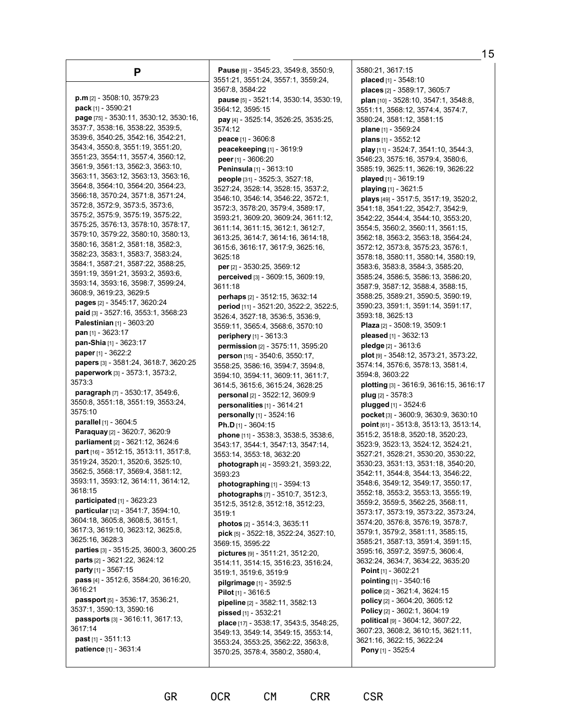| Р                                                                         | <b>Pause</b> [9] - 3545:23, 3549:8, 3550:9,<br>3551:21, 3551:24, 3557:1, 3559:24, | 358<br>pl  |
|---------------------------------------------------------------------------|-----------------------------------------------------------------------------------|------------|
|                                                                           | 3567:8, 3584:22                                                                   | pl         |
| $p.m$ [2] - 3508:10, 3579:23                                              | pause [5] - 3521:14, 3530:14, 3530:19,                                            | pl         |
| pack [1] - 3590:21                                                        | 3564:12, 3595:15                                                                  | 355        |
| page [75] - 3530:11, 3530:12, 3530:16,                                    | pay [4] - 3525:14, 3526:25, 3535:25,                                              | 358        |
| 3537:7, 3538:16, 3538:22, 3539:5,                                         | 3574:12                                                                           | pl         |
| 3539:6, 3540:25, 3542:16, 3542:21,                                        | peace [1] - 3606:8                                                                | pl         |
| 3543:4, 3550:8, 3551:19, 3551:20,                                         | peacekeeping [1] - 3619:9                                                         | pl         |
| 3551:23, 3554:11, 3557:4, 3560:12,                                        | peer [1] - 3606:20                                                                | 354        |
| 3561:9, 3561:13, 3562:3, 3563:10,                                         | Peninsula [1] - 3613:10                                                           | 358        |
| 3563:11, 3563:12, 3563:13, 3563:16,<br>3564:8, 3564:10, 3564:20, 3564:23, | people [31] - 3525:3, 3527:18,                                                    | pl         |
| 3566:18, 3570:24, 3571:8, 3571:24,                                        | 3527:24, 3528:14, 3528:15, 3537:2,                                                | pl         |
| 3572:8, 3572:9, 3573:5, 3573:6,                                           | 3546:10, 3546:14, 3546:22, 3572:1,                                                | pl         |
| 3575:2, 3575:9, 3575:19, 3575:22,                                         | 3572:3, 3578:20, 3579:4, 3589:17,                                                 | 354        |
| 3575:25, 3576:13, 3578:10, 3578:17,                                       | 3593:21, 3609:20, 3609:24, 3611:12,                                               | 354        |
| 3579:10, 3579:22, 3580:10, 3580:13,                                       | 3611:14, 3611:15, 3612:1, 3612:7,<br>3613:25, 3614:7, 3614:16, 3614:18,           | 355<br>356 |
| 3580:16, 3581:2, 3581:18, 3582:3,                                         | 3615:6, 3616:17, 3617:9, 3625:16,                                                 | 357        |
| 3582:23, 3583:1, 3583:7, 3583:24,                                         | 3625:18                                                                           | 357        |
| 3584:1, 3587:21, 3587:22, 3588:25,                                        | per [2] - 3530:25, 3569:12                                                        | 358        |
| 3591:19, 3591:21, 3593:2, 3593:6,                                         | perceived [3] - 3609:15, 3609:19,                                                 | 358        |
| 3593:14, 3593:16, 3598:7, 3599:24,                                        | 3611:18                                                                           | 358        |
| 3608:9, 3619:23, 3629:5                                                   | perhaps [2] - 3512:15, 3632:14                                                    | 358        |
| pages [2] - 3545:17, 3620:24                                              | period [11] - 3521:20, 3522:2, 3522:5,                                            | 359        |
| paid [3] - 3527:16, 3553:1, 3568:23                                       | 3526:4, 3527:18, 3536:5, 3536:9,                                                  | 359        |
| Palestinian [1] - 3603:20                                                 | 3559:11, 3565:4, 3568:6, 3570:10                                                  | PI         |
| pan [1] - 3623:17                                                         | periphery [1] - 3613:3                                                            | pl         |
| pan-Shia [1] - 3623:17                                                    | permission [2] - 3575:11, 3595:20                                                 | pl         |
| paper [1] - 3622:2                                                        | person [15] - 3540:6, 3550:17,                                                    | pl         |
| papers [3] - 3581:24, 3618:7, 3620:25<br>paperwork [3] - 3573:1, 3573:2,  | 3558:25, 3586:16, 3594:7, 3594:8,                                                 | 357        |
| 3573:3                                                                    | 3594:10, 3594:11, 3609:11, 3611:7,                                                | 359        |
| paragraph [7] - 3530:17, 3549:6,                                          | 3614:5, 3615:6, 3615:24, 3628:25                                                  | pl         |
| 3550:8, 3551:18, 3551:19, 3553:24,                                        | personal [2] - 3522:12, 3609:9                                                    | pl         |
| 3575:10                                                                   | personalities [1] - 3614:21<br>personally [1] - 3524:16                           | pl         |
| parallel [1] - 3604:5                                                     | Ph.D $[1]$ - 3604:15                                                              | p<br>p     |
| Paraquay [2] - 3620:7, 3620:9                                             | phone [11] - 3538:3, 3538:5, 3538:6,                                              | 351        |
| parliament [2] - 3621:12, 3624:6                                          | 3543:17, 3544:1, 3547:13, 3547:14,                                                | 352        |
| part [16] - 3512:15, 3513:11, 3517:8,                                     | 3553:14, 3553:18, 3632:20                                                         | 352        |
| 3519:24, 3520:1, 3520:6, 3525:10,                                         | photograph [4] - 3593:21, 3593:22,                                                | 353        |
| 3562:5, 3568:17, 3569:4, 3581:12,                                         | 3593:23                                                                           | 354        |
| 3593:11, 3593:12, 3614:11, 3614:12,                                       | photographing $[1]$ - 3594:13                                                     | 354        |
| 3618:15                                                                   | photographs [7] - 3510:7, 3512:3,                                                 | 355        |
| participated [1] - 3623:23                                                | 3512:5, 3512:8, 3512:18, 3512:23,                                                 | 355        |
| particular [12] - 3541:7, 3594:10,                                        | 3519:1                                                                            | 357        |
| 3604:18, 3605:8, 3608:5, 3615:1,<br>3617:3, 3619:10, 3623:12, 3625:8,     | photos [2] - 3514:3, 3635:11                                                      | 357        |
| 3625:16, 3628:3                                                           | pick [5] - 3522:18, 3522:24, 3527:10,                                             | 357<br>358 |
| parties [3] - 3515:25, 3600:3, 3600:25                                    | 3569:15, 3595:22                                                                  | 359        |
| parts [2] - 3621:22, 3624:12                                              | pictures [9] - 3511:21, 3512:20,                                                  | 363        |
| party [1] - 3567:15                                                       | 3514:11, 3514:15, 3516:23, 3516:24,                                               | P٥         |
| pass [4] - 3512:6, 3584:20, 3616:20,                                      | 3519:1, 3519:6, 3519:9<br>pilgrimage [1] - 3592:5                                 | p          |
| 3616:21                                                                   | Pilot [1] - 3616:5                                                                | p          |
| passport [5] - 3536:17, 3536:21,                                          | pipeline [2] - 3582:11, 3582:13                                                   | p          |
| 3537:1, 3590:13, 3590:16                                                  | pissed [1] - 3532:21                                                              | P٥         |
| passports [3] - 3616:11, 3617:13,                                         | place [17] - 3538:17, 3543:5, 3548:25,                                            | p          |
| 3617:14                                                                   | 3549:13, 3549:14, 3549:15, 3553:14,                                               | 36C        |
| past [1] - 3511:13                                                        | 3553:24, 3553:25, 3562:22, 3563:8,                                                | 362        |
| <b>patience</b> [1] - 3631:4                                              | 3570:25, 3578:4, 3580:2, 3580:4,                                                  | P٥         |
|                                                                           |                                                                                   |            |

GR OCR CM CRR CSR

3580:21, 3617:15 **placed** [1] - 3548:10 **places** [2] - 3589:17, 3605:7 **plan** [10] - 3528:10, 3547:1, 3548:8, 3551:11, 3568:12, 3574:4, 3574:7, 3580:24, 3581:12, 3581:15 **plane** [1] - 3569:24 **plans** [1] - 3552:12 **play** [11] - 3524:7, 3541:10, 3544:3, 3546:23, 3575:16, 3579:4, 3580:6, 3585:19, 3625:11, 3626:19, 3626:22 **played** [1] - 3619:19 **playing** [1] - 3621:5 **plays** [49] - 3517:5, 3517:19, 3520:2, 3541:18, 3541:22, 3542:7, 3542:9, 3542:22, 3544:4, 3544:10, 3553:20, 3554:5, 3560:2, 3560:11, 3561:15, 3562:18, 3563:2, 3563:18, 3564:24, 3572:12, 3573:8, 3575:23, 3576:1, 3578:18, 3580:11, 3580:14, 3580:19, 3583:6, 3583:8, 3584:3, 3585:20, 3585:24, 3586:5, 3586:13, 3586:20, 3587:9, 3587:12, 3588:4, 3588:15, 3588:25, 3589:21, 3590:5, 3590:19, 3590:23, 3591:1, 3591:14, 3591:17, 3593:18, 3625:13 **Plaza** [2] - 3508:19, 3509:1 **pleased** [1] - 3632:13 **pledge** [2] - 3613:6 **plot** [9] - 3548:12, 3573:21, 3573:22, 3574:14, 3576:6, 3578:13, 3581:4, 3594:8, 3603:22 **plotting** [3] - 3616:9, 3616:15, 3616:17 **plug** [2] - 3578:3 **plugged** [1] - 3524:6 **pocket** [3] - 3600:9, 3630:9, 3630:10 **point** [61] - 3513:8, 3513:13, 3513:14, 3515:2, 3518:8, 3520:18, 3520:23, 3523:9, 3523:13, 3524:12, 3524:21, 3527:21, 3528:21, 3530:20, 3530:22, 3530:23, 3531:13, 3531:18, 3540:20, 3542:11, 3544:8, 3544:13, 3546:22, 3548:6, 3549:12, 3549:17, 3550:17, 3552:18, 3553:2, 3553:13, 3555:19, 3559:2, 3559:5, 3562:25, 3568:11, 3573:17, 3573:19, 3573:22, 3573:24, 3574:20, 3576:8, 3576:19, 3578:7, 3579:1, 3579:2, 3581:11, 3585:15, 3585:21, 3587:13, 3591:4, 3591:15, 3595:16, 3597:2, 3597:5, 3606:4, 3632:24, 3634:7, 3634:22, 3635:20 **Point** [1] - 3602:21 **pointing** [1] - 3540:16 **police** [2] - 3621:4, 3624:15 **policy** [2] - 3604:20, 3605:12 **Policy** [2] - 3602:1, 3604:19 **political** [9] - 3604:12, 3607:22, 3607:23, 3608:2, 3610:15, 3621:11, 3621:16, 3622:15, 3622:24 **Pony** [1] - 3525:4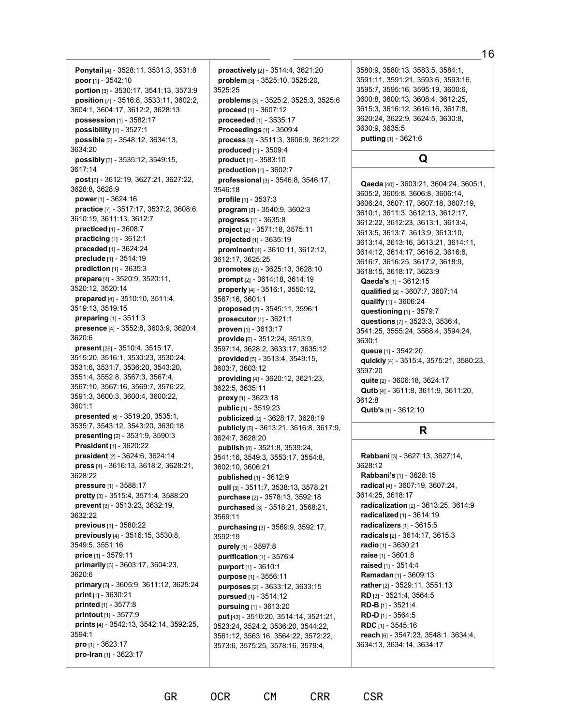**Ponytail** [4] - 3528:11, 3531:3, 3531:8 **poor** [1] - 3542:10 **portion** [3] - 3530:17, 3541:13, 3573:9 **position** [7] - 3516:8, 3533:11, 3602:2, 3604:1, 3604:17, 3612:2, 3628:13 **possession** [1] - 3582:17 **possibility** [1] - 3527:1 **possible** [3] - 3548:12, 3634:13, 3634:20 **possibly** [3] - 3535:12, 3549:15, 3617:14 **post** [6] - 3612:19, 3627:21, 3627:22, 3628:8, 3628:9 **power** [1] - 3624:16 **practice** [7] - 3517:17, 3537:2, 3608:6, 3610:19, 3611:13, 3612:7 **practiced** [1] - 3608:7 **practicing** [1] - 3612:1 **preceded** [1] - 3624:24 **preclude** [1] - 3514:19 **prediction** [1] - 3635:3 **prepare** [4] - 3520:9, 3520:11, 3520:12, 3520:14 **prepared** [4] - 3510:10, 3511:4, 3519:13, 3519:15 **preparing** [1] - 3511:3 **presence** [4] - 3552:8, 3603:9, 3620:4, 3620:6 **present** [26] - 3510:4, 3515:17, 3515:20, 3516:1, 3530:23, 3530:24, 3531:6, 3531:7, 3536:20, 3543:20, 3551:4, 3552:8, 3567:3, 3567:4, 3567:10, 3567:16, 3569:7, 3576:22, 3591:3, 3600:3, 3600:4, 3600:22, 3601:1 **presented** [6] - 3519:20, 3535:1, 3535:7, 3543:12, 3543:20, 3630:18 **presenting** [2] - 3531:9, 3590:3 **President** [1] - 3620:22 **president** [2] - 3624:6, 3624:14 **press** [4] - 3616:13, 3618:2, 3628:21, 3628:22 **pressure** [1] - 3588:17 **pretty** [3] - 3515:4, 3571:4, 3588:20 **prevent** [3] - 3513:23, 3632:19, 3632:22 **previous** [1] - 3580:22 **previously** [4] - 3516:15, 3530:8, 3549:5, 3551:16 **price** [1] - 3579:11 **primarily** [3] - 3603:17, 3604:23, 3620:6 **primary** [3] - 3605:9, 3611:12, 3625:24 **print** [1] - 3630:21 **printed** [1] - 3577:8 **printout** [1] - 3577:9 **prints** [4] - 3542:13, 3542:14, 3592:25, 3594:1 **pro** [1] - 3623:17 **pro-Iran** [1] - 3623:17

**proactively** [2] - 3514:4, 3621:20 **problem** [3] - 3525:10, 3525:20, 3525:25 **problems** [3] - 3525:2, 3525:3, 3525:6 **proceed** [1] - 3607:12 **proceeded** [1] - 3535:17 **Proceedings** [1] - 3509:4 **process** [3] - 3511:3, 3606:9, 3621:22 **produced** [1] - 3509:4 **product** [1] - 3583:10 **production** [1] - 3602:7 **professional** [3] - 3546:8, 3546:17, 3546:18 **profile** [1] - 3537:3 **program** [2] - 3540:9, 3602:3 **progress** [1] - 3635:8 **project** [2] - 3571:18, 3575:11 **projected** [1] - 3635:19 **prominent** [4] - 3610:11, 3612:12, 3612:17, 3625:25 **promotes** [2] - 3625:13, 3628:10 **prompt** [2] - 3614:18, 3614:19 **properly** [4] - 3516:1, 3550:12, 3567:16, 3601:1 **proposed** [2] - 3545:11, 3596:1 **prosecutor**[1] - 3621:1 **proven** [1] - 3613:17 **provide** [6] - 3512:24, 3513:9, 3597:14, 3628:2, 3633:17, 3635:12 **provided** [5] - 3513:4, 3549:15, 3603:7, 3603:12 **providing** [4] - 3620:12, 3621:23, 3622:5, 3635:11 **proxy** [1] - 3623:18 **public** [1] - 3519:23 **publicized** [2] - 3628:17, 3628:19 **publicly** [5] - 3613:21, 3616:8, 3617:9, 3624:7, 3628:20 **publish** [8] - 3521:8, 3539:24, 3541:16, 3549:3, 3553:17, 3554:8, 3602:10, 3606:21 **published** [1] - 3612:9 **pull** [3] - 3511:7, 3538:13, 3578:21 **purchase** [2] - 3578:13, 3592:18 **purchased** [3] - 3518:21, 3568:21, 3569:11 **purchasing** [3] - 3569:9, 3592:17, 3592:19 **purely** [1] - 3597:8 **purification** [1] - 3576:4 **purport** [1] - 3610:1 **purpose** [1] - 3556:11 **purposes** [2] - 3633:12, 3633:15 **pursued** [1] - 3514:12 **pursuing** [1] - 3613:20 **put** [43] - 3510:20, 3514:14, 3521:21, 3523:24, 3524:2, 3536:20, 3544:22, 3561:12, 3563:16, 3564:22, 3572:22, 3573:6, 3575:25, 3578:16, 3579:4,

3580:9, 3580:13, 3583:5, 3584:1, 3591:11, 3591:21, 3593:6, 3593:16, 3595:7, 3595:16, 3595:19, 3600:6, 3600:8, 3600:13, 3608:4, 3612:25, 3615:3, 3616:12, 3616:16, 3617:8, 3620:24, 3622:9, 3624:5, 3630:8, 3630:9, 3635:5 **putting** [1] - 3621:6

### **Q**

**Qaeda** [40] - 3603:21, 3604:24, 3605:1, 3605:2, 3605:8, 3606:8, 3606:14, 3606:24, 3607:17, 3607:18, 3607:19, 3610:1, 3611:3, 3612:13, 3612:17, 3612:22, 3612:23, 3613:1, 3613:4, 3613:5, 3613:7, 3613:9, 3613:10, 3613:14, 3613:16, 3613:21, 3614:11, 3614:12, 3614:17, 3616:2, 3616:6, 3616:7, 3616:25, 3617:2, 3618:9, 3618:15, 3618:17, 3623:9 **Qaeda's** [1] - 3612:15 **qualified** [2] - 3607:7, 3607:14 **qualify** [1] - 3606:24 **questioning** [1] - 3579:7 **questions** [7] - 3523:3, 3536:4, 3541:25, 3555:24, 3568:4, 3594:24, 3630:1 **queue** [1] - 3542:20 **quickly** [4] - 3515:4, 3575:21, 3580:23, 3597:20 **quite** [2] - 3606:18, 3624:17 **Qutb** [4] - 3611:8, 3611:9, 3611:20, 3612:8 **Qutb's** [1] - 3612:10

## **R**

**Rabbani** [3] - 3627:13, 3627:14, 3628:12 **Rabbani's** [1] - 3628:15 **radical** [4] - 3607:19, 3607:24, 3614:25, 3618:17 **radicalization** [2] - 3613:25, 3614:9 **radicalized** [1] - 3614:19 **radicalizers** [1] - 3615:5 **radicals** [2] - 3614:17, 3615:3 **radio** [1] - 3630:21 **raise** [1] - 3601:8 **raised** [1] - 3514:4 **Ramadan** [1] - 3609:13 **rather** [2] - 3529:11, 3551:13 **RD** [3] - 3521:4, 3564:5 **RD-B** [1] - 3521:4 **RD-D** [1] - 3564:5 **RDC** [1] - 3545:16 **reach** [6] - 3547:23, 3548:1, 3634:4, 3634:13, 3634:14, 3634:17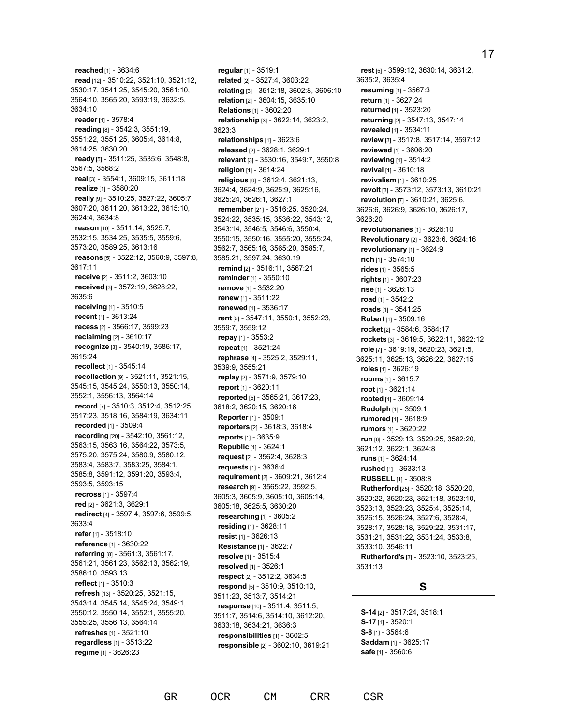**reached** [1] - 3634:6 **read** [12] - 3510:22, 3521:10, 3521:12, 3530:17, 3541:25, 3545:20, 3561:10, 3564:10, 3565:20, 3593:19, 3632:5, 3634:10 **reader** [1] - 3578:4 **reading** [8] - 3542:3, 3551:19, 3551:22, 3551:25, 3605:4, 3614:8, 3614:25, 3630:20 **ready** [5] - 3511:25, 3535:6, 3548:8, 3567:5, 3568:2 **real** [3] - 3554:1, 3609:15, 3611:18 **realize** [1] - 3580:20 **really** [9] - 3510:25, 3527:22, 3605:7, 3607:20, 3611:20, 3613:22, 3615:10, 3624:4, 3634:8 **reason** [10] - 3511:14, 3525:7, 3532:15, 3534:25, 3535:5, 3559:6, 3573:20, 3589:25, 3613:16 **reasons** [5] - 3522:12, 3560:9, 3597:8, 3617:11 **receive** [2] - 3511:2, 3603:10 **received** [3] - 3572:19, 3628:22, 3635:6 **receiving** [1] - 3510:5 **recent** [1] - 3613:24 **recess** [2] - 3566:17, 3599:23 **reclaiming** [2] - 3610:17 **recognize** [3] - 3540:19, 3586:17, 3615:24 **recollect** [1] - 3545:14 **recollection** [9] - 3521:11, 3521:15, 3545:15, 3545:24, 3550:13, 3550:14, 3552:1, 3556:13, 3564:14 **record** [7] - 3510:3, 3512:4, 3512:25, 3517:23, 3518:16, 3584:19, 3634:11 **recorded** [1] - 3509:4 **recording** [20] - 3542:10, 3561:12, 3563:15, 3563:16, 3564:22, 3573:5, 3575:20, 3575:24, 3580:9, 3580:12, 3583:4, 3583:7, 3583:25, 3584:1, 3585:8, 3591:12, 3591:20, 3593:4, 3593:5, 3593:15 **recross** [1] - 3597:4 **red** [2] - 3621:3, 3629:1 **redirect** [4] - 3597:4, 3597:6, 3599:5, 3633:4 **refer** [1] - 3518:10 **reference** [1] - 3630:22 **referring** [8] - 3561:3, 3561:17, 3561:21, 3561:23, 3562:13, 3562:19, 3586:10, 3593:13 **reflect** [1] - 3510:3 **refresh** [13] - 3520:25, 3521:15, 3543:14, 3545:14, 3545:24, 3549:1, 3550:12, 3550:14, 3552:1, 3555:20, 3555:25, 3556:13, 3564:14 **refreshes** [1] - 3521:10 **regardless** [1] - 3513:22 **regime** [1] - 3626:23

**regular** [1] - 3519:1 **related** [2] - 3527:4, 3603:22 **relating** [3] - 3512:18, 3602:8, 3606:10 **relation** [2] - 3604:15, 3635:10 **Relations** [1] - 3602:20 **relationship** [3] - 3622:14, 3623:2, 3623:3 **relationships** [1] - 3623:6 **released** [2] - 3628:1, 3629:1 **relevant** [3] - 3530:16, 3549:7, 3550:8 **religion** [1] - 3614:24 **religious** [9] - 3612:4, 3621:13, 3624:4, 3624:9, 3625:9, 3625:16, 3625:24, 3626:1, 3627:1 **remember** [21] - 3516:25, 3520:24, 3524:22, 3535:15, 3536:22, 3543:12, 3543:14, 3546:5, 3546:6, 3550:4, 3550:15, 3550:16, 3555:20, 3555:24, 3562:7, 3565:16, 3565:20, 3585:7, 3585:21, 3597:24, 3630:19 **remind** [2] - 3516:11, 3567:21 **reminder** [1] - 3550:10 **remove** [1] - 3532:20 **renew** [1] - 3511:22 **renewed** [1] - 3536:17 **rent** [5] - 3547:11, 3550:1, 3552:23, 3559:7, 3559:12 **repay** [1] - 3553:2 **repeat** [1] - 3521:24 **rephrase** [4] - 3525:2, 3529:11, 3539:9, 3555:21 **replay** [2] - 3571:9, 3579:10 **report** [1] - 3620:11 **reported** [5] - 3565:21, 3617:23, 3618:2, 3620:15, 3620:16 **Reporter** [1] - 3509:1 **reporters** [2] - 3618:3, 3618:4 **reports** [1] - 3635:9 **Republic** [1] - 3624:1 **request** [2] - 3562:4, 3628:3 **requests** [1] - 3636:4 **requirement** [2] - 3609:21, 3612:4 **research** [9] - 3565:22, 3592:5, 3605:3, 3605:9, 3605:10, 3605:14, 3605:18, 3625:5, 3630:20 **researching** [1] - 3605:2 **residing** [1] - 3628:11 **resist** [1] - 3626:13 **Resistance** [1] - 3622:7 **resolve** [1] - 3515:4 **resolved** [1] - 3526:1 **respect** [2] - 3512:2, 3634:5 **respond** [5] - 3510:9, 3510:10, 3511:23, 3513:7, 3514:21 **response** [10] - 3511:4, 3511:5, 3511:7, 3514:6, 3514:10, 3612:20, 3633:18, 3634:21, 3636:3 **responsibilities** [1] - 3602:5 **responsible** [2] - 3602:10, 3619:21

**rest** [5] - 3599:12, 3630:14, 3631:2, 3635:2, 3635:4 **resuming** [1] - 3567:3 **return** [1] - 3627:24 **returned** [1] - 3523:20 **returning** [2] - 3547:13, 3547:14 **revealed** [1] - 3534:11 **review** [3] - 3517:8, 3517:14, 3597:12 **reviewed** [1] - 3606:20 **reviewing** [1] - 3514:2 **revival** [1] - 3610:18 **revivalism** [1] - 3610:25 **revolt** [3] - 3573:12, 3573:13, 3610:21 **revolution** [7] - 3610:21, 3625:6, 3626:6, 3626:9, 3626:10, 3626:17, 3626:20 **revolutionaries** [1] - 3626:10 **Revolutionary** [2] - 3623:6, 3624:16 **revolutionary** [1] - 3624:9 **rich** [1] - 3574:10 **rides** [1] - 3565:5 **rights** [1] - 3607:23 **rise** [1] - 3626:13 **road** [1] - 3542:2 **roads** [1] - 3541:25 **Robert** [1] - 3509:16 **rocket** [2] - 3584:6, 3584:17 **rockets** [3] - 3619:5, 3622:11, 3622:12 **role** [7] - 3619:19, 3620:23, 3621:5, 3625:11, 3625:13, 3626:22, 3627:15 **roles** [1] - 3626:19 **rooms** [1] - 3615:7 **root** [1] - 3621:14 **rooted** [1] - 3609:14 **Rudolph** [1] - 3509:1 **rumored** [1] - 3618:9 **rumors** [1] - 3620:22 **run** [6] - 3529:13, 3529:25, 3582:20, 3621:12, 3622:1, 3624:8 **runs** [1] - 3624:14 **rushed** [1] - 3633:13 **RUSSELL** [1] - 3508:8 **Rutherford** [25] - 3520:18, 3520:20, 3520:22, 3520:23, 3521:18, 3523:10, 3523:13, 3523:23, 3525:4, 3525:14, 3526:15, 3526:24, 3527:6, 3528:4, 3528:17, 3528:18, 3529:22, 3531:17, 3531:21, 3531:22, 3531:24, 3533:8, 3533:10, 3546:11 **Rutherford's** [3] - 3523:10, 3523:25, 3531:13 **S**

**S-14** [2] - 3517:24, 3518:1 **S-17** [1] - 3520:1 **S-8** [1] - 3564:6 **Saddam** [1] - 3625:17 **safe** [1] - 3560:6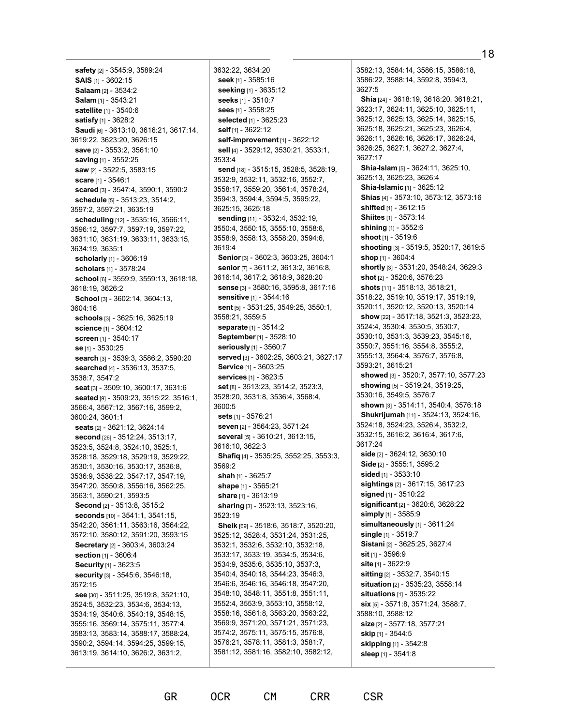**safety** [2] - 3545:9, 3589:24 **SAIS** [1] - 3602:15 **Salaam** [2] - 3534:2 **Salam** [1] - 3543:21 **satellite** [1] - 3540:6 **satisfy** [1] - 3628:2 **Saudi** [6] - 3613:10, 3616:21, 3617:14, 3619:22, 3623:20, 3626:15 **save** [2] - 3553:2, 3561:10 **saving** [1] - 3552:25 **saw** [2] - 3522:5, 3583:15 **scare** [1] - 3546:1 **scared** [3] - 3547:4, 3590:1, 3590:2 **schedule** [5] - 3513:23, 3514:2, 3597:2, 3597:21, 3635:19 **scheduling** [12] - 3535:16, 3566:11, 3596:12, 3597:7, 3597:19, 3597:22, 3631:10, 3631:19, 3633:11, 3633:15, 3634:19, 3635:1 **scholarly** [1] - 3606:19 **scholars** [1] - 3578:24 **school** [6] - 3559:9, 3559:13, 3618:18, 3618:19, 3626:2 **School** [3] - 3602:14, 3604:13, 3604:16 **schools** [3] - 3625:16, 3625:19 **science** [1] - 3604:12 **screen** [1] - 3540:17 **se** [1] - 3530:25 **search** [3] - 3539:3, 3586:2, 3590:20 **searched** [4] - 3536:13, 3537:5, 3538:7, 3547:2 **seat** [3] - 3509:10, 3600:17, 3631:6 **seated** [9] - 3509:23, 3515:22, 3516:1, 3566:4, 3567:12, 3567:16, 3599:2, 3600:24, 3601:1 **seats** [2] - 3621:12, 3624:14 **second** [26] - 3512:24, 3513:17, 3523:5, 3524:8, 3524:10, 3525:1, 3528:18, 3529:18, 3529:19, 3529:22, 3530:1, 3530:16, 3530:17, 3536:8, 3536:9, 3538:22, 3547:17, 3547:19, 3547:20, 3550:8, 3556:16, 3562:25, 3563:1, 3590:21, 3593:5 **Second** [2] - 3513:8, 3515:2 **seconds** [10] - 3541:1, 3541:15, 3542:20, 3561:11, 3563:16, 3564:22, 3572:10, 3580:12, 3591:20, 3593:15 **Secretary** [2] - 3603:4, 3603:24 **section** [1] - 3606:4 **Security** [1] - 3623:5 **security** [3] - 3545:6, 3546:18, 3572:15 **see** [30] - 3511:25, 3519:8, 3521:10, 3524:5, 3532:23, 3534:6, 3534:13, 3534:19, 3540:6, 3540:19, 3548:15, 3555:16, 3569:14, 3575:11, 3577:4, 3583:13, 3583:14, 3588:17, 3588:24, 3590:2, 3594:14, 3594:25, 3599:15, 3613:19, 3614:10, 3626:2, 3631:2,

3632:22, 3634:20 **seek** [1] - 3585:16 **seeking** [1] - 3635:12 **seeks** [1] - 3510:7 **sees** [1] - 3558:25 **selected** [1] - 3625:23 **self** [1] - 3622:12 **self-improvement** [1] - 3622:12 **sell** [4] - 3529:12, 3530:21, 3533:1, 3533:4 **send** [18] - 3515:15, 3528:5, 3528:19, 3532:9, 3532:11, 3532:16, 3552:7, 3558:17, 3559:20, 3561:4, 3578:24, 3594:3, 3594:4, 3594:5, 3595:22, 3625:15, 3625:18 **sending** [11] - 3532:4, 3532:19, 3550:4, 3550:15, 3555:10, 3558:6, 3558:9, 3558:13, 3558:20, 3594:6, 3619:4 **Senior** [3] - 3602:3, 3603:25, 3604:1 **senior** [7] - 3611:2, 3613:2, 3616:8, 3616:14, 3617:2, 3618:9, 3628:20 **sense** [3] - 3580:16, 3595:8, 3617:16 **sensitive** [1] - 3544:16 **sent** [5] - 3531:25, 3549:25, 3550:1, 3558:21, 3559:5 **separate** [1] - 3514:2 **September** [1] - 3528:10 **seriously** [1] - 3560:7 **served** [3] - 3602:25, 3603:21, 3627:17 **Service** [1] - 3603:25 **services** [1] - 3623:5 **set** [8] - 3513:23, 3514:2, 3523:3, 3528:20, 3531:8, 3536:4, 3568:4, 3600:5 **sets** [1] - 3576:21 **seven** [2] - 3564:23, 3571:24 **several** [5] - 3610:21, 3613:15, 3616:10, 3622:3 **Shafiq** [4] - 3535:25, 3552:25, 3553:3, 3569:2 **shah** [1] - 3625:7 **shape** [1] - 3565:21 **share** [1] - 3613:19 **sharing** [3] - 3523:13, 3523:16, 3523:19 **Sheik** [69] - 3518:6, 3518:7, 3520:20, 3525:12, 3528:4, 3531:24, 3531:25, 3532:1, 3532:6, 3532:10, 3532:18, 3533:17, 3533:19, 3534:5, 3534:6, 3534:9, 3535:6, 3535:10, 3537:3, 3540:4, 3540:18, 3544:23, 3546:3, 3546:6, 3546:16, 3546:18, 3547:20, 3548:10, 3548:11, 3551:8, 3551:11, 3552:4, 3553:9, 3553:10, 3558:12, 3558:16, 3561:8, 3563:20, 3563:22, 3569:9, 3571:20, 3571:21, 3571:23, 3574:2, 3575:11, 3575:15, 3576:8, 3576:21, 3578:11, 3581:3, 3581:7, 3581:12, 3581:16, 3582:10, 3582:12,

GR OCR CM CRR CSR

3582:13, 3584:14, 3586:15, 3586:18, 3586:22, 3588:14, 3592:8, 3594:3, 3627:5 **Shia** [24] - 3618:19, 3618:20, 3618:21, 3623:17, 3624:11, 3625:10, 3625:11, 3625:12, 3625:13, 3625:14, 3625:15, 3625:18, 3625:21, 3625:23, 3626:4, 3626:11, 3626:16, 3626:17, 3626:24, 3626:25, 3627:1, 3627:2, 3627:4, 3627:17 **Shia-Islam** [5] - 3624:11, 3625:10, 3625:13, 3625:23, 3626:4 **Shia-Islamic** [1] - 3625:12 **Shias** [4] - 3573:10, 3573:12, 3573:16 **shifted** [1] - 3612:15 **Shiites** [1] - 3573:14 **shining** [1] - 3552:6 **shoot** [1] - 3519:6 **shooting** [3] - 3519:5, 3520:17, 3619:5 **shop** [1] - 3604:4 **shortly** [3] - 3531:20, 3548:24, 3629:3 **shot** [2] - 3520:6, 3576:23 **shots** [11] - 3518:13, 3518:21, 3518:22, 3519:10, 3519:17, 3519:19, 3520:11, 3520:12, 3520:13, 3520:14 **show** [22] - 3517:18, 3521:3, 3523:23, 3524:4, 3530:4, 3530:5, 3530:7, 3530:10, 3531:3, 3539:23, 3545:16, 3550:7, 3551:16, 3554:8, 3555:2, 3555:13, 3564:4, 3576:7, 3576:8, 3593:21, 3615:21 **showed** [3] - 3520:7, 3577:10, 3577:23 **showing** [5] - 3519:24, 3519:25, 3530:16, 3549:5, 3576:7 **shown** [3] - 3514:11, 3540:4, 3576:18 **Shukrijumah** [11] - 3524:13, 3524:16, 3524:18, 3524:23, 3526:4, 3532:2, 3532:15, 3616:2, 3616:4, 3617:6, 3617:24 **side** [2] - 3624:12, 3630:10 **Side** [2] - 3555:1, 3595:2 **sided** [1] - 3533:10 **sightings** [2] - 3617:15, 3617:23 **signed** [1] - 3510:22 **significant** [2] - 3620:6, 3628:22 **simply** [1] - 3585:9 **simultaneously** [1] - 3611:24 **single** [1] - 3519:7 **Sistani** [2] - 3625:25, 3627:4 **sit** [1] - 3596:9 **site** [1] - 3622:9 **sitting** [2] - 3532:7, 3540:15 **situation** [2] - 3535:23, 3558:14 **situations** [1] - 3535:22 **six** [5] - 3571:8, 3571:24, 3588:7, 3588:10, 3588:12 **size** [2] - 3577:18, 3577:21 **skip** [1] - 3544:5 **skipping** [1] - 3542:8 **sleep** [1] - 3541:8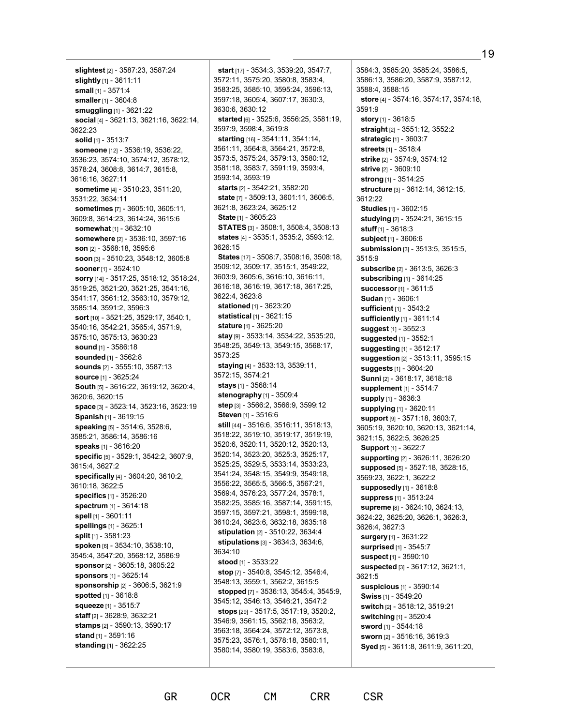19

**slightest** [2] - 3587:23, 3587:24 **slightly** [1] - 3611:11 **small** [1] - 3571:4 **smaller** [1] - 3604:8 **smuggling** [1] - 3621:22 **social** [4] - 3621:13, 3621:16, 3622:14, 3622:23 **solid** [1] - 3513:7 **someone** [12] - 3536:19, 3536:22, 3536:23, 3574:10, 3574:12, 3578:12, 3578:24, 3608:8, 3614:7, 3615:8, 3616:16, 3627:11 **sometime** [4] - 3510:23, 3511:20, 3531:22, 3634:11 **sometimes** [7] - 3605:10, 3605:11, 3609:8, 3614:23, 3614:24, 3615:6 **somewhat** [1] - 3632:10 **somewhere** [2] - 3536:10, 3597:16 **son** [2] - 3568:18, 3595:6 **soon** [3] - 3510:23, 3548:12, 3605:8 **sooner**[1] - 3524:10 **sorry** [14] - 3517:25, 3518:12, 3518:24, 3519:25, 3521:20, 3521:25, 3541:16, 3541:17, 3561:12, 3563:10, 3579:12, 3585:14, 3591:2, 3596:3 **sort** [10] - 3521:25, 3529:17, 3540:1, 3540:16, 3542:21, 3565:4, 3571:9, 3575:10, 3575:13, 3630:23 **sound** [1] - 3586:18 **sounded** [1] - 3562:8 **sounds** [2] - 3555:10, 3587:13 **source** [1] - 3625:24 **South** [5] - 3616:22, 3619:12, 3620:4, 3620:6, 3620:15 **space** [3] - 3523:14, 3523:16, 3523:19 **Spanish** [1] - 3619:15 **speaking** [5] - 3514:6, 3528:6, 3585:21, 3586:14, 3586:16 **speaks** [1] - 3616:20 **specific** [5] - 3529:1, 3542:2, 3607:9, 3615:4, 3627:2 **specifically** [4] - 3604:20, 3610:2, 3610:18, 3622:5 **specifics** [1] - 3526:20 **spectrum** [1] - 3614:18 **spell** [1] - 3601:11 **spellings** [1] - 3625:1 **split** [1] - 3581:23 **spoken** [6] - 3534:10, 3538:10, 3545:4, 3547:20, 3568:12, 3586:9 **sponsor**[2] - 3605:18, 3605:22 **sponsors** [1] - 3625:14 **sponsorship** [2] - 3606:5, 3621:9 **spotted** [1] - 3618:8 **squeeze** [1] - 3515:7 **staff** [2] - 3628:9, 3632:21 **stamps** [2] - 3590:13, 3590:17 **stand** [1] - 3591:16 **standing** [1] - 3622:25

**start** [17] - 3534:3, 3539:20, 3547:7, 3572:11, 3575:20, 3580:8, 3583:4, 3583:25, 3585:10, 3595:24, 3596:13, 3597:18, 3605:4, 3607:17, 3630:3, 3630:6, 3630:12 **started** [6] - 3525:6, 3556:25, 3581:19, 3597:9, 3598:4, 3619:8 **starting** [16] - 3541:11, 3541:14, 3561:11, 3564:8, 3564:21, 3572:8, 3573:5, 3575:24, 3579:13, 3580:12, 3581:18, 3583:7, 3591:19, 3593:4, 3593:14, 3593:19 **starts** [2] - 3542:21, 3582:20 **state** [7] - 3509:13, 3601:11, 3606:5, 3621:8, 3623:24, 3625:12 **State** [1] - 3605:23 **STATES** [3] - 3508:1, 3508:4, 3508:13 **states** [4] - 3535:1, 3535:2, 3593:12, 3626:15 **States** [17] - 3508:7, 3508:16, 3508:18, 3509:12, 3509:17, 3515:1, 3549:22, 3603:9, 3605:6, 3616:10, 3616:11, 3616:18, 3616:19, 3617:18, 3617:25, 3622:4, 3623:8 **stationed** [1] - 3623:20 **statistical** [1] - 3621:15 **stature** [1] - 3625:20 **stay** [9] - 3533:14, 3534:22, 3535:20, 3548:25, 3549:13, 3549:15, 3568:17, 3573:25 **staying** [4] - 3533:13, 3539:11, 3572:15, 3574:21 **stays** [1] - 3568:14 **stenography** [1] - 3509:4 **step** [3] - 3566:2, 3566:9, 3599:12 **Steven** [1] - 3516:6 **still** [44] - 3516:6, 3516:11, 3518:13, 3518:22, 3519:10, 3519:17, 3519:19, 3520:6, 3520:11, 3520:12, 3520:13, 3520:14, 3523:20, 3525:3, 3525:17, 3525:25, 3529:5, 3533:14, 3533:23, 3541:24, 3548:15, 3549:9, 3549:18, 3556:22, 3565:5, 3566:5, 3567:21, 3569:4, 3576:23, 3577:24, 3578:1, 3582:25, 3585:16, 3587:14, 3591:15, 3597:15, 3597:21, 3598:1, 3599:18, 3610:24, 3623:6, 3632:18, 3635:18 **stipulation** [2] - 3510:22, 3634:4 **stipulations** [3] - 3634:3, 3634:6, 3634:10 **stood** [1] - 3533:22 **stop** [7] - 3540:8, 3545:12, 3546:4, 3548:13, 3559:1, 3562:2, 3615:5 **stopped** [7] - 3536:13, 3545:4, 3545:9, 3545:12, 3546:13, 3546:21, 3547:2 **stops** [29] - 3517:5, 3517:19, 3520:2, 3546:9, 3561:15, 3562:18, 3563:2, 3563:18, 3564:24, 3572:12, 3573:8, 3575:23, 3576:1, 3578:18, 3580:11, 3580:14, 3580:19, 3583:6, 3583:8,

3584:3, 3585:20, 3585:24, 3586:5, 3586:13, 3586:20, 3587:9, 3587:12, 3588:4, 3588:15 **store** [4] - 3574:16, 3574:17, 3574:18, 3591:9 **story** [1] - 3618:5 **straight** [2] - 3551:12, 3552:2 **strategic** [1] - 3603:7 **streets** [1] - 3518:4 **strike** [2] - 3574:9, 3574:12 **strive** [2] - 3609:10 **strong** [1] - 3514:25 **structure** [3] - 3612:14, 3612:15, 3612:22 **Studies** [1] - 3602:15 **studying** [2] - 3524:21, 3615:15 **stuff** [1] - 3618:3 **subject** [1] - 3606:6 **submission** [3] - 3513:5, 3515:5, 3515:9 **subscribe** [2] - 3613:5, 3626:3 **subscribing** [1] - 3614:25 **successor** [1] - 3611:5 **Sudan** [1] - 3606:1 **sufficient** [1] - 3543:2 **sufficiently** [1] - 3611:14 **suggest** [1] - 3552:3 **suggested** [1] - 3552:1 **suggesting** [1] - 3512:17 **suggestion** [2] - 3513:11, 3595:15 **suggests** [1] - 3604:20 **Sunni** [2] - 3618:17, 3618:18 **supplement** [1] - 3514:7 **supply** [1] - 3636:3 **supplying** [1] - 3620:11 **support** [9] - 3571:18, 3603:7, 3605:19, 3620:10, 3620:13, 3621:14, 3621:15, 3622:5, 3626:25 **Support** [1] - 3622:7 **supporting** [2] - 3626:11, 3626:20 **supposed** [5] - 3527:18, 3528:15, 3569:23, 3622:1, 3622:2 **supposedly** [1] - 3618:8 **suppress** [1] - 3513:24 **supreme** [8] - 3624:10, 3624:13, 3624:22, 3625:20, 3626:1, 3626:3, 3626:4, 3627:3 **surgery** [1] - 3631:22 **surprised** [1] - 3545:7 **suspect** [1] - 3590:10 **suspected** [3] - 3617:12, 3621:1, 3621:5 **suspicious** [1] - 3590:14 **Swiss** [1] - 3549:20 **switch** [2] - 3518:12, 3519:21 **switching** [1] - 3520:4 **sword** [1] - 3544:18 **sworn** [2] - 3516:16, 3619:3 **Syed** [5] - 3611:8, 3611:9, 3611:20,

```
GR OCR CM CRR CSR
```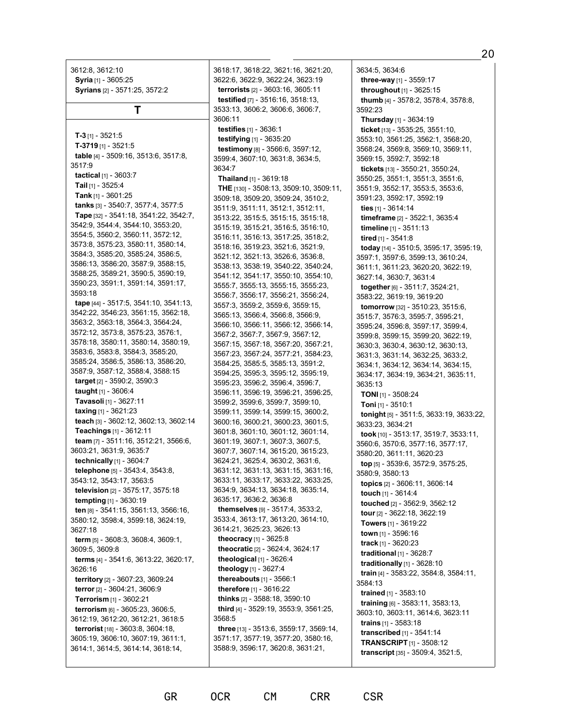3612:8, 3612:10 **Syria** [1] - 3605:25 **Syrians** [2] - 3571:25, 3572:2

**T**

**T-3** [1] - 3521:5 **T-3719** [1] - 3521:5 **table** [4] - 3509:16, 3513:6, 3517:8, 3517:9 **tactical** [1] - 3603:7 **Tail** [1] - 3525:4 **Tank** [1] - 3601:25 **tanks** [3] - 3540:7, 3577:4, 3577:5 **Tape** [32] - 3541:18, 3541:22, 3542:7, 3542:9, 3544:4, 3544:10, 3553:20, 3554:5, 3560:2, 3560:11, 3572:12, 3573:8, 3575:23, 3580:11, 3580:14, 3584:3, 3585:20, 3585:24, 3586:5, 3586:13, 3586:20, 3587:9, 3588:15, 3588:25, 3589:21, 3590:5, 3590:19, 3590:23, 3591:1, 3591:14, 3591:17, 3593:18 **tape** [44] - 3517:5, 3541:10, 3541:13, 3542:22, 3546:23, 3561:15, 3562:18, 3563:2, 3563:18, 3564:3, 3564:24, 3572:12, 3573:8, 3575:23, 3576:1, 3578:18, 3580:11, 3580:14, 3580:19, 3583:6, 3583:8, 3584:3, 3585:20, 3585:24, 3586:5, 3586:13, 3586:20, 3587:9, 3587:12, 3588:4, 3588:15 **target** [2] - 3590:2, 3590:3 **taught** [1] - 3606:4 **Tavasoli** [1] - 3627:11 **taxing** [1] - 3621:23 **teach** [3] - 3602:12, 3602:13, 3602:14 **Teachings** [1] - 3612:11 **team** [7] - 3511:16, 3512:21, 3566:6, 3603:21, 3631:9, 3635:7 **technically** [1] - 3604:7 **telephone** [5] - 3543:4, 3543:8, 3543:12, 3543:17, 3563:5 **television** [2] - 3575:17, 3575:18 **tempting** [1] - 3630:19 **ten** [8] - 3541:15, 3561:13, 3566:16, 3580:12, 3598:4, 3599:18, 3624:19, 3627:18 **term** [5] - 3608:3, 3608:4, 3609:1, 3609:5, 3609:8 **terms** [4] - 3541:6, 3613:22, 3620:17, 3626:16 **territory** [2] - 3607:23, 3609:24 **terror** [2] - 3604:21, 3606:9 **Terrorism** [1] - 3602:21 **terrorism** [6] - 3605:23, 3606:5, 3612:19, 3612:20, 3612:21, 3618:5 **terrorist** [18] - 3603:8, 3604:18, 3605:19, 3606:10, 3607:19, 3611:1, 3614:1, 3614:5, 3614:14, 3618:14,

3618:17, 3618:22, 3621:16, 3621:20, 3622:6, 3622:9, 3622:24, 3623:19 **terrorists** [2] - 3603:16, 3605:11 **testified** [7] - 3516:16, 3518:13, 3533:13, 3606:2, 3606:6, 3606:7, 3606:11 **testifies** [1] - 3636:1 **testifying** [1] - 3635:20 **testimony** [8] - 3566:6, 3597:12, 3599:4, 3607:10, 3631:8, 3634:5, 3634:7 **Thailand** [1] - 3619:18 **THE** [130] - 3508:13, 3509:10, 3509:11, 3509:18, 3509:20, 3509:24, 3510:2, 3511:9, 3511:11, 3512:1, 3512:11, 3513:22, 3515:5, 3515:15, 3515:18, 3515:19, 3515:21, 3516:5, 3516:10, 3516:11, 3516:13, 3517:25, 3518:2, 3518:16, 3519:23, 3521:6, 3521:9, 3521:12, 3521:13, 3526:6, 3536:8, 3538:13, 3538:19, 3540:22, 3540:24, 3541:12, 3541:17, 3550:10, 3554:10, 3555:7, 3555:13, 3555:15, 3555:23, 3556:7, 3556:17, 3556:21, 3556:24, 3557:3, 3559:2, 3559:6, 3559:15, 3565:13, 3566:4, 3566:8, 3566:9, 3566:10, 3566:11, 3566:12, 3566:14, 3567:2, 3567:7, 3567:9, 3567:12, 3567:15, 3567:18, 3567:20, 3567:21, 3567:23, 3567:24, 3577:21, 3584:23, 3584:25, 3585:5, 3585:13, 3591:2, 3594:25, 3595:3, 3595:12, 3595:19, 3595:23, 3596:2, 3596:4, 3596:7, 3596:11, 3596:19, 3596:21, 3596:25, 3599:2, 3599:6, 3599:7, 3599:10, 3599:11, 3599:14, 3599:15, 3600:2, 3600:16, 3600:21, 3600:23, 3601:5, 3601:8, 3601:10, 3601:12, 3601:14, 3601:19, 3607:1, 3607:3, 3607:5, 3607:7, 3607:14, 3615:20, 3615:23, 3624:21, 3625:4, 3630:2, 3631:6, 3631:12, 3631:13, 3631:15, 3631:16, 3633:11, 3633:17, 3633:22, 3633:25, 3634:9, 3634:13, 3634:18, 3635:14, 3635:17, 3636:2, 3636:8 **themselves** [9] - 3517:4, 3533:2, 3533:4, 3613:17, 3613:20, 3614:10, 3614:21, 3625:23, 3626:13 **theocracy** [1] - 3625:8 **theocratic** [2] - 3624:4, 3624:17 **theological** [1] - 3626:4 **theology** [1] - 3627:4 **thereabouts** [1] - 3566:1 **therefore** [1] - 3616:22 **thinks** [2] - 3588:18, 3590:10 **third** [4] - 3529:19, 3553:9, 3561:25, 3568:5 **three** [13] - 3513:6, 3559:17, 3569:14, 3571:17, 3577:19, 3577:20, 3580:16, 3588:9, 3596:17, 3620:8, 3631:21,

GR OCR CM CRR CSR

3634:5, 3634:6 **three-way** [1] - 3559:17 **throughout** [1] - 3625:15 **thumb** [4] - 3578:2, 3578:4, 3578:8, 3592:23 **Thursday** [1] - 3634:19 **ticket** [13] - 3535:25, 3551:10, 3553:10, 3561:25, 3562:1, 3568:20, 3568:24, 3569:8, 3569:10, 3569:11, 3569:15, 3592:7, 3592:18 **tickets** [13] - 3550:21, 3550:24, 3550:25, 3551:1, 3551:3, 3551:6, 3551:9, 3552:17, 3553:5, 3553:6, 3591:23, 3592:17, 3592:19 **ties** [1] - 3614:14 **timeframe** [2] - 3522:1, 3635:4 **timeline** [1] - 3511:13 **tired** [1] - 3541:8 **today** [14] - 3510:5, 3595:17, 3595:19, 3597:1, 3597:6, 3599:13, 3610:24, 3611:1, 3611:23, 3620:20, 3622:19, 3627:14, 3630:7, 3631:4 **together**[6] - 3511:7, 3524:21, 3583:22, 3619:19, 3619:20 **tomorrow** [32] - 3510:23, 3515:6, 3515:7, 3576:3, 3595:7, 3595:21, 3595:24, 3596:8, 3597:17, 3599:4, 3599:8, 3599:15, 3599:20, 3622:19, 3630:3, 3630:4, 3630:12, 3630:13, 3631:3, 3631:14, 3632:25, 3633:2, 3634:1, 3634:12, 3634:14, 3634:15, 3634:17, 3634:19, 3634:21, 3635:11, 3635:13 **TONI** [1] - 3508:24 **Toni** [1] - 3510:1 **tonight** [5] - 3511:5, 3633:19, 3633:22, 3633:23, 3634:21 **took** [10] - 3513:17, 3519:7, 3533:11, 3560:6, 3570:6, 3577:16, 3577:17, 3580:20, 3611:11, 3620:23 **top** [5] - 3539:6, 3572:9, 3575:25, 3580:9, 3580:13 **topics** [2] - 3606:11, 3606:14 **touch** [1] - 3614:4 **touched** [2] - 3562:9, 3562:12 **tour** [2] - 3622:18, 3622:19 **Towers** [1] - 3619:22 **town** [1] - 3596:16 **track** [1] - 3620:23 **traditional** [1] - 3628:7 **traditionally** [1] - 3628:10 **train** [4] - 3583:22, 3584:8, 3584:11, 3584:13 **trained** [1] - 3583:10 **training** [6] - 3583:11, 3583:13, 3603:10, 3603:11, 3614:6, 3623:11 **trains** [1] - 3583:18 **transcribed** [1] - 3541:14 **TRANSCRIPT** [1] - 3508:12 **transcript** [35] - 3509:4, 3521:5,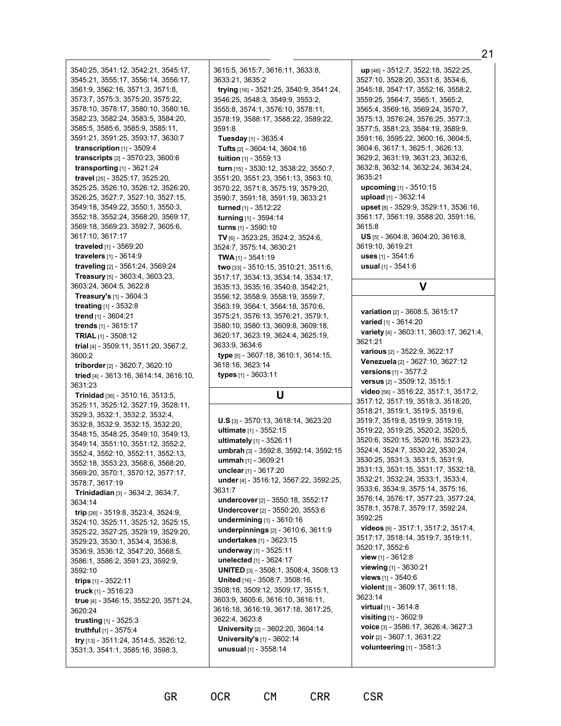3540:25, 3541:12, 3542:21, 3545:17, 3545:21, 3555:17, 3556:14, 3556:17, 3561:9, 3562:16, 3571:3, 3571:8, 3573:7, 3575:3, 3575:20, 3575:22, 3578:10, 3578:17, 3580:10, 3580:16, 3582:23, 3582:24, 3583:5, 3584:20, 3585:5, 3585:6, 3585:9, 3585:11, 3591:21, 3591:25, 3593:17, 3630:7 **transcription** [1] - 3509:4 **transcripts** [2] - 3570:23, 3600:6 **transporting** [1] - 3621:24 **travel** [25] - 3525:17, 3525:20, 3525:25, 3526:10, 3526:12, 3526:20, 3526:25, 3527:7, 3527:10, 3527:15, 3549:18, 3549:22, 3550:1, 3550:3, 3552:18, 3552:24, 3568:20, 3569:17, 3569:18, 3569:23, 3592:7, 3605:6, 3617:10, 3617:17 **traveled** [1] - 3569:20 **travelers** [1] - 3614:9 **traveling** [2] - 3561:24, 3569:24 **Treasury** [5] - 3603:4, 3603:23, 3603:24, 3604:5, 3622:8 **Treasury's** [1] - 3604:3 **treating** [1] - 3532:8 **trend** [1] - 3604:21 **trends** [1] - 3615:17 **TRIAL** [1] - 3508:12 **trial** [4] - 3509:11, 3511:20, 3567:2, 3600:2 **triborder**[2] - 3620:7, 3620:10 **tried** [4] - 3613:16, 3614:14, 3616:10, 3631:23 **Trinidad** [36] - 3510:16, 3513:5, 3525:11, 3525:12, 3527:19, 3528:11, 3529:3, 3532:1, 3532:2, 3532:4, 3532:8, 3532:9, 3532:15, 3532:20, 3548:15, 3548:25, 3549:10, 3549:13, 3549:14, 3551:10, 3551:12, 3552:2, 3552:4, 3552:10, 3552:11, 3552:13, 3552:18, 3553:23, 3568:6, 3568:20, 3569:20, 3570:1, 3570:12, 3577:17, 3578:7, 3617:19 **Trinidadian** [3] - 3634:2, 3634:7, 3634:14 **trip** [26] - 3519:8, 3523:4, 3524:9, 3524:10, 3525:11, 3525:12, 3525:15, 3525:22, 3527:25, 3529:19, 3529:20, 3529:23, 3530:1, 3534:4, 3536:8, 3536:9, 3536:12, 3547:20, 3568:5, 3586:1, 3586:2, 3591:23, 3592:9, 3592:10 **trips** [1] - 3522:11 **truck** [1] - 3516:23 **true** [4] - 3546:15, 3552:20, 3571:24, 3620:24 **trusting** [1] - 3525:3 **truthful** [1] - 3575:4 **try** [13] - 3511:24, 3514:5, 3526:12, 3531:3, 3541:1, 3585:16, 3598:3,

3615:5, 3615:7, 3616:11, 3633:8, 3633:21, 3635:2 **trying** [16] - 3521:25, 3540:9, 3541:24, 3546:25, 3548:3, 3549:9, 3553:2, 3555:8, 3574:1, 3576:10, 3578:11, 3578:19, 3588:17, 3588:22, 3589:22, 3591:8 **Tuesday** [1] - 3635:4 **Tufts** [2] - 3604:14, 3604:16 **tuition** [1] - 3559:13 **turn** [15] - 3530:12, 3538:22, 3550:7, 3551:20, 3551:23, 3561:13, 3563:10, 3570:22, 3571:8, 3575:19, 3579:20, 3590:7, 3591:18, 3591:19, 3633:21 **turned** [1] - 3512:22 **turning** [1] - 3594:14 **turns** [1] - 3590:10 **TV** [6] - 3523:25, 3524:2, 3524:6, 3524:7, 3575:14, 3630:21 **TWA** [1] - 3541:19 **two** [33] - 3510:15, 3510:21, 3511:6, 3517:17, 3534:13, 3534:14, 3534:17, 3535:13, 3535:16, 3540:8, 3542:21, 3556:12, 3558:9, 3558:19, 3559:7, 3563:19, 3564:1, 3564:18, 3570:6, 3575:21, 3576:13, 3576:21, 3579:1, 3580:10, 3580:13, 3609:8, 3609:18, 3620:17, 3623:19, 3624:4, 3625:19, 3633:9, 3634:6 **type** [5] - 3607:18, 3610:1, 3614:15, 3618:16, 3623:14

## **U**

**types** [1] - 3603:11

**U.S** [3] - 3570:13, 3618:14, 3623:20 **ultimate** [1] - 3552:15 **ultimately** [1] - 3526:11 **umbrah** [3] - 3592:8, 3592:14, 3592:15 **ummah** [1] - 3609:21 **unclear** [1] - 3617:20 **under** [4] - 3516:12, 3567:22, 3592:25, 3631:7 **undercover**[2] - 3550:18, 3552:17 **Undercover** [2] - 3550:20, 3553:6 **undermining** [1] - 3610:16 **underpinnings** [2] - 3610:6, 3611:9 **undertakes** [1] - 3623:15 **underway** [1] - 3525:11 **unelected** [1] - 3624:17 **UNITED** [3] - 3508:1, 3508:4, 3508:13 **United** [16] - 3508:7, 3508:16, 3508:18, 3509:12, 3509:17, 3515:1, 3603:9, 3605:6, 3616:10, 3616:11, 3616:18, 3616:19, 3617:18, 3617:25, 3622:4, 3623:8 **University** [2] - 3602:20, 3604:14 **University's** [1] - 3602:14 **unusual** [1] - 3558:14

**up** [46] - 3512:7, 3522:18, 3522:25, 3527:10, 3528:20, 3531:8, 3534:6, 3545:18, 3547:17, 3552:16, 3558:2, 3559:25, 3564:7, 3565:1, 3565:2, 3565:4, 3569:16, 3569:24, 3570:7, 3575:13, 3576:24, 3576:25, 3577:3, 3577:5, 3581:23, 3584:19, 3589:9, 3591:16, 3595:22, 3600:16, 3604:5, 3604:6, 3617:1, 3625:1, 3626:13, 3629:2, 3631:19, 3631:23, 3632:6, 3632:8, 3632:14, 3632:24, 3634:24, 3635:21 **upcoming** [1] - 3510:15 **upload** [1] - 3632:14 **upset** [8] - 3529:9, 3529:11, 3536:16, 3561:17, 3561:19, 3588:20, 3591:16, 3615:8 **US** [5] - 3604:8, 3604:20, 3616:8, 3619:10, 3619:21 **uses** [1] - 3541:6 **usual** [1] - 3541:6

## **V**

**variation** [2] - 3608:5, 3615:17 **varied** [1] - 3614:20 **variety** [4] - 3603:11, 3603:17, 3621:4, 3621:21 **various** [2] - 3522:9, 3622:17 **Venezuela** [2] - 3627:10, 3627:12 **versions** [1] - 3577:2 **versus** [2] - 3509:12, 3515:1 **video** [56] - 3516:22, 3517:1, 3517:2, 3517:12, 3517:19, 3518:3, 3518:20, 3518:21, 3519:1, 3519:5, 3519:6, 3519:7, 3519:8, 3519:9, 3519:19, 3519:22, 3519:25, 3520:2, 3520:5, 3520:6, 3520:15, 3520:16, 3523:23, 3524:4, 3524:7, 3530:22, 3530:24, 3530:25, 3531:3, 3531:5, 3531:9, 3531:13, 3531:15, 3531:17, 3532:18, 3532:21, 3532:24, 3533:1, 3533:4, 3533:6, 3534:9, 3575:14, 3575:16, 3576:14, 3576:17, 3577:23, 3577:24, 3578:1, 3578:7, 3579:17, 3592:24, 3592:25 **videos** [9] - 3517:1, 3517:2, 3517:4, 3517:17, 3518:14, 3519:7, 3519:11, 3520:17, 3552:6 **view** [1] - 3612:8 **viewing** [1] - 3630:21 **views** [1] - 3540:6 **violent** [3] - 3609:17, 3611:18, 3623:14 **virtual** [1] - 3614:8 **visiting** [1] - 3602:9 **voice** [3] - 3586:17, 3626:4, 3627:3 **voir** [2] - 3607:1, 3631:22 **volunteering** [1] - 3581:3